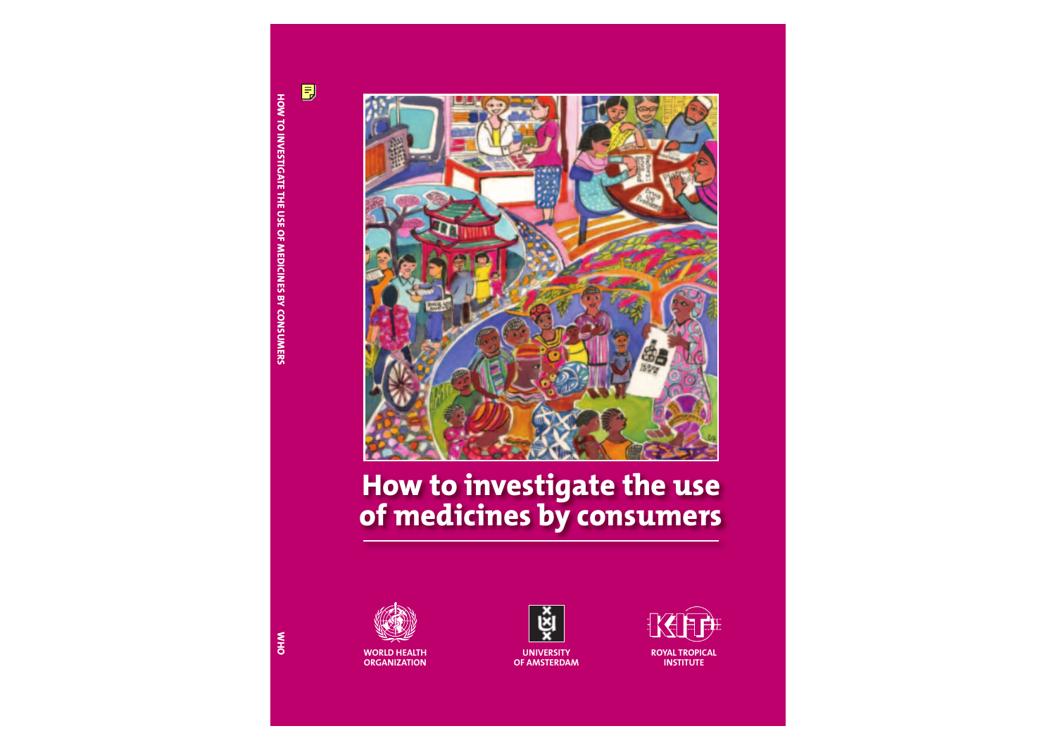

# **How to investigate the use of medicines by consumers**





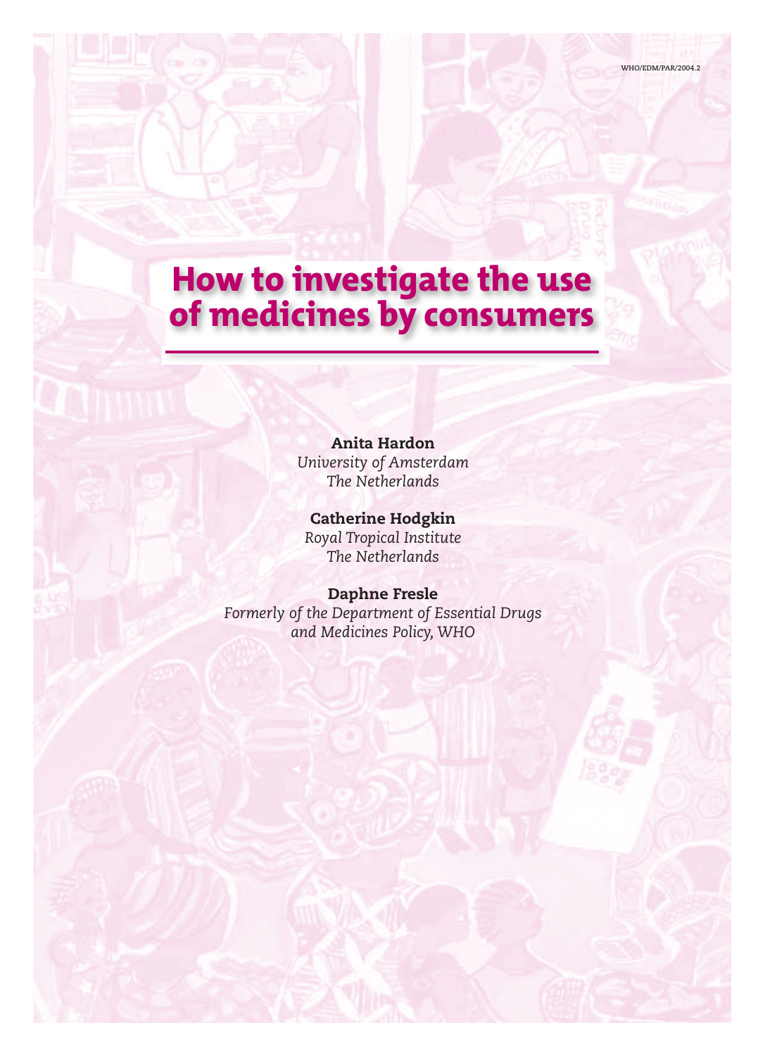## **How to investigate the use of medicines by consumers**

**Anita Hardon** *University of Amsterdam The Netherlands*

**Catherine Hodgkin** *Royal Tropical Institute The Netherlands*

**Daphne Fresle** *Formerly of the Department of Essential Drugs and Medicines Policy, WHO*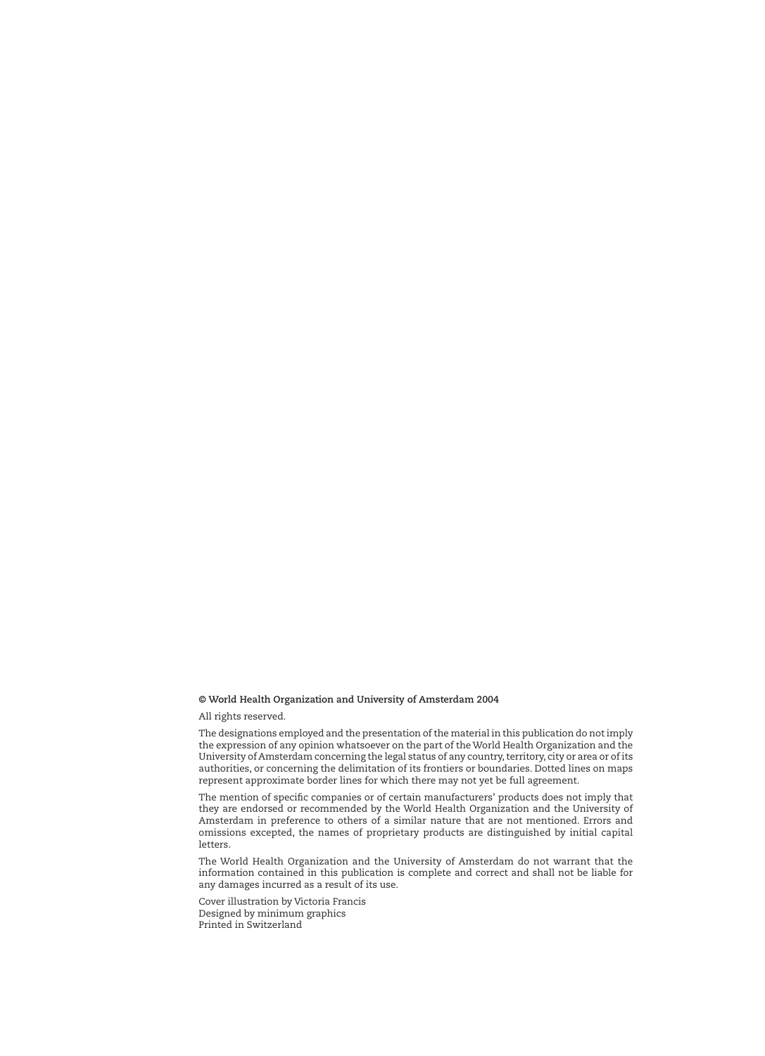#### **© World Health Organization and University of Amsterdam 2004**

All rights reserved.

The designations employed and the presentation of the material in this publication do not imply the expression of any opinion whatsoever on the part of the World Health Organization and the University of Amsterdam concerning the legal status of any country, territory, city or area or of its authorities, or concerning the delimitation of its frontiers or boundaries. Dotted lines on maps represent approximate border lines for which there may not yet be full agreement.

The mention of specific companies or of certain manufacturers' products does not imply that they are endorsed or recommended by the World Health Organization and the University of Amsterdam in preference to others of a similar nature that are not mentioned. Errors and omissions excepted, the names of proprietary products are distinguished by initial capital letters.

The World Health Organization and the University of Amsterdam do not warrant that the information contained in this publication is complete and correct and shall not be liable for any damages incurred as a result of its use.

Cover illustration by Victoria Francis Designed by minimum graphics Printed in Switzerland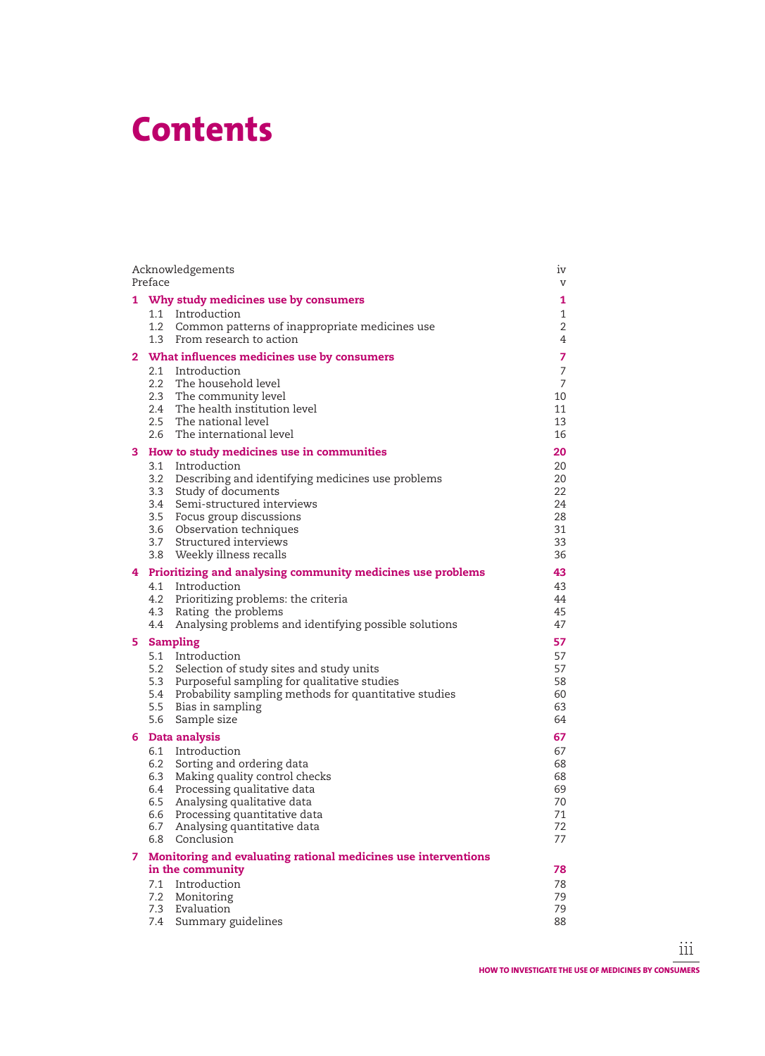## **Contents**

|    | Acknowledgements<br>Preface                                                                                                                                                                                                                                                                                  |                                                               |  |  |  |  |
|----|--------------------------------------------------------------------------------------------------------------------------------------------------------------------------------------------------------------------------------------------------------------------------------------------------------------|---------------------------------------------------------------|--|--|--|--|
| 1. | Why study medicines use by consumers<br>1.1 Introduction<br>1.2 Common patterns of inappropriate medicines use<br>1.3 From research to action                                                                                                                                                                | 1<br>$\mathbf{1}$<br>$\overline{2}$<br>4                      |  |  |  |  |
|    | 2 What influences medicines use by consumers<br>2.1 Introduction<br>2.2 The household level<br>2.3 The community level<br>2.4 The health institution level<br>2.5 The national level<br>2.6 The international level                                                                                          | 7<br>$\overline{7}$<br>$\overline{7}$<br>10<br>11<br>13<br>16 |  |  |  |  |
|    | 3 How to study medicines use in communities<br>3.1 Introduction<br>3.2 Describing and identifying medicines use problems<br>3.3 Study of documents<br>3.4 Semi-structured interviews<br>3.5 Focus group discussions<br>3.6 Observation techniques<br>3.7 Structured interviews<br>3.8 Weekly illness recalls | 20<br>20<br>20<br>22<br>24<br>28<br>31<br>33<br>36            |  |  |  |  |
|    | 4 Prioritizing and analysing community medicines use problems                                                                                                                                                                                                                                                | 43                                                            |  |  |  |  |
|    | 4.1 Introduction<br>4.2 Prioritizing problems: the criteria<br>Rating the problems<br>4.3<br>Analysing problems and identifying possible solutions<br>4.4                                                                                                                                                    | 43<br>44<br>45<br>47                                          |  |  |  |  |
| 5. | <b>Sampling</b><br>5.1 Introduction<br>5.2 Selection of study sites and study units<br>5.3 Purposeful sampling for qualitative studies<br>5.4 Probability sampling methods for quantitative studies<br>5.5 Bias in sampling<br>5.6<br>Sample size                                                            | 57<br>57<br>57<br>58<br>60<br>63<br>64                        |  |  |  |  |
|    | 6 Data analysis                                                                                                                                                                                                                                                                                              | 67                                                            |  |  |  |  |
|    | 6.1 Introduction<br>6.2 Sorting and ordering data<br>6.3 Making quality control checks<br>Processing qualitative data<br>6.4<br>Analysing qualitative data<br>6.5<br>6.6<br>Processing quantitative data<br>Analysing quantitative data<br>6.7<br>6.8<br>Conclusion                                          | 67<br>68<br>68<br>69<br>70<br>71<br>72<br>77                  |  |  |  |  |
| 7  | Monitoring and evaluating rational medicines use interventions<br>in the community                                                                                                                                                                                                                           |                                                               |  |  |  |  |
|    | Introduction<br>7.1<br>7.2<br>Monitoring<br>Evaluation<br>7.3<br>Summary guidelines<br>7.4                                                                                                                                                                                                                   | 78<br>78<br>79<br>79<br>88                                    |  |  |  |  |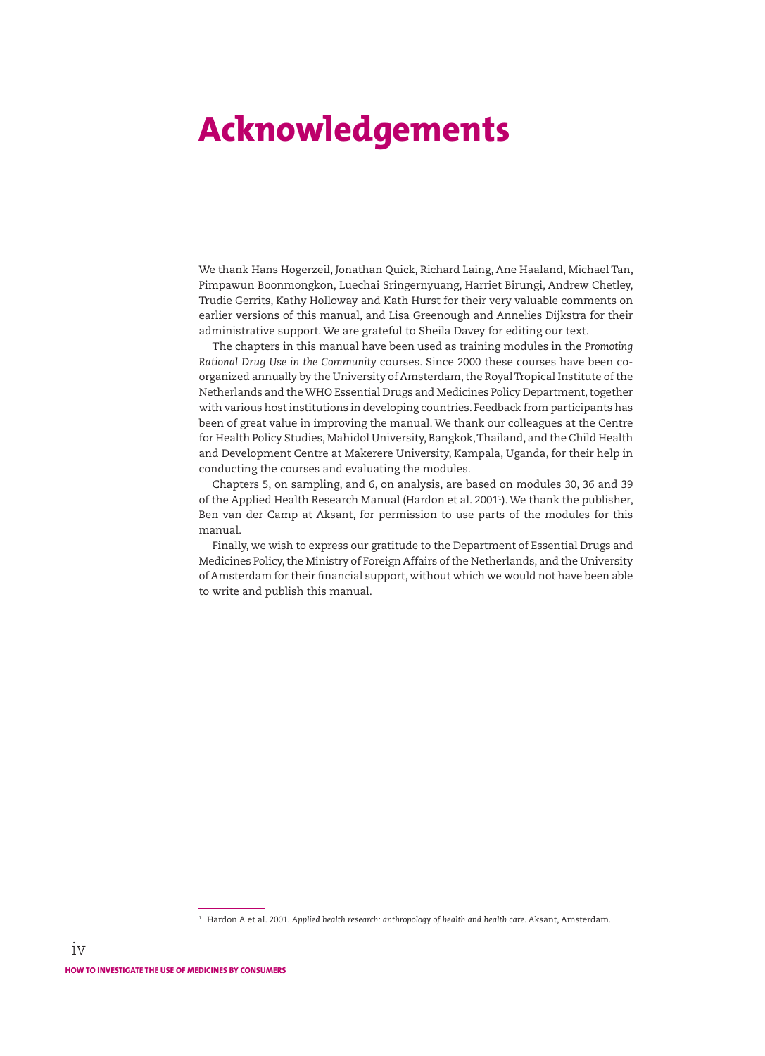## **Acknowledgements**

We thank Hans Hogerzeil, Jonathan Quick, Richard Laing, Ane Haaland, Michael Tan, Pimpawun Boonmongkon, Luechai Sringernyuang, Harriet Birungi, Andrew Chetley, Trudie Gerrits, Kathy Holloway and Kath Hurst for their very valuable comments on earlier versions of this manual, and Lisa Greenough and Annelies Dijkstra for their administrative support. We are grateful to Sheila Davey for editing our text.

The chapters in this manual have been used as training modules in the *Promoting Rational Drug Use in the Community* courses. Since 2000 these courses have been coorganized annually by the University of Amsterdam, the Royal Tropical Institute of the Netherlands and the WHO Essential Drugs and Medicines Policy Department, together with various host institutions in developing countries. Feedback from participants has been of great value in improving the manual. We thank our colleagues at the Centre for Health Policy Studies, Mahidol University, Bangkok, Thailand, and the Child Health and Development Centre at Makerere University, Kampala, Uganda, for their help in conducting the courses and evaluating the modules.

Chapters 5, on sampling, and 6, on analysis, are based on modules 30, 36 and 39 of the Applied Health Research Manual (Hardon et al. 20011 ). We thank the publisher, Ben van der Camp at Aksant, for permission to use parts of the modules for this manual.

Finally, we wish to express our gratitude to the Department of Essential Drugs and Medicines Policy, the Ministry of Foreign Affairs of the Netherlands, and the University of Amsterdam for their financial support, without which we would not have been able to write and publish this manual.

<sup>1</sup> Hardon A et al. 2001. *Applied health research: anthropology of health and health care*. Aksant, Amsterdam.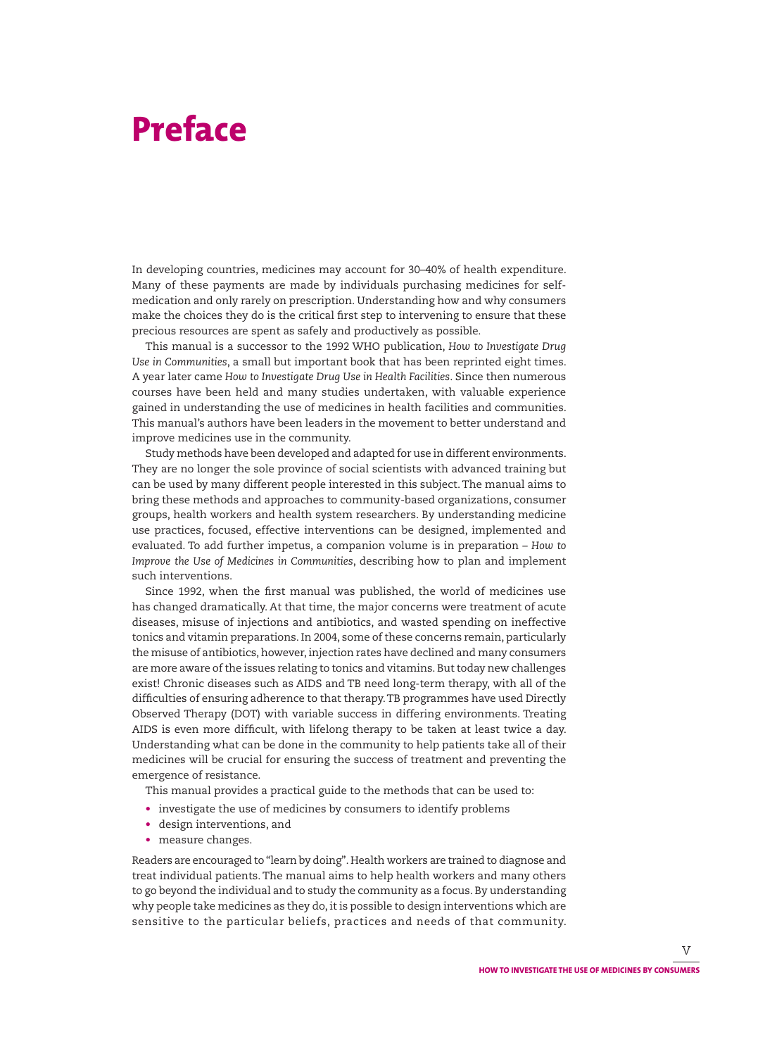## **Preface**

In developing countries, medicines may account for 30–40% of health expenditure. Many of these payments are made by individuals purchasing medicines for selfmedication and only rarely on prescription. Understanding how and why consumers make the choices they do is the critical first step to intervening to ensure that these precious resources are spent as safely and productively as possible.

This manual is a successor to the 1992 WHO publication, *How to Investigate Drug Use in Communities*, a small but important book that has been reprinted eight times. A year later came *How to Investigate Drug Use in Health Facilities*. Since then numerous courses have been held and many studies undertaken, with valuable experience gained in understanding the use of medicines in health facilities and communities. This manual's authors have been leaders in the movement to better understand and improve medicines use in the community.

Study methods have been developed and adapted for use in different environments. They are no longer the sole province of social scientists with advanced training but can be used by many different people interested in this subject. The manual aims to bring these methods and approaches to community-based organizations, consumer groups, health workers and health system researchers. By understanding medicine use practices, focused, effective interventions can be designed, implemented and evaluated. To add further impetus, a companion volume is in preparation – *How to Improve the Use of Medicines in Communities*, describing how to plan and implement such interventions.

Since 1992, when the first manual was published, the world of medicines use has changed dramatically. At that time, the major concerns were treatment of acute diseases, misuse of injections and antibiotics, and wasted spending on ineffective tonics and vitamin preparations. In 2004, some of these concerns remain, particularly the misuse of antibiotics, however, injection rates have declined and many consumers are more aware of the issues relating to tonics and vitamins. But today new challenges exist! Chronic diseases such as AIDS and TB need long-term therapy, with all of the difficulties of ensuring adherence to that therapy. TB programmes have used Directly Observed Therapy (DOT) with variable success in differing environments. Treating AIDS is even more difficult, with lifelong therapy to be taken at least twice a day. Understanding what can be done in the community to help patients take all of their medicines will be crucial for ensuring the success of treatment and preventing the emergence of resistance.

This manual provides a practical guide to the methods that can be used to:

- investigate the use of medicines by consumers to identify problems
- design interventions, and
- measure changes.

Readers are encouraged to "learn by doing". Health workers are trained to diagnose and treat individual patients. The manual aims to help health workers and many others to go beyond the individual and to study the community as a focus. By understanding why people take medicines as they do, it is possible to design interventions which are sensitive to the particular beliefs, practices and needs of that community.

v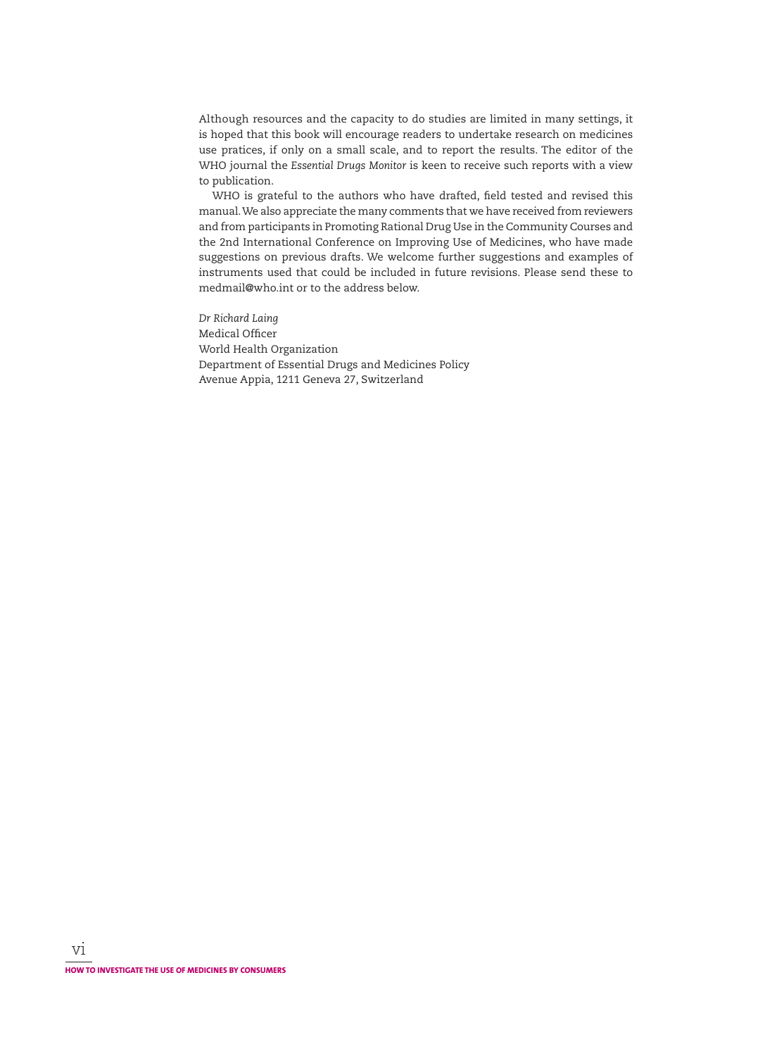Although resources and the capacity to do studies are limited in many settings, it is hoped that this book will encourage readers to undertake research on medicines use pratices, if only on a small scale, and to report the results. The editor of the WHO journal the *Essential Drugs Monitor* is keen to receive such reports with a view to publication.

WHO is grateful to the authors who have drafted, field tested and revised this manual. We also appreciate the many comments that we have received from reviewers and from participants in Promoting Rational Drug Use in the Community Courses and the 2nd International Conference on Improving Use of Medicines, who have made suggestions on previous drafts. We welcome further suggestions and examples of instruments used that could be included in future revisions. Please send these to medmail@who.int or to the address below.

*Dr Richard Laing* Medical Officer World Health Organization Department of Essential Drugs and Medicines Policy Avenue Appia, 1211 Geneva 27, Switzerland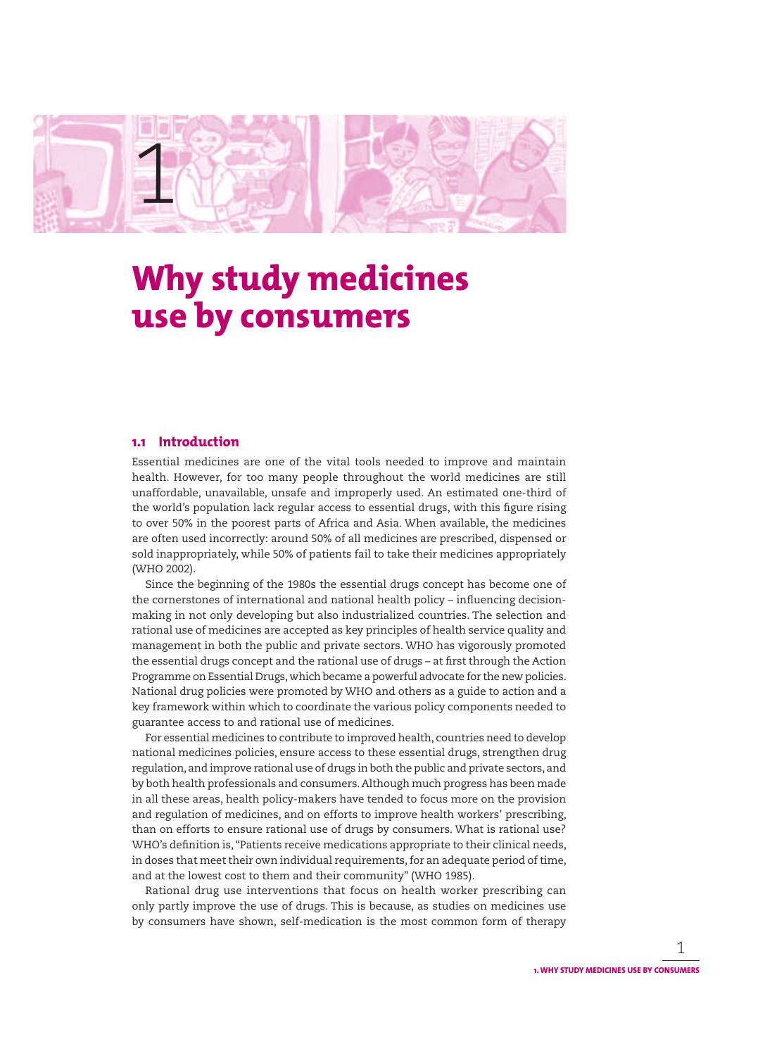

## **Why study medicines use by consumers**

## **1.1 Introduction**

Essential medicines are one of the vital tools needed to improve and maintain health. However, for too many people throughout the world medicines are still unaffordable, unavailable, unsafe and improperly used. An estimated one-third of the world's population lack regular access to essential drugs, with this figure rising to over 50% in the poorest parts of Africa and Asia. When available, the medicines are often used incorrectly: around 50% of all medicines are prescribed, dispensed or sold inappropriately, while 50% of patients fail to take their medicines appropriately (WHO 2002).

Since the beginning of the 1980s the essential drugs concept has become one of the cornerstones of international and national health policy – influencing decisionmaking in not only developing but also industrialized countries. The selection and rational use of medicines are accepted as key principles of health service quality and management in both the public and private sectors. WHO has vigorously promoted the essential drugs concept and the rational use of drugs - at first through the Action Programme on Essential Drugs, which became a powerful advocate for the new policies. National drug policies were promoted by WHO and others as a guide to action and a key framework within which to coordinate the various policy components needed to guarantee access to and rational use of medicines.

For essential medicines to contribute to improved health, countries need to develop national medicines policies, ensure access to these essential drugs, strengthen drug regulation, and improve rational use of drugs in both the public and private sectors, and by both health professionals and consumers. Although much progress has been made in all these areas, health policy-makers have tended to focus more on the provision and regulation of medicines, and on efforts to improve health workers' prescribing, than on efforts to ensure rational use of drugs by consumers. What is rational use? WHO's definition is, "Patients receive medications appropriate to their clinical needs, in doses that meet their own individual requirements, for an adequate period of time, and at the lowest cost to them and their community" (WHO 1985).

Rational drug use interventions that focus on health worker prescribing can only partly improve the use of drugs. This is because, as studies on medicines use by consumers have shown, self-medication is the most common form of therapy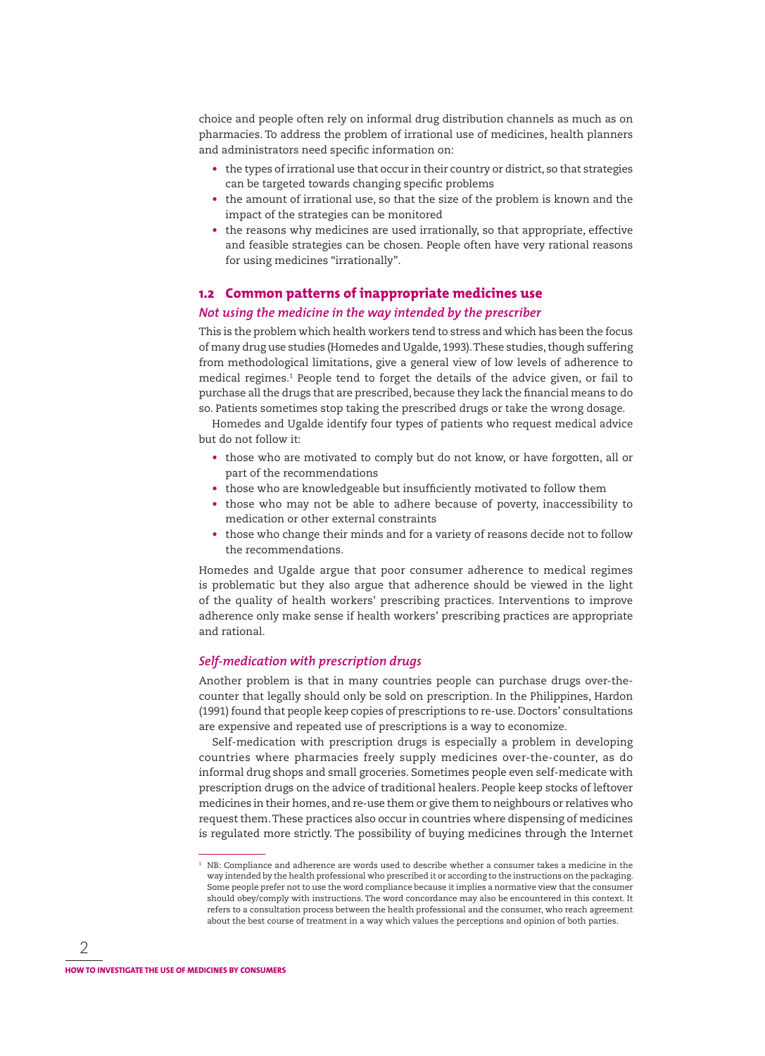choice and people often rely on informal drug distribution channels as much as on pharmacies. To address the problem of irrational use of medicines, health planners and administrators need specific information on:

- the types of irrational use that occur in their country or district, so that strategies can be targeted towards changing specific problems
- the amount of irrational use, so that the size of the problem is known and the impact of the strategies can be monitored
- the reasons why medicines are used irrationally, so that appropriate, effective and feasible strategies can be chosen. People often have very rational reasons for using medicines "irrationally".

#### **1.2 Common patterns of inappropriate medicines use**

#### *Not using the medicine in the way intended by the prescriber*

This is the problem which health workers tend to stress and which has been the focus of many drug use studies (Homedes and Ugalde, 1993). These studies, though suffering from methodological limitations, give a general view of low levels of adherence to medical regimes.1 People tend to forget the details of the advice given, or fail to purchase all the drugs that are prescribed, because they lack the financial means to do so. Patients sometimes stop taking the prescribed drugs or take the wrong dosage.

Homedes and Ugalde identify four types of patients who request medical advice but do not follow it:

- those who are motivated to comply but do not know, or have forgotten, all or part of the recommendations
- those who are knowledgeable but insufficiently motivated to follow them
- those who may not be able to adhere because of poverty, inaccessibility to medication or other external constraints
- those who change their minds and for a variety of reasons decide not to follow the recommendations.

Homedes and Ugalde argue that poor consumer adherence to medical regimes is problematic but they also argue that adherence should be viewed in the light of the quality of health workers' prescribing practices. Interventions to improve adherence only make sense if health workers' prescribing practices are appropriate and rational.

#### *Self-medication with prescription drugs*

Another problem is that in many countries people can purchase drugs over-thecounter that legally should only be sold on prescription. In the Philippines, Hardon (1991) found that people keep copies of prescriptions to re-use. Doctors' consultations are expensive and repeated use of prescriptions is a way to economize.

Self-medication with prescription drugs is especially a problem in developing countries where pharmacies freely supply medicines over-the-counter, as do informal drug shops and small groceries. Sometimes people even self-medicate with prescription drugs on the advice of traditional healers. People keep stocks of leftover medicines in their homes, and re-use them or give them to neighbours or relatives who request them. These practices also occur in countries where dispensing of medicines is regulated more strictly. The possibility of buying medicines through the Internet

 $^{\rm 1}$  NB: Compliance and adherence are words used to describe whether a consumer takes a medicine in the way intended by the health professional who prescribed it or according to the instructions on the packaging. Some people prefer not to use the word compliance because it implies a normative view that the consumer should obey/comply with instructions. The word concordance may also be encountered in this context. It refers to a consultation process between the health professional and the consumer, who reach agreement about the best course of treatment in a way which values the perceptions and opinion of both parties.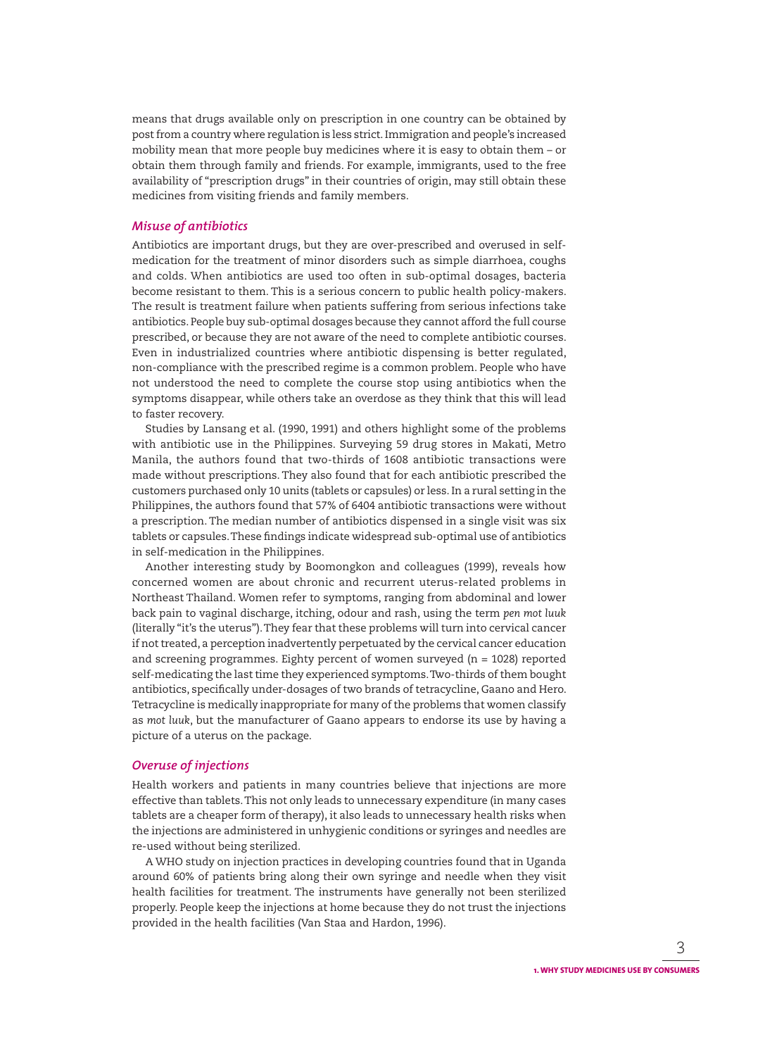means that drugs available only on prescription in one country can be obtained by post from a country where regulation is less strict. Immigration and people's increased mobility mean that more people buy medicines where it is easy to obtain them – or obtain them through family and friends. For example, immigrants, used to the free availability of "prescription drugs" in their countries of origin, may still obtain these medicines from visiting friends and family members.

#### *Misuse of antibiotics*

Antibiotics are important drugs, but they are over-prescribed and overused in selfmedication for the treatment of minor disorders such as simple diarrhoea, coughs and colds. When antibiotics are used too often in sub-optimal dosages, bacteria become resistant to them. This is a serious concern to public health policy-makers. The result is treatment failure when patients suffering from serious infections take antibiotics. People buy sub-optimal dosages because they cannot afford the full course prescribed, or because they are not aware of the need to complete antibiotic courses. Even in industrialized countries where antibiotic dispensing is better regulated, non-compliance with the prescribed regime is a common problem. People who have not understood the need to complete the course stop using antibiotics when the symptoms disappear, while others take an overdose as they think that this will lead to faster recovery.

Studies by Lansang et al. (1990, 1991) and others highlight some of the problems with antibiotic use in the Philippines. Surveying 59 drug stores in Makati, Metro Manila, the authors found that two-thirds of 1608 antibiotic transactions were made without prescriptions. They also found that for each antibiotic prescribed the customers purchased only 10 units (tablets or capsules) or less. In a rural setting in the Philippines, the authors found that 57% of 6404 antibiotic transactions were without a prescription. The median number of antibiotics dispensed in a single visit was six tablets or capsules. These findings indicate widespread sub-optimal use of antibiotics in self-medication in the Philippines.

Another interesting study by Boomongkon and colleagues (1999), reveals how concerned women are about chronic and recurrent uterus-related problems in Northeast Thailand. Women refer to symptoms, ranging from abdominal and lower back pain to vaginal discharge, itching, odour and rash, using the term *pen mot luuk* (literally "it's the uterus"). They fear that these problems will turn into cervical cancer if not treated, a perception inadvertently perpetuated by the cervical cancer education and screening programmes. Eighty percent of women surveyed ( $n = 1028$ ) reported self-medicating the last time they experienced symptoms. Two-thirds of them bought antibiotics, specifically under-dosages of two brands of tetracycline, Gaano and Hero. Tetracycline is medically inappropriate for many of the problems that women classify as *mot luuk*, but the manufacturer of Gaano appears to endorse its use by having a picture of a uterus on the package.

#### *Overuse of injections*

Health workers and patients in many countries believe that injections are more effective than tablets. This not only leads to unnecessary expenditure (in many cases tablets are a cheaper form of therapy), it also leads to unnecessary health risks when the injections are administered in unhygienic conditions or syringes and needles are re-used without being sterilized.

A WHO study on injection practices in developing countries found that in Uganda around 60% of patients bring along their own syringe and needle when they visit health facilities for treatment. The instruments have generally not been sterilized properly. People keep the injections at home because they do not trust the injections provided in the health facilities (Van Staa and Hardon, 1996).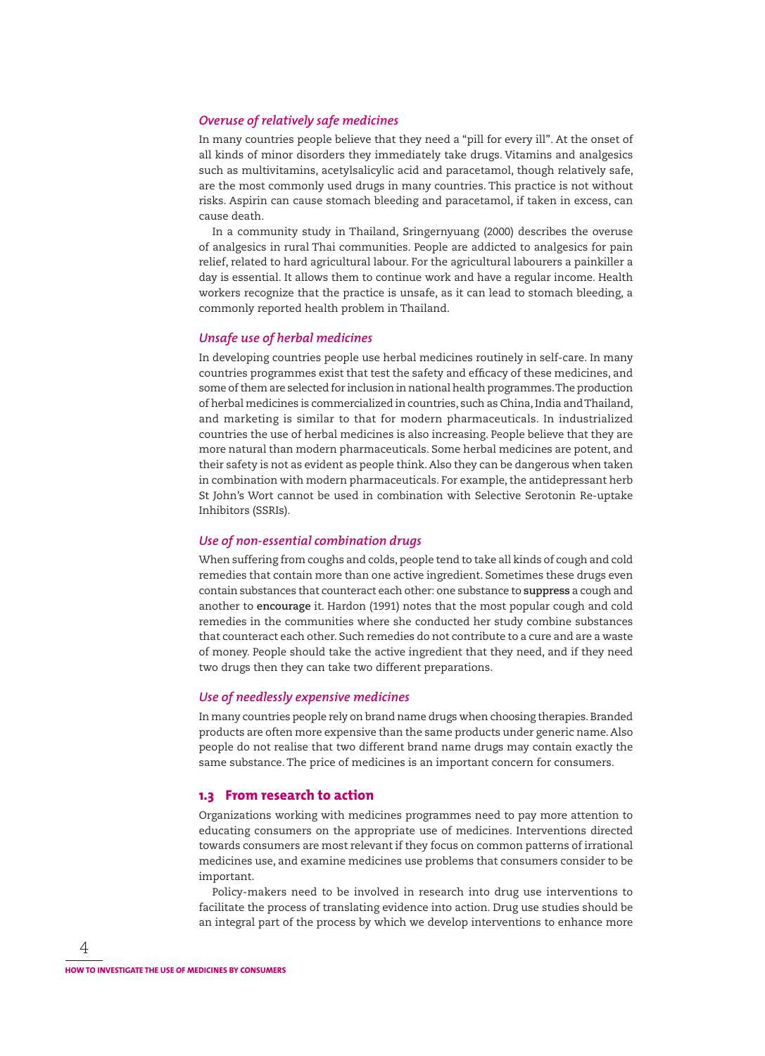#### *Overuse of relatively safe medicines*

In many countries people believe that they need a "pill for every ill". At the onset of all kinds of minor disorders they immediately take drugs. Vitamins and analgesics such as multivitamins, acetylsalicylic acid and paracetamol, though relatively safe, are the most commonly used drugs in many countries. This practice is not without risks. Aspirin can cause stomach bleeding and paracetamol, if taken in excess, can cause death.

In a community study in Thailand, Sringernyuang (2000) describes the overuse of analgesics in rural Thai communities. People are addicted to analgesics for pain relief, related to hard agricultural labour. For the agricultural labourers a painkiller a day is essential. It allows them to continue work and have a regular income. Health workers recognize that the practice is unsafe, as it can lead to stomach bleeding, a commonly reported health problem in Thailand.

#### *Unsafe use of herbal medicines*

In developing countries people use herbal medicines routinely in self-care. In many countries programmes exist that test the safety and efficacy of these medicines, and some of them are selected for inclusion in national health programmes. The production of herbal medicines is commercialized in countries, such as China, India and Thailand, and marketing is similar to that for modern pharmaceuticals. In industrialized countries the use of herbal medicines is also increasing. People believe that they are more natural than modern pharmaceuticals. Some herbal medicines are potent, and their safety is not as evident as people think. Also they can be dangerous when taken in combination with modern pharmaceuticals. For example, the antidepressant herb St John's Wort cannot be used in combination with Selective Serotonin Re-uptake Inhibitors (SSRIs).

#### *Use of non-essential combination drugs*

When suffering from coughs and colds, people tend to take all kinds of cough and cold remedies that contain more than one active ingredient. Sometimes these drugs even contain substances that counteract each other: one substance to **suppress** a cough and another to **encourage** it. Hardon (1991) notes that the most popular cough and cold remedies in the communities where she conducted her study combine substances that counteract each other. Such remedies do not contribute to a cure and are a waste of money. People should take the active ingredient that they need, and if they need two drugs then they can take two different preparations.

#### *Use of needlessly expensive medicines*

In many countries people rely on brand name drugs when choosing therapies. Branded products are often more expensive than the same products under generic name. Also people do not realise that two different brand name drugs may contain exactly the same substance. The price of medicines is an important concern for consumers.

### **1.3 From research to action**

Organizations working with medicines programmes need to pay more attention to educating consumers on the appropriate use of medicines. Interventions directed towards consumers are most relevant if they focus on common patterns of irrational medicines use, and examine medicines use problems that consumers consider to be important.

Policy-makers need to be involved in research into drug use interventions to facilitate the process of translating evidence into action. Drug use studies should be an integral part of the process by which we develop interventions to enhance more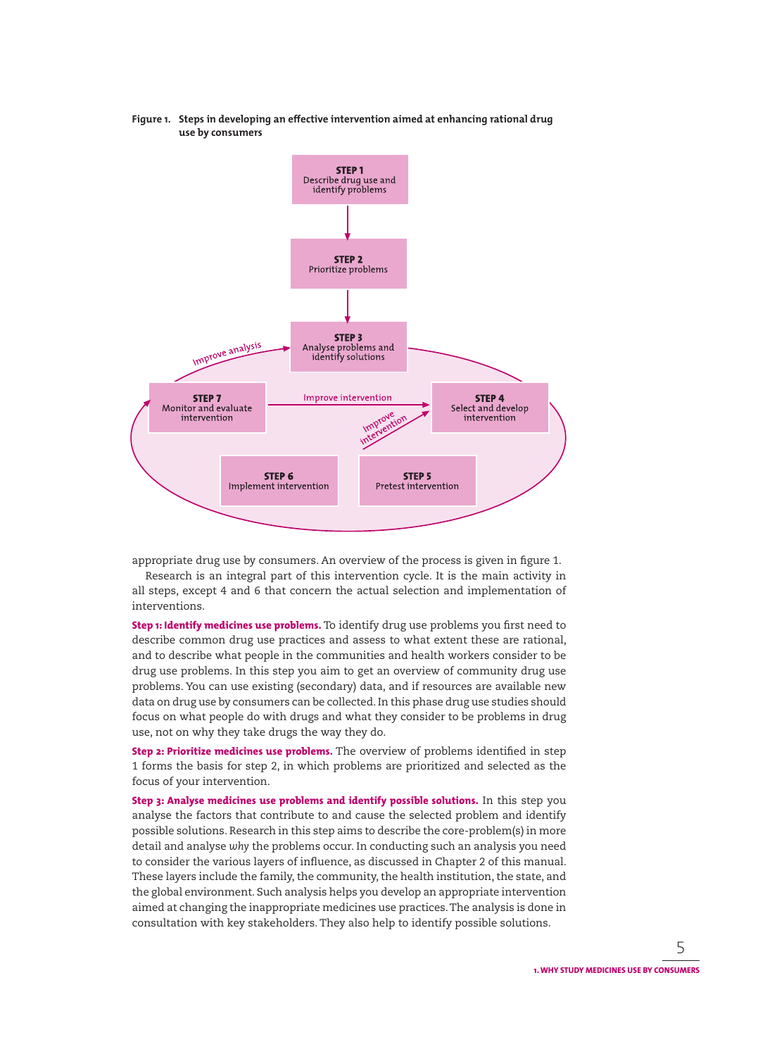**Figure 1. Steps in developing an effective intervention aimed at enhancing rational drug use by consumers**



appropriate drug use by consumers. An overview of the process is given in figure 1.

Research is an integral part of this intervention cycle. It is the main activity in all steps, except 4 and 6 that concern the actual selection and implementation of interventions.

**Step 1: Identify medicines use problems.** To identify drug use problems you first need to describe common drug use practices and assess to what extent these are rational, and to describe what people in the communities and health workers consider to be drug use problems. In this step you aim to get an overview of community drug use problems. You can use existing (secondary) data, and if resources are available new data on drug use by consumers can be collected. In this phase drug use studies should focus on what people do with drugs and what they consider to be problems in drug use, not on why they take drugs the way they do.

**Step 2: Prioritize medicines use problems.** The overview of problems identified in step 1 forms the basis for step 2, in which problems are prioritized and selected as the focus of your intervention.

**Step 3: Analyse medicines use problems and identify possible solutions.** In this step you analyse the factors that contribute to and cause the selected problem and identify possible solutions. Research in this step aims to describe the core-problem(s) in more detail and analyse *why* the problems occur. In conducting such an analysis you need to consider the various layers of influence, as discussed in Chapter 2 of this manual. These layers include the family, the community, the health institution, the state, and the global environment. Such analysis helps you develop an appropriate intervention aimed at changing the inappropriate medicines use practices. The analysis is done in consultation with key stakeholders. They also help to identify possible solutions.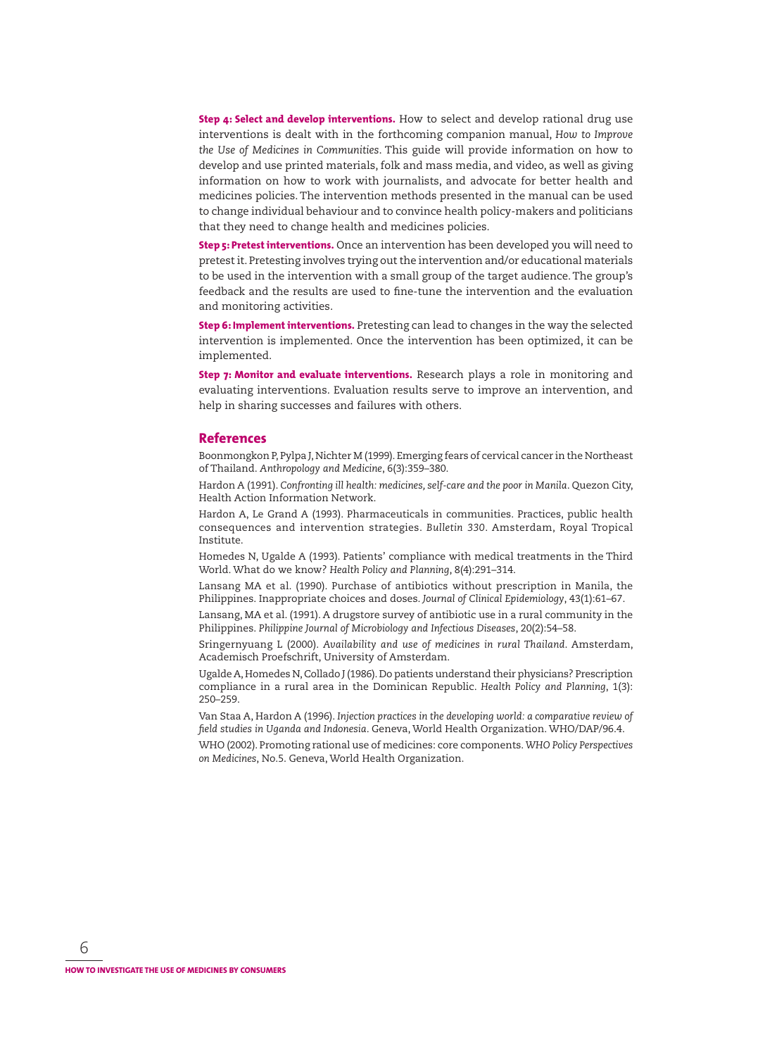**Step 4: Select and develop interventions.** How to select and develop rational drug use interventions is dealt with in the forthcoming companion manual, *How to Improve the Use of Medicines in Communities*. This guide will provide information on how to develop and use printed materials, folk and mass media, and video, as well as giving information on how to work with journalists, and advocate for better health and medicines policies. The intervention methods presented in the manual can be used to change individual behaviour and to convince health policy-makers and politicians that they need to change health and medicines policies.

**Step 5: Pretest interventions.** Once an intervention has been developed you will need to pretest it. Pretesting involves trying out the intervention and/or educational materials to be used in the intervention with a small group of the target audience. The group's feedback and the results are used to fine-tune the intervention and the evaluation and monitoring activities.

**Step 6: Implement interventions.** Pretesting can lead to changes in the way the selected intervention is implemented. Once the intervention has been optimized, it can be implemented.

**Step 7: Monitor and evaluate interventions.** Research plays a role in monitoring and evaluating interventions. Evaluation results serve to improve an intervention, and help in sharing successes and failures with others.

#### **References**

Boonmongkon P, Pylpa J, Nichter M (1999). Emerging fears of cervical cancer in the Northeast of Thailand. *Anthropology and Medicine*, 6(3):359–380.

Hardon A (1991). *Confronting ill health: medicines, self-care and the poor in Manila*. Quezon City, Health Action Information Network.

Hardon A, Le Grand A (1993). Pharmaceuticals in communities. Practices, public health consequences and intervention strategies. *Bulletin 330*. Amsterdam, Royal Tropical Institute.

Homedes N, Ugalde A (1993). Patients' compliance with medical treatments in the Third World. What do we know? *Health Policy and Planning*, 8(4):291–314.

Lansang MA et al. (1990). Purchase of antibiotics without prescription in Manila, the Philippines. Inappropriate choices and doses. *Journal of Clinical Epidemiology*, 43(1):61–67.

Lansang, MA et al. (1991). A drugstore survey of antibiotic use in a rural community in the Philippines. *Philippine Journal of Microbiology and Infectious Diseases*, 20(2):54–58.

Sringernyuang L (2000). *Availability and use of medicines in rural Thailand*. Amsterdam, Academisch Proefschrift, University of Amsterdam.

Ugalde A, Homedes N, Collado J (1986). Do patients understand their physicians? Prescription compliance in a rural area in the Dominican Republic. *Health Policy and Planning*, 1(3): 250–259.

Van Staa A, Hardon A (1996). *Injection practices in the developing world: a comparative review of fi eld studies in Uganda and Indonesia*. Geneva, World Health Organization. WHO/DAP/96.4.

WHO (2002). Promoting rational use of medicines: core components. *WHO Policy Perspectives on Medicines*, No.5. Geneva, World Health Organization.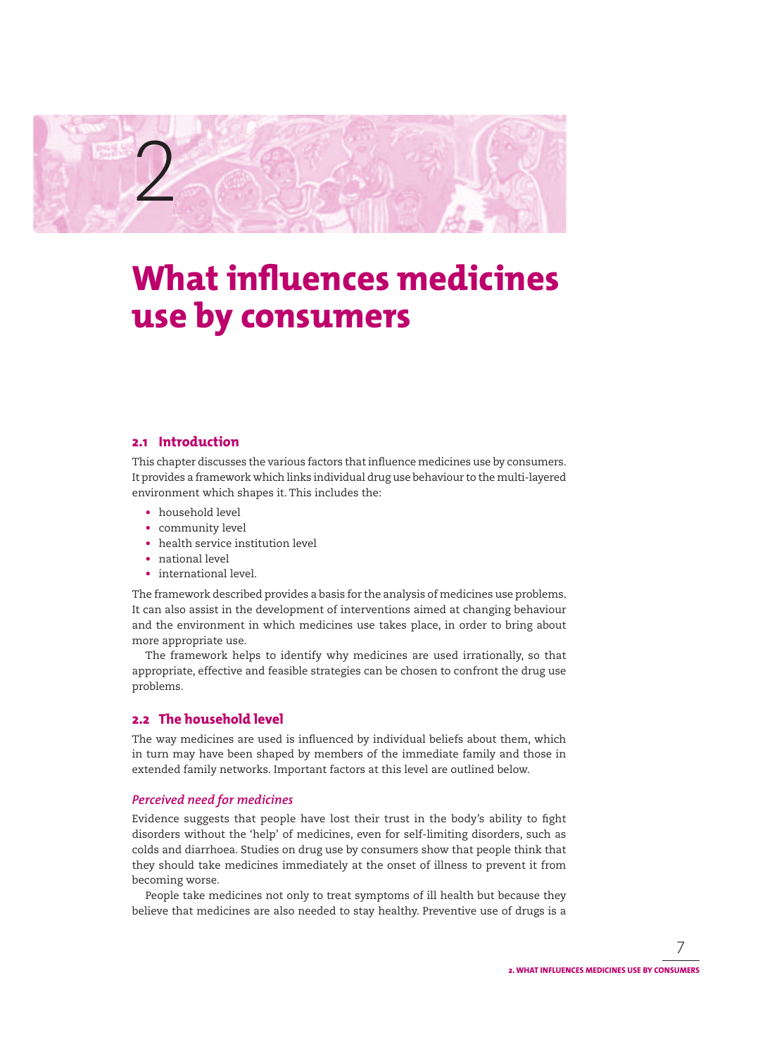

## **What influences medicines use by consumers**

## **2.1 Introduction**

This chapter discusses the various factors that influence medicines use by consumers. It provides a framework which links individual drug use behaviour to the multi-layered environment which shapes it. This includes the:

- household level
- community level
- health service institution level
- national level
- international level.

The framework described provides a basis for the analysis of medicines use problems. It can also assist in the development of interventions aimed at changing behaviour and the environment in which medicines use takes place, in order to bring about more appropriate use.

The framework helps to identify why medicines are used irrationally, so that appropriate, effective and feasible strategies can be chosen to confront the drug use problems.

## **2.2 The household level**

The way medicines are used is influenced by individual beliefs about them, which in turn may have been shaped by members of the immediate family and those in extended family networks. Important factors at this level are outlined below.

#### *Perceived need for medicines*

Evidence suggests that people have lost their trust in the body's ability to fight disorders without the 'help' of medicines, even for self-limiting disorders, such as colds and diarrhoea. Studies on drug use by consumers show that people think that they should take medicines immediately at the onset of illness to prevent it from becoming worse.

People take medicines not only to treat symptoms of ill health but because they believe that medicines are also needed to stay healthy. Preventive use of drugs is a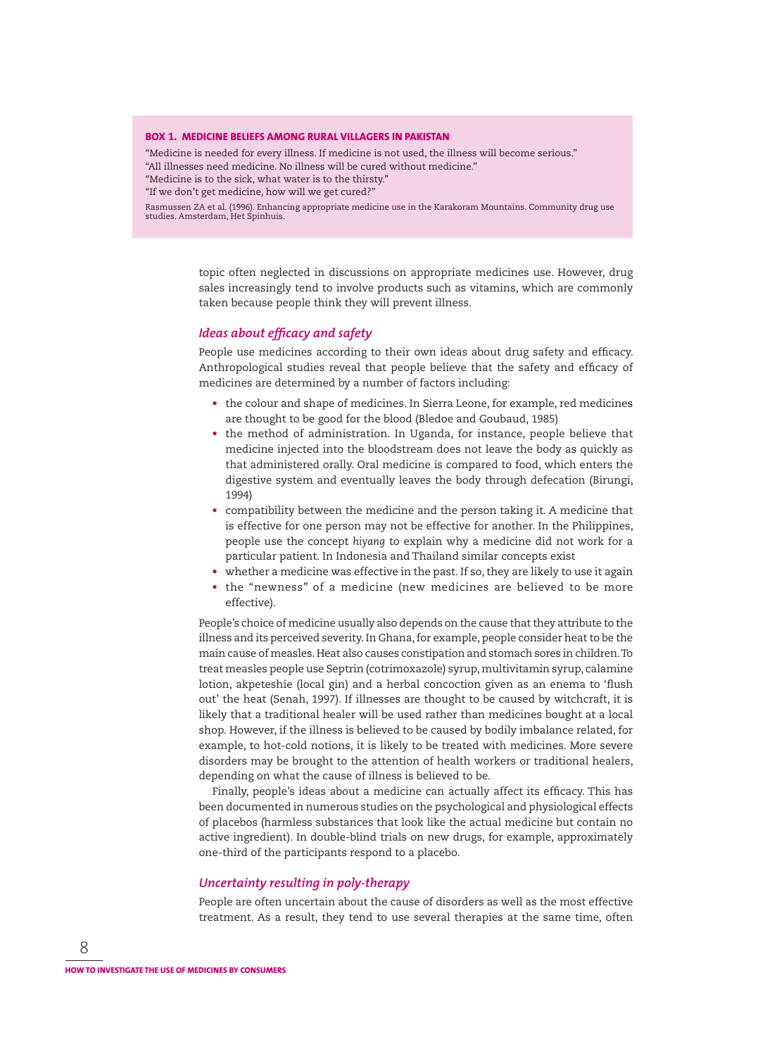#### **BOX 1. MEDICINE BELIEFS AMONG RURAL VILLAGERS IN PAKISTAN**

"Medicine is needed for every illness. If medicine is not used, the illness will become serious." "All illnesses need medicine. No illness will be cured without medicine." "Medicine is to the sick, what water is to the thirsty."

"If we don't get medicine, how will we get cured?"

Rasmussen ZA et al. (1996). Enhancing appropriate medicine use in the Karakoram Mountains. Community drug use studies. Amsterdam, Het Spinhuis.

> topic often neglected in discussions on appropriate medicines use. However, drug sales increasingly tend to involve products such as vitamins, which are commonly taken because people think they will prevent illness.

#### *Ideas about efficacy and safety*

People use medicines according to their own ideas about drug safety and efficacy. Anthropological studies reveal that people believe that the safety and efficacy of medicines are determined by a number of factors including:

- the colour and shape of medicines. In Sierra Leone, for example, red medicines are thought to be good for the blood (Bledoe and Goubaud, 1985)
- the method of administration. In Uganda, for instance, people believe that medicine injected into the bloodstream does not leave the body as quickly as that administered orally. Oral medicine is compared to food, which enters the digestive system and eventually leaves the body through defecation (Birungi, 1994)
- compatibility between the medicine and the person taking it. A medicine that is effective for one person may not be effective for another. In the Philippines, people use the concept *hiyang* to explain why a medicine did not work for a particular patient. In Indonesia and Thailand similar concepts exist
- whether a medicine was effective in the past. If so, they are likely to use it again
- the "newness" of a medicine (new medicines are believed to be more effective).

People's choice of medicine usually also depends on the cause that they attribute to the illness and its perceived severity. In Ghana, for example, people consider heat to be the main cause of measles. Heat also causes constipation and stomach sores in children. To treat measles people use Septrin (cotrimoxazole) syrup, multivitamin syrup, calamine lotion, akpeteshie (local gin) and a herbal concoction given as an enema to 'flush out' the heat (Senah, 1997). If illnesses are thought to be caused by witchcraft, it is likely that a traditional healer will be used rather than medicines bought at a local shop. However, if the illness is believed to be caused by bodily imbalance related, for example, to hot-cold notions, it is likely to be treated with medicines. More severe disorders may be brought to the attention of health workers or traditional healers, depending on what the cause of illness is believed to be.

Finally, people's ideas about a medicine can actually affect its efficacy. This has been documented in numerous studies on the psychological and physiological effects of placebos (harmless substances that look like the actual medicine but contain no active ingredient). In double-blind trials on new drugs, for example, approximately one-third of the participants respond to a placebo.

#### *Uncertainty resulting in poly-therapy*

People are often uncertain about the cause of disorders as well as the most effective treatment. As a result, they tend to use several therapies at the same time, often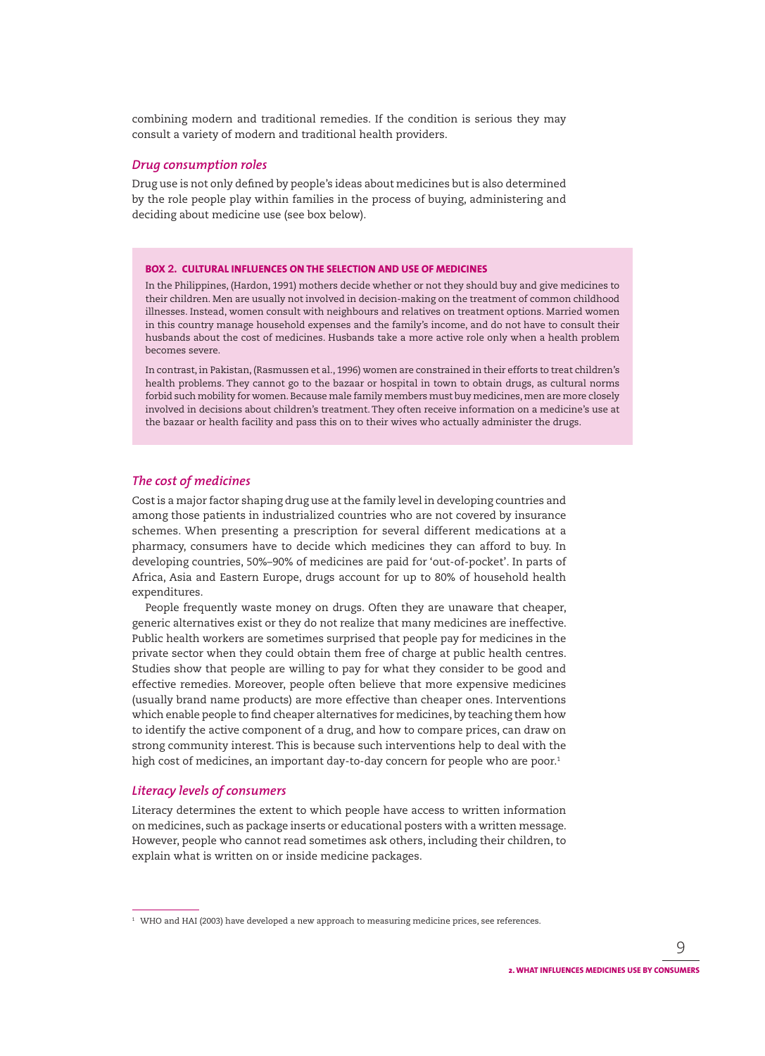combining modern and traditional remedies. If the condition is serious they may consult a variety of modern and traditional health providers.

#### *Drug consumption roles*

Drug use is not only defined by people's ideas about medicines but is also determined by the role people play within families in the process of buying, administering and deciding about medicine use (see box below).

#### **BOX 2. CULTURAL INFLUENCES ON THE SELECTION AND USE OF MEDICINES**

In the Philippines, (Hardon, 1991) mothers decide whether or not they should buy and give medicines to their children. Men are usually not involved in decision-making on the treatment of common childhood illnesses. Instead, women consult with neighbours and relatives on treatment options. Married women in this country manage household expenses and the family's income, and do not have to consult their husbands about the cost of medicines. Husbands take a more active role only when a health problem becomes severe.

In contrast, in Pakistan, (Rasmussen et al., 1996) women are constrained in their efforts to treat children's health problems. They cannot go to the bazaar or hospital in town to obtain drugs, as cultural norms forbid such mobility for women. Because male family members must buy medicines, men are more closely involved in decisions about children's treatment. They often receive information on a medicine's use at the bazaar or health facility and pass this on to their wives who actually administer the drugs.

#### *The cost of medicines*

Cost is a major factor shaping drug use at the family level in developing countries and among those patients in industrialized countries who are not covered by insurance schemes. When presenting a prescription for several different medications at a pharmacy, consumers have to decide which medicines they can afford to buy. In developing countries, 50%–90% of medicines are paid for 'out-of-pocket'. In parts of Africa, Asia and Eastern Europe, drugs account for up to 80% of household health expenditures.

People frequently waste money on drugs. Often they are unaware that cheaper, generic alternatives exist or they do not realize that many medicines are ineffective. Public health workers are sometimes surprised that people pay for medicines in the private sector when they could obtain them free of charge at public health centres. Studies show that people are willing to pay for what they consider to be good and effective remedies. Moreover, people often believe that more expensive medicines (usually brand name products) are more effective than cheaper ones. Interventions which enable people to find cheaper alternatives for medicines, by teaching them how to identify the active component of a drug, and how to compare prices, can draw on strong community interest. This is because such interventions help to deal with the high cost of medicines, an important day-to-day concern for people who are poor.<sup>1</sup>

#### *Literacy levels of consumers*

Literacy determines the extent to which people have access to written information on medicines, such as package inserts or educational posters with a written message. However, people who cannot read sometimes ask others, including their children, to explain what is written on or inside medicine packages.

 $^{\rm 1}\,$  WHO and HAI (2003) have developed a new approach to measuring medicine prices, see references.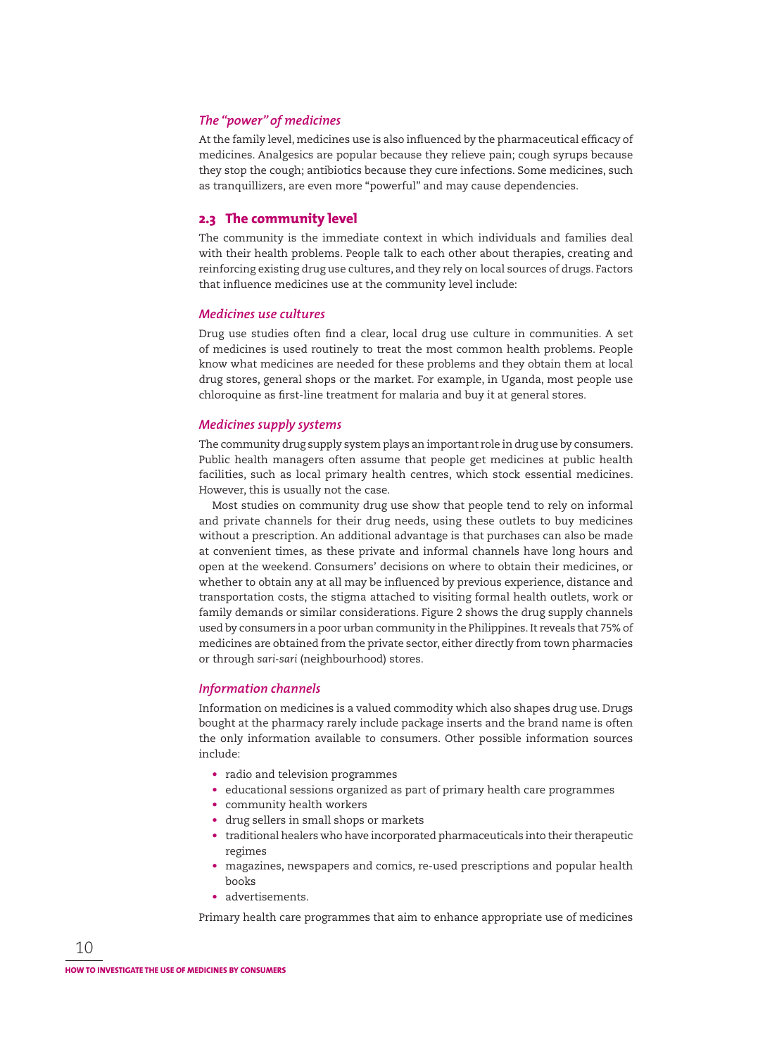## *The "power" of medicines*

At the family level, medicines use is also influenced by the pharmaceutical efficacy of medicines. Analgesics are popular because they relieve pain; cough syrups because they stop the cough; antibiotics because they cure infections. Some medicines, such as tranquillizers, are even more "powerful" and may cause dependencies.

#### **2.3 The community level**

The community is the immediate context in which individuals and families deal with their health problems. People talk to each other about therapies, creating and reinforcing existing drug use cultures, and they rely on local sources of drugs. Factors that influence medicines use at the community level include:

#### *Medicines use cultures*

Drug use studies often find a clear, local drug use culture in communities. A set of medicines is used routinely to treat the most common health problems. People know what medicines are needed for these problems and they obtain them at local drug stores, general shops or the market. For example, in Uganda, most people use chloroquine as first-line treatment for malaria and buy it at general stores.

#### *Medicines supply systems*

The community drug supply system plays an important role in drug use by consumers. Public health managers often assume that people get medicines at public health facilities, such as local primary health centres, which stock essential medicines. However, this is usually not the case.

Most studies on community drug use show that people tend to rely on informal and private channels for their drug needs, using these outlets to buy medicines without a prescription. An additional advantage is that purchases can also be made at convenient times, as these private and informal channels have long hours and open at the weekend. Consumers' decisions on where to obtain their medicines, or whether to obtain any at all may be influenced by previous experience, distance and transportation costs, the stigma attached to visiting formal health outlets, work or family demands or similar considerations. Figure 2 shows the drug supply channels used by consumers in a poor urban community in the Philippines. It reveals that 75% of medicines are obtained from the private sector, either directly from town pharmacies or through *sari-sari* (neighbourhood) stores.

#### *Information channels*

Information on medicines is a valued commodity which also shapes drug use. Drugs bought at the pharmacy rarely include package inserts and the brand name is often the only information available to consumers. Other possible information sources include:

- radio and television programmes
- educational sessions organized as part of primary health care programmes
- community health workers
- drug sellers in small shops or markets
- traditional healers who have incorporated pharmaceuticals into their therapeutic regimes
- magazines, newspapers and comics, re-used prescriptions and popular health books
- advertisements.

Primary health care programmes that aim to enhance appropriate use of medicines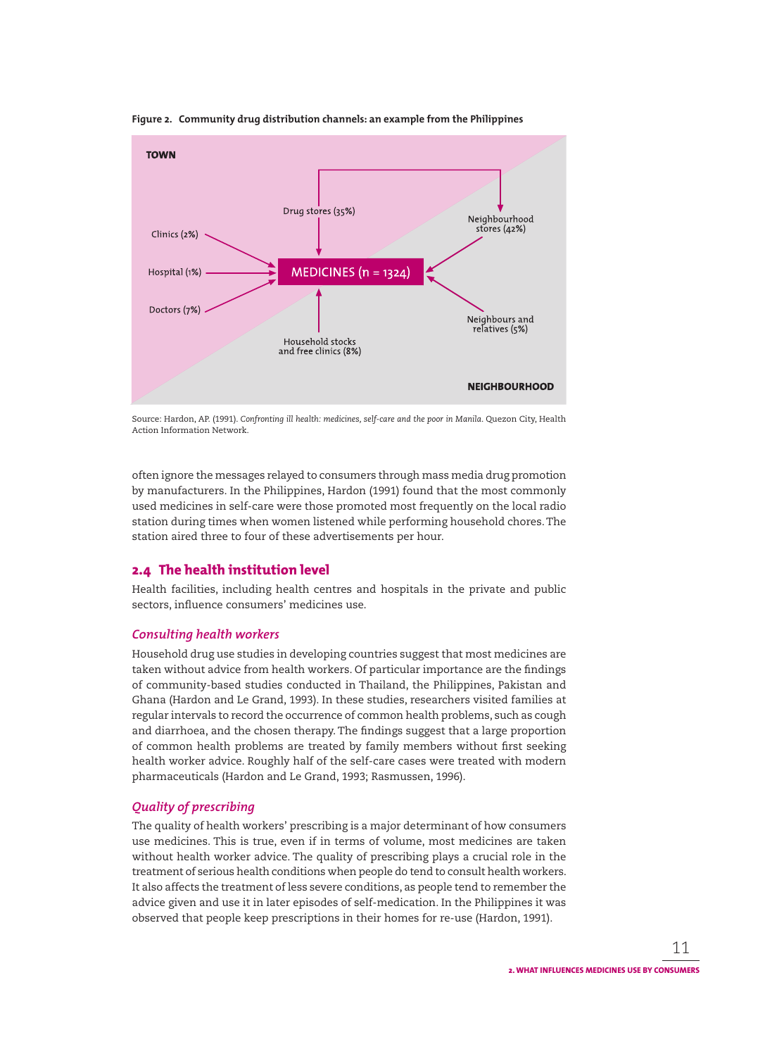

**Figure 2. Community drug distribution channels: an example from the Philippines**

Source: Hardon, AP. (1991). *Confronting ill health: medicines, self-care and the poor in Manila*. Quezon City, Health Action Information Network.

often ignore the messages relayed to consumers through mass media drug promotion by manufacturers. In the Philippines, Hardon (1991) found that the most commonly used medicines in self-care were those promoted most frequently on the local radio station during times when women listened while performing household chores. The station aired three to four of these advertisements per hour.

## **2.4 The health institution level**

Health facilities, including health centres and hospitals in the private and public sectors, influence consumers' medicines use.

#### *Consulting health workers*

Household drug use studies in developing countries suggest that most medicines are taken without advice from health workers. Of particular importance are the findings of community-based studies conducted in Thailand, the Philippines, Pakistan and Ghana (Hardon and Le Grand, 1993). In these studies, researchers visited families at regular intervals to record the occurrence of common health problems, such as cough and diarrhoea, and the chosen therapy. The findings suggest that a large proportion of common health problems are treated by family members without first seeking health worker advice. Roughly half of the self-care cases were treated with modern pharmaceuticals (Hardon and Le Grand, 1993; Rasmussen, 1996).

## *Quality of prescribing*

The quality of health workers' prescribing is a major determinant of how consumers use medicines. This is true, even if in terms of volume, most medicines are taken without health worker advice. The quality of prescribing plays a crucial role in the treatment of serious health conditions when people do tend to consult health workers. It also affects the treatment of less severe conditions, as people tend to remember the advice given and use it in later episodes of self-medication. In the Philippines it was observed that people keep prescriptions in their homes for re-use (Hardon, 1991).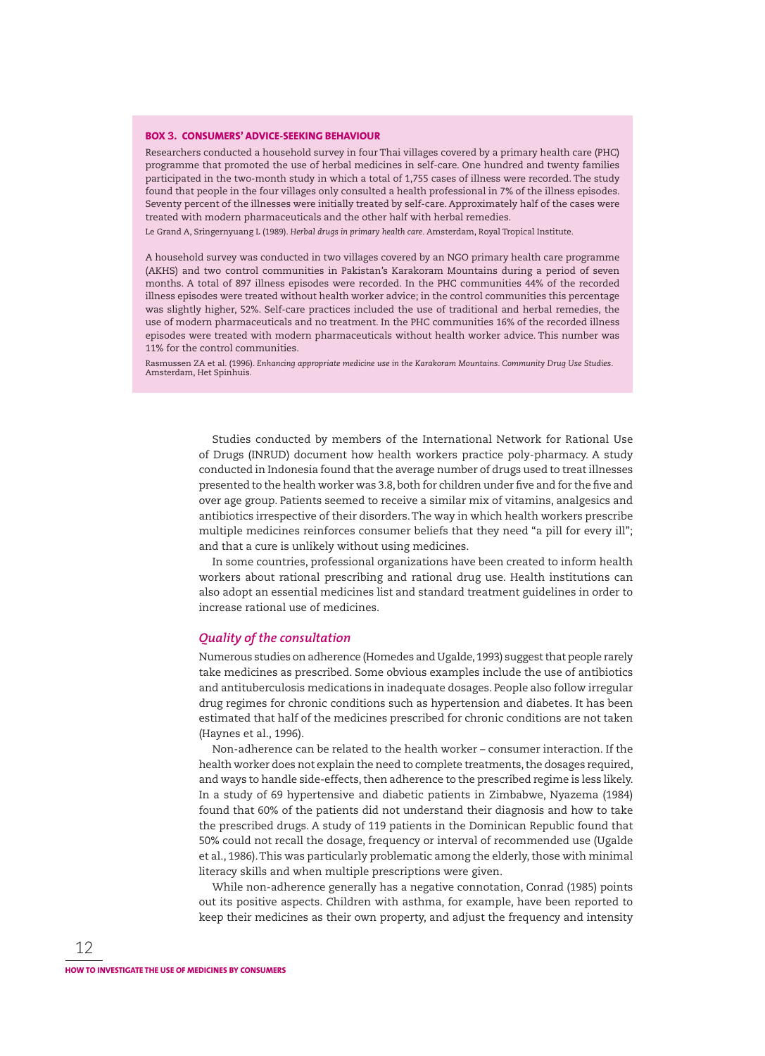#### **BOX 3. CONSUMERS' ADVICE-SEEKING BEHAVIOUR**

Researchers conducted a household survey in four Thai villages covered by a primary health care (PHC) programme that promoted the use of herbal medicines in self-care. One hundred and twenty families participated in the two-month study in which a total of 1,755 cases of illness were recorded. The study found that people in the four villages only consulted a health professional in 7% of the illness episodes. Seventy percent of the illnesses were initially treated by self-care. Approximately half of the cases were treated with modern pharmaceuticals and the other half with herbal remedies.

Le Grand A, Sringernyuang L (1989). *Herbal drugs in primary health care*. Amsterdam, Royal Tropical Institute.

A household survey was conducted in two villages covered by an NGO primary health care programme (AKHS) and two control communities in Pakistan's Karakoram Mountains during a period of seven months. A total of 897 illness episodes were recorded. In the PHC communities 44% of the recorded illness episodes were treated without health worker advice; in the control communities this percentage was slightly higher, 52%. Self-care practices included the use of traditional and herbal remedies, the use of modern pharmaceuticals and no treatment. In the PHC communities 16% of the recorded illness episodes were treated with modern pharmaceuticals without health worker advice. This number was 11% for the control communities.

Rasmussen ZA et al. (1996). *Enhancing appropriate medicine use in the Karakoram Mountains. Community Drug Use Studies*. Amsterdam, Het Spinhuis.

> Studies conducted by members of the International Network for Rational Use of Drugs (INRUD) document how health workers practice poly-pharmacy. A study conducted in Indonesia found that the average number of drugs used to treat illnesses presented to the health worker was 3.8, both for children under five and for the five and over age group. Patients seemed to receive a similar mix of vitamins, analgesics and antibiotics irrespective of their disorders. The way in which health workers prescribe multiple medicines reinforces consumer beliefs that they need "a pill for every ill"; and that a cure is unlikely without using medicines.

> In some countries, professional organizations have been created to inform health workers about rational prescribing and rational drug use. Health institutions can also adopt an essential medicines list and standard treatment guidelines in order to increase rational use of medicines.

#### *Quality of the consultation*

Numerous studies on adherence (Homedes and Ugalde, 1993) suggest that people rarely take medicines as prescribed. Some obvious examples include the use of antibiotics and antituberculosis medications in inadequate dosages. People also follow irregular drug regimes for chronic conditions such as hypertension and diabetes. It has been estimated that half of the medicines prescribed for chronic conditions are not taken (Haynes et al., 1996).

Non-adherence can be related to the health worker – consumer interaction. If the health worker does not explain the need to complete treatments, the dosages required, and ways to handle side-effects, then adherence to the prescribed regime is less likely. In a study of 69 hypertensive and diabetic patients in Zimbabwe, Nyazema (1984) found that 60% of the patients did not understand their diagnosis and how to take the prescribed drugs. A study of 119 patients in the Dominican Republic found that 50% could not recall the dosage, frequency or interval of recom mended use (Ugalde et al., 1986). This was particularly problematic among the elderly, those with minimal literacy skills and when multiple prescriptions were given.

While non-adherence generally has a negative connotation, Conrad (1985) points out its positive aspects. Children with asthma, for example, have been reported to keep their medicines as their own property, and adjust the frequency and intensity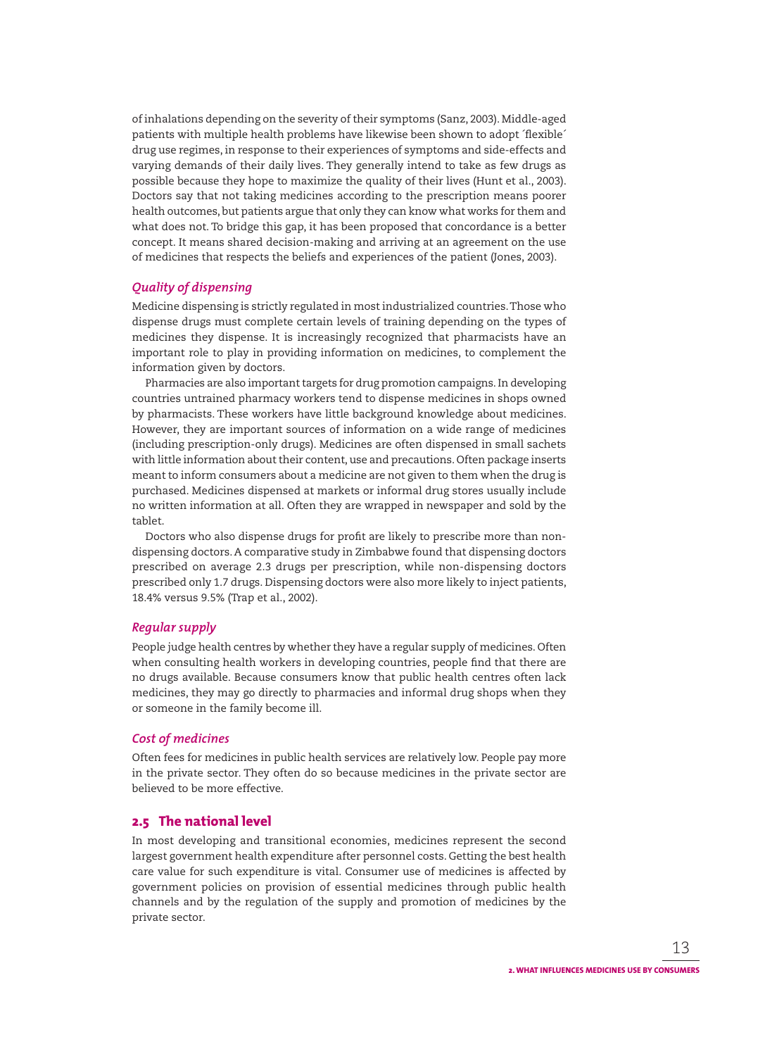of inhalations depending on the severity of their symptoms (Sanz, 2003). Middle-aged patients with multiple health problems have likewise been shown to adopt 'flexible' drug use regimes, in response to their experiences of symptoms and side-effects and varying demands of their daily lives. They generally intend to take as few drugs as possible because they hope to maximize the quality of their lives (Hunt et al., 2003). Doctors say that not taking medicines according to the prescription means poorer health outcomes, but patients argue that only they can know what works for them and what does not. To bridge this gap, it has been proposed that concordance is a better concept. It means shared decision-making and arriving at an agreement on the use of medicines that respects the beliefs and experiences of the patient (Jones, 2003).

## *Quality of dispensing*

Medicine dispensing is strictly regulated in most industrialized countries. Those who dispense drugs must complete certain levels of training depending on the types of medicines they dispense. It is increasingly recognized that pharmacists have an important role to play in providing information on medicines, to complement the information given by doctors.

Pharmacies are also important targets for drug promotion campaigns. In developing countries untrained pharmacy workers tend to dispense medicines in shops owned by pharmacists. These workers have little background knowledge about medicines. However, they are important sources of information on a wide range of medicines (including prescription-only drugs). Medicines are often dispensed in small sachets with little information about their content, use and precautions. Often package inserts meant to inform consumers about a medicine are not given to them when the drug is purchased. Medicines dispensed at markets or informal drug stores usually include no written information at all. Often they are wrapped in newspaper and sold by the tablet.

Doctors who also dispense drugs for profit are likely to prescribe more than nondispensing doctors. A comparative study in Zimbabwe found that dispensing doctors prescribed on average 2.3 drugs per prescription, while non-dispensing doctors prescribed only 1.7 drugs. Dispensing doctors were also more likely to inject patients, 18.4% versus 9.5% (Trap et al., 2002).

#### *Regular supply*

People judge health centres by whether they have a regular supply of medicines. Often when consulting health workers in developing countries, people find that there are no drugs available. Because consumers know that public health centres often lack medicines, they may go directly to pharmacies and informal drug shops when they or someone in the family become ill.

#### *Cost of medicines*

Often fees for medicines in public health services are relatively low. People pay more in the private sector. They often do so because medicines in the private sector are believed to be more effective.

#### **2.5 The national level**

In most developing and transitional economies, medicines represent the second largest government health expenditure after personnel costs. Getting the best health care value for such expenditure is vital. Consumer use of medicines is affected by government policies on provision of essential medicines through public health channels and by the regulation of the supply and promotion of medicines by the private sector.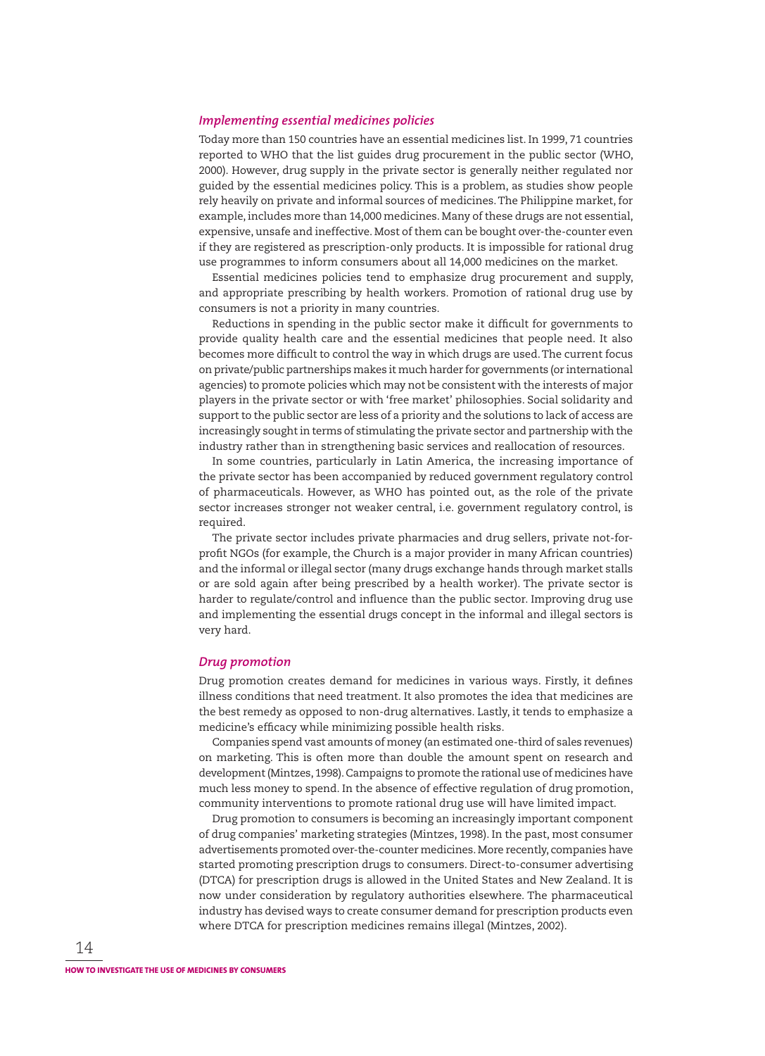#### *Implementing essential medicines policies*

Today more than 150 countries have an essential medicines list. In 1999, 71 countries reported to WHO that the list guides drug procurement in the public sector (WHO, 2000). However, drug supply in the private sector is generally neither regulated nor guided by the essential medicines policy. This is a problem, as studies show people rely heavily on private and informal sources of medicines. The Philippine market, for example, includes more than 14,000 medicines. Many of these drugs are not essential, expensive, unsafe and ineffective. Most of them can be bought over-the-counter even if they are registered as prescription-only products. It is impossible for rational drug use programmes to inform consumers about all 14,000 medicines on the market.

Essential medicines policies tend to emphasize drug procurement and supply, and appropriate prescribing by health workers. Promotion of rational drug use by consumers is not a priority in many countries.

Reductions in spending in the public sector make it difficult for governments to provide quality health care and the essential medicines that people need. It also becomes more difficult to control the way in which drugs are used. The current focus on private/public partnerships makes it much harder for governments (or international agencies) to promote policies which may not be consistent with the interests of major players in the private sector or with 'free market' philosophies. Social solidarity and support to the public sector are less of a priority and the solutions to lack of access are increasingly sought in terms of stimulating the private sector and partnership with the industry rather than in strengthening basic services and reallocation of resources.

In some countries, particularly in Latin America, the increasing importance of the private sector has been accompanied by reduced government regulatory control of pharmaceuticals. However, as WHO has pointed out, as the role of the private sector increases stronger not weaker central, i.e. government regulatory control, is required.

The private sector includes private pharmacies and drug sellers, private not-forprofi t NGOs (for example, the Church is a major provider in many African countries) and the informal or illegal sector (many drugs exchange hands through market stalls or are sold again after being prescribed by a health worker). The private sector is harder to regulate/control and influence than the public sector. Improving drug use and implementing the essential drugs concept in the informal and illegal sectors is very hard.

#### *Drug promotion*

Drug promotion creates demand for medicines in various ways. Firstly, it defines illness conditions that need treatment. It also promotes the idea that medicines are the best remedy as opposed to non-drug alternatives. Lastly, it tends to emphasize a medicine's efficacy while minimizing possible health risks.

Companies spend vast amounts of money (an estimated one-third of sales revenues) on marketing. This is often more than double the amount spent on research and development (Mintzes, 1998). Campaigns to promote the rational use of medicines have much less money to spend. In the absence of effective regulation of drug promotion, community interventions to promote rational drug use will have limited impact.

Drug promotion to consumers is becoming an increasingly important component of drug companies' marketing strategies (Mintzes, 1998). In the past, most consumer advertisements promoted over-the-counter medicines. More recently, companies have started promoting prescription drugs to consumers. Direct-to-consumer advertising (DTCA) for prescription drugs is allowed in the United States and New Zealand. It is now under consideration by regulatory authorities elsewhere. The pharmaceutical industry has devised ways to create consumer demand for prescription products even where DTCA for prescription medicines remains illegal (Mintzes, 2002).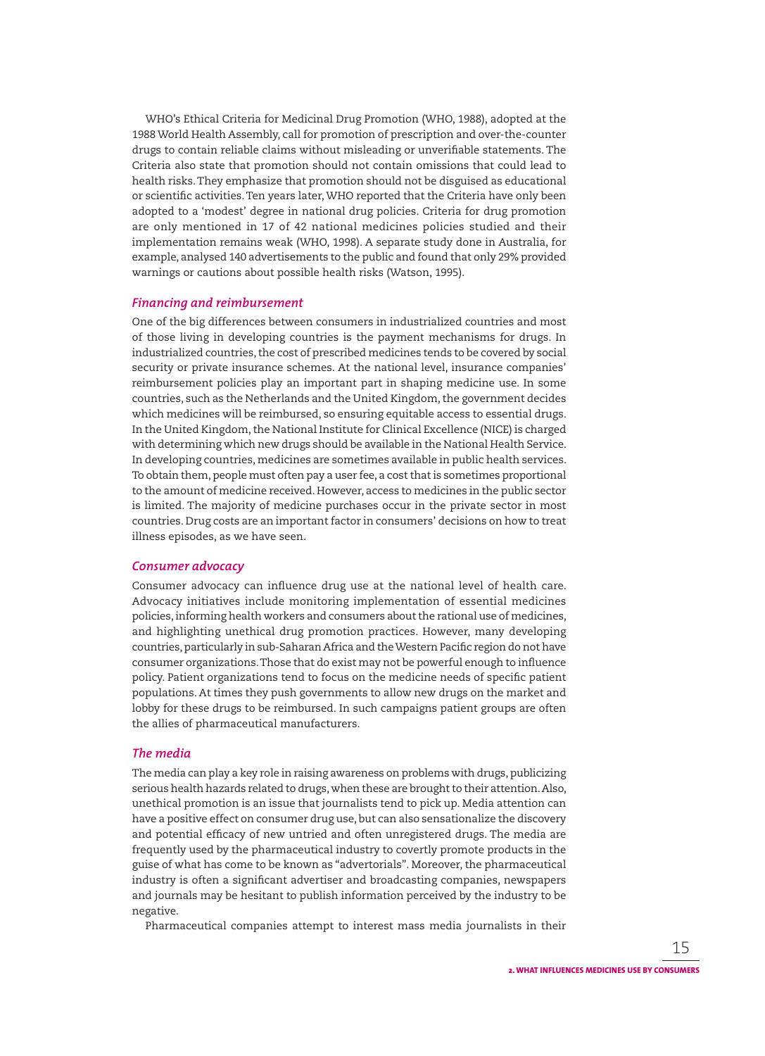WHO's Ethical Criteria for Medicinal Drug Promotion (WHO, 1988), adopted at the 1988 World Health Assembly, call for promotion of prescription and over-the-counter drugs to contain reliable claims without misleading or unverifiable statements. The Criteria also state that promotion should not contain omissions that could lead to health risks. They emphasize that promotion should not be disguised as educational or scientific activities. Ten years later, WHO reported that the Criteria have only been adopted to a 'modest' degree in national drug policies. Criteria for drug promotion are only mentioned in 17 of 42 national medicines policies studied and their implementation remains weak (WHO, 1998). A separate study done in Australia, for example, analysed 140 advertisements to the public and found that only 29% provided warnings or cautions about possible health risks (Watson, 1995).

#### *Financing and reimbursement*

One of the big differences between consumers in industrialized countries and most of those living in developing countries is the payment mechanisms for drugs. In industrialized countries, the cost of prescribed medicines tends to be covered by social security or private insurance schemes. At the national level, insurance companies' reimbursement policies play an important part in shaping medicine use. In some countries, such as the Netherlands and the United Kingdom, the government decides which medicines will be reimbursed, so ensuring equitable access to essential drugs. In the United Kingdom, the National Institute for Clinical Excellence (NICE) is charged with determining which new drugs should be available in the National Health Service. In developing countries, medicines are sometimes available in public health services. To obtain them, people must often pay a user fee, a cost that is sometimes proportional to the amount of medicine received. However, access to medicines in the public sector is limited. The majority of medicine purchases occur in the private sector in most countries. Drug costs are an important factor in consumers' decisions on how to treat illness episodes, as we have seen.

#### *Consumer advocacy*

Consumer advocacy can influence drug use at the national level of health care. Advocacy initiatives include monitoring implementation of essential medicines policies, informing health workers and consumers about the rational use of medicines, and highlighting unethical drug promotion practices. However, many developing countries, particularly in sub-Saharan Africa and the Western Pacific region do not have consumer organizations. Those that do exist may not be powerful enough to influence policy. Patient organizations tend to focus on the medicine needs of specific patient populations. At times they push governments to allow new drugs on the market and lobby for these drugs to be reimbursed. In such campaigns patient groups are often the allies of pharmaceutical manufacturers.

#### *The media*

The media can play a key role in raising awareness on problems with drugs, publicizing serious health hazards related to drugs, when these are brought to their attention. Also, unethical promotion is an issue that journalists tend to pick up. Media attention can have a positive effect on consumer drug use, but can also sensationalize the discovery and potential efficacy of new untried and often unregistered drugs. The media are frequently used by the pharmaceutical industry to covertly promote products in the guise of what has come to be known as "advertorials". Moreover, the pharmaceutical industry is often a significant advertiser and broadcasting companies, newspapers and journals may be hesitant to publish information perceived by the industry to be negative.

Pharmaceutical companies attempt to interest mass media journalists in their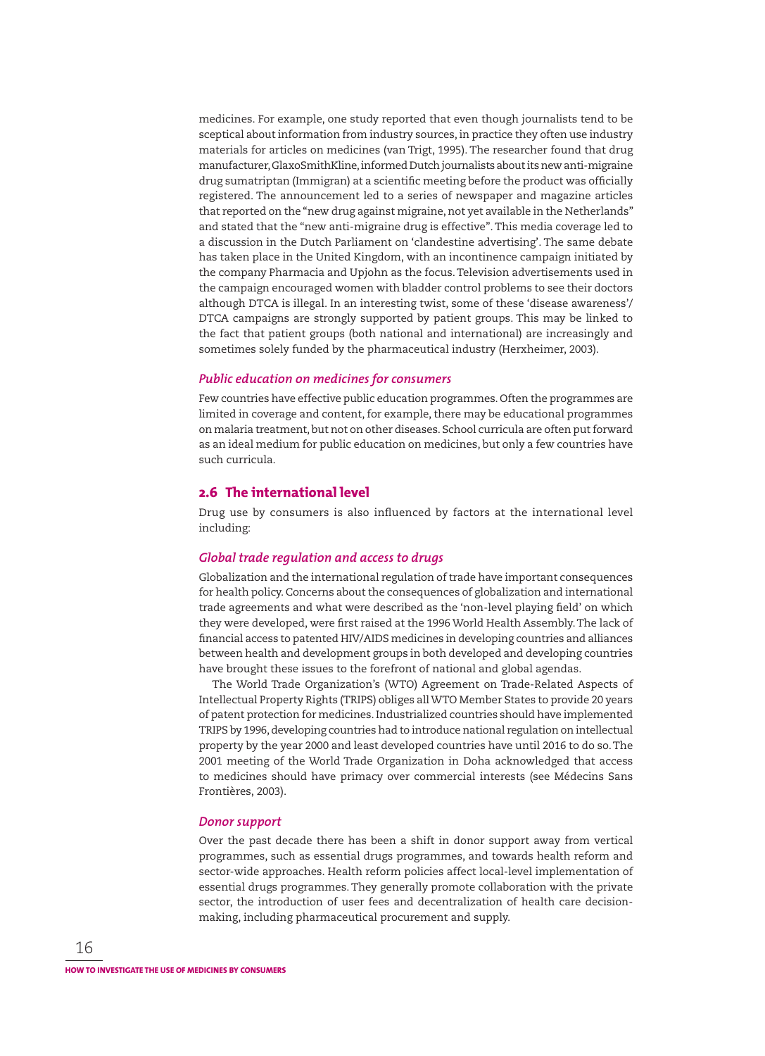medicines. For example, one study reported that even though journalists tend to be sceptical about information from industry sources, in practice they often use industry materials for articles on medicines (van Trigt, 1995). The researcher found that drug manufacturer, GlaxoSmithKline, informed Dutch journalists about its new anti-migraine drug sumatriptan (Immigran) at a scientific meeting before the product was officially registered. The announcement led to a series of newspaper and magazine articles that reported on the "new drug against migraine, not yet available in the Netherlands" and stated that the "new anti-migraine drug is effective". This media coverage led to a discussion in the Dutch Parliament on 'clandestine advertising'. The same debate has taken place in the United Kingdom, with an incontinence campaign initiated by the company Pharmacia and Upjohn as the focus. Television advertisements used in the campaign encouraged women with bladder control problems to see their doctors although DTCA is illegal. In an interesting twist, some of these 'disease awareness'/ DTCA campaigns are strongly supported by patient groups. This may be linked to the fact that patient groups (both national and international) are increasingly and sometimes solely funded by the pharmaceutical industry (Herxheimer, 2003).

#### *Public education on medicines for consumers*

Few countries have effective public education programmes. Often the programmes are limited in coverage and content, for example, there may be educational programmes on malaria treatment, but not on other diseases. School curricula are often put forward as an ideal medium for public education on medicines, but only a few countries have such curricula.

#### **2.6 The international level**

Drug use by consumers is also influenced by factors at the international level including:

#### *Global trade regulation and access to drugs*

Globalization and the international regulation of trade have important consequences for health policy. Concerns about the consequences of globalization and international trade agreements and what were described as the 'non-level playing field' on which they were developed, were first raised at the 1996 World Health Assembly. The lack of financial access to patented HIV/AIDS medicines in developing countries and alliances between health and development groups in both developed and developing countries have brought these issues to the forefront of national and global agendas.

The World Trade Organization's (WTO) Agreement on Trade-Related Aspects of Intellectual Property Rights (TRIPS) obliges all WTO Member States to provide 20 years of patent protection for medicines. Industrialized countries should have implemented TRIPS by 1996, developing countries had to introduce national regulation on intellectual property by the year 2000 and least developed countries have until 2016 to do so. The 2001 meeting of the World Trade Organization in Doha acknowledged that access to medicines should have primacy over commercial interests (see Médecins Sans Frontières, 2003).

#### *Donor support*

Over the past decade there has been a shift in donor support away from vertical programmes, such as essential drugs programmes, and towards health reform and sector-wide approaches. Health reform policies affect local-level implementation of essential drugs programmes. They generally promote collaboration with the private sector, the introduction of user fees and decentralization of health care decisionmaking, including pharmaceutical procurement and supply.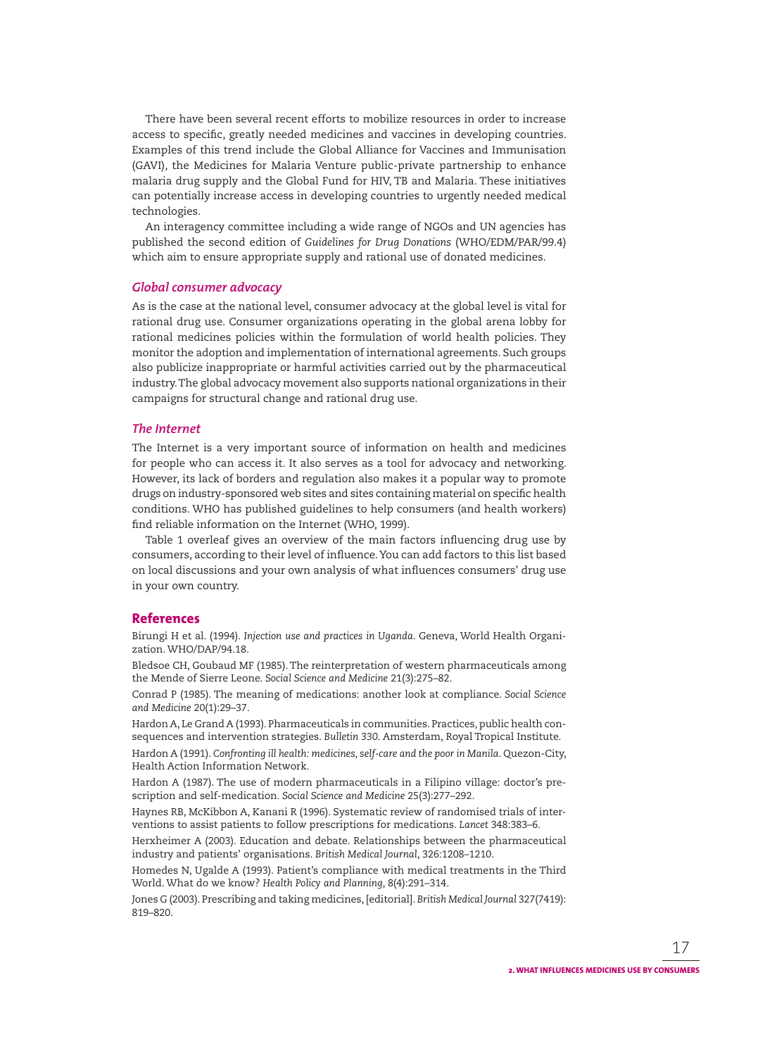There have been several recent efforts to mobilize resources in order to increase access to specific, greatly needed medicines and vaccines in developing countries. Examples of this trend include the Global Alliance for Vaccines and Immunisation (GAVI), the Medicines for Malaria Venture public-private partnership to enhance malaria drug supply and the Global Fund for HIV, TB and Malaria. These initiatives can potentially increase access in developing countries to urgently needed medical technologies.

An interagency committee including a wide range of NGOs and UN agencies has published the second edition of *Guidelines for Drug Donations* (WHO/EDM/PAR/99.4) which aim to ensure appropriate supply and rational use of donated medicines.

#### *Global consumer advocacy*

As is the case at the national level, consumer advocacy at the global level is vital for rational drug use. Consumer organizations operating in the global arena lobby for rational medicines policies within the formulation of world health policies. They monitor the adoption and implementation of international agreements. Such groups also publicize inappropriate or harmful activities carried out by the pharmaceutical industry. The global advocacy movement also supports national organizations in their campaigns for structural change and rational drug use.

#### *The Internet*

The Internet is a very important source of information on health and medicines for people who can access it. It also serves as a tool for advocacy and networking. However, its lack of borders and regulation also makes it a popular way to promote drugs on industry-sponsored web sites and sites containing material on specific health conditions. WHO has published guidelines to help consumers (and health workers) find reliable information on the Internet (WHO, 1999).

Table 1 overleaf gives an overview of the main factors influencing drug use by consumers, according to their level of infl uence. You can add factors to this list based on local discussions and your own analysis of what influences consumers' drug use in your own country.

## **References**

Birungi H et al. (1994). *Injection use and practices in Uganda*. Geneva, World Health Organization. WHO/DAP/94.18.

Bledsoe CH, Goubaud MF (1985). The reinterpretation of western pharmaceuticals among the Mende of Sierre Leone. *Social Science and Medicine* 21(3):275–82.

Conrad P (1985). The meaning of medications: another look at compliance. *Social Science and Medicine* 20(1):29–37.

Hardon A, Le Grand A (1993). Pharmaceuticals in communities. Practices, public health consequences and intervention strategies. *Bulletin 330*. Amsterdam, Royal Tropical In stitute.

Hardon A (1991). *Confronting ill health: medicines, self-care and the poor in Manila*. Quezon-City, Health Action Information Network.

Hardon A (1987). The use of modern pharmaceuticals in a Filipino village: doctor's prescription and self-medication. *Social Science and Medicine* 25(3):277–292.

Haynes RB, McKibbon A, Kanani R (1996). Systematic review of randomised trials of interven tions to assist patients to follow prescriptions for medications. *Lancet* 348:383–6.

Herxheimer A (2003). Education and debate. Relationships between the pharmaceutical industry and patients' organisations. *British Medical Journal*, 326:1208–1210.

Homedes N, Ugalde A (1993). Patient's compliance with medical treatments in the Third World. What do we know? *Health Policy and Planning*, 8(4):291–314.

Jones G (2003). Prescribing and taking medicines, [editorial]. *British Medical Journal* 327(7419): 819–820.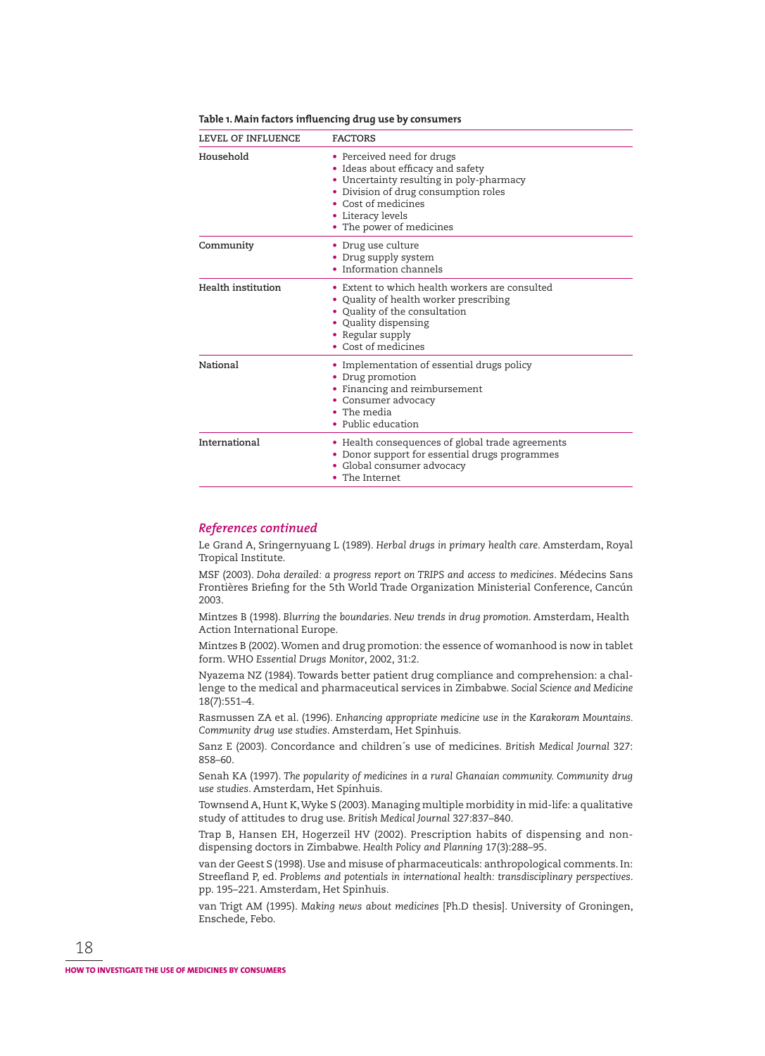| LEVEL OF INFLUENCE | <b>FACTORS</b>                                                                                                                                                                                                              |  |  |  |  |  |
|--------------------|-----------------------------------------------------------------------------------------------------------------------------------------------------------------------------------------------------------------------------|--|--|--|--|--|
| Household          | • Perceived need for drugs<br>• Ideas about efficacy and safety<br>• Uncertainty resulting in poly-pharmacy<br>• Division of drug consumption roles<br>• Cost of medicines<br>• Literacy levels<br>• The power of medicines |  |  |  |  |  |
| Community          | • Drug use culture<br>• Drug supply system<br>• Information channels                                                                                                                                                        |  |  |  |  |  |
| Health institution | • Extent to which health workers are consulted<br>Quality of health worker prescribing<br>• Quality of the consultation<br>• Quality dispensing<br>• Regular supply<br>• Cost of medicines                                  |  |  |  |  |  |
| National           | • Implementation of essential drugs policy<br>• Drug promotion<br>• Financing and reimbursement<br>• Consumer advocacy<br>• The media<br>• Public education                                                                 |  |  |  |  |  |
| International      | • Health consequences of global trade agreements<br>• Donor support for essential drugs programmes<br>• Global consumer advocacy<br>• The Internet                                                                          |  |  |  |  |  |

#### **Table 1. Main factors infl uencing drug use by consumers**

#### *References continued*

Le Grand A, Sringernyuang L (1989). *Herbal drugs in primary health care*. Amsterdam, Royal Tropical Institute.

MSF (2003). *Doha derailed: a progress report on TRIPS and access to medicines*. Médecins Sans Frontières Briefing for the 5th World Trade Organization Ministerial Conference, Cancún 2003.

Mintzes B (1998). *Blurring the boundaries. New trends in drug promotion*. Amsterdam, Health Action International Europe.

Mintzes B (2002). Women and drug promotion: the essence of womanhood is now in tablet form. WHO *Essential Drugs Monitor*, 2002, 31:2.

Nyazema NZ (1984). Towards better patient drug compliance and comprehension: a challenge to the medical and pharmaceutical services in Zimbabwe. *Social Science and Medicine* 18(7):551–4.

Rasmussen ZA et al. (1996). *Enhancing appropriate medicine use in the Karakoram Mountains. Community drug use studies*. Amsterdam, Het Spinhuis.

Sanz E (2003). Concordance and children´s use of medicines. *British Medical Journal* 327: 858–60.

Senah KA (1997). The popularity of medicines in a rural Ghanaian community. Community drug *use studies*. Amsterdam, Het Spinhuis.

Townsend A, Hunt K, Wyke S (2003). Managing multiple morbidity in mid-life: a qualitative study of attitudes to drug use. *British Medical Journal* 327:837–840.

Trap B, Hansen EH, Hogerzeil HV (2002). Prescription habits of dispensing and nondispensing doctors in Zimbabwe. *Health Policy and Planning* 17(3):288–95.

van der Geest S (1998). Use and misuse of pharmaceuticals: anthropological comments. In: Streefland P, ed. Problems and potentials in international health: transdisciplinary perspectives. pp. 195–221. Amsterdam, Het Spinhuis.

van Trigt AM (1995). *Making news about medicines* [Ph.D thesis]. University of Groningen, Enschede, Febo.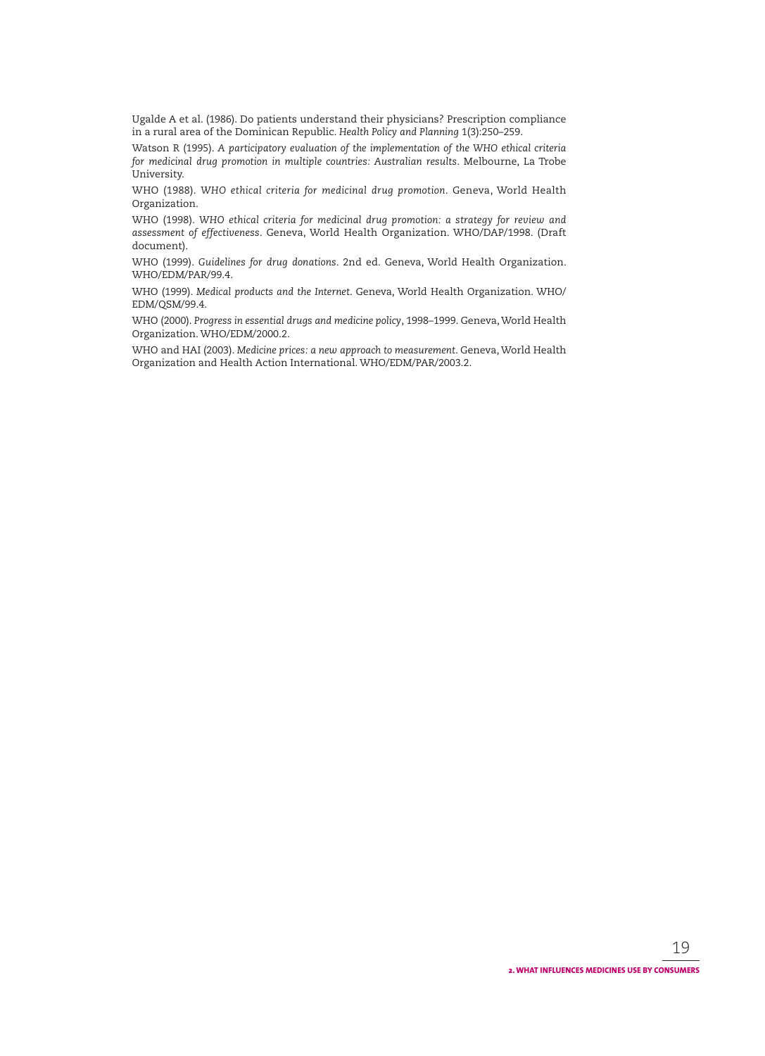Ugalde A et al. (1986). Do patients understand their physicians? Prescription compliance in a rural area of the Dominican Republic. *Health Policy and Planning* 1(3):250–259.

Watson R (1995). *A participatory evaluation of the implementation of the WHO ethical criteria for medicinal drug promotion in multiple countries: Australian results*. Melbourne, La Trobe University.

WHO (1988). *WHO ethical criteria for medicinal drug promotion*. Geneva, World Health Organization.

WHO (1998). *WHO ethical criteria for medicinal drug promotion: a strategy for review and assessment of effectiveness*. Geneva, World Health Organization. WHO/DAP/1998. (Draft document).

WHO (1999). *Guidelines for drug donations*. 2nd ed. Geneva, World Health Organization. WHO/EDM/PAR/99.4.

WHO (1999). *Medical products and the Internet*. Geneva, World Health Organization. WHO/ EDM/QSM/99.4.

WHO (2000). *Progress in essential drugs and medicine policy*, 1998–1999. Geneva, World Health Organization. WHO/EDM/2000.2.

WHO and HAI (2003). *Medicine prices: a new approach to measurement*. Geneva, World Health Organization and Health Action International. WHO/EDM/PAR/2003.2.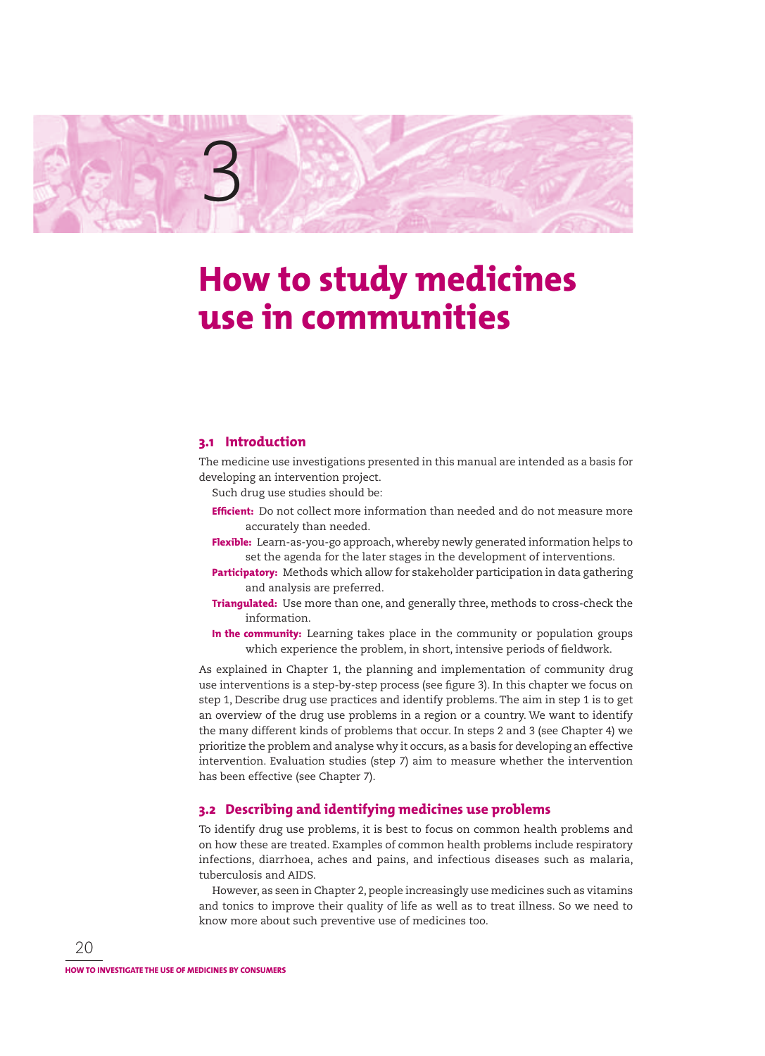

## **How to study medicines use in communities**

## **3.1 Introduction**

The medicine use investigations presented in this manual are intended as a basis for developing an intervention project.

Such drug use studies should be:

- **Efficient:** Do not collect more information than needed and do not measure more accurately than needed.
- **Flexible:** Learn-as-you-go approach, whereby newly generated information helps to set the agenda for the later stages in the development of interventions.
- **Participatory:** Methods which allow for stakeholder participation in data gathering and analysis are preferred.
- **Triangulated:** Use more than one, and generally three, methods to cross-check the information.
- **In the community:** Learning takes place in the community or population groups which experience the problem, in short, intensive periods of fieldwork.

As explained in Chapter 1, the planning and implementation of community drug use interventions is a step-by-step process (see figure 3). In this chapter we focus on step 1, Describe drug use practices and identify problems. The aim in step 1 is to get an overview of the drug use problems in a region or a country. We want to identify the many different kinds of problems that occur. In steps 2 and 3 (see Chapter 4) we prioritize the problem and analyse why it occurs, as a basis for developing an effective intervention. Evaluation studies (step 7) aim to measure whether the intervention has been effective (see Chapter 7).

### **3.2 Describing and identifying medicines use problems**

To identify drug use problems, it is best to focus on common health problems and on how these are treated. Examples of common health problems include respiratory infections, diarrhoea, aches and pains, and infectious diseases such as malaria, tuberculosis and AIDS.

However, as seen in Chapter 2, people increasingly use medicines such as vitamins and tonics to improve their quality of life as well as to treat illness. So we need to know more about such preventive use of medicines too.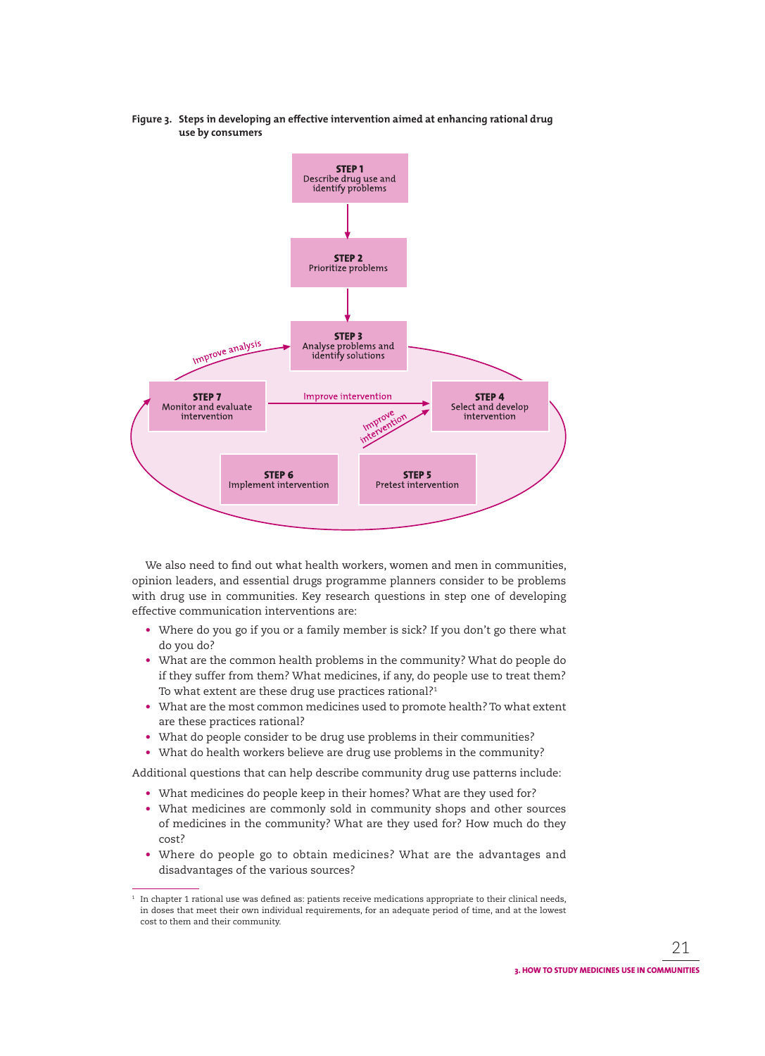**Figure 3. Steps in developing an effective intervention aimed at enhancing rational drug use by consumers**



We also need to find out what health workers, women and men in communities, opinion leaders, and essential drugs programme planners consider to be problems with drug use in communities. Key research questions in step one of developing effective communication interventions are:

- Where do you go if you or a family member is sick? If you don't go there what do you do?
- What are the common health problems in the community? What do people do if they suffer from them? What medicines, if any, do people use to treat them? To what extent are these drug use practices rational?<sup>1</sup>
- What are the most common medicines used to promote health? To what extent are these practices rational?
- What do people consider to be drug use problems in their communities?
- What do health workers believe are drug use problems in the community?

Additional questions that can help describe community drug use patterns include:

- What medicines do people keep in their homes? What are they used for?
- What medicines are commonly sold in community shops and other sources of medicines in the community? What are they used for? How much do they cost?
- Where do people go to obtain medicines? What are the advantages and disadvantages of the various sources?

 $^\mathrm{1}$  In chapter 1 rational use was defined as: patients receive medications appropriate to their clinical needs, in doses that meet their own individual requirements, for an adequate period of time, and at the lowest cost to them and their community.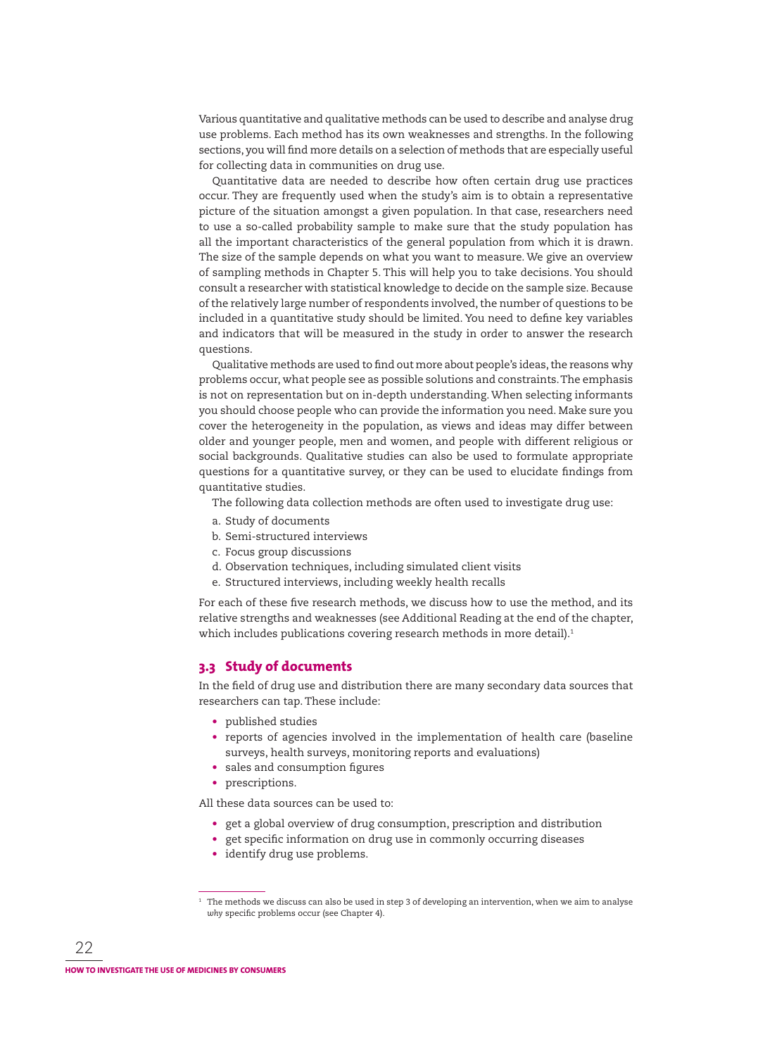Various quantitative and qualitative methods can be used to describe and analyse drug use problems. Each method has its own weaknesses and strengths. In the following sections, you will find more details on a selection of methods that are especially useful for collecting data in communities on drug use.

Quantitative data are needed to describe how often certain drug use practices occur. They are frequently used when the study's aim is to obtain a representative picture of the situation amongst a given population. In that case, researchers need to use a so-called probability sample to make sure that the study population has all the important characteristics of the general population from which it is drawn. The size of the sample depends on what you want to measure. We give an overview of sampling methods in Chapter 5. This will help you to take decisions. You should consult a researcher with statistical knowledge to decide on the sample size. Because of the relatively large number of respondents involved, the number of questions to be included in a quantitative study should be limited. You need to define key variables and indicators that will be measured in the study in order to answer the research questions.

Qualitative methods are used to find out more about people's ideas, the reasons why problems occur, what people see as possible solutions and constraints. The emphasis is not on representation but on in-depth understanding. When selecting informants you should choose people who can provide the information you need. Make sure you cover the heterogeneity in the population, as views and ideas may differ between older and younger people, men and women, and people with different religious or social backgrounds. Qualitative studies can also be used to formulate appropriate questions for a quantitative survey, or they can be used to elucidate findings from quantitative studies.

The following data collection methods are often used to investigate drug use:

- a. Study of documents
- b. Semi-structured interviews
- c. Focus group discussions
- d. Observation techniques, including simulated client visits
- e. Structured interviews, including weekly health recalls

For each of these five research methods, we discuss how to use the method, and its relative strengths and weaknesses (see Additional Reading at the end of the chapter, which includes publications covering research methods in more detail).<sup>1</sup>

#### **3.3 Study of documents**

In the field of drug use and distribution there are many secondary data sources that researchers can tap. These include:

- published studies
- reports of agencies involved in the implementation of health care (baseline surveys, health surveys, monitoring reports and evaluations)
- sales and consumption figures
- prescriptions.

All these data sources can be used to:

- get a global overview of drug consumption, prescription and distribution
- get specific information on drug use in commonly occurring diseases
- identify drug use problems.

 $^\mathrm{1}\,$  The methods we discuss can also be used in step 3 of developing an intervention, when we aim to analyse *why* specific problems occur (see Chapter 4).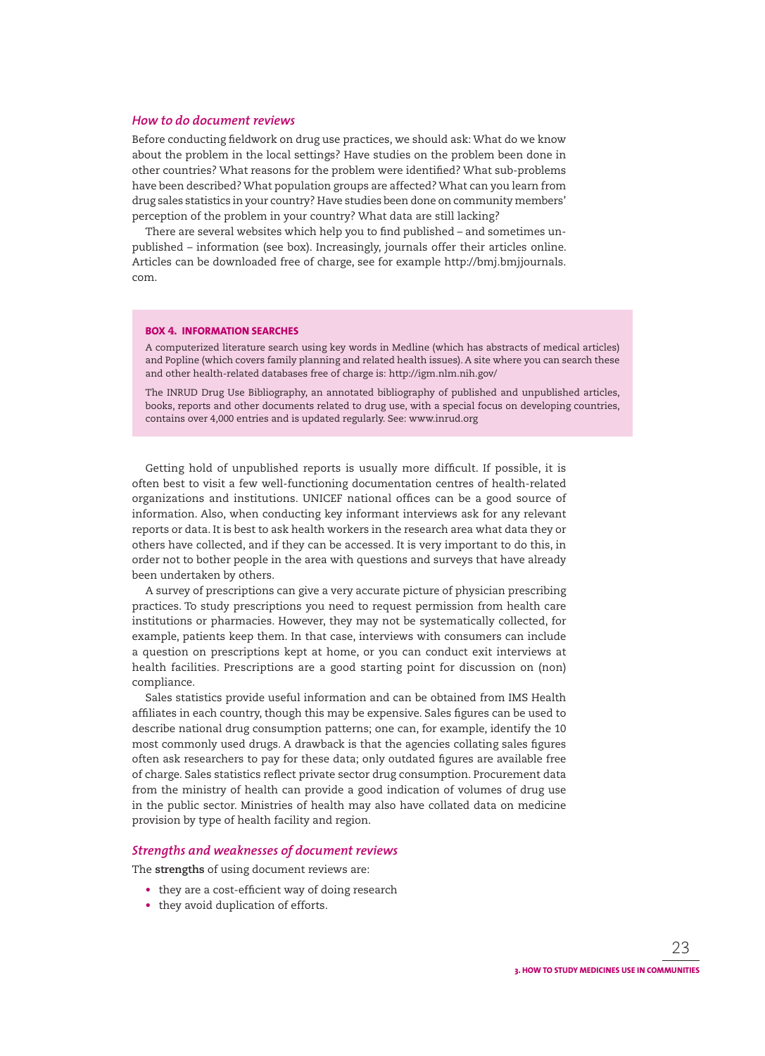#### *How to do document reviews*

Before conducting fieldwork on drug use practices, we should ask: What do we know about the problem in the local settings? Have studies on the problem been done in other countries? What reasons for the problem were identified? What sub-problems have been described? What population groups are affected? What can you learn from drug sales statistics in your country? Have studies been done on community members' perception of the problem in your country? What data are still lacking?

There are several websites which help you to find published – and sometimes unpublished – information (see box). Increasingly, journals offer their articles online. Articles can be downloaded free of charge, see for example http://bmj.bmjjournals. com.

#### **BOX 4. INFORMATION SEARCHES**

A computerized literature search using key words in Medline (which has abstracts of medical articles) and Popline (which covers family planning and related health issues). A site where you can search these and other health-related databases free of charge is: http://igm.nlm.nih.gov/

The INRUD Drug Use Bibliography, an annotated bibliography of published and unpublished articles, books, reports and other documents related to drug use, with a special focus on developing countries, contains over 4,000 entries and is updated regularly. See: www.inrud.org

Getting hold of unpublished reports is usually more difficult. If possible, it is often best to visit a few well-functioning documentation centres of health-related organizations and institutions. UNICEF national offices can be a good source of information. Also, when conducting key informant interviews ask for any relevant reports or data. It is best to ask health workers in the research area what data they or others have collected, and if they can be accessed. It is very important to do this, in order not to bother people in the area with questions and surveys that have already been undertaken by others.

A survey of prescriptions can give a very accurate picture of physician prescribing practices. To study prescriptions you need to request permission from health care institutions or pharmacies. However, they may not be systematically collected, for example, patients keep them. In that case, interviews with consumers can include a question on prescriptions kept at home, or you can conduct exit interviews at health facilities. Prescriptions are a good starting point for discussion on (non) compliance.

Sales statistics provide useful information and can be obtained from IMS Health affiliates in each country, though this may be expensive. Sales figures can be used to describe national drug consumption patterns; one can, for example, identify the 10 most commonly used drugs. A drawback is that the agencies collating sales figures often ask researchers to pay for these data; only outdated figures are available free of charge. Sales statistics reflect private sector drug consumption. Procurement data from the ministry of health can provide a good indication of volumes of drug use in the public sector. Ministries of health may also have collated data on medicine provision by type of health facility and region.

#### *Strengths and weaknesses of document reviews*

The **strengths** of using document reviews are:

- $\bullet$  they are a cost-efficient way of doing research
- they avoid duplication of efforts.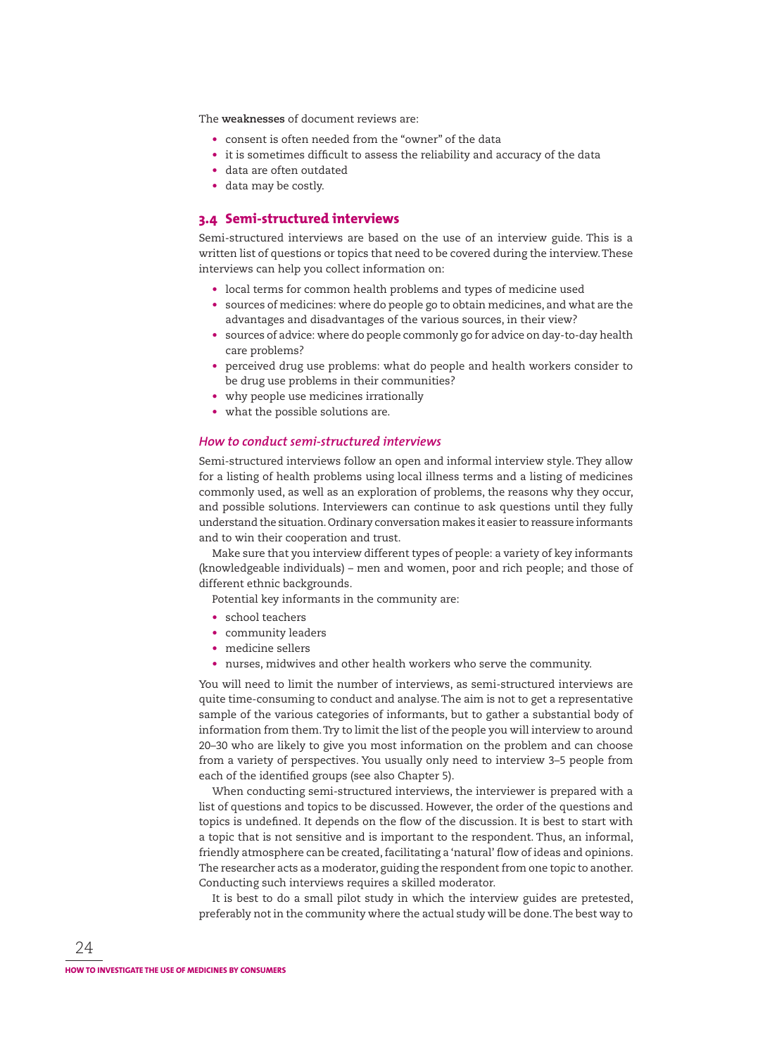The **weaknesses** of document reviews are:

- consent is often needed from the "owner" of the data
- it is sometimes difficult to assess the reliability and accuracy of the data
- data are often outdated
- data may be costly.

### **3.4 Semi-structured interviews**

Semi-structured interviews are based on the use of an interview guide. This is a written list of questions or topics that need to be covered during the interview. These interviews can help you collect information on:

- local terms for common health problems and types of medicine used
- sources of medicines: where do people go to obtain medicines, and what are the advantages and disadvantages of the various sources, in their view?
- sources of advice: where do people commonly go for advice on day-to-day health care problems?
- perceived drug use problems: what do people and health workers consider to be drug use problems in their communities?
- why people use medicines irrationally
- what the possible solutions are.

#### *How to conduct semi-structured interviews*

Semi-structured interviews follow an open and informal interview style. They allow for a listing of health problems using local illness terms and a listing of medicines commonly used, as well as an exploration of problems, the reasons why they occur, and possible solutions. Interviewers can continue to ask questions until they fully understand the situation. Ordinary conversation makes it easier to reassure informants and to win their cooperation and trust.

Make sure that you interview different types of people: a variety of key informants (knowledgeable individuals) – men and women, poor and rich people; and those of different ethnic backgrounds.

Potential key informants in the community are:

- school teachers
- community leaders
- medicine sellers
- nurses, midwives and other health workers who serve the community.

You will need to limit the number of interviews, as semi-structured interviews are quite time-consuming to conduct and analyse. The aim is not to get a representative sample of the various categories of informants, but to gather a substantial body of information from them. Try to limit the list of the people you will interview to around 20–30 who are likely to give you most information on the problem and can choose from a variety of perspectives. You usually only need to interview 3–5 people from each of the identified groups (see also Chapter 5).

When conducting semi-structured interviews, the interviewer is prepared with a list of questions and topics to be discussed. However, the order of the questions and topics is undefined. It depends on the flow of the discussion. It is best to start with a topic that is not sensitive and is important to the respondent. Thus, an informal, friendly atmosphere can be created, facilitating a 'natural' flow of ideas and opinions. The researcher acts as a moderator, guiding the respondent from one topic to another. Conducting such interviews requires a skilled moderator.

It is best to do a small pilot study in which the interview guides are pretested, preferably not in the community where the actual study will be done. The best way to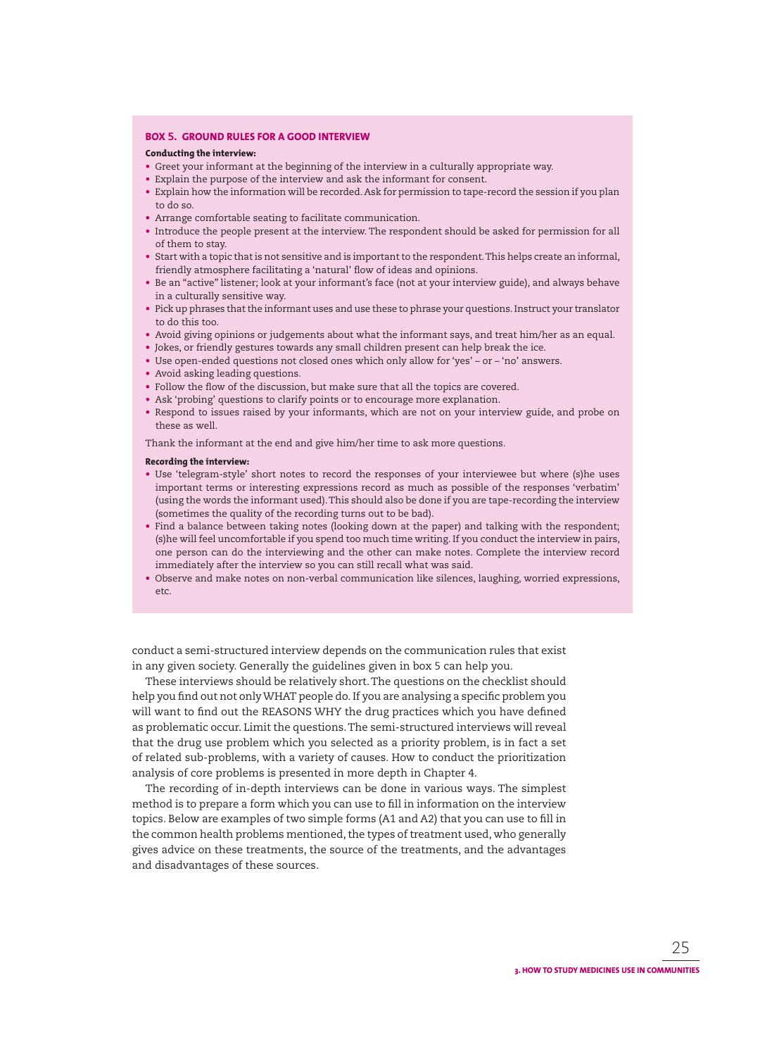#### **BOX 5. GROUND RULES FOR A GOOD INTERVIEW**

#### **Conducting the interview:**

- Greet your informant at the beginning of the interview in a culturally appropriate way.
- Explain the purpose of the interview and ask the informant for consent.
- Explain how the information will be recorded. Ask for permission to tape-record the session if you plan to do so.
- Arrange comfortable seating to facilitate communication.
- Introduce the people present at the interview. The respondent should be asked for permission for all of them to stay.
- Start with a topic that is not sensitive and is important to the respondent. This helps create an informal, friendly atmosphere facilitating a 'natural' flow of ideas and opinions.
- Be an "active" listener; look at your informant's face (not at your interview guide), and always behave in a culturally sensitive way.
- Pick up phrases that the informant uses and use these to phrase your questions. Instruct your translator to do this too.
- Avoid giving opinions or judgements about what the informant says, and treat him/her as an equal.
- Jokes, or friendly gestures towards any small children present can help break the ice.
- Use open-ended questions not closed ones which only allow for 'yes' or 'no' answers.
- Avoid asking leading questions.
- Follow the flow of the discussion, but make sure that all the topics are covered.
- Ask 'probing' questions to clarify points or to encourage more explanation.
- Respond to issues raised by your informants, which are not on your interview guide, and probe on these as well.

Thank the informant at the end and give him/her time to ask more questions.

#### **Recording the interview:**

- Use 'telegram-style' short notes to record the responses of your interviewee but where (s)he uses important terms or interesting expressions record as much as possible of the responses 'verbatim' (using the words the informant used). This should also be done if you are tape-recording the interview (sometimes the quality of the recording turns out to be bad).
- Find a balance between taking notes (looking down at the paper) and talking with the respondent; (s)he will feel uncomfortable if you spend too much time writing. If you conduct the interview in pairs, one person can do the interviewing and the other can make notes. Complete the interview record immediately after the interview so you can still recall what was said.
- Observe and make notes on non-verbal communication like silences, laughing, worried expressions, etc.

conduct a semi-structured interview depends on the communication rules that exist in any given society. Generally the guidelines given in box 5 can help you.

These interviews should be relatively short. The questions on the checklist should help you find out not only WHAT people do. If you are analysing a specific problem you will want to find out the REASONS WHY the drug practices which you have defined as problematic occur. Limit the questions. The semi-structured interviews will reveal that the drug use problem which you selected as a priority problem, is in fact a set of related sub-problems, with a variety of causes. How to conduct the prioritization analysis of core problems is presented in more depth in Chapter 4.

The recording of in-depth interviews can be done in various ways. The simplest method is to prepare a form which you can use to fill in information on the interview topics. Below are examples of two simple forms (A1 and A2) that you can use to fill in the common health problems mentioned, the types of treatment used, who generally gives advice on these treatments, the source of the treatments, and the advantages and disadvantages of these sources.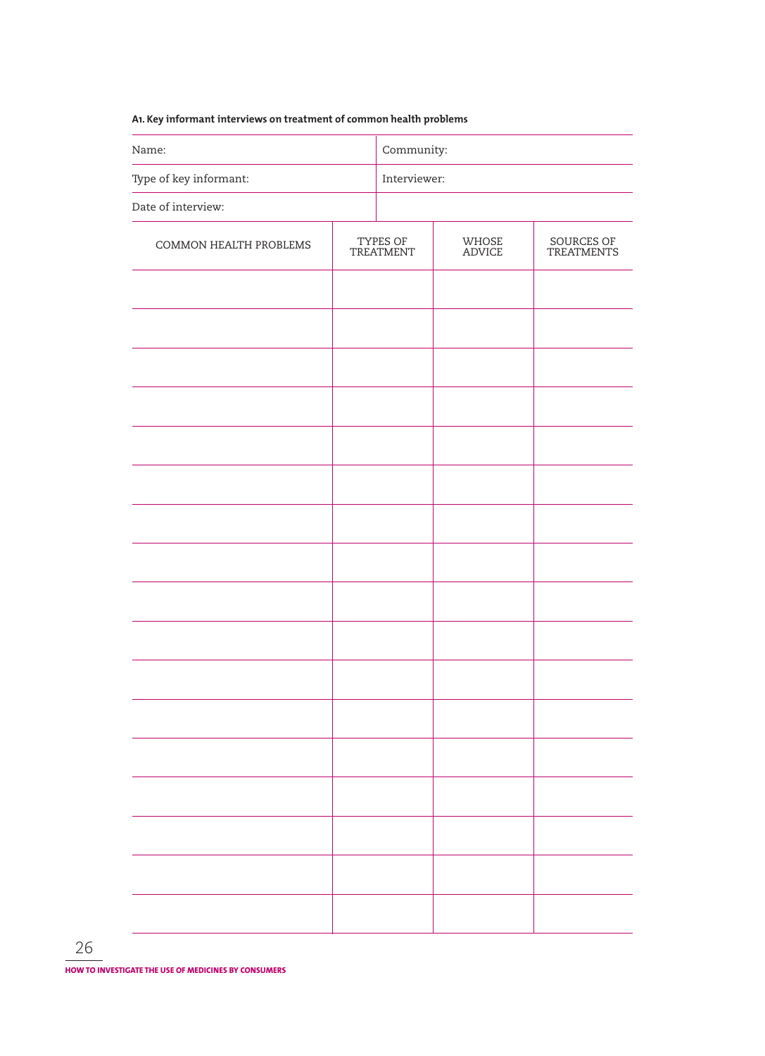## **A1. Key informant interviews on treatment of common health problems**

| Name:                  | Community: |                       |                 |                          |  |
|------------------------|------------|-----------------------|-----------------|--------------------------|--|
| Type of key informant: |            | Interviewer:          |                 |                          |  |
| Date of interview:     |            |                       |                 |                          |  |
| COMMON HEALTH PROBLEMS |            | TYPES OF<br>TREATMENT | WHOSE<br>ADVICE | SOURCES OF<br>TREATMENTS |  |
|                        |            |                       |                 |                          |  |
|                        |            |                       |                 |                          |  |
|                        |            |                       |                 |                          |  |
|                        |            |                       |                 |                          |  |
|                        |            |                       |                 |                          |  |
|                        |            |                       |                 |                          |  |
|                        |            |                       |                 |                          |  |
|                        |            |                       |                 |                          |  |
|                        |            |                       |                 |                          |  |
|                        |            |                       |                 |                          |  |
|                        |            |                       |                 |                          |  |
|                        |            |                       |                 |                          |  |
|                        |            |                       |                 |                          |  |
|                        |            |                       |                 |                          |  |
|                        |            |                       |                 |                          |  |
|                        |            |                       |                 |                          |  |
|                        |            |                       |                 |                          |  |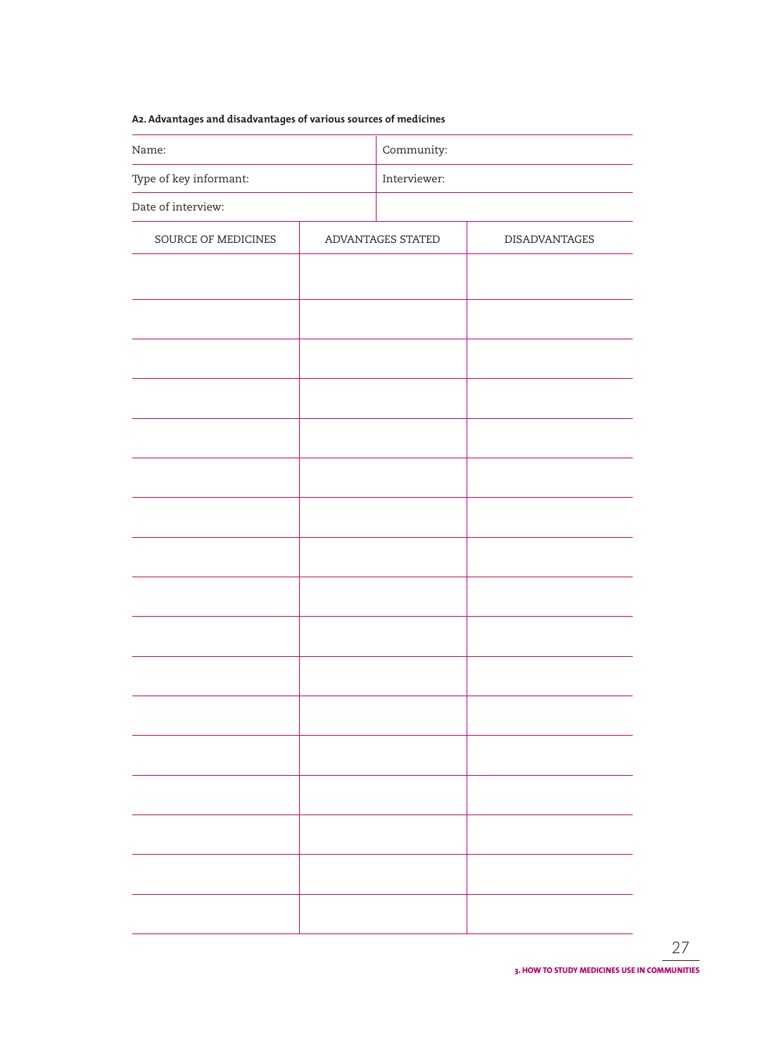## **A2. Advantages and disadvantages of various sources of medicines**

| Name:                  |  | Community:        |                      |  |  |
|------------------------|--|-------------------|----------------------|--|--|
| Type of key informant: |  | Interviewer:      |                      |  |  |
| Date of interview:     |  |                   |                      |  |  |
| SOURCE OF MEDICINES    |  | ADVANTAGES STATED | <b>DISADVANTAGES</b> |  |  |
|                        |  |                   |                      |  |  |
|                        |  |                   |                      |  |  |
|                        |  |                   |                      |  |  |
|                        |  |                   |                      |  |  |
|                        |  |                   |                      |  |  |
|                        |  |                   |                      |  |  |
|                        |  |                   |                      |  |  |
|                        |  |                   |                      |  |  |
|                        |  |                   |                      |  |  |
|                        |  |                   |                      |  |  |
|                        |  |                   |                      |  |  |
|                        |  |                   |                      |  |  |
|                        |  |                   |                      |  |  |
|                        |  |                   |                      |  |  |
|                        |  |                   |                      |  |  |
|                        |  |                   |                      |  |  |
|                        |  |                   |                      |  |  |
|                        |  |                   |                      |  |  |
|                        |  |                   |                      |  |  |
|                        |  |                   |                      |  |  |
|                        |  |                   |                      |  |  |
|                        |  |                   |                      |  |  |
|                        |  |                   |                      |  |  |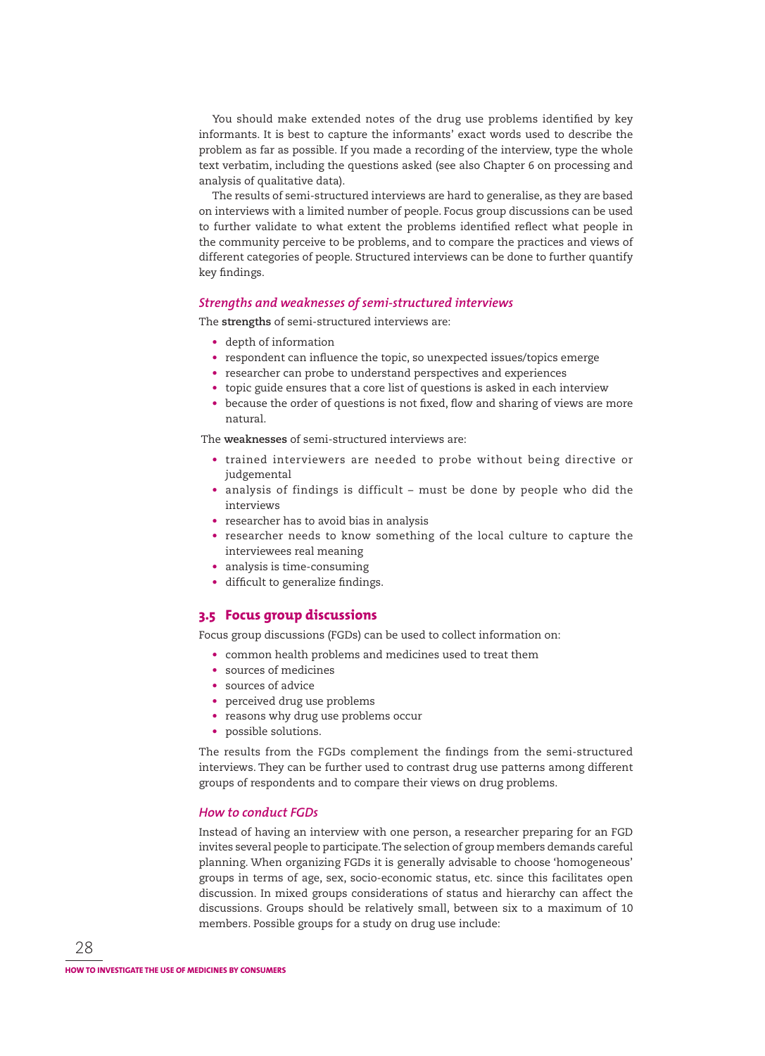You should make extended notes of the drug use problems identified by key informants. It is best to capture the informants' exact words used to describe the problem as far as possible. If you made a recording of the interview, type the whole text verbatim, including the questions asked (see also Chapter 6 on processing and analysis of qualitative data).

The results of semi-structured interviews are hard to generalise, as they are based on interviews with a limited number of people. Focus group discussions can be used to further validate to what extent the problems identified reflect what people in the community perceive to be problems, and to compare the practices and views of different categories of people. Structured interviews can be done to further quantify key findings.

#### *Strengths and weaknesses of semi-structured interviews*

The **strengths** of semi-structured interviews are:

- depth of information
- respondent can influence the topic, so unexpected issues/topics emerge
- researcher can probe to understand perspectives and experiences
- topic guide ensures that a core list of questions is asked in each interview
- because the order of questions is not fixed, flow and sharing of views are more natural.

The **weaknesses** of semi-structured interviews are:

- trained interviewers are needed to probe without being directive or judgemental
- analysis of findings is difficult must be done by people who did the interviews
- researcher has to avoid bias in analysis
- researcher needs to know something of the local culture to capture the interviewees real meaning
- analysis is time-consuming
- difficult to generalize findings.

#### **3.5 Focus group discussions**

Focus group discussions (FGDs) can be used to collect information on:

- common health problems and medicines used to treat them
- sources of medicines
- sources of advice
- perceived drug use problems
- reasons why drug use problems occur
- possible solutions.

The results from the FGDs complement the findings from the semi-structured interviews. They can be further used to contrast drug use patterns among different groups of respondents and to compare their views on drug problems.

#### *How to conduct FGDs*

Instead of having an interview with one person, a researcher preparing for an FGD invites several people to participate. The selection of group members demands careful planning. When organizing FGDs it is generally advisable to choose 'homogeneous' groups in terms of age, sex, socio-economic status, etc. since this facilitates open discussion. In mixed groups considerations of status and hierarchy can affect the discussions. Groups should be relatively small, between six to a maximum of 10 members. Possible groups for a study on drug use include: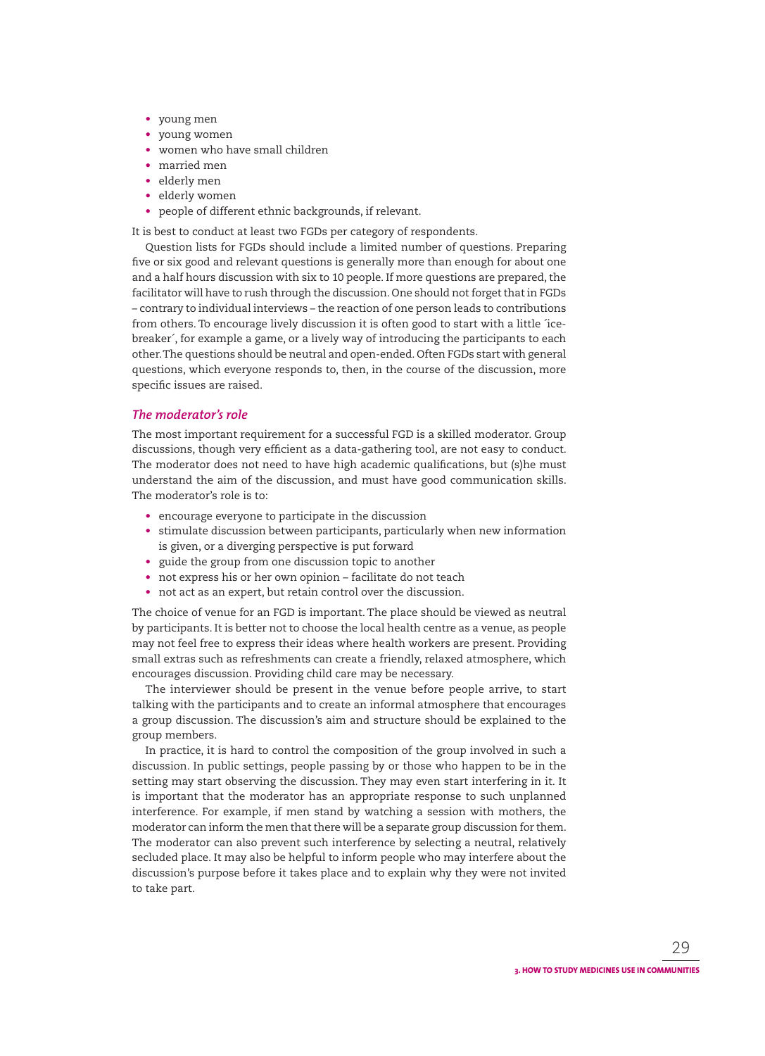- young men
- young women
- women who have small children
- married men
- elderly men
- elderly women
- people of different ethnic backgrounds, if relevant.

It is best to conduct at least two FGDs per category of respondents.

Question lists for FGDs should include a limited number of questions. Preparing five or six good and relevant questions is generally more than enough for about one and a half hours discussion with six to 10 people. If more questions are prepared, the facilitator will have to rush through the discussion. One should not forget that in FGDs – contrary to individual interviews – the reaction of one person leads to contributions from others. To encourage lively discussion it is often good to start with a little ´icebreaker´, for example a game, or a lively way of introducing the participants to each other. The questions should be neutral and open-ended. Often FGDs start with general questions, which everyone responds to, then, in the course of the discussion, more specific issues are raised.

## *The moderator's role*

The most important requirement for a successful FGD is a skilled moderator. Group discussions, though very efficient as a data-gathering tool, are not easy to conduct. The moderator does not need to have high academic qualifications, but (s)he must understand the aim of the discussion, and must have good communication skills. The moderator's role is to:

- encourage everyone to participate in the discussion
- stimulate discussion between participants, particularly when new information is given, or a diverging perspective is put forward
- guide the group from one discussion topic to another
- not express his or her own opinion facilitate do not teach
- not act as an expert, but retain control over the discussion.

The choice of venue for an FGD is important. The place should be viewed as neutral by participants. It is better not to choose the local health centre as a venue, as people may not feel free to express their ideas where health workers are present. Providing small extras such as refreshments can create a friendly, relaxed atmosphere, which encourages discussion. Providing child care may be necessary.

The interviewer should be present in the venue before people arrive, to start talking with the participants and to create an informal atmosphere that encourages a group discussion. The discussion's aim and structure should be explained to the group members.

In practice, it is hard to control the composition of the group involved in such a discussion. In public settings, people passing by or those who happen to be in the setting may start observing the discussion. They may even start interfering in it. It is important that the moderator has an appropriate response to such unplanned interference. For example, if men stand by watching a session with mothers, the moderator can inform the men that there will be a separate group discussion for them. The moderator can also prevent such interference by selecting a neutral, relatively secluded place. It may also be helpful to inform people who may interfere about the discussion's purpose before it takes place and to explain why they were not invited to take part.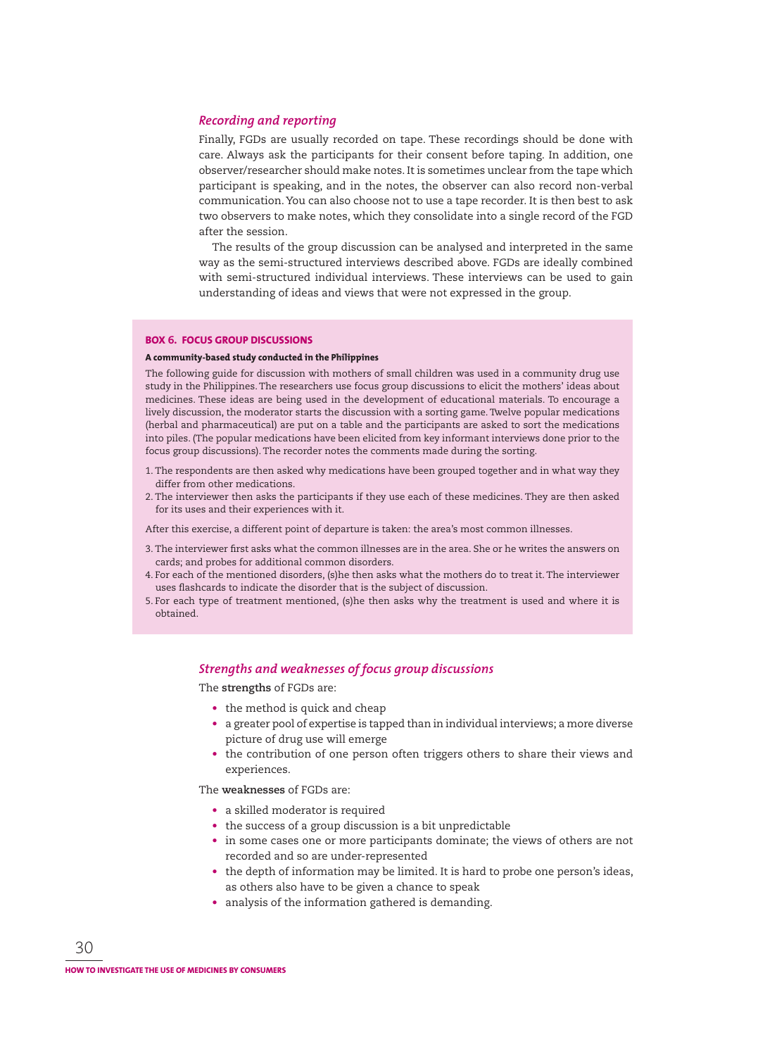## *Recording and reporting*

Finally, FGDs are usually recorded on tape. These recordings should be done with care. Always ask the participants for their consent before taping. In addition, one observer/researcher should make notes. It is sometimes unclear from the tape which participant is speaking, and in the notes, the observer can also record non-verbal communication. You can also choose not to use a tape recorder. It is then best to ask two observers to make notes, which they consolidate into a single record of the FGD after the session.

The results of the group discussion can be analysed and interpreted in the same way as the semi-structured interviews described above. FGDs are ideally combined with semi-structured individual interviews. These interviews can be used to gain understanding of ideas and views that were not expressed in the group.

#### **BOX 6. FOCUS GROUP DISCUSSIONS**

#### **A community-based study conducted in the Philippines**

The following guide for discussion with mothers of small children was used in a community drug use study in the Philippines. The researchers use focus group discussions to elicit the mothers' ideas about medicines. These ideas are being used in the development of educational materials. To encourage a lively discussion, the moderator starts the discussion with a sorting game. Twelve popular medications (herbal and pharmaceutical) are put on a table and the participants are asked to sort the medications into piles. (The popular medications have been elicited from key informant interviews done prior to the focus group discussions). The recorder notes the comments made during the sorting.

- 1. The respondents are then asked why medications have been grouped together and in what way they differ from other medications.
- 2. The interviewer then asks the participants if they use each of these medicines. They are then asked for its uses and their experiences with it.

After this exercise, a different point of departure is taken: the area's most common illnesses.

- 3. The interviewer first asks what the common illnesses are in the area. She or he writes the answers on cards; and probes for additional common disorders.
- 4. For each of the mentioned disorders, (s)he then asks what the mothers do to treat it. The interviewer uses flashcards to indicate the disorder that is the subject of discussion.
- 5. For each type of treatment mentioned, (s)he then asks why the treatment is used and where it is obtained.

## *Strengths and weaknesses of focus group discussions*

The **strengths** of FGDs are:

- the method is quick and cheap
- a greater pool of expertise is tapped than in individual interviews; a more diverse picture of drug use will emerge
- the contribution of one person often triggers others to share their views and experiences.

The **weaknesses** of FGDs are:

- a skilled moderator is required
- the success of a group discussion is a bit unpredictable
- in some cases one or more participants dominate; the views of others are not recorded and so are under-represented
- the depth of information may be limited. It is hard to probe one person's ideas, as others also have to be given a chance to speak
- analysis of the information gathered is demanding.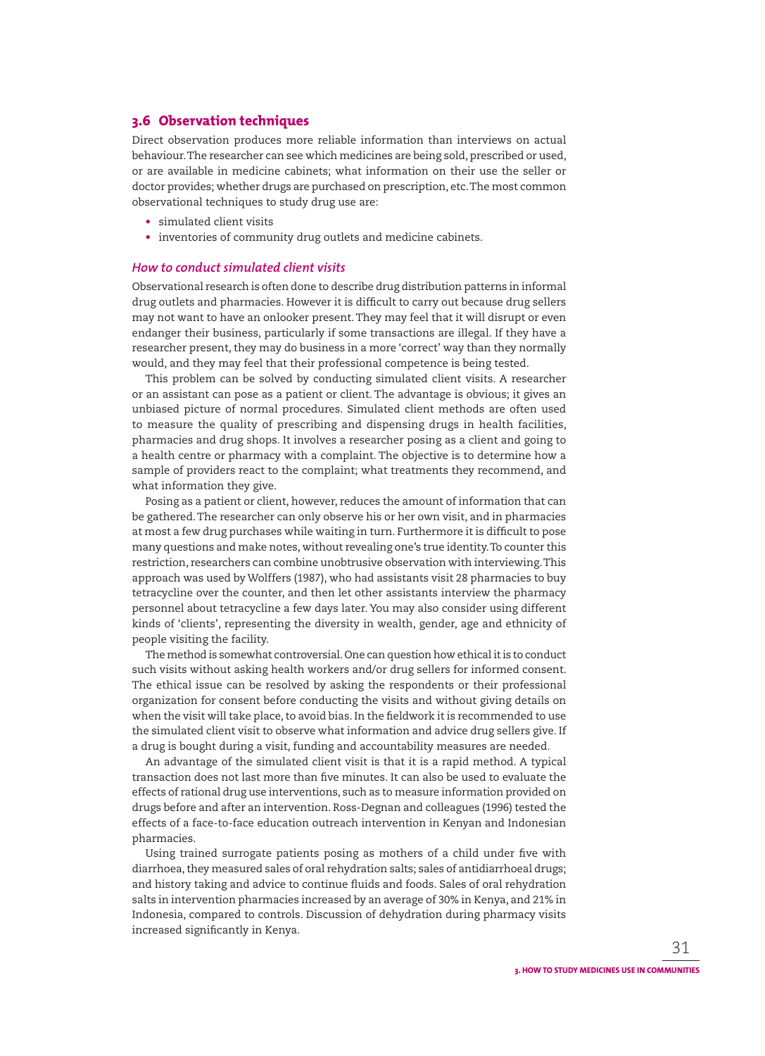## **3.6 Observation techniques**

Direct observation produces more reliable information than interviews on actual behaviour. The researcher can see which medicines are being sold, prescribed or used, or are available in medicine cabinets; what information on their use the seller or doctor provides; whether drugs are purchased on prescription, etc. The most common observational techniques to study drug use are:

- simulated client visits
- inventories of community drug outlets and medicine cabinets.

## *How to conduct simulated client visits*

Observational research is often done to describe drug distribution patterns in informal drug outlets and pharmacies. However it is difficult to carry out because drug sellers may not want to have an onlooker present. They may feel that it will disrupt or even endanger their business, particularly if some transactions are illegal. If they have a researcher present, they may do business in a more 'correct' way than they normally would, and they may feel that their professional competence is being tested.

This problem can be solved by conducting simulated client visits. A researcher or an assistant can pose as a patient or client. The advantage is obvious; it gives an unbiased picture of normal procedures. Simulated client methods are often used to measure the quality of prescribing and dispensing drugs in health facilities, pharmacies and drug shops. It involves a researcher posing as a client and going to a health centre or pharmacy with a complaint. The objective is to determine how a sample of providers react to the complaint; what treatments they recommend, and what information they give.

Posing as a patient or client, however, reduces the amount of information that can be gathered. The researcher can only observe his or her own visit, and in pharmacies at most a few drug purchases while waiting in turn. Furthermore it is difficult to pose many questions and make notes, without revealing one's true identity. To counter this restriction, researchers can combine unobtrusive observation with interviewing. This approach was used by Wolffers (1987), who had assistants visit 28 pharmacies to buy tetracycline over the counter, and then let other assistants interview the pharmacy personnel about tetracycline a few days later. You may also consider using different kinds of 'clients', representing the diversity in wealth, gender, age and ethnicity of people visiting the facility.

The method is somewhat controversial. One can question how ethical it is to conduct such visits without asking health workers and/or drug sellers for informed consent. The ethical issue can be resolved by asking the respondents or their professional organization for consent before conducting the visits and without giving details on when the visit will take place, to avoid bias. In the fieldwork it is recommended to use the simulated client visit to observe what information and advice drug sellers give. If a drug is bought during a visit, funding and accountability measures are needed.

An advantage of the simulated client visit is that it is a rapid method. A typical trans action does not last more than five minutes. It can also be used to evaluate the effects of rational drug use interventions, such as to measure information provided on drugs before and after an intervention. Ross-Degnan and colleagues (1996) tested the effects of a face-to-face education outreach intervention in Kenyan and Indonesian pharmacies.

Using trained surrogate patients posing as mothers of a child under five with diarrhoea, they measured sales of oral rehydration salts; sales of antidiarrhoeal drugs; and history taking and advice to continue fluids and foods. Sales of oral rehydration salts in intervention pharmacies increased by an average of 30% in Kenya, and 21% in Indonesia, compared to controls. Discussion of dehydration during pharmacy visits increased significantly in Kenya.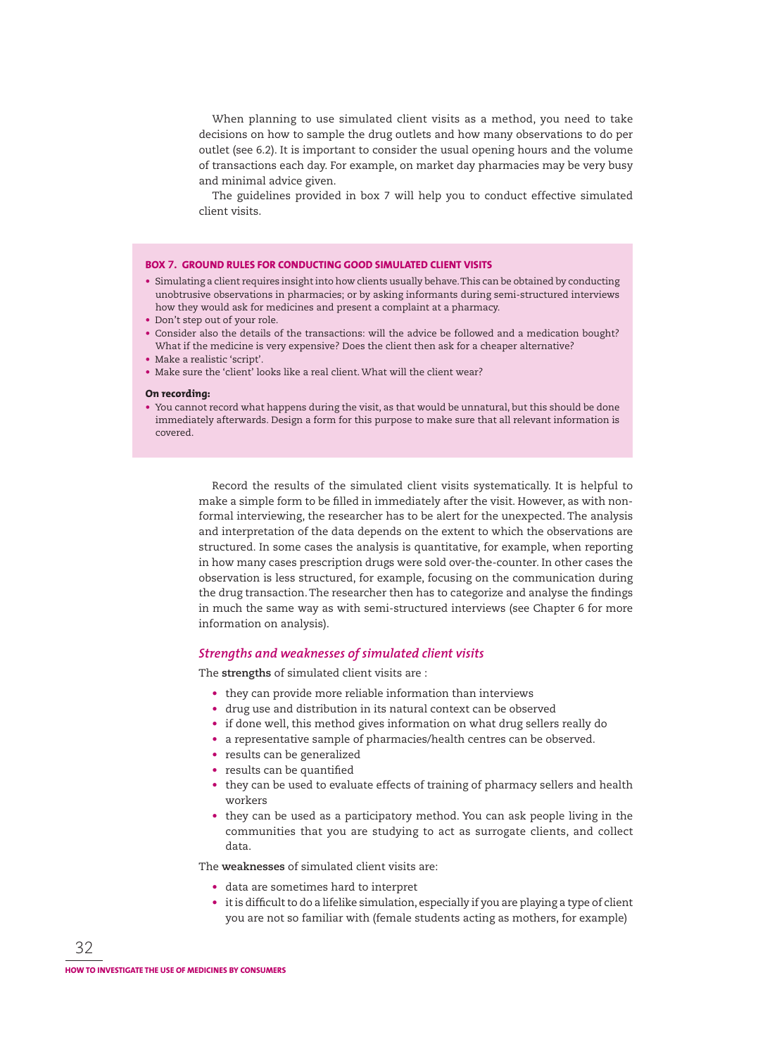When planning to use simulated client visits as a method, you need to take decisions on how to sample the drug outlets and how many observations to do per outlet (see 6.2). It is important to consider the usual opening hours and the volume of transactions each day. For example, on market day pharmacies may be very busy and minimal advice given.

The guidelines provided in box 7 will help you to conduct effective simulated client visits.

#### **BOX 7. GROUND RULES FOR CONDUCTING GOOD SIMULATED CLIENT VISITS**

- Simulating a client requires insight into how clients usually behave. This can be obtained by conducting unobtrusive observations in pharmacies; or by asking informants during semi-structured interviews how they would ask for medicines and present a complaint at a pharmacy.
- Don't step out of your role.
- Consider also the details of the transactions: will the advice be followed and a medication bought? What if the medicine is very expensive? Does the client then ask for a cheaper alternative?
- Make a realistic 'script'.
- Make sure the 'client' looks like a real client. What will the client wear?

#### **On recording:**

• You cannot record what happens during the visit, as that would be unnatural, but this should be done immediately afterwards. Design a form for this purpose to make sure that all relevant information is covered.

> Record the results of the simulated client visits systematically. It is helpful to make a simple form to be filled in immediately after the visit. However, as with nonformal interviewing, the researcher has to be alert for the unexpected. The analysis and interpretation of the data depends on the extent to which the observations are structured. In some cases the analysis is quantitative, for example, when reporting in how many cases prescription drugs were sold over-the-counter. In other cases the observation is less structured, for example, focusing on the communication during the drug transaction. The researcher then has to categorize and analyse the findings in much the same way as with semi-structured interviews (see Chapter 6 for more information on analysis).

#### *Strengths and weaknesses of simulated client visits*

The **strengths** of simulated client visits are :

- they can provide more reliable information than interviews
- drug use and distribution in its natural context can be observed
- if done well, this method gives information on what drug sellers really do
- a representative sample of pharmacies/health centres can be observed.
- results can be generalized
- results can be quantified
- they can be used to evaluate effects of training of pharmacy sellers and health workers
- they can be used as a participatory method. You can ask people living in the communities that you are studying to act as surrogate clients, and collect data.

The **weaknesses** of simulated client visits are:

- data are sometimes hard to interpret
- it is difficult to do a lifelike simulation, especially if you are playing a type of client you are not so familiar with (female students acting as mothers, for example)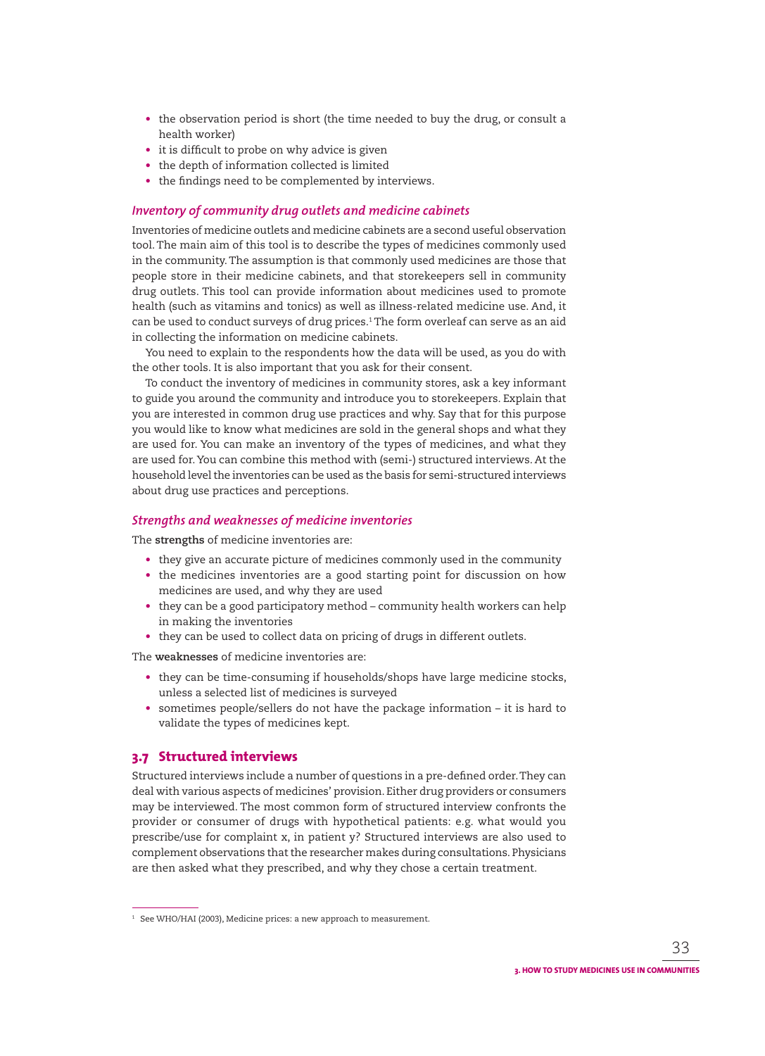- the observation period is short (the time needed to buy the drug, or consult a health worker)
- $\bullet$  it is difficult to probe on why advice is given
- the depth of information collected is limited
- the findings need to be complemented by interviews.

## *Inventory of community drug outlets and medicine cabinets*

Inventories of medicine outlets and medicine cabinets are a second useful obser vation tool. The main aim of this tool is to describe the types of medicines commonly used in the community. The assumption is that commonly used medicines are those that people store in their medicine cabinets, and that storekeepers sell in community drug outlets. This tool can provide information about medicines used to promote health (such as vitamins and tonics) as well as illness-related medicine use. And, it can be used to conduct surveys of drug prices.<sup>1</sup> The form overleaf can serve as an aid in collecting the information on medicine cabinets.

You need to explain to the respondents how the data will be used, as you do with the other tools. It is also important that you ask for their consent.

To conduct the inventory of medicines in community stores, ask a key informant to guide you around the community and introduce you to storekeepers. Explain that you are interested in common drug use practices and why. Say that for this purpose you would like to know what medicines are sold in the general shops and what they are used for. You can make an inventory of the types of medicines, and what they are used for. You can combine this method with (semi-) structured interviews. At the household level the inventories can be used as the basis for semi-structured interviews about drug use practices and perceptions.

## *Strengths and weaknesses of medicine inventories*

The **strengths** of medicine inventories are:

- they give an accurate picture of medicines commonly used in the community
- the medicines inventories are a good starting point for discussion on how medicines are used, and why they are used
- they can be a good participatory method community health workers can help in making the inventories
- they can be used to collect data on pricing of drugs in different outlets.

The **weaknesses** of medicine inventories are:

- they can be time-consuming if households/shops have large medicine stocks, unless a selected list of medicines is surveyed
- sometimes people/sellers do not have the package information it is hard to validate the types of medicines kept.

# **3.7 Structured interviews**

Structured interviews include a number of questions in a pre-defined order. They can deal with various aspects of medicines' provision. Either drug providers or consumers may be interviewed. The most common form of structured interview confronts the provider or consumer of drugs with hypothetical patients: e.g. what would you prescribe/use for complaint x, in patient y? Structured interviews are also used to complement observations that the researcher makes during consultations. Physicians are then asked what they prescribed, and why they chose a certain treatment.

 $^{\rm 1}\,$  See WHO/HAI (2003), Medicine prices: a new approach to measurement.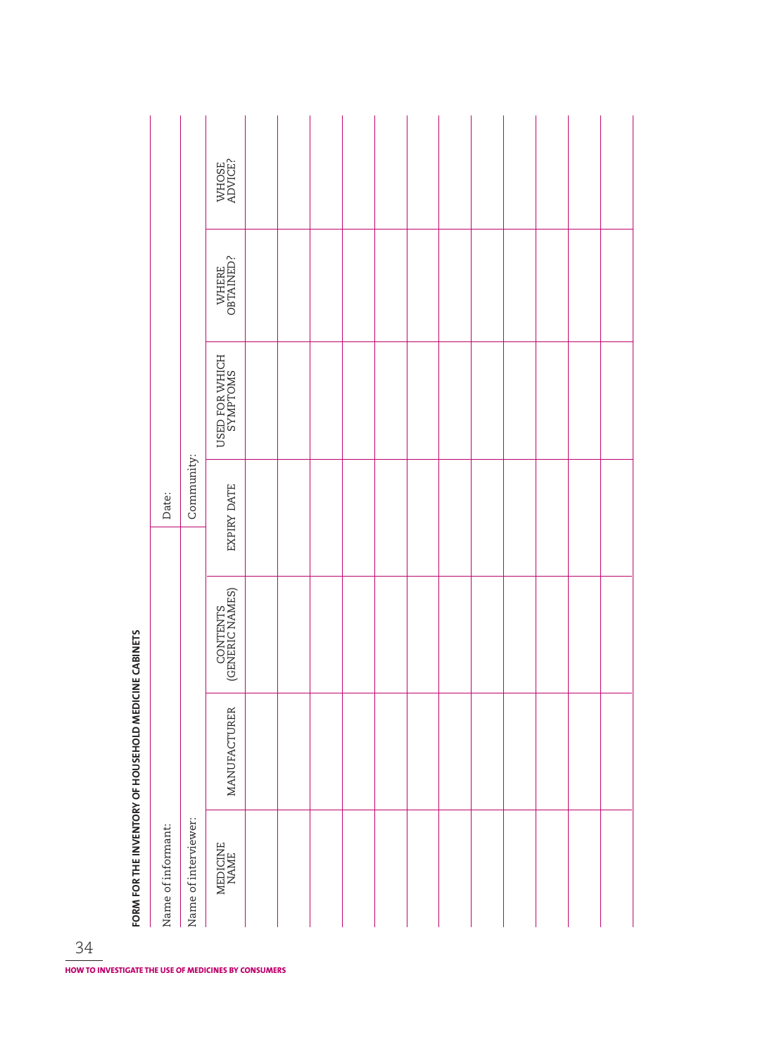| LOW LOW LOT METAL OF DOOP IN A FINING CAPINE CAPINE COMPI |                    |                      | WHOSE<br>ADVICE?            |                  |  |  |  |  |  |  |
|-----------------------------------------------------------|--------------------|----------------------|-----------------------------|------------------|--|--|--|--|--|--|
|                                                           |                    |                      | WHERE<br>OBTAINED?          |                  |  |  |  |  |  |  |
|                                                           |                    |                      | USED FOR WHICH<br>SYMPTOMS  |                  |  |  |  |  |  |  |
|                                                           | Date:              | Community:           | EXPIRY DATE                 |                  |  |  |  |  |  |  |
|                                                           |                    | Name of interviewer: |                             |                  |  |  |  |  |  |  |
|                                                           |                    |                      | CONTENTS<br>(GENERIC NAMES) |                  |  |  |  |  |  |  |
|                                                           | Name of informant: |                      |                             | MANUFACTURER     |  |  |  |  |  |  |
|                                                           |                    |                      |                             | MEDICINE<br>NAME |  |  |  |  |  |  |

FORM FOR THE INVENTORY OF HOLISEHOLD MEDICINE CARINETS **FORM FOR THE INVENTORY OF HOUSEHOLD MEDICINE CABINETS**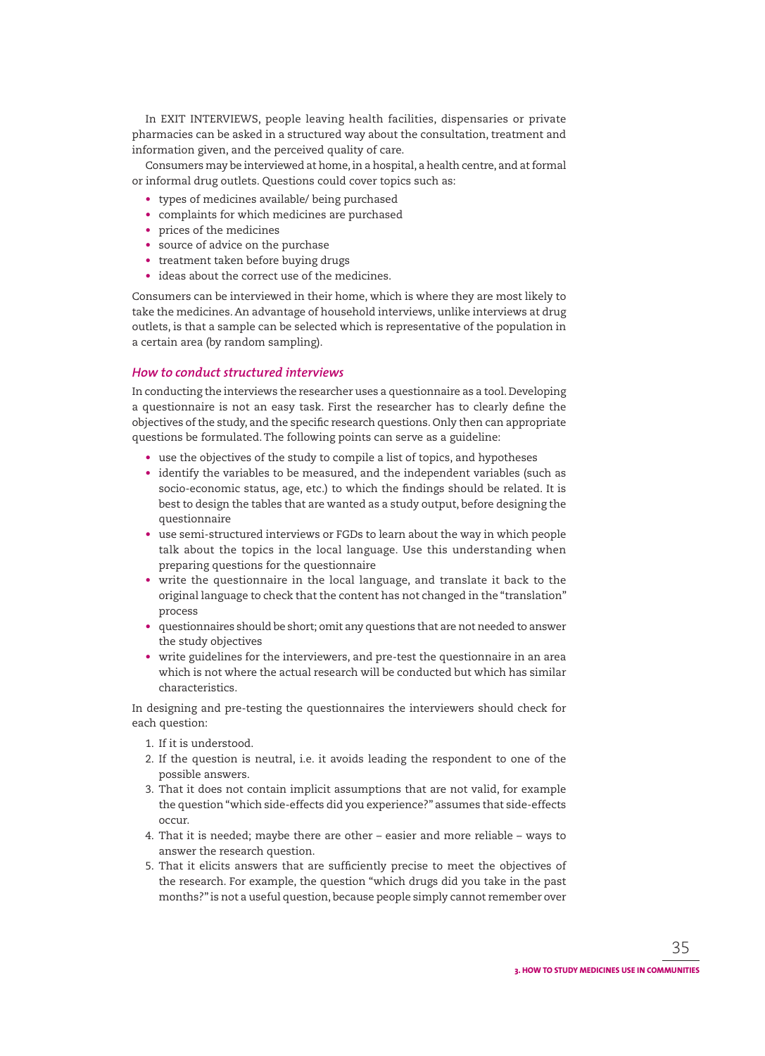In EXIT INTERVIEWS, people leaving health facilities, dispensaries or private pharmacies can be asked in a structured way about the consultation, treatment and information given, and the perceived quality of care.

Consumers may be interviewed at home, in a hospital, a health centre, and at formal or informal drug outlets. Questions could cover topics such as:

- types of medicines available/ being purchased
- complaints for which medicines are purchased
- prices of the medicines
- source of advice on the purchase
- treatment taken before buying drugs
- ideas about the correct use of the medicines.

Consumers can be interviewed in their home, which is where they are most likely to take the medicines. An advantage of household interviews, unlike interviews at drug outlets, is that a sample can be selected which is representative of the population in a certain area (by random sampling).

## *How to conduct structured interviews*

In conducting the interviews the researcher uses a questionnaire as a tool. Developing a questionnaire is not an easy task. First the researcher has to clearly define the objectives of the study, and the specific research questions. Only then can appropriate questions be formulated. The following points can serve as a guideline:

- use the objectives of the study to compile a list of topics, and hypotheses
- identify the variables to be measured, and the independent variables (such as socio-economic status, age, etc.) to which the findings should be related. It is best to design the tables that are wanted as a study output, before designing the questionnaire
- use semi-structured interviews or FGDs to learn about the way in which people talk about the topics in the local language. Use this understanding when preparing questions for the questionnaire
- write the questionnaire in the local language, and translate it back to the original language to check that the content has not changed in the "translation" process
- questionnaires should be short; omit any questions that are not needed to answer the study objectives
- write guidelines for the interviewers, and pre-test the questionnaire in an area which is not where the actual research will be conducted but which has similar characteristics.

In designing and pre-testing the questionnaires the interviewers should check for each question:

- 1. If it is understood.
- 2. If the question is neutral, i.e. it avoids leading the respondent to one of the possible answers.
- 3. That it does not contain implicit assumptions that are not valid, for example the question "which side-effects did you experience?" assumes that side-effects occur.
- 4. That it is needed; maybe there are other easier and more reliable ways to answer the research question.
- 5. That it elicits answers that are sufficiently precise to meet the objectives of the research. For example, the question "which drugs did you take in the past months?" is not a useful question, because people simply cannot remember over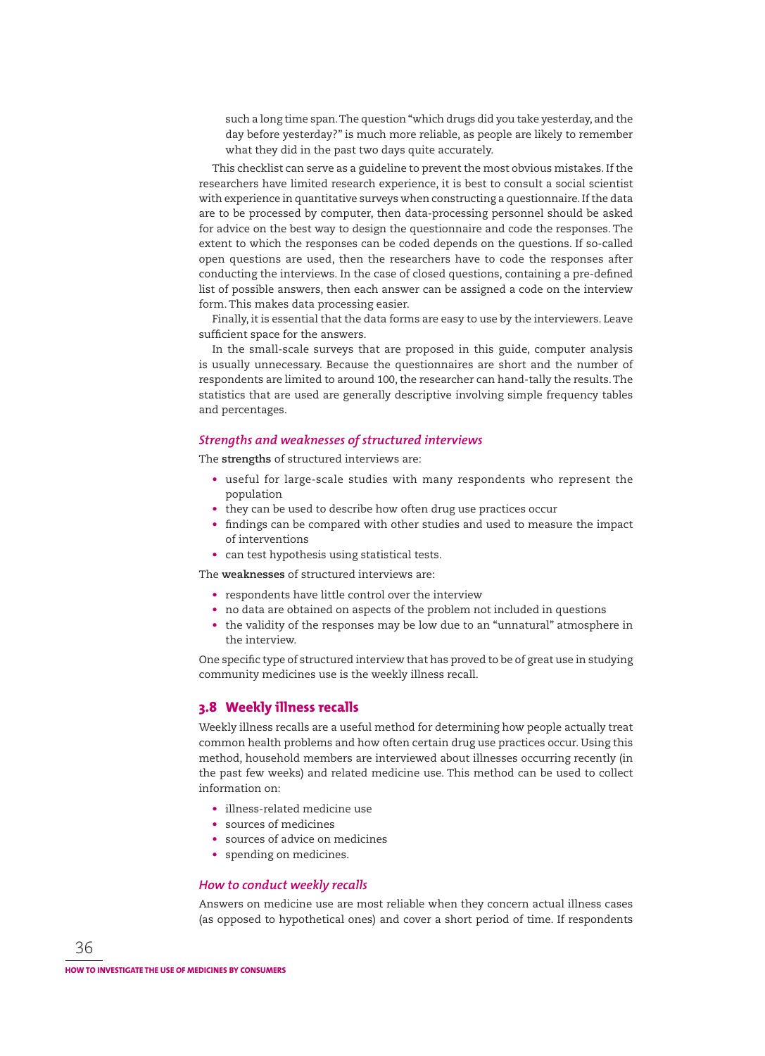such a long time span. The question "which drugs did you take yesterday, and the day before yesterday?" is much more reliable, as people are likely to remember what they did in the past two days quite accurately.

This checklist can serve as a guideline to prevent the most obvious mistakes. If the researchers have limited research experience, it is best to consult a social scientist with experience in quantitative surveys when constructing a questionnaire. If the data are to be processed by computer, then data-processing personnel should be asked for advice on the best way to design the questionnaire and code the responses. The extent to which the responses can be coded depends on the questions. If so-called open questions are used, then the researchers have to code the responses after conducting the interviews. In the case of closed questions, containing a pre-defined list of possible answers, then each answer can be assigned a code on the interview form. This makes data processing easier.

Finally, it is essential that the data forms are easy to use by the interviewers. Leave sufficient space for the answers.

In the small-scale surveys that are proposed in this guide, computer analysis is usually unnecessary. Because the questionnaires are short and the number of respondents are limited to around 100, the researcher can hand-tally the results. The statistics that are used are generally descriptive involving simple frequency tables and percentages.

## *Strengths and weaknesses of structured interviews*

The **strengths** of structured interviews are:

- useful for large-scale studies with many respondents who represent the population
- they can be used to describe how often drug use practices occur
- findings can be compared with other studies and used to measure the impact of interventions
- can test hypothesis using statistical tests.

The **weaknesses** of structured interviews are:

- respondents have little control over the interview
- no data are obtained on aspects of the problem not included in questions
- the validity of the responses may be low due to an "unnatural" atmosphere in the interview.

One specific type of structured interview that has proved to be of great use in studying community medicines use is the weekly illness recall.

## **3.8 Weekly illness recalls**

Weekly illness recalls are a useful method for determining how people actually treat common health problems and how often certain drug use practices occur. Using this method, household members are interviewed about illnesses occurring recently (in the past few weeks) and related medicine use. This method can be used to collect information on:

- illness-related medicine use
- sources of medicines
- sources of advice on medicines
- spending on medicines.

## *How to conduct weekly recalls*

Answers on medicine use are most reliable when they concern actual illness cases (as opposed to hypothetical ones) and cover a short period of time. If respondents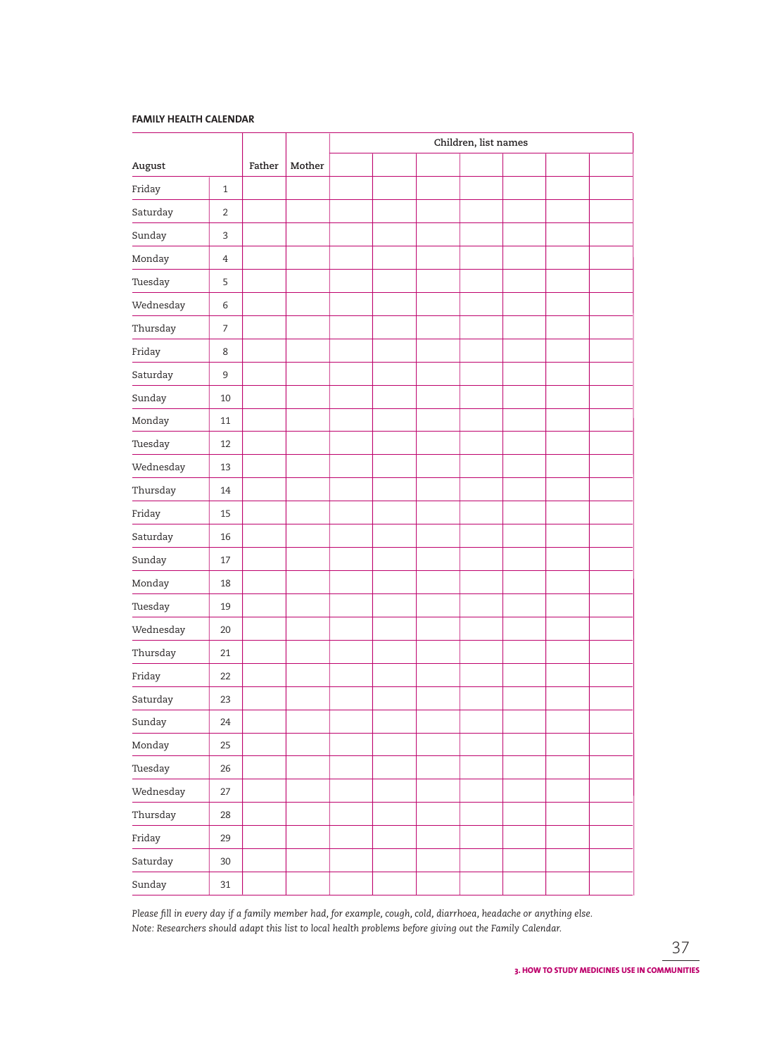#### **FAMILY HEALTH CALENDAR**

|           |                |        |        | Children, list names |  |  |  |  |  |  |
|-----------|----------------|--------|--------|----------------------|--|--|--|--|--|--|
| August    |                | Father | Mother |                      |  |  |  |  |  |  |
| Friday    | $\mathbf{1}$   |        |        |                      |  |  |  |  |  |  |
| Saturday  | $\overline{2}$ |        |        |                      |  |  |  |  |  |  |
| Sunday    | 3              |        |        |                      |  |  |  |  |  |  |
| Monday    | $\overline{4}$ |        |        |                      |  |  |  |  |  |  |
| Tuesday   | 5              |        |        |                      |  |  |  |  |  |  |
| Wednesday | 6              |        |        |                      |  |  |  |  |  |  |
| Thursday  | $\overline{7}$ |        |        |                      |  |  |  |  |  |  |
| Friday    | 8              |        |        |                      |  |  |  |  |  |  |
| Saturday  | $\mathsf 9$    |        |        |                      |  |  |  |  |  |  |
| Sunday    | 10             |        |        |                      |  |  |  |  |  |  |
| Monday    | 11             |        |        |                      |  |  |  |  |  |  |
| Tuesday   | 12             |        |        |                      |  |  |  |  |  |  |
| Wednesday | 13             |        |        |                      |  |  |  |  |  |  |
| Thursday  | 14             |        |        |                      |  |  |  |  |  |  |
| Friday    | 15             |        |        |                      |  |  |  |  |  |  |
| Saturday  | 16             |        |        |                      |  |  |  |  |  |  |
| Sunday    | 17             |        |        |                      |  |  |  |  |  |  |
| Monday    | 18             |        |        |                      |  |  |  |  |  |  |
| Tuesday   | 19             |        |        |                      |  |  |  |  |  |  |
| Wednesday | 20             |        |        |                      |  |  |  |  |  |  |
| Thursday  | 21             |        |        |                      |  |  |  |  |  |  |
| Friday    | 22             |        |        |                      |  |  |  |  |  |  |
| Saturday  | 23             |        |        |                      |  |  |  |  |  |  |
| Sunday    | 24             |        |        |                      |  |  |  |  |  |  |
| Monday    | 25             |        |        |                      |  |  |  |  |  |  |
| Tuesday   | 26             |        |        |                      |  |  |  |  |  |  |
| Wednesday | 27             |        |        |                      |  |  |  |  |  |  |
| Thursday  | 28             |        |        |                      |  |  |  |  |  |  |
| Friday    | 29             |        |        |                      |  |  |  |  |  |  |
| Saturday  | $30\,$         |        |        |                      |  |  |  |  |  |  |
| Sunday    | 31             |        |        |                      |  |  |  |  |  |  |

Please fill in every day if a family member had, for example, cough, cold, diarrhoea, headache or anything else. *Note: Researchers should adapt this list to local health problems before giving out the Family Calendar.*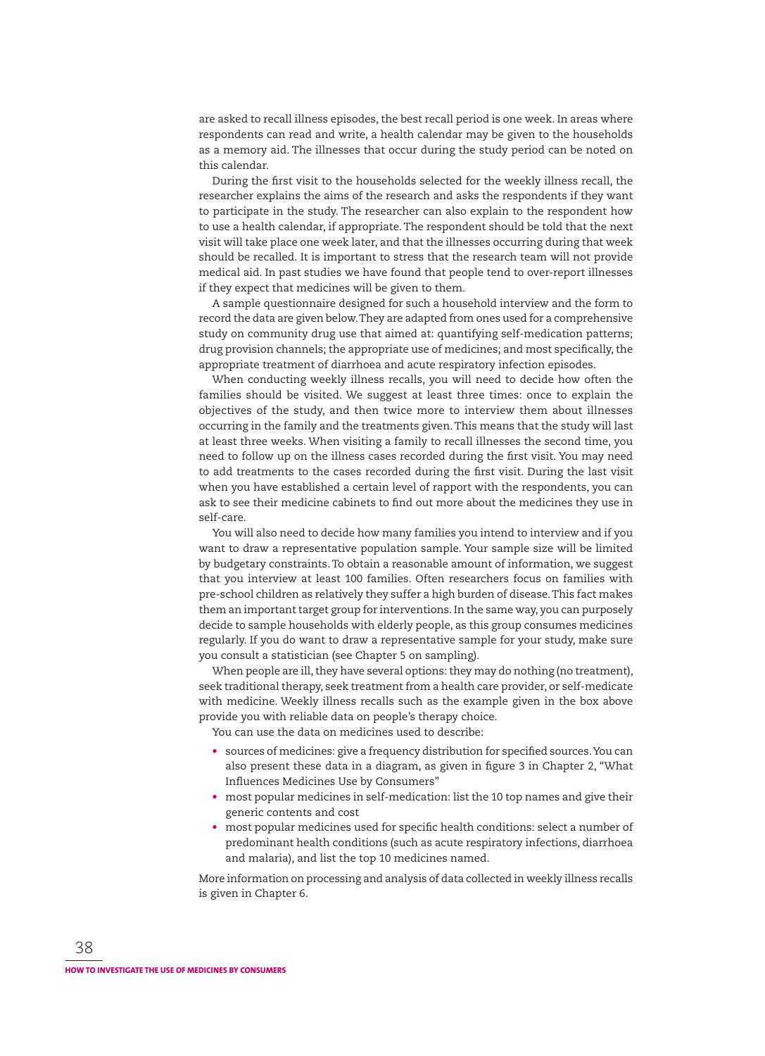are asked to recall illness episodes, the best recall period is one week. In areas where respondents can read and write, a health calendar may be given to the households as a memory aid. The illnesses that occur during the study period can be noted on this calendar.

During the first visit to the households selected for the weekly illness recall, the researcher explains the aims of the research and asks the respondents if they want to participate in the study. The researcher can also explain to the respondent how to use a health calendar, if appropriate. The respondent should be told that the next visit will take place one week later, and that the illnesses occurring during that week should be recalled. It is important to stress that the research team will not provide medical aid. In past studies we have found that people tend to over-report illnesses if they expect that medicines will be given to them.

A sample questionnaire designed for such a household interview and the form to record the data are given below. They are adapted from ones used for a comprehensive study on community drug use that aimed at: quantifying self-medication patterns; drug provision channels; the appropriate use of medicines; and most specifically, the appropriate treatment of diarrhoea and acute respiratory infection episodes.

When conducting weekly illness recalls, you will need to decide how often the families should be visited. We suggest at least three times: once to explain the objectives of the study, and then twice more to interview them about illnesses occurring in the family and the treatments given. This means that the study will last at least three weeks. When visiting a family to recall illnesses the second time, you need to follow up on the illness cases recorded during the first visit. You may need to add treatments to the cases recorded during the first visit. During the last visit when you have established a certain level of rapport with the respondents, you can ask to see their medicine cabinets to find out more about the medicines they use in self-care.

You will also need to decide how many families you intend to interview and if you want to draw a representative population sample. Your sample size will be limited by budgetary constraints. To obtain a reasonable amount of information, we suggest that you interview at least 100 families. Often researchers focus on families with pre-school children as relatively they suffer a high burden of disease. This fact makes them an important target group for interventions. In the same way, you can purposely decide to sample households with elderly people, as this group consumes medicines regularly. If you do want to draw a representative sample for your study, make sure you consult a statistician (see Chapter 5 on sampling).

When people are ill, they have several options: they may do nothing (no treatment), seek traditional therapy, seek treatment from a health care provider, or self-medicate with medicine. Weekly illness recalls such as the example given in the box above provide you with reliable data on people's therapy choice.

You can use the data on medicines used to describe:

- sources of medicines: give a frequency distribution for specified sources. You can also present these data in a diagram, as given in figure 3 in Chapter 2, "What Influences Medicines Use by Consumers"
- most popular medicines in self-medication: list the 10 top names and give their generic contents and cost
- most popular medicines used for specific health conditions: select a number of predominant health conditions (such as acute respiratory infections, diarrhoea and malaria), and list the top 10 medicines named.

More information on processing and analysis of data collected in weekly illness recalls is given in Chapter 6.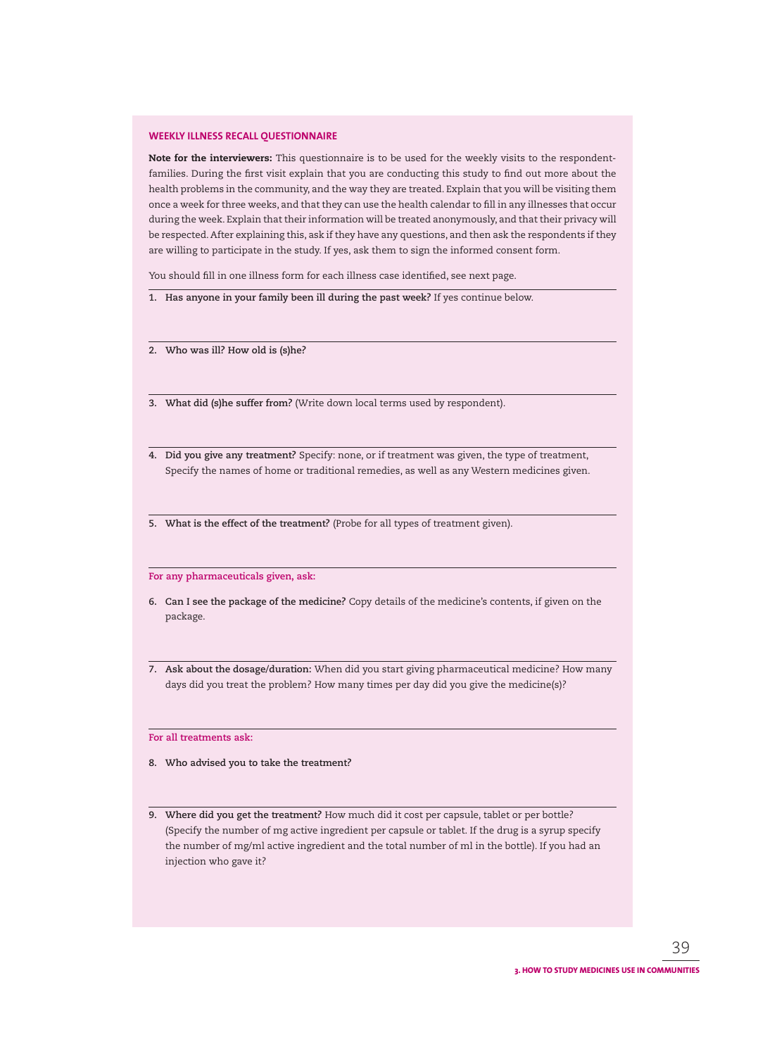#### **WEEKLY ILLNESS RECALL QUESTIONNAIRE**

**Note for the interviewers:** This questionnaire is to be used for the weekly visits to the respondentfamilies. During the first visit explain that you are conducting this study to find out more about the health problems in the community, and the way they are treated. Explain that you will be visiting them once a week for three weeks, and that they can use the health calendar to fill in any illnesses that occur during the week. Explain that their information will be treated anonymously, and that their privacy will be respected. After explaining this, ask if they have any questions, and then ask the respondents if they are willing to participate in the study. If yes, ask them to sign the informed consent form.

You should fill in one illness form for each illness case identified, see next page.

- **1. Has anyone in your family been ill during the past week?** If yes continue below.
- **2. Who was ill? How old is (s)he?**
- **3. What did (s)he suffer from?** (Write down local terms used by respondent).
- **4. Did you give any treatment?** Specify: none, or if treatment was given, the type of treatment, Specify the names of home or traditional remedies, as well as any Western medicines given.
- **5. What is the effect of the treatment?** (Probe for all types of treatment given).

**For any pharmaceuticals given, ask:** 

- **6. Can I see the package of the medicine?** Copy details of the medicine's contents, if given on the package.
- **7. Ask about the dosage/duration:** When did you start giving pharmaceutical medicine? How many days did you treat the problem? How many times per day did you give the medicine(s)?

**For all treatments ask:**

- **8. Who advised you to take the treatment?**
- **9. Where did you get the treatment?** How much did it cost per capsule, tablet or per bottle? (Specify the number of mg active ingredient per capsule or tablet. If the drug is a syrup specify the number of mg/ml active ingredient and the total number of ml in the bottle). If you had an injection who gave it?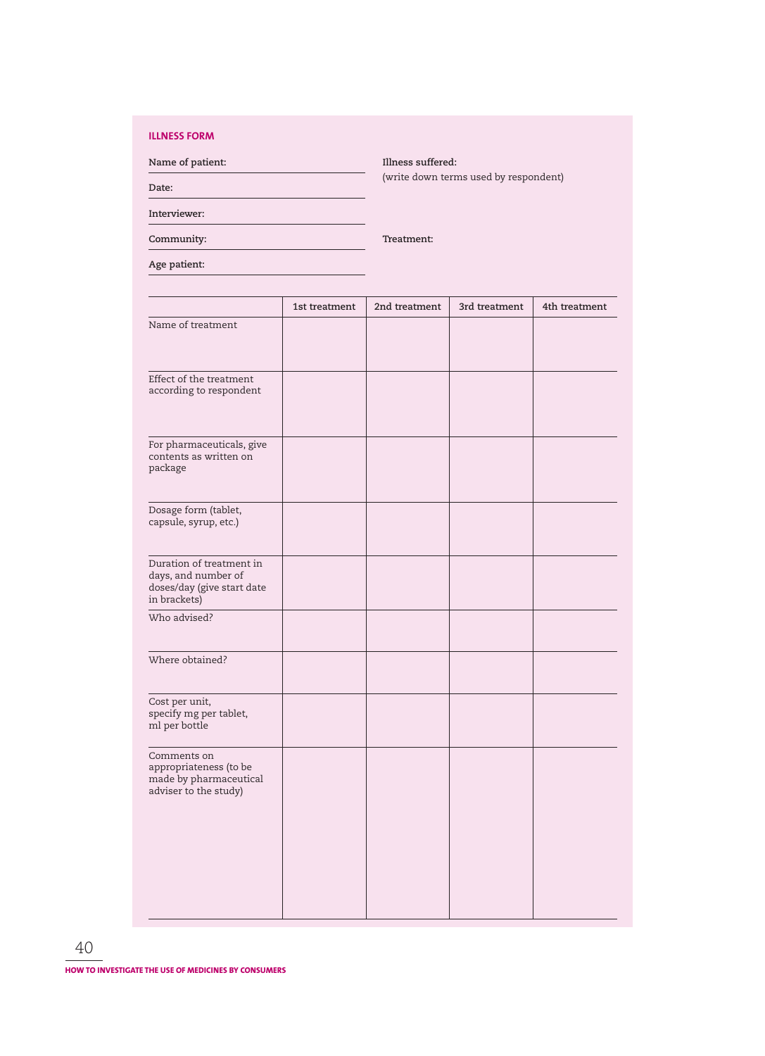## **ILLNESS FORM**

**Name of patient: Illness suffered:** (write down terms used by respondent)

**Date:** 

**Interviewer:**

**Community: Treatment:**

**Age patient:**

|                                                                                               | 1st treatment | 2nd treatment | 3rd treatment | 4th treatment |
|-----------------------------------------------------------------------------------------------|---------------|---------------|---------------|---------------|
| Name of treatment                                                                             |               |               |               |               |
| Effect of the treatment<br>according to respondent                                            |               |               |               |               |
| For pharmaceuticals, give<br>contents as written on<br>package                                |               |               |               |               |
| Dosage form (tablet,<br>capsule, syrup, etc.)                                                 |               |               |               |               |
| Duration of treatment in<br>days, and number of<br>doses/day (give start date<br>in brackets) |               |               |               |               |
| Who advised?                                                                                  |               |               |               |               |
| Where obtained?                                                                               |               |               |               |               |
| Cost per unit,<br>specify mg per tablet,<br>ml per bottle                                     |               |               |               |               |
| Comments on<br>appropriateness (to be<br>made by pharmaceutical<br>adviser to the study)      |               |               |               |               |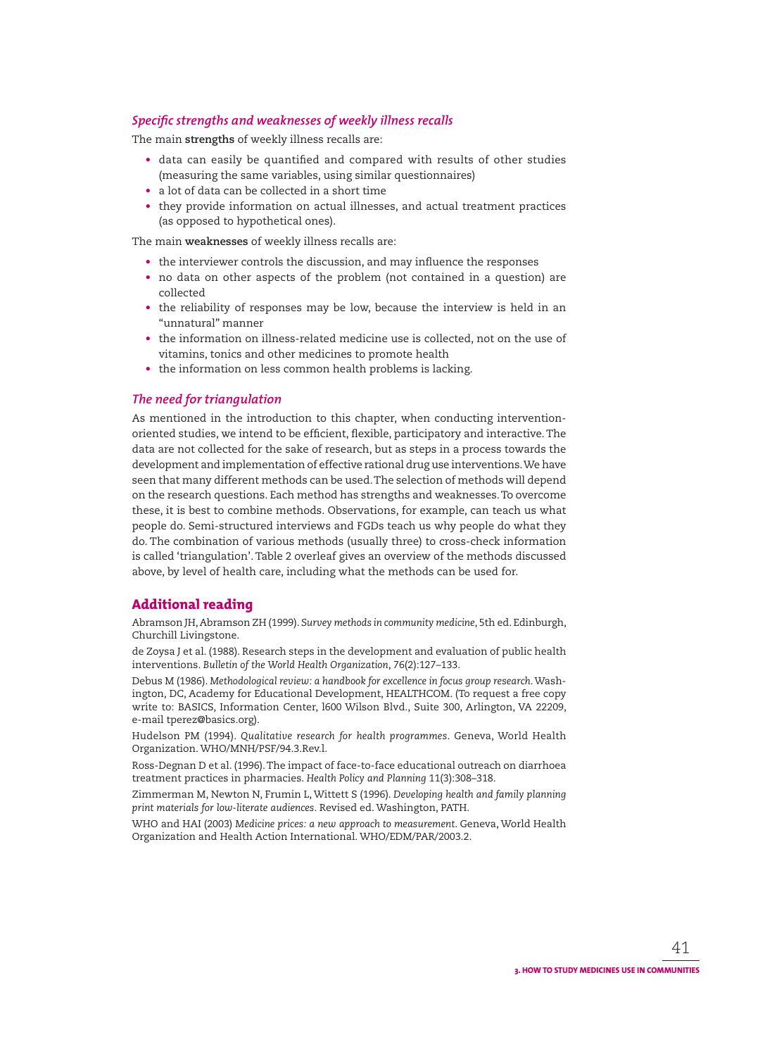## **Specific strengths and weaknesses of weekly illness recalls**

The main **strengths** of weekly illness recalls are:

- data can easily be quantified and compared with results of other studies (measuring the same variables, using similar questionnaires)
- a lot of data can be collected in a short time
- they provide information on actual illnesses, and actual treatment practices (as opposed to hypothetical ones).

The main **weaknesses** of weekly illness recalls are:

- the interviewer controls the discussion, and may influence the responses
- no data on other aspects of the problem (not contained in a question) are collected
- the reliability of responses may be low, because the interview is held in an "unnatural" manner
- the information on illness-related medicine use is collected, not on the use of vitamins, tonics and other medicines to promote health
- the information on less common health problems is lacking.

## *The need for triangulation*

As mentioned in the introduction to this chapter, when conducting interventionoriented studies, we intend to be efficient, flexible, participatory and interactive. The data are not collected for the sake of research, but as steps in a process towards the development and implementation of effective rational drug use interventions. We have seen that many different methods can be used. The selection of methods will depend on the research questions. Each method has strengths and weaknesses. To overcome these, it is best to combine methods. Observations, for example, can teach us what people do. Semi-structured interviews and FGDs teach us why people do what they do. The combination of various methods (usually three) to cross-check information is called 'triangulation'. Table 2 overleaf gives an overview of the methods discussed above, by level of health care, including what the methods can be used for.

## **Additional reading**

Abramson JH, Abramson ZH (1999). *Survey methods in community medicine*, 5th ed. Edinburgh, Churchill Livingstone.

de Zoysa J et al. (1988). Research steps in the development and evaluation of public health interventions. *Bulletin of the World Health Organization*, 76(2):127–133.

Debus M (1986). *Methodological review: a handbook for excellence in focus group research*. Washington, DC, Academy for Educational Development, HEALTHCOM. (To request a free copy write to: BASICS, Information Center, l600 Wilson Blvd., Suite 300, Arlington, VA 22209, e-mail tperez@basics.org).

Hudelson PM (1994). *Qualitative research for health programmes*. Geneva, World Health Organization. WHO/MNH/PSF/94.3.Rev.l.

Ross-Degnan D et al. (1996). The impact of face-to-face educational outreach on diarrhoea treatment practices in pharmacies. *Health Policy and Planning* 11(3):308–318.

Zimmerman M, Newton N, Frumin L, Wittett S (1996). *Developing health and family planning print materials for low-literate audiences*. Revised ed. Washington, PATH.

WHO and HAI (2003) *Medicine prices: a new approach to measurement*. Geneva, World Health Organization and Health Action International. WHO/EDM/PAR/2003.2.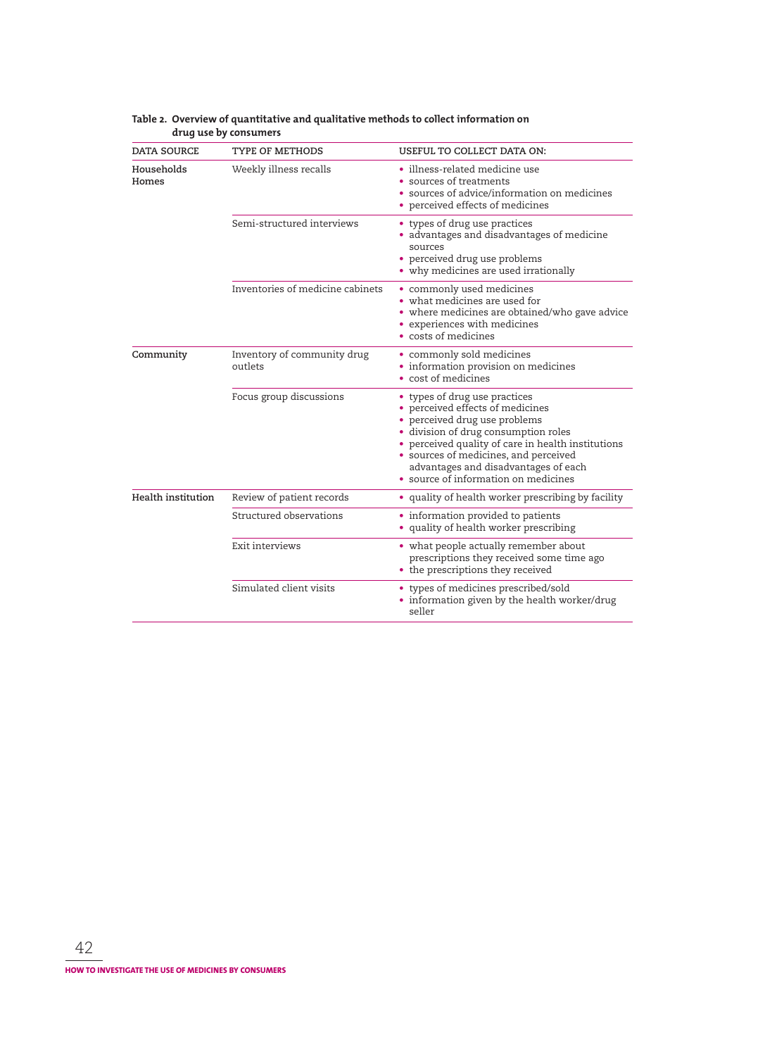| <b>DATA SOURCE</b>  | <b>TYPE OF METHODS</b>                 | USEFUL TO COLLECT DATA ON:                                                                                                                                                                                                                                                                                                |  |  |
|---------------------|----------------------------------------|---------------------------------------------------------------------------------------------------------------------------------------------------------------------------------------------------------------------------------------------------------------------------------------------------------------------------|--|--|
| Households<br>Homes | Weekly illness recalls                 | • illness-related medicine use<br>• sources of treatments<br>• sources of advice/information on medicines<br>• perceived effects of medicines                                                                                                                                                                             |  |  |
|                     | Semi-structured interviews             | • types of drug use practices<br>• advantages and disadvantages of medicine<br>sources<br>• perceived drug use problems<br>• why medicines are used irrationally                                                                                                                                                          |  |  |
|                     | Inventories of medicine cabinets       | • commonly used medicines<br>• what medicines are used for<br>• where medicines are obtained/who gave advice<br>• experiences with medicines<br>• costs of medicines                                                                                                                                                      |  |  |
| Community           | Inventory of community drug<br>outlets | • commonly sold medicines<br>• information provision on medicines<br>• cost of medicines                                                                                                                                                                                                                                  |  |  |
|                     | Focus group discussions                | • types of drug use practices<br>• perceived effects of medicines<br>• perceived drug use problems<br>· division of drug consumption roles<br>• perceived quality of care in health institutions<br>· sources of medicines, and perceived<br>advantages and disadvantages of each<br>• source of information on medicines |  |  |
| Health institution  | Review of patient records              | • quality of health worker prescribing by facility                                                                                                                                                                                                                                                                        |  |  |
|                     | Structured observations                | • information provided to patients<br>• quality of health worker prescribing                                                                                                                                                                                                                                              |  |  |
|                     | Exit interviews                        | • what people actually remember about<br>prescriptions they received some time ago<br>• the prescriptions they received                                                                                                                                                                                                   |  |  |
|                     | Simulated client visits                | • types of medicines prescribed/sold<br>• information given by the health worker/drug<br>seller                                                                                                                                                                                                                           |  |  |

#### **Table 2. Overview of quantitative and qualitative methods to collect information on drug use by consumers**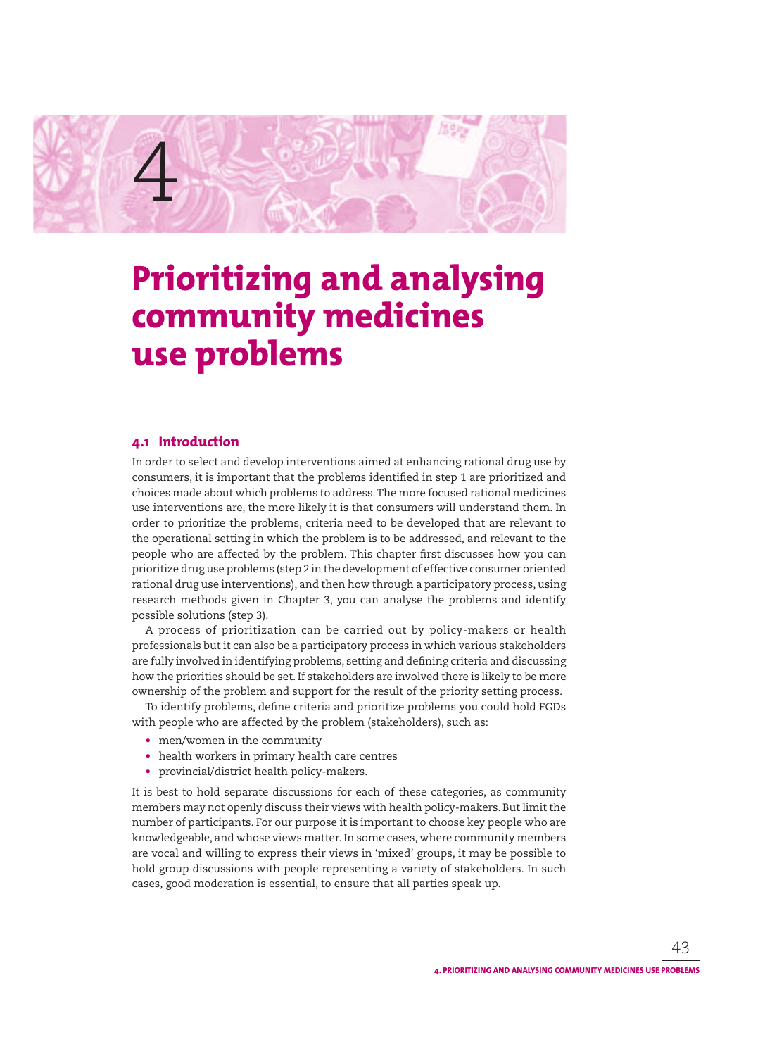

# **Prioritizing and analysing community medicines use problems**

# **4.1 Introduction**

In order to select and develop interventions aimed at enhancing rational drug use by consumers, it is important that the problems identified in step 1 are prioritized and choices made about which problems to address. The more focused rational medicines use interventions are, the more likely it is that consumers will understand them. In order to prioritize the problems, criteria need to be developed that are relevant to the operational setting in which the problem is to be addressed, and relevant to the people who are affected by the problem. This chapter first discusses how you can prioritize drug use problems (step 2 in the development of effective consumer oriented rational drug use interventions), and then how through a participatory process, using research methods given in Chapter 3, you can analyse the problems and identify possible solutions (step 3).

A process of prioritization can be carried out by policy-makers or health professionals but it can also be a participatory process in which various stakeholders are fully involved in identifying problems, setting and defining criteria and discussing how the priorities should be set. If stakeholders are involved there is likely to be more ownership of the problem and support for the result of the priority setting process.

To identify problems, define criteria and prioritize problems you could hold FGDs with people who are affected by the problem (stakeholders), such as:

- men/women in the community
- health workers in primary health care centres
- provincial/district health policy-makers.

It is best to hold separate discussions for each of these categories, as community members may not openly discuss their views with health policy-makers. But limit the number of participants. For our purpose it is important to choose key people who are knowledgeable, and whose views matter. In some cases, where community members are vocal and willing to express their views in 'mixed' groups, it may be possible to hold group discussions with people representing a variety of stakeholders. In such cases, good moderation is essential, to ensure that all parties speak up.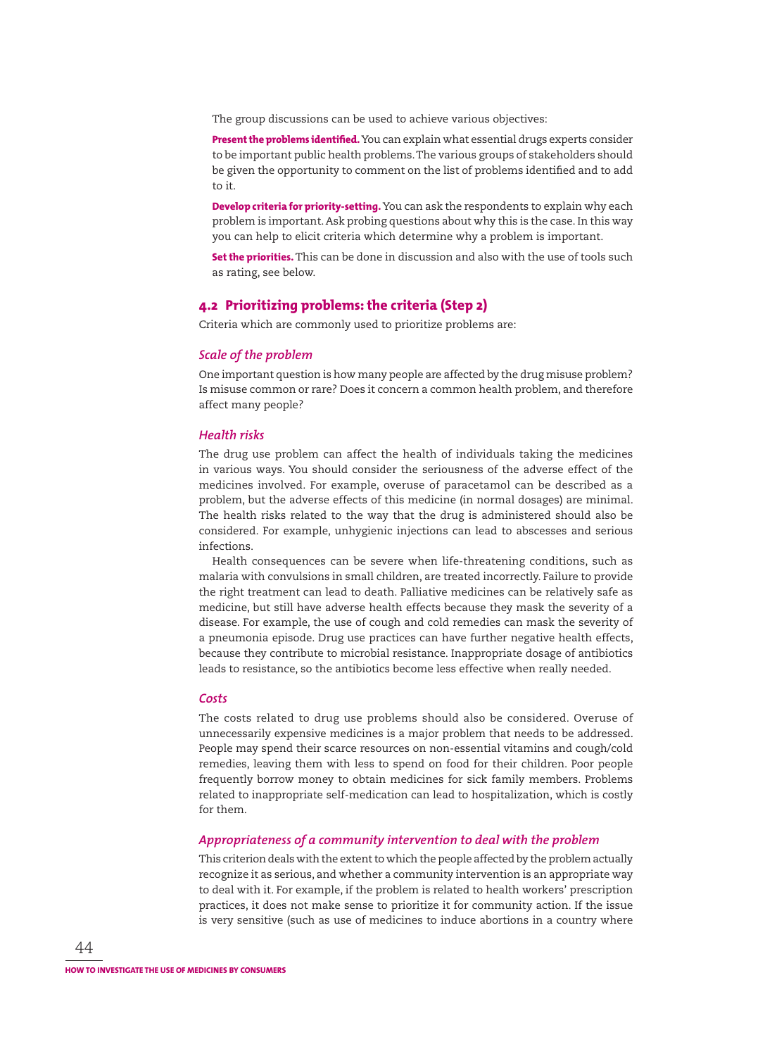The group discussions can be used to achieve various objectives:

**Present the problems identified.** You can explain what essential drugs experts consider to be important public health problems. The various groups of stakeholders should be given the opportunity to comment on the list of problems identified and to add to it.

**Develop criteria for priority-setting.** You can ask the respondents to explain why each problem is important. Ask probing questions about why this is the case. In this way you can help to elicit criteria which determine why a problem is important.

**Set the priorities.**This can be done in discussion and also with the use of tools such as rating, see below.

## **4.2 Prioritizing problems: the criteria (Step 2)**

Criteria which are commonly used to prioritize problems are:

#### *Scale of the problem*

One important question is how many people are affected by the drug misuse problem? Is misuse common or rare? Does it concern a common health problem, and therefore affect many people?

#### *Health risks*

The drug use problem can affect the health of individuals taking the medicines in various ways. You should consider the seriousness of the adverse effect of the medicines involved. For example, overuse of paracetamol can be described as a problem, but the adverse effects of this medicine (in normal dosages) are minimal. The health risks related to the way that the drug is administered should also be considered. For example, unhygienic injections can lead to abscesses and serious infections.

Health consequences can be severe when life-threatening conditions, such as malaria with convulsions in small children, are treated incorrectly. Failure to provide the right treatment can lead to death. Palliative medicines can be relatively safe as medicine, but still have adverse health effects because they mask the severity of a disease. For example, the use of cough and cold remedies can mask the severity of a pneumonia episode. Drug use practices can have further negative health effects, because they contribute to microbial resistance. Inappropriate dosage of antibiotics leads to resistance, so the antibiotics become less effective when really needed.

#### *Costs*

The costs related to drug use problems should also be considered. Overuse of unnecessarily expensive medicines is a major problem that needs to be addressed. People may spend their scarce resources on non-essential vitamins and cough/cold remedies, leaving them with less to spend on food for their children. Poor people frequently borrow money to obtain medicines for sick family members. Problems related to inappropriate self-medication can lead to hospitalization, which is costly for them.

#### *Appropriateness of a community intervention to deal with the problem*

This criterion deals with the extent to which the people affected by the problem actually recognize it as serious, and whether a community intervention is an appropriate way to deal with it. For example, if the problem is related to health workers' prescription practices, it does not make sense to prioritize it for community action. If the issue is very sensitive (such as use of medicines to induce abortions in a country where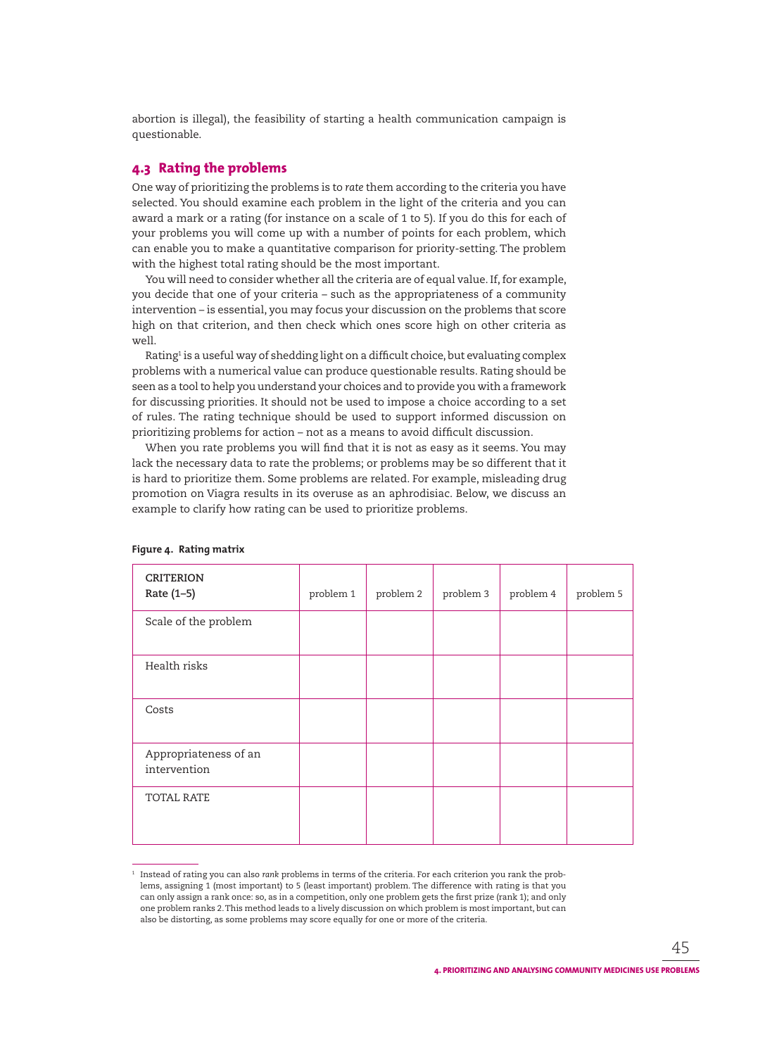abortion is illegal), the feasibility of starting a health communication campaign is questionable.

# **4.3 Rating the problems**

One way of prioritizing the problems is to *rate* them according to the criteria you have selected. You should examine each problem in the light of the criteria and you can award a mark or a rating (for instance on a scale of 1 to 5). If you do this for each of your problems you will come up with a number of points for each problem, which can enable you to make a quantitative comparison for priority-setting. The problem with the highest total rating should be the most important.

You will need to consider whether all the criteria are of equal value. If, for example, you decide that one of your criteria – such as the appropriateness of a community intervention – is essential, you may focus your discussion on the problems that score high on that criterion, and then check which ones score high on other criteria as well.

Rating<sup>1</sup> is a useful way of shedding light on a difficult choice, but evaluating complex problems with a numerical value can produce questionable results. Rating should be seen as a tool to help you understand your choices and to provide you with a framework for discussing priorities. It should not be used to impose a choice according to a set of rules. The rating technique should be used to support informed discussion on prioritizing problems for action – not as a means to avoid difficult discussion.

When you rate problems you will find that it is not as easy as it seems. You may lack the necessary data to rate the problems; or problems may be so different that it is hard to prioritize them. Some problems are related. For example, misleading drug promotion on Viagra results in its overuse as an aphrodisiac. Below, we discuss an example to clarify how rating can be used to prioritize problems.

| <b>CRITERION</b><br>Rate (1-5)        | problem 1 | problem 2 | problem 3 | problem 4 | problem 5 |
|---------------------------------------|-----------|-----------|-----------|-----------|-----------|
| Scale of the problem                  |           |           |           |           |           |
| Health risks                          |           |           |           |           |           |
| Costs                                 |           |           |           |           |           |
| Appropriateness of an<br>intervention |           |           |           |           |           |
| TOTAL RATE                            |           |           |           |           |           |

#### **Figure 4. Rating matrix**

<sup>1</sup> Instead of rating you can also *rank* problems in terms of the criteria. For each criterion you rank the problems, assigning 1 (most important) to 5 (least important) problem. The difference with rating is that you can only assign a rank once: so, as in a competition, only one problem gets the first prize (rank 1); and only one problem ranks 2. This method leads to a lively discussion on which problem is most important, but can also be distorting, as some problems may score equally for one or more of the criteria.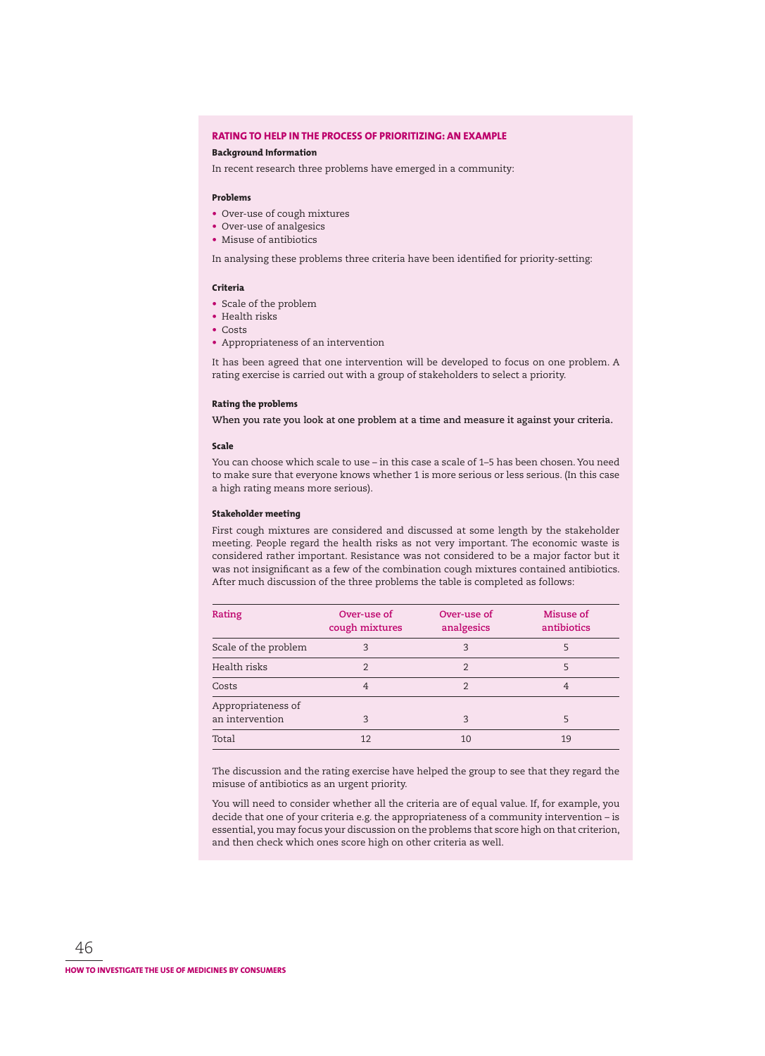#### **RATING TO HELP IN THE PROCESS OF PRIORITIZING: AN EXAMPLE**

#### **Background Information**

In recent research three problems have emerged in a community:

#### **Problems**

- Over-use of cough mixtures
- Over-use of analgesics
- Misuse of antibiotics

In analysing these problems three criteria have been identified for priority-setting:

#### **Criteria**

- Scale of the problem
- Health risks
- Costs
- Appropriateness of an intervention

It has been agreed that one intervention will be developed to focus on one problem. A rating exercise is carried out with a group of stakeholders to select a priority.

#### **Rating the problems**

**When you rate you look at one problem at a time and measure it against your criteria.**

#### **Scale**

You can choose which scale to use – in this case a scale of 1–5 has been chosen. You need to make sure that everyone knows whether 1 is more serious or less serious. (In this case a high rating means more serious).

#### **Stakeholder meeting**

First cough mixtures are considered and discussed at some length by the stakeholder meeting. People regard the health risks as not very important. The economic waste is considered rather important. Resistance was not considered to be a major factor but it was not insignificant as a few of the combination cough mixtures contained antibiotics. After much discussion of the three problems the table is completed as follows:

| Rating                                | Over-use of<br>cough mixtures | Over-use of<br>analgesics | Misuse of<br>antibiotics |
|---------------------------------------|-------------------------------|---------------------------|--------------------------|
| Scale of the problem                  | 3                             | 3                         | 5                        |
| Health risks                          | $\mathfrak{D}$                | $\mathfrak{D}$            | 5                        |
| Costs                                 | 4                             | 2                         | 4                        |
| Appropriateness of<br>an intervention | 3                             | 3                         | 5                        |
| Total                                 | 12                            | 10                        | 19                       |

The discussion and the rating exercise have helped the group to see that they regard the misuse of antibiotics as an urgent priority.

You will need to consider whether all the criteria are of equal value. If, for example, you decide that one of your criteria e.g. the appropriateness of a community intervention – is essential, you may focus your discussion on the problems that score high on that criterion, and then check which ones score high on other criteria as well.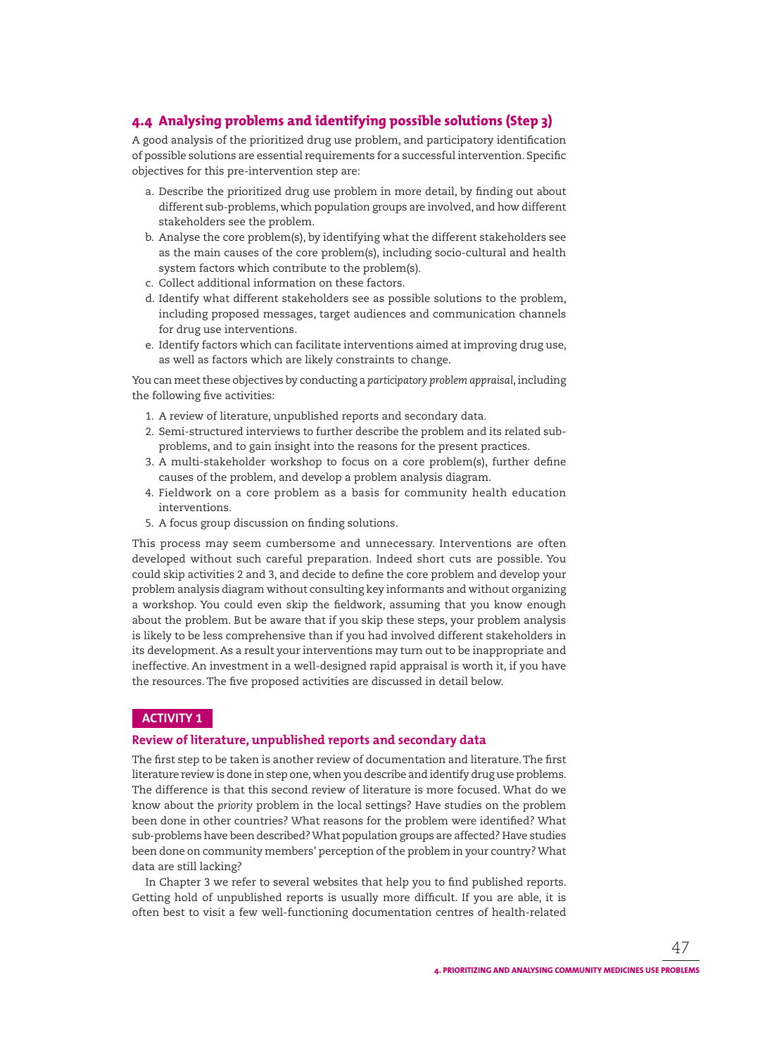# **4.4 Analysing problems and identifying possible solutions (Step 3)**

A good analysis of the prioritized drug use problem, and participatory identification of possible solutions are essential requirements for a successful intervention. Specific objectives for this pre-intervention step are:

- a. Describe the prioritized drug use problem in more detail, by finding out about different sub-problems, which population groups are involved, and how different stakeholders see the problem.
- b. Analyse the core problem(s), by identifying what the different stakeholders see as the main causes of the core problem(s), including socio-cultural and health system factors which contribute to the problem(s).
- c. Collect additional information on these factors.
- d. Identify what different stakeholders see as possible solutions to the problem, including proposed messages, target audiences and communication channels for drug use interventions.
- e. Identify factors which can facilitate interventions aimed at improving drug use, as well as factors which are likely constraints to change.

You can meet these objectives by conducting a *participatory problem appraisal*, including the following five activities:

- 1. A review of literature, unpublished reports and secondary data.
- 2. Semi-structured interviews to further describe the problem and its related subproblems, and to gain insight into the reasons for the present practices.
- 3. A multi-stakeholder workshop to focus on a core problem(s), further define causes of the problem, and develop a problem analysis diagram.
- 4. Fieldwork on a core problem as a basis for community health education interventions.
- 5. A focus group discussion on finding solutions.

This process may seem cumbersome and unnecessary. Interventions are often developed without such careful preparation. Indeed short cuts are possible. You could skip activities 2 and 3, and decide to define the core problem and develop your problem analysis diagram without consulting key informants and without organizing a workshop. You could even skip the fieldwork, assuming that you know enough about the problem. But be aware that if you skip these steps, your problem analysis is likely to be less comprehensive than if you had involved different stakeholders in its development. As a result your interventions may turn out to be inappropriate and ineffective. An investment in a well-designed rapid appraisal is worth it, if you have the resources. The five proposed activities are discussed in detail below.

# **ACTIVITY 1**

## **Review of literature, unpublished reports and secondary data**

The first step to be taken is another review of documentation and literature. The first literature review is done in step one, when you describe and identify drug use problems. The difference is that this second review of literature is more focused. What do we know about the *priority* problem in the local settings? Have studies on the problem been done in other countries? What reasons for the problem were identified? What sub-problems have been described? What population groups are affected? Have studies been done on community members' perception of the problem in your country? What data are still lacking?

In Chapter 3 we refer to several websites that help you to find published reports. Getting hold of unpublished reports is usually more difficult. If you are able, it is often best to visit a few well-functioning documentation centres of health-related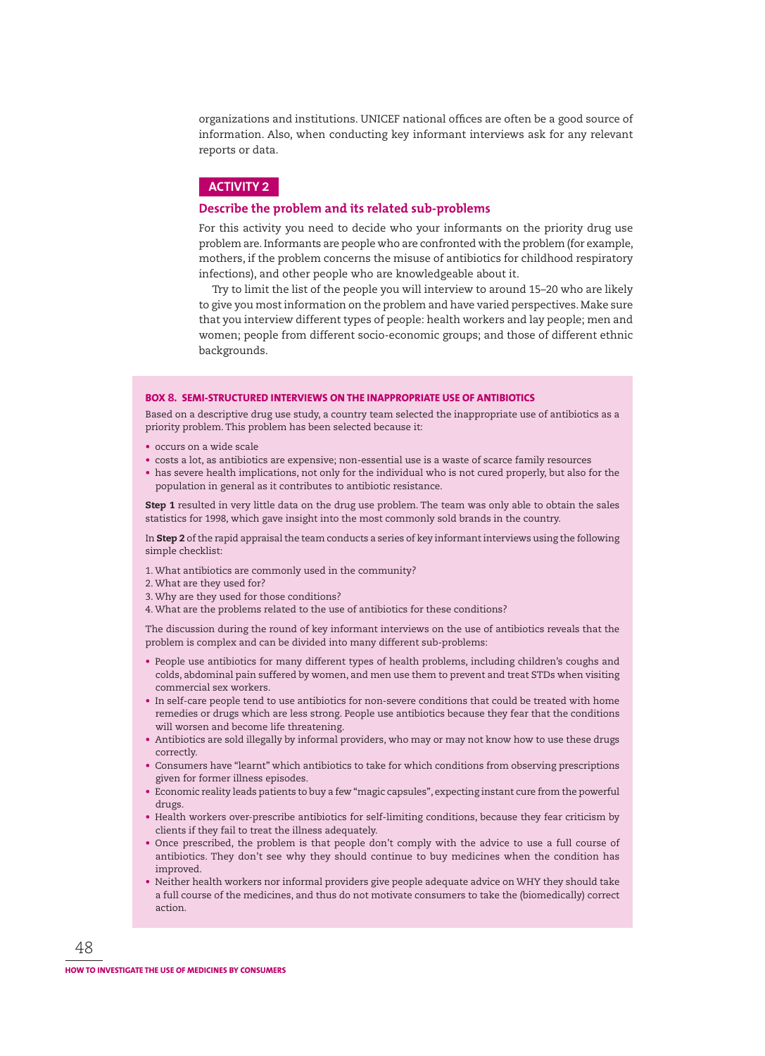organizations and institutions. UNICEF national offices are often be a good source of information. Also, when conducting key informant interviews ask for any relevant reports or data.

## **ACTIVITY 2**

#### **Describe the problem and its related sub-problems**

For this activity you need to decide who your informants on the priority drug use problem are. Informants are people who are confronted with the problem (for example, mothers, if the problem concerns the misuse of antibiotics for childhood respiratory infections), and other people who are knowledgeable about it.

Try to limit the list of the people you will interview to around 15–20 who are likely to give you most information on the problem and have varied perspectives. Make sure that you interview different types of people: health workers and lay people; men and women; people from different socio-economic groups; and those of different ethnic backgrounds.

#### **BOX 8. SEMI-STRUCTURED INTERVIEWS ON THE INAPPROPRIATE USE OF ANTIBIOTICS**

Based on a descriptive drug use study, a country team selected the inappropriate use of antibiotics as a priority problem. This problem has been selected because it:

- occurs on a wide scale
- costs a lot, as antibiotics are expensive; non-essential use is a waste of scarce family resources
- has severe health implications, not only for the individual who is not cured properly, but also for the population in general as it contributes to antibiotic resistance.

**Step 1** resulted in very little data on the drug use problem. The team was only able to obtain the sales statistics for 1998, which gave insight into the most commonly sold brands in the country.

In **Step 2** of the rapid appraisal the team conducts a series of key informant interviews using the following simple checklist:

- 1. What antibiotics are commonly used in the community?
- 2. What are they used for?
- 3. Why are they used for those conditions?
- 4. What are the problems related to the use of antibiotics for these conditions?

The discussion during the round of key informant interviews on the use of antibiotics reveals that the problem is complex and can be divided into many different sub-problems:

- People use antibiotics for many different types of health problems, including children's coughs and colds, abdominal pain suffered by women, and men use them to prevent and treat STDs when visiting commercial sex workers.
- In self-care people tend to use antibiotics for non-severe conditions that could be treated with home remedies or drugs which are less strong. People use antibiotics because they fear that the conditions will worsen and become life threatening.
- Antibiotics are sold illegally by informal providers, who may or may not know how to use these drugs correctly.
- Consumers have "learnt" which antibiotics to take for which conditions from observing prescriptions given for former illness episodes.
- Economic reality leads patients to buy a few "magic capsules", expecting instant cure from the powerful drugs.
- Health workers over-prescribe antibiotics for self-limiting conditions, because they fear criticism by clients if they fail to treat the illness adequately.
- Once prescribed, the problem is that people don't comply with the advice to use a full course of antibiotics. They don't see why they should continue to buy medicines when the condition has improved.
- Neither health workers nor informal providers give people adequate advice on WHY they should take a full course of the medicines, and thus do not motivate consumers to take the (biomedically) correct action.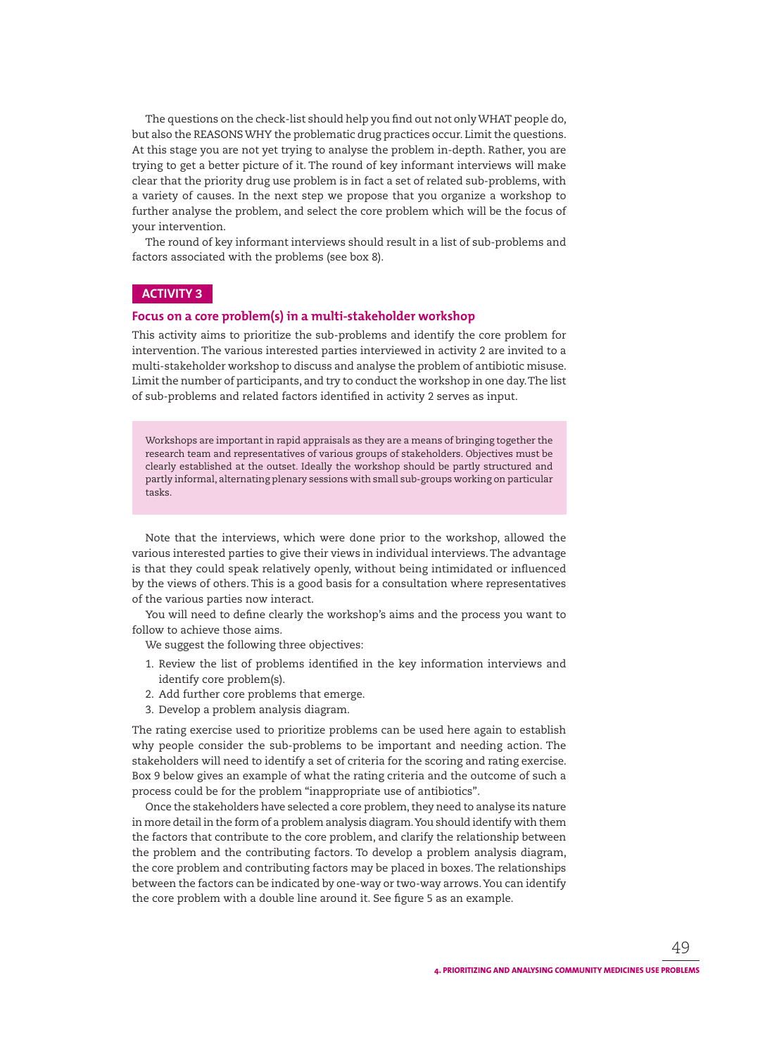The questions on the check-list should help you find out not only WHAT people do, but also the REASONS WHY the problematic drug practices occur. Limit the questions. At this stage you are not yet trying to analyse the problem in-depth. Rather, you are trying to get a better picture of it. The round of key informant interviews will make clear that the priority drug use problem is in fact a set of related sub-problems, with a variety of causes. In the next step we propose that you organize a workshop to further analyse the problem, and select the core problem which will be the focus of your intervention.

The round of key informant interviews should result in a list of sub-problems and factors associated with the problems (see box 8).

## **ACTIVITY 3**

#### **Focus on a core problem(s) in a multi-stakeholder workshop**

This activity aims to prioritize the sub-problems and identify the core problem for intervention. The various interested parties interviewed in activity 2 are invited to a multi-stakeholder workshop to discuss and analyse the problem of antibiotic misuse. Limit the number of participants, and try to conduct the workshop in one day. The list of sub-problems and related factors identified in activity 2 serves as input.

Workshops are important in rapid appraisals as they are a means of bringing together the research team and representatives of various groups of stakeholders. Objectives must be clearly established at the outset. Ideally the workshop should be partly structured and partly informal, alternating plenary sessions with small sub-groups working on particular tasks.

Note that the interviews, which were done prior to the workshop, allowed the various interested parties to give their views in individual interviews. The advantage is that they could speak relatively openly, without being intimidated or influenced by the views of others. This is a good basis for a consultation where representatives of the various parties now interact.

You will need to define clearly the workshop's aims and the process you want to follow to achieve those aims.

We suggest the following three objectives:

- 1. Review the list of problems identified in the key information interviews and identify core problem(s).
- 2. Add further core problems that emerge.
- 3. Develop a problem analysis diagram.

The rating exercise used to prioritize problems can be used here again to establish why people consider the sub-problems to be important and needing action. The stakeholders will need to identify a set of criteria for the scoring and rating exercise. Box 9 below gives an example of what the rating criteria and the outcome of such a process could be for the problem "inappropriate use of antibiotics".

Once the stakeholders have selected a core problem, they need to analyse its nature in more detail in the form of a problem analysis diagram. You should identify with them the factors that contribute to the core problem, and clarify the relationship between the problem and the contributing factors. To develop a problem analysis diagram, the core problem and contributing factors may be placed in boxes. The relationships between the factors can be indicated by one-way or two-way arrows. You can identify the core problem with a double line around it. See figure 5 as an example.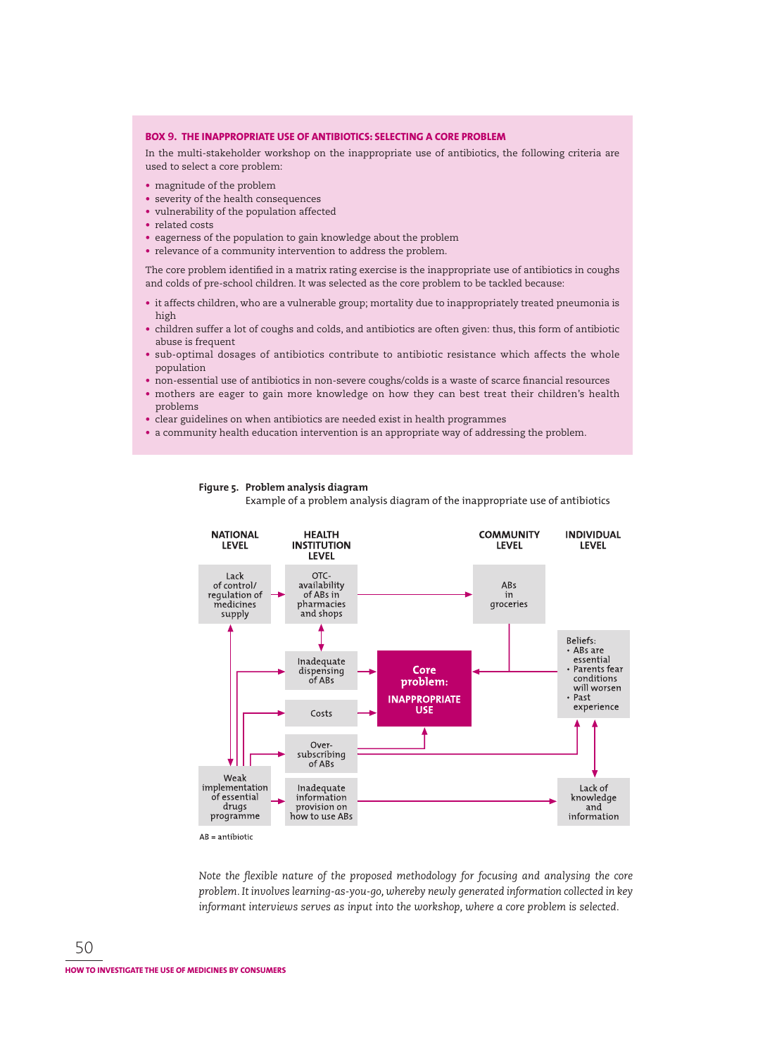#### **BOX 9. THE INAPPROPRIATE USE OF ANTIBIOTICS: SELECTING A CORE PROBLEM**

In the multi-stakeholder workshop on the inappropriate use of antibiotics, the following criteria are used to select a core problem:

- magnitude of the problem
- severity of the health consequences
- vulnerability of the population affected
- related costs
- eagerness of the population to gain knowledge about the problem
- relevance of a community intervention to address the problem.

The core problem identified in a matrix rating exercise is the inappropriate use of antibiotics in coughs and colds of pre-school children. It was selected as the core problem to be tackled because:

- it affects children, who are a vulnerable group; mortality due to inappropriately treated pneumonia is high
- children suffer a lot of coughs and colds, and antibiotics are often given: thus, this form of antibiotic abuse is frequent
- sub-optimal dosages of antibiotics contribute to antibiotic resistance which affects the whole population
- non-essential use of antibiotics in non-severe coughs/colds is a waste of scarce financial resources
- mothers are eager to gain more knowledge on how they can best treat their children's health problems
- clear guidelines on when antibiotics are needed exist in health programmes
- a community health education intervention is an appropriate way of addressing the problem.



## **Figure 5. Problem analysis diagram**

Example of a problem analysis diagram of the inappropriate use of antibiotics

Note the flexible nature of the proposed methodology for focusing and analysing the core *problem. It involves learning-as-you-go, whereby newly generated information collected in key informant interviews serves as input into the workshop, where a core problem is selected.*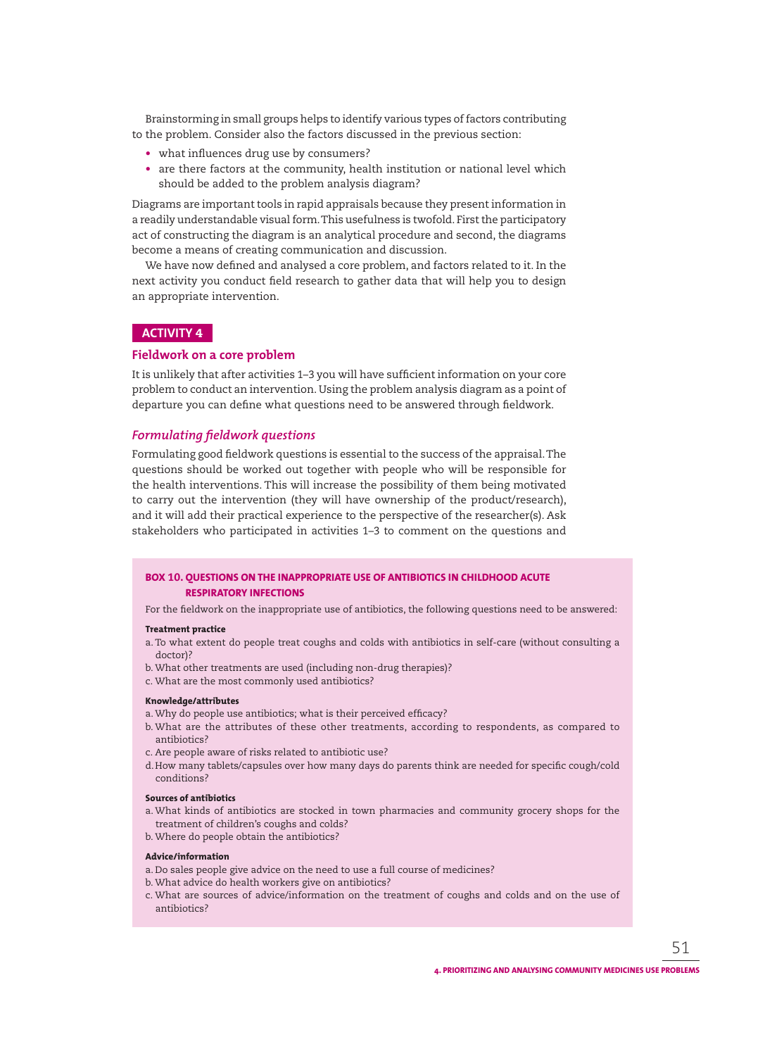Brainstorming in small groups helps to identify various types of factors contributing to the problem. Consider also the factors discussed in the previous section:

- what influences drug use by consumers?
- are there factors at the community, health institution or national level which should be added to the problem analysis diagram?

Diagrams are important tools in rapid appraisals because they present information in a readily understandable visual form. This usefulness is twofold. First the participatory act of constructing the diagram is an analytical procedure and second, the diagrams become a means of creating communication and discussion.

We have now defined and analysed a core problem, and factors related to it. In the next activity you conduct field research to gather data that will help you to design an appropriate intervention.

## **ACTIVITY 4**

## **Fieldwork on a core problem**

It is unlikely that after activities 1-3 you will have sufficient information on your core problem to conduct an intervention. Using the problem analysis diagram as a point of departure you can define what questions need to be answered through fieldwork.

## *Formulating fieldwork questions*

Formulating good fieldwork questions is essential to the success of the appraisal. The questions should be worked out together with people who will be responsible for the health interventions. This will increase the possibility of them being motivated to carry out the intervention (they will have ownership of the product/research), and it will add their practical experience to the perspective of the researcher(s). Ask stakeholders who participated in activities 1–3 to comment on the questions and

## **BOX 10. QUESTIONS ON THE INAPPROPRIATE USE OF ANTIBIOTICS IN CHILDHOOD ACUTE RESPIRATORY INFECTIONS**

For the fieldwork on the inappropriate use of antibiotics, the following questions need to be answered:

#### **Treatment practice**

- a. To what extent do people treat coughs and colds with antibiotics in self-care (without consulting a doctor)?
- b. What other treatments are used (including non-drug therapies)?
- c. What are the most commonly used antibiotics?

#### **Knowledge/attributes**

- a. Why do people use antibiotics; what is their perceived efficacy?
- b. What are the attributes of these other treatments, according to respondents, as compared to antibiotics?
- c. Are people aware of risks related to antibiotic use?
- d. How many tablets/capsules over how many days do parents think are needed for specific cough/cold conditions?

#### **Sources of antibiotics**

- a. What kinds of antibiotics are stocked in town pharmacies and community grocery shops for the treatment of children's coughs and colds?
- b. Where do people obtain the antibiotics?

#### **Advice/information**

- a. Do sales people give advice on the need to use a full course of medicines?
- b. What advice do health workers give on antibiotics?
- c. What are sources of advice/information on the treatment of coughs and colds and on the use of antibiotics?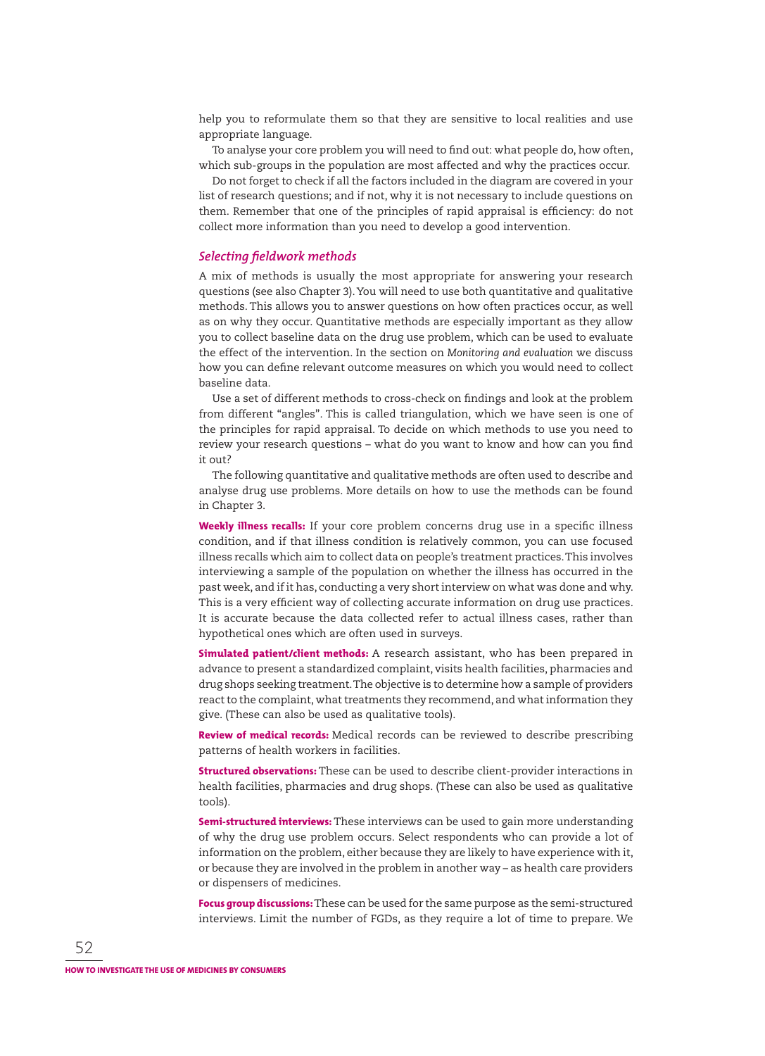help you to reformulate them so that they are sensitive to local realities and use appropriate language.

To analyse your core problem you will need to find out: what people do, how often, which sub-groups in the population are most affected and why the practices occur.

Do not forget to check if all the factors included in the diagram are covered in your list of research questions; and if not, why it is not necessary to include questions on them. Remember that one of the principles of rapid appraisal is efficiency: do not collect more information than you need to develop a good intervention.

## **Selecting fieldwork methods**

A mix of methods is usually the most appropriate for answering your research questions (see also Chapter 3). You will need to use both quantitative and qualitative methods. This allows you to answer questions on how often practices occur, as well as on why they occur. Quantitative methods are especially important as they allow you to collect baseline data on the drug use problem, which can be used to evaluate the effect of the intervention. In the section on *Monitoring and evaluation* we discuss how you can define relevant outcome measures on which you would need to collect baseline data.

Use a set of different methods to cross-check on findings and look at the problem from different "angles". This is called triangulation, which we have seen is one of the principles for rapid appraisal. To decide on which methods to use you need to review your research questions – what do you want to know and how can you find it out?

The following quantitative and qualitative methods are often used to describe and analyse drug use problems. More details on how to use the methods can be found in Chapter 3.

**Weekly illness recalls:** If your core problem concerns drug use in a specific illness condition, and if that illness condition is relatively common, you can use focused illness recalls which aim to collect data on people's treatment practices. This involves interviewing a sample of the population on whether the illness has occurred in the past week, and if it has, conducting a very short interview on what was done and why. This is a very efficient way of collecting accurate information on drug use practices. It is accurate because the data collected refer to actual illness cases, rather than hypothetical ones which are often used in surveys.

**Simulated patient/client methods:** A research assistant, who has been prepared in advance to present a standardized complaint, visits health facilities, pharmacies and drug shops seeking treatment. The objective is to determine how a sample of providers react to the complaint, what treatments they recommend, and what information they give. (These can also be used as qualitative tools).

**Review of medical records:** Medical records can be reviewed to describe prescribing patterns of health workers in facilities.

**Structured observations:** These can be used to describe client-provider interactions in health facilities, pharmacies and drug shops. (These can also be used as qualitative tools).

**Semi-structured interviews:** These interviews can be used to gain more understanding of why the drug use problem occurs. Select respondents who can provide a lot of information on the problem, either because they are likely to have experience with it, or because they are involved in the problem in another way – as health care providers or dispensers of medicines.

**Focus group discussions:** These can be used for the same purpose as the semi-structured interviews. Limit the number of FGDs, as they require a lot of time to prepare. We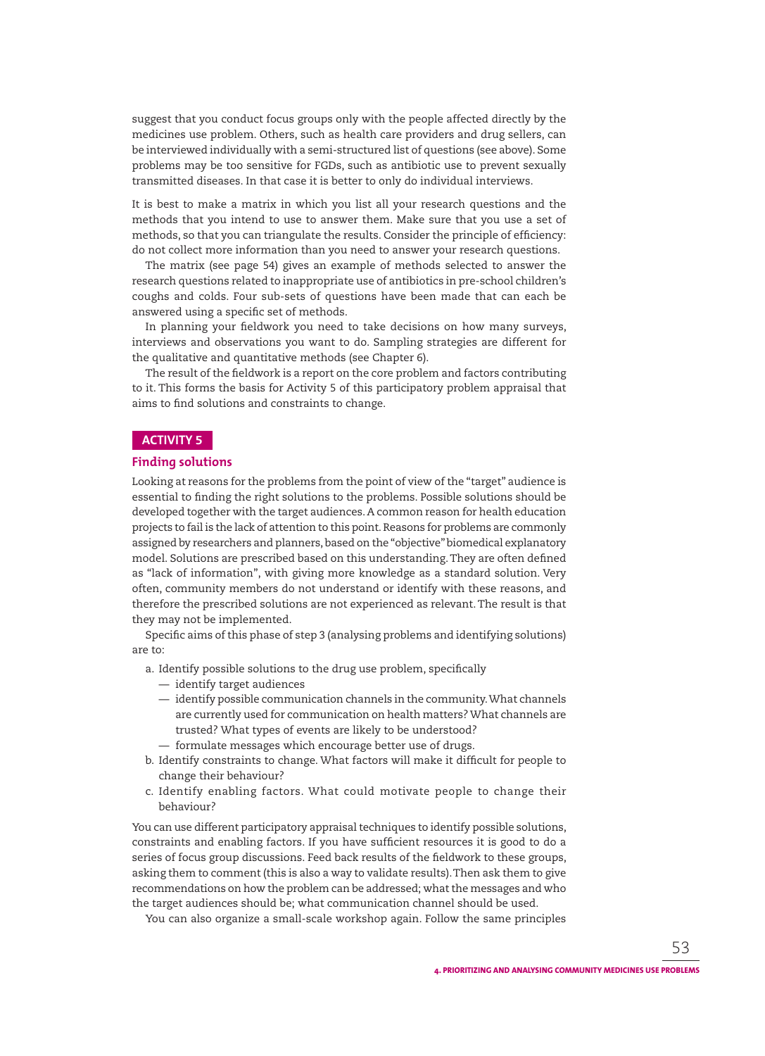suggest that you conduct focus groups only with the people affected directly by the medicines use problem. Others, such as health care providers and drug sellers, can be interviewed individually with a semi-structured list of questions (see above). Some problems may be too sensitive for FGDs, such as antibiotic use to prevent sexually transmitted diseases. In that case it is better to only do individual interviews.

It is best to make a matrix in which you list all your research questions and the methods that you intend to use to answer them. Make sure that you use a set of methods, so that you can triangulate the results. Consider the principle of efficiency: do not collect more information than you need to answer your research questions.

The matrix (see page 54) gives an example of methods selected to answer the research questions related to inappropriate use of antibiotics in pre-school children's coughs and colds. Four sub-sets of questions have been made that can each be answered using a specific set of methods.

In planning your fieldwork you need to take decisions on how many surveys, interviews and observations you want to do. Sampling strategies are different for the qualitative and quantitative methods (see Chapter 6).

The result of the fieldwork is a report on the core problem and factors contributing to it. This forms the basis for Activity 5 of this participatory problem appraisal that aims to find solutions and constraints to change.

## **ACTIVITY 5**

#### **Finding solutions**

Looking at reasons for the problems from the point of view of the "target" audience is essential to finding the right solutions to the problems. Possible solutions should be developed together with the target audiences. A common reason for health education projects to fail is the lack of attention to this point. Reasons for problems are commonly assigned by researchers and planners, based on the "objective" biomedical explanatory model. Solutions are prescribed based on this understanding. They are often defined as "lack of information", with giving more knowledge as a standard solution. Very often, community members do not understand or identify with these reasons, and therefore the prescribed solutions are not experienced as relevant. The result is that they may not be implemented.

Specific aims of this phase of step 3 (analysing problems and identifying solutions) are to:

- a. Identify possible solutions to the drug use problem, specifically
	- identify target audiences
	- identify possible communication channels in the community. What channels are currently used for communication on health matters? What channels are trusted? What types of events are likely to be understood?
	- formulate messages which encourage better use of drugs.
- b. Identify constraints to change. What factors will make it difficult for people to change their behaviour?
- c. Identify enabling factors. What could motivate people to change their behaviour?

You can use different participatory appraisal techniques to identify possible solutions, constraints and enabling factors. If you have sufficient resources it is good to do a series of focus group discussions. Feed back results of the fieldwork to these groups, asking them to comment (this is also a way to validate results). Then ask them to give recommendations on how the problem can be addressed; what the messages and who the target audiences should be; what communication channel should be used.

You can also organize a small-scale workshop again. Follow the same principles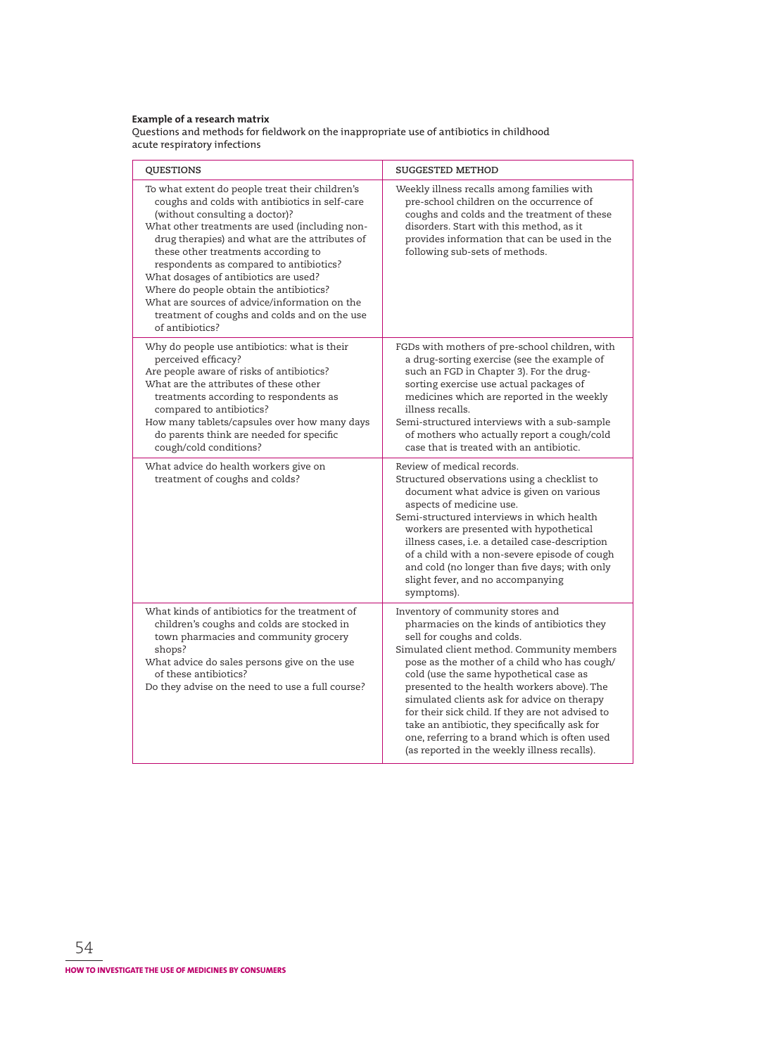## **Example of a research matrix**

Questions and methods for fieldwork on the inappropriate use of antibiotics in childhood acute respiratory infections

| <b>QUESTIONS</b>                                                                                                                                                                                                                                                                                                                                                                                                                                                                                                                  | <b>SUGGESTED METHOD</b>                                                                                                                                                                                                                                                                                                                                                                                                                                                                                                                                     |
|-----------------------------------------------------------------------------------------------------------------------------------------------------------------------------------------------------------------------------------------------------------------------------------------------------------------------------------------------------------------------------------------------------------------------------------------------------------------------------------------------------------------------------------|-------------------------------------------------------------------------------------------------------------------------------------------------------------------------------------------------------------------------------------------------------------------------------------------------------------------------------------------------------------------------------------------------------------------------------------------------------------------------------------------------------------------------------------------------------------|
| To what extent do people treat their children's<br>coughs and colds with antibiotics in self-care<br>(without consulting a doctor)?<br>What other treatments are used (including non-<br>drug therapies) and what are the attributes of<br>these other treatments according to<br>respondents as compared to antibiotics?<br>What dosages of antibiotics are used?<br>Where do people obtain the antibiotics?<br>What are sources of advice/information on the<br>treatment of coughs and colds and on the use<br>of antibiotics? | Weekly illness recalls among families with<br>pre-school children on the occurrence of<br>coughs and colds and the treatment of these<br>disorders. Start with this method, as it<br>provides information that can be used in the<br>following sub-sets of methods.                                                                                                                                                                                                                                                                                         |
| Why do people use antibiotics: what is their<br>perceived efficacy?<br>Are people aware of risks of antibiotics?<br>What are the attributes of these other<br>treatments according to respondents as<br>compared to antibiotics?<br>How many tablets/capsules over how many days<br>do parents think are needed for specific<br>cough/cold conditions?                                                                                                                                                                            | FGDs with mothers of pre-school children, with<br>a drug-sorting exercise (see the example of<br>such an FGD in Chapter 3). For the drug-<br>sorting exercise use actual packages of<br>medicines which are reported in the weekly<br>illness recalls.<br>Semi-structured interviews with a sub-sample<br>of mothers who actually report a cough/cold<br>case that is treated with an antibiotic.                                                                                                                                                           |
| What advice do health workers give on<br>treatment of coughs and colds?                                                                                                                                                                                                                                                                                                                                                                                                                                                           | Review of medical records.<br>Structured observations using a checklist to<br>document what advice is given on various<br>aspects of medicine use.<br>Semi-structured interviews in which health<br>workers are presented with hypothetical<br>illness cases, i.e. a detailed case-description<br>of a child with a non-severe episode of cough<br>and cold (no longer than five days; with only<br>slight fever, and no accompanying<br>symptoms).                                                                                                         |
| What kinds of antibiotics for the treatment of<br>children's coughs and colds are stocked in<br>town pharmacies and community grocery<br>shops?<br>What advice do sales persons give on the use<br>of these antibiotics?<br>Do they advise on the need to use a full course?                                                                                                                                                                                                                                                      | Inventory of community stores and<br>pharmacies on the kinds of antibiotics they<br>sell for coughs and colds.<br>Simulated client method. Community members<br>pose as the mother of a child who has cough/<br>cold (use the same hypothetical case as<br>presented to the health workers above). The<br>simulated clients ask for advice on therapy<br>for their sick child. If they are not advised to<br>take an antibiotic, they specifically ask for<br>one, referring to a brand which is often used<br>(as reported in the weekly illness recalls). |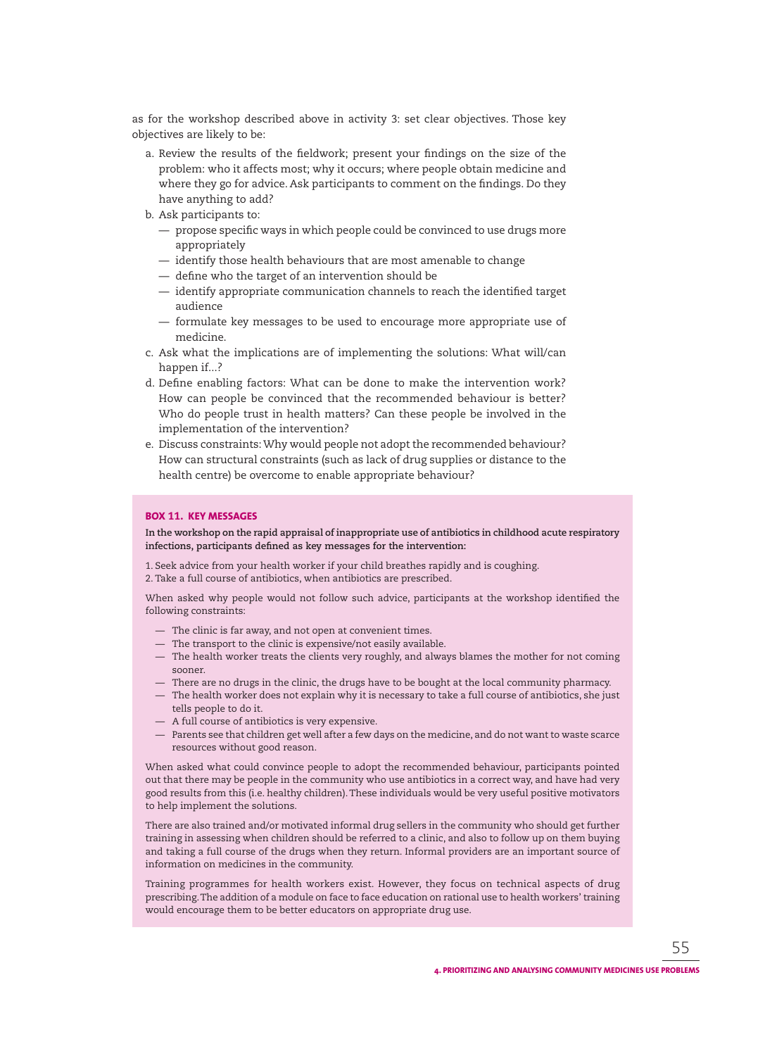as for the workshop described above in activity 3: set clear objectives. Those key objectives are likely to be:

- a. Review the results of the fieldwork; present your findings on the size of the problem: who it affects most; why it occurs; where people obtain medicine and where they go for advice. Ask participants to comment on the findings. Do they have anything to add?
- b. Ask participants to:
	- $-$  propose specific ways in which people could be convinced to use drugs more appropriately
	- identify those health behaviours that are most amenable to change
	- $-$  define who the target of an intervention should be
	- $-$  identify appropriate communication channels to reach the identified target audience
	- formulate key messages to be used to encourage more appropriate use of medicine.
- c. Ask what the implications are of implementing the solutions: What will/can happen if...?
- d. Define enabling factors: What can be done to make the intervention work? How can people be convinced that the recommended behaviour is better? Who do people trust in health matters? Can these people be involved in the implementation of the intervention?
- e. Discuss constraints: Why would people not adopt the recommended behaviour? How can structural constraints (such as lack of drug supplies or distance to the health centre) be overcome to enable appropriate behaviour?

#### **BOX 11. KEY MESSAGES**

**In the workshop on the rapid appraisal of inappropriate use of antibiotics in childhood acute respiratory**  infections, participants defined as key messages for the intervention:

1. Seek advice from your health worker if your child breathes rapidly and is coughing.

2. Take a full course of antibiotics, when antibiotics are prescribed.

When asked why people would not follow such advice, participants at the workshop identified the following constraints:

- The clinic is far away, and not open at convenient times.
- The transport to the clinic is expensive/not easily available.
- The health worker treats the clients very roughly, and always blames the mother for not coming sooner.
- There are no drugs in the clinic, the drugs have to be bought at the local community pharmacy.
- The health worker does not explain why it is necessary to take a full course of antibiotics, she just tells people to do it.
- A full course of antibiotics is very expensive.
- Parents see that children get well after a few days on the medicine, and do not want to waste scarce resources without good reason.

When asked what could convince people to adopt the recommended behaviour, participants pointed out that there may be people in the community who use antibiotics in a correct way, and have had very good results from this (i.e. healthy children). These individuals would be very useful positive motivators to help implement the solutions.

There are also trained and/or motivated informal drug sellers in the community who should get further training in assessing when children should be referred to a clinic, and also to follow up on them buying and taking a full course of the drugs when they return. Informal providers are an important source of information on medicines in the community.

Training programmes for health workers exist. However, they focus on technical aspects of drug prescribing. The addition of a module on face to face education on rational use to health workers' training would encourage them to be better educators on appropriate drug use.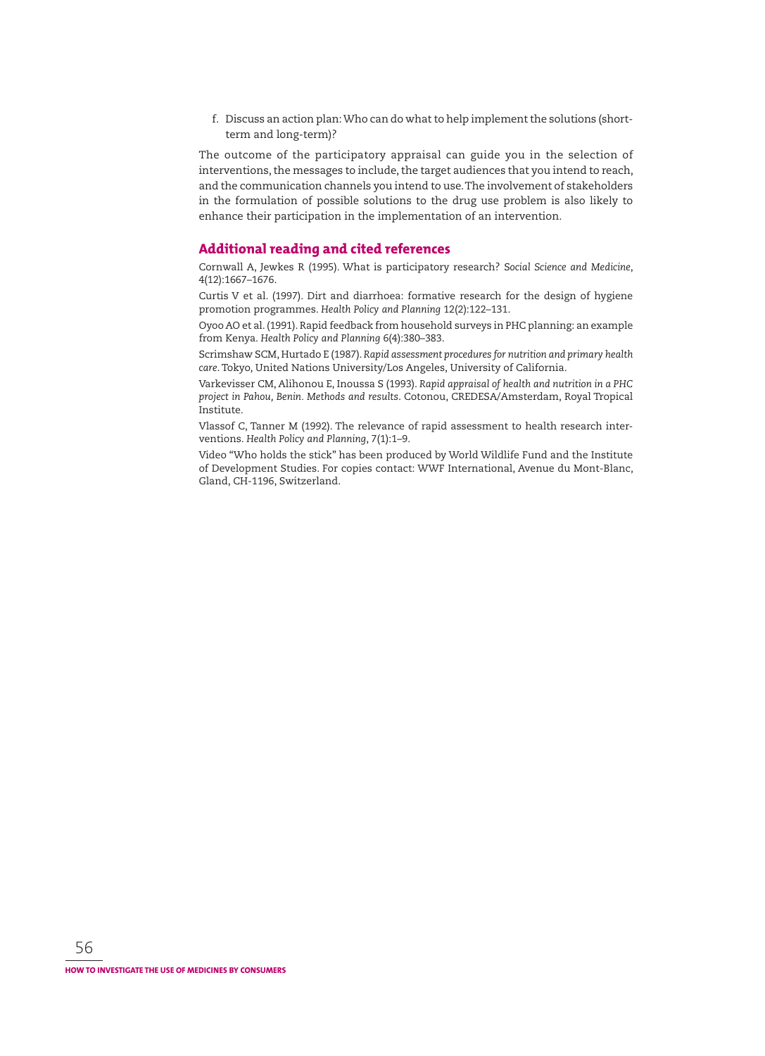f. Discuss an action plan: Who can do what to help implement the solutions (shortterm and long-term)?

The outcome of the participatory appraisal can guide you in the selection of interventions, the messages to include, the target audiences that you intend to reach, and the communication channels you intend to use. The involvement of stakeholders in the formulation of possible solutions to the drug use problem is also likely to enhance their participation in the implementation of an intervention.

## **Additional reading and cited references**

Cornwall A, Jewkes R (1995). What is participatory research? S*ocial Science and Med icine*, 4(12):1667–1676.

Curtis V et al. (1997). Dirt and diarrhoea: formative research for the design of hygiene promotion programmes. *Health Policy and Planning* 12(2):122–131.

Oyoo AO et al. (1991). Rapid feedback from household surveys in PHC planning: an ex ample from Kenya. *Health Policy and Planning* 6(4):380–383.

Scrimshaw SCM, Hurtado E (1987). *Rapid assessment procedures for nutrition and primary health* care. Tokyo, United Nations University/Los Angeles, University of California.

Varkevisser CM, Alihonou E, Inoussa S (1993). *Rapid appraisal of health and nutrition in a PHC*  project in Pahou, Benin. Methods and results. Cotonou, CREDESA/Amsterdam, Royal Tropical Institute.

Vlassof C, Tanner M (1992). The relevance of rapid assessment to health research interven tions. *Health Policy and Planning*, 7(1):1–9.

Video "Who holds the stick" has been produced by World Wildlife Fund and the Institute of Development Studies. For copies contact: WWF International, Avenue du Mont-Blanc, Gland, CH-1196, Switzerland.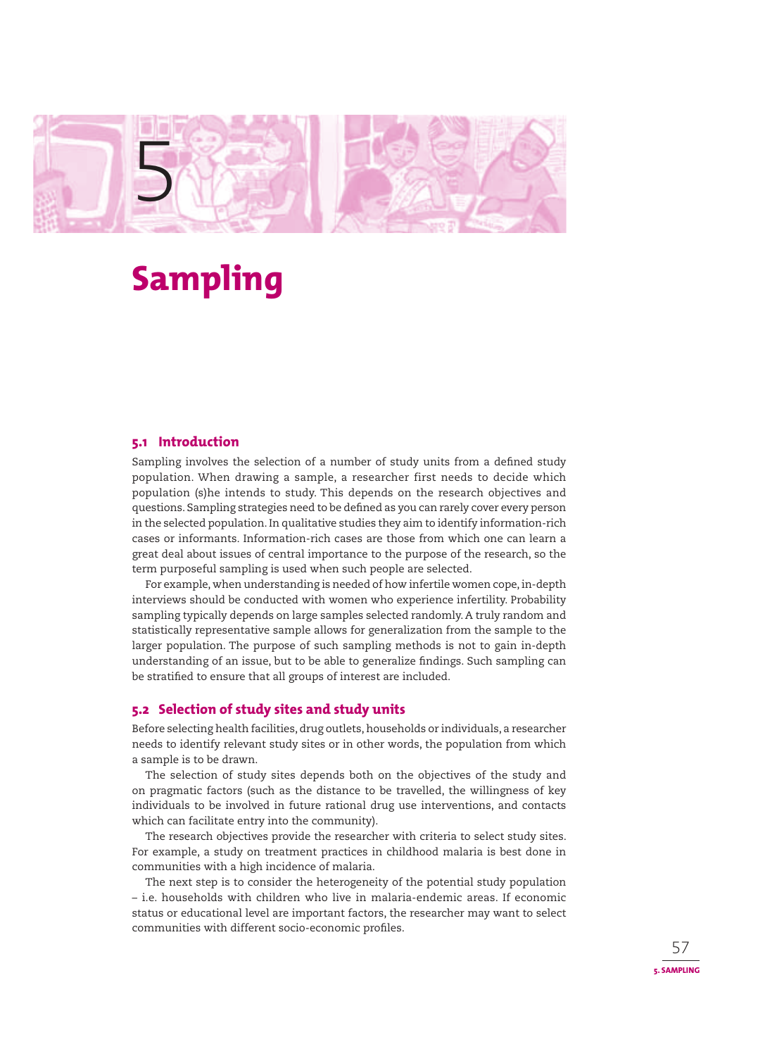

# **Sampling**

## **5.1 Introduction**

Sampling involves the selection of a number of study units from a defined study population. When drawing a sample, a researcher first needs to decide which population (s)he intends to study. This depends on the research objectives and questions. Sampling strategies need to be defined as you can rarely cover every person in the selected population. In qualitative studies they aim to identify information-rich cases or informants. Information-rich cases are those from which one can learn a great deal about issues of central importance to the purpose of the research, so the term purposeful sampling is used when such people are selected.

For example, when understanding is needed of how infertile women cope, in-depth interviews should be conducted with women who experience infertility. Probability sampling typically depends on large samples selected randomly. A truly random and statistically representative sample allows for generalization from the sample to the larger population. The purpose of such sampling methods is not to gain in-depth understanding of an issue, but to be able to generalize findings. Such sampling can be stratified to ensure that all groups of interest are included.

## **5.2 Selection of study sites and study units**

Before selecting health facilities, drug outlets, households or individuals, a researcher needs to identify relevant study sites or in other words, the population from which a sample is to be drawn.

The selection of study sites depends both on the objectives of the study and on pragmatic factors (such as the distance to be travelled, the willingness of key individuals to be involved in future rational drug use interventions, and contacts which can facilitate entry into the community).

The research objectives provide the researcher with criteria to select study sites. For example, a study on treatment practices in childhood malaria is best done in communities with a high incidence of malaria.

The next step is to consider the heterogeneity of the potential study population – i.e. households with children who live in malaria-endemic areas. If economic status or educational level are important factors, the researcher may want to select communities with different socio-economic profiles.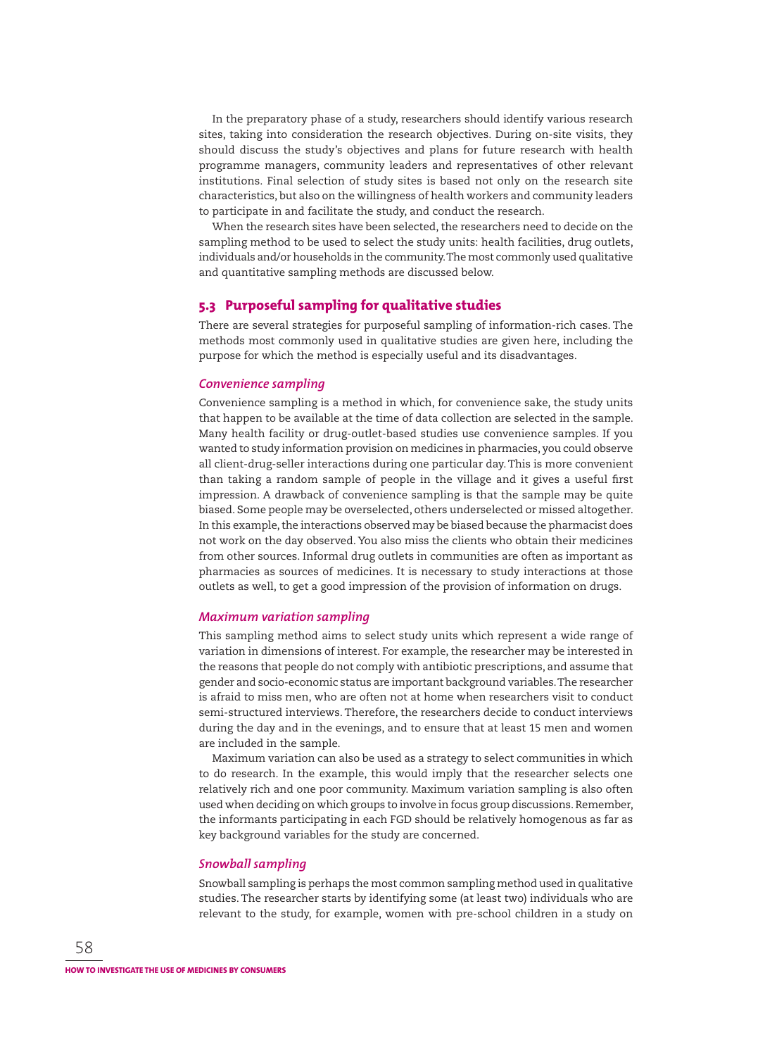In the preparatory phase of a study, researchers should identify various research sites, taking into consideration the research objectives. During on-site visits, they should discuss the study's objectives and plans for future research with health programme managers, community leaders and representatives of other relevant institutions. Final selection of study sites is based not only on the research site characteristics, but also on the willingness of health workers and community leaders to participate in and facilitate the study, and conduct the research.

When the research sites have been selected, the researchers need to decide on the sampling method to be used to select the study units: health facilities, drug outlets, individuals and/or households in the community. The most commonly used qualitative and quantitative sampling methods are discussed below.

## **5.3 Purposeful sampling for qualitative studies**

There are several strategies for purposeful sampling of information-rich cases. The methods most commonly used in qualitative studies are given here, including the purpose for which the method is especially useful and its disadvantages.

#### *Convenience sampling*

Convenience sampling is a method in which, for convenience sake, the study units that happen to be available at the time of data collection are selected in the sample. Many health facility or drug-outlet-based studies use convenience samples. If you wanted to study information provision on medicines in pharmacies, you could observe all client-drug-seller interactions during one particular day. This is more convenient than taking a random sample of people in the village and it gives a useful first impression. A drawback of convenience sampling is that the sample may be quite biased. Some people may be overselected, others underselected or missed altogether. In this example, the interactions observed may be biased because the pharmacist does not work on the day observed. You also miss the clients who obtain their medicines from other sources. Informal drug outlets in communities are often as important as pharmacies as sources of medicines. It is necessary to study interactions at those outlets as well, to get a good impression of the provision of information on drugs.

#### *Maximum variation sampling*

This sampling method aims to select study units which represent a wide range of variation in dimensions of interest. For example, the researcher may be interested in the reasons that people do not comply with antibiotic prescriptions, and assume that gender and socio-economic status are important background variables. The researcher is afraid to miss men, who are often not at home when researchers visit to conduct semi-structured interviews. Therefore, the researchers decide to conduct interviews during the day and in the evenings, and to ensure that at least 15 men and women are included in the sample.

Maximum variation can also be used as a strategy to select communities in which to do research. In the example, this would imply that the researcher selects one relatively rich and one poor community. Maximum variation sampling is also often used when deciding on which groups to involve in focus group discussions. Remember, the informants participating in each FGD should be relatively homogenous as far as key background variables for the study are concerned.

#### *Snowball sampling*

Snowball sampling is perhaps the most common sampling method used in qualitative studies. The researcher starts by identifying some (at least two) individuals who are relevant to the study, for example, women with pre-school children in a study on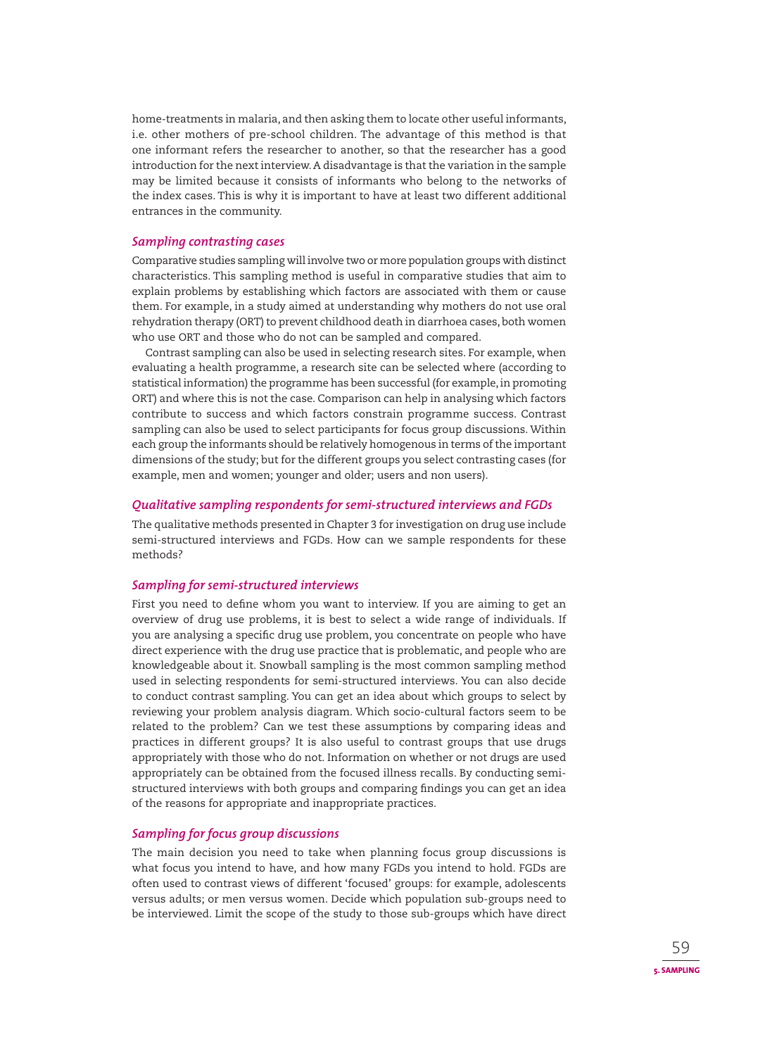home-treatments in malaria, and then asking them to locate other useful informants, i.e. other mothers of pre-school children. The advantage of this method is that one informant refers the researcher to another, so that the researcher has a good introduction for the next interview. A disadvantage is that the variation in the sample may be limited because it consists of informants who belong to the networks of the index cases. This is why it is important to have at least two different additional entrances in the community.

## *Sampling contrasting cases*

Comparative studies sampling will involve two or more population groups with distinct characteristics. This sampling method is useful in comparative studies that aim to explain problems by establishing which factors are associated with them or cause them. For example, in a study aimed at understanding why mothers do not use oral rehydration therapy (ORT) to prevent childhood death in diarrhoea cases, both women who use ORT and those who do not can be sampled and compared.

Contrast sampling can also be used in selecting research sites. For example, when evaluating a health programme, a research site can be selected where (according to statistical information) the programme has been successful (for example, in promoting ORT) and where this is not the case. Comparison can help in analysing which factors contribute to success and which factors constrain programme success. Contrast sampling can also be used to select participants for focus group discussions. Within each group the informants should be relatively homogenous in terms of the important dimensions of the study; but for the different groups you select contrasting cases (for example, men and women; younger and older; users and non users).

# *Qualitative sampling respondents for semi-structured interviews and FGDs*

The qualitative methods presented in Chapter 3 for investigation on drug use include semi-structured interviews and FGDs. How can we sample respondents for these methods?

# *Sampling for semi-structured interviews*

First you need to define whom you want to interview. If you are aiming to get an overview of drug use problems, it is best to select a wide range of individuals. If you are analysing a specific drug use problem, you concentrate on people who have direct experience with the drug use practice that is problematic, and people who are knowledgeable about it. Snowball sampling is the most common sampling method used in selecting respondents for semi-structured interviews. You can also decide to conduct contrast sampling. You can get an idea about which groups to select by reviewing your problem analysis diagram. Which socio-cultural factors seem to be related to the problem? Can we test these assumptions by comparing ideas and practices in different groups? It is also useful to contrast groups that use drugs appropriately with those who do not. Information on whether or not drugs are used appropriately can be obtained from the focused illness recalls. By conducting semistructured interviews with both groups and comparing findings you can get an idea of the reasons for appropriate and inappropriate practices.

# *Sampling for focus group discussions*

The main decision you need to take when planning focus group discussions is what focus you intend to have, and how many FGDs you intend to hold. FGDs are often used to contrast views of different 'focused' groups: for example, adolescents versus adults; or men versus women. Decide which population sub-groups need to be interviewed. Limit the scope of the study to those sub-groups which have direct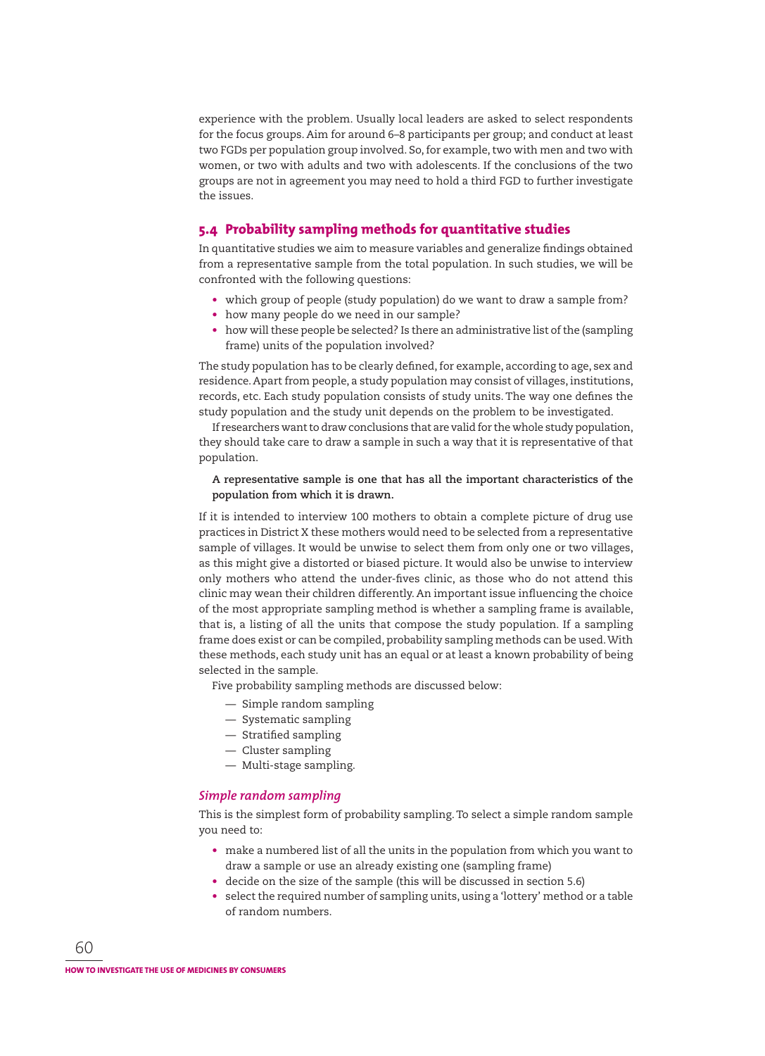experience with the problem. Usually local leaders are asked to select respondents for the focus groups. Aim for around 6–8 participants per group; and conduct at least two FGDs per population group involved. So, for example, two with men and two with women, or two with adults and two with adolescents. If the conclusions of the two groups are not in agreement you may need to hold a third FGD to further investigate the issues.

# **5.4 Probability sampling methods for quantitative studies**

In quantitative studies we aim to measure variables and generalize findings obtained from a representative sample from the total population. In such studies, we will be confronted with the following questions:

- which group of people (study population) do we want to draw a sample from?
- how many people do we need in our sample?
- how will these people be selected? Is there an administrative list of the (sampling frame) units of the population involved?

The study population has to be clearly defined, for example, according to age, sex and residence. Apart from people, a study population may consist of villages, institutions, records, etc. Each study population consists of study units. The way one defines the study population and the study unit depends on the problem to be investigated.

If researchers want to draw conclusions that are valid for the whole study population, they should take care to draw a sample in such a way that it is representative of that population.

## **A representative sample is one that has all the important characteristics of the population from which it is drawn.**

If it is intended to interview 100 mothers to obtain a complete picture of drug use practices in District X these mothers would need to be selected from a representative sample of villages. It would be unwise to select them from only one or two villages, as this might give a distorted or biased picture. It would also be unwise to interview only mothers who attend the under-fives clinic, as those who do not attend this clinic may wean their children differently. An important issue influencing the choice of the most appropriate sampling method is whether a sampling frame is available, that is, a listing of all the units that compose the study population. If a sampling frame does exist or can be compiled, probability sampling methods can be used. With these methods, each study unit has an equal or at least a known probability of being selected in the sample.

Five probability sampling methods are discussed below:

- Simple random sampling
- Systematic sampling
- $-$  Stratified sampling
- Cluster sampling
- Multi-stage sampling.

## *Simple random sampling*

This is the simplest form of probability sampling. To select a simple random sample you need to:

- make a numbered list of all the units in the population from which you want to draw a sample or use an already existing one (sampling frame)
- decide on the size of the sample (this will be discussed in section 5.6)
- select the required number of sampling units, using a 'lottery' method or a table of random numbers.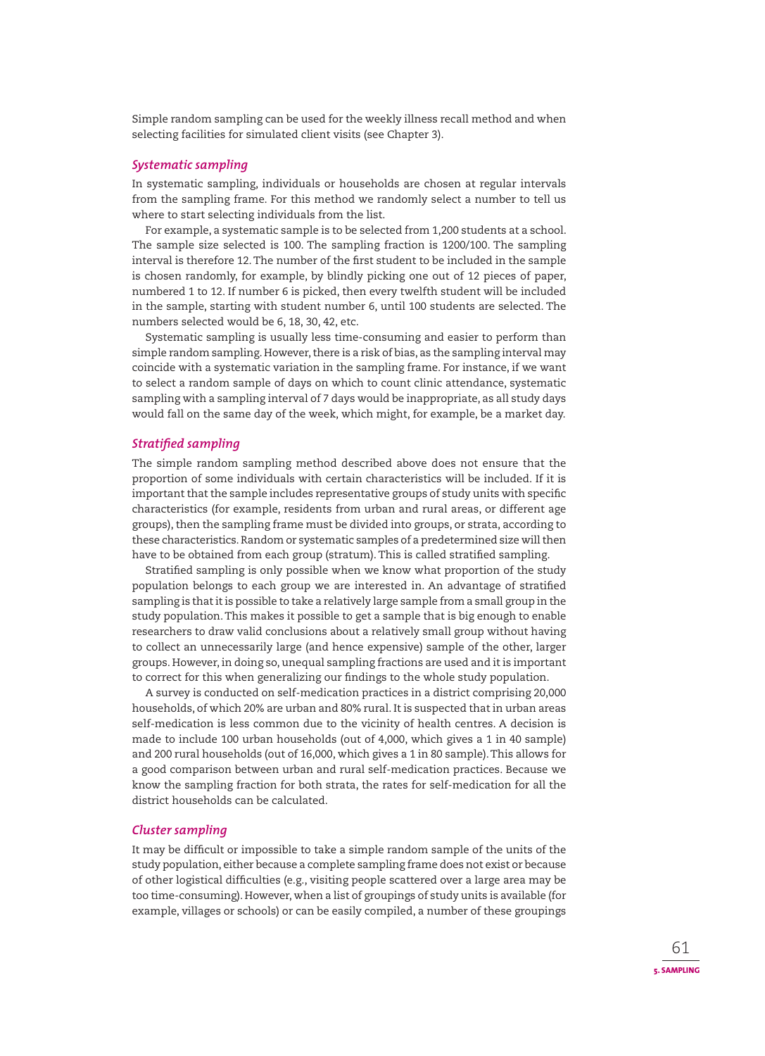Simple random sampling can be used for the weekly illness recall method and when selecting facilities for simulated client visits (see Chapter 3).

## *Systematic sampling*

In systematic sampling, individuals or households are chosen at regular intervals from the sampling frame. For this method we randomly select a number to tell us where to start selecting individuals from the list.

For example, a systematic sample is to be selected from 1,200 students at a school. The sample size selected is 100. The sampling fraction is 1200/100. The sampling interval is therefore 12. The number of the first student to be included in the sample is chosen randomly, for example, by blindly picking one out of 12 pieces of paper, numbered 1 to 12. If number 6 is picked, then every twelfth student will be included in the sample, starting with student number 6, until 100 students are selected. The numbers selected would be 6, 18, 30, 42, etc.

Systematic sampling is usually less time-consuming and easier to perform than simple random sampling. However, there is a risk of bias, as the sampling interval may coincide with a systematic variation in the sampling frame. For instance, if we want to select a random sample of days on which to count clinic attendance, systematic sampling with a sampling interval of 7 days would be inappropriate, as all study days would fall on the same day of the week, which might, for example, be a market day.

## **Stratified sampling**

The simple random sampling method described above does not ensure that the proportion of some individuals with certain characteristics will be included. If it is important that the sample includes representative groups of study units with specific characteristics (for example, residents from urban and rural areas, or different age groups), then the sampling frame must be divided into groups, or strata, according to these characteristics. Random or systematic samples of a predetermined size will then have to be obtained from each group (stratum). This is called stratified sampling.

Stratified sampling is only possible when we know what proportion of the study population belongs to each group we are interested in. An advantage of stratified sampling is that it is possible to take a relatively large sample from a small group in the study population. This makes it possible to get a sample that is big enough to enable researchers to draw valid conclusions about a relatively small group without having to collect an unnecessarily large (and hence expensive) sample of the other, larger groups. However, in doing so, unequal sampling fractions are used and it is important to correct for this when generalizing our findings to the whole study population.

A survey is conducted on self-medication practices in a district comprising 20,000 households, of which 20% are urban and 80% rural. It is suspected that in urban areas self-medication is less common due to the vicinity of health centres. A decision is made to include 100 urban households (out of 4,000, which gives a 1 in 40 sample) and 200 rural households (out of 16,000, which gives a 1 in 80 sample). This allows for a good comparison between urban and rural self-medication practices. Because we know the sampling fraction for both strata, the rates for self-medication for all the district households can be calculated.

## *Cluster sampling*

It may be difficult or impossible to take a simple random sample of the units of the study population, either because a complete sampling frame does not exist or because of other logistical difficulties (e.g., visiting people scattered over a large area may be too time-consuming). However, when a list of groupings of study units is available (for example, villages or schools) or can be easily compiled, a number of these groupings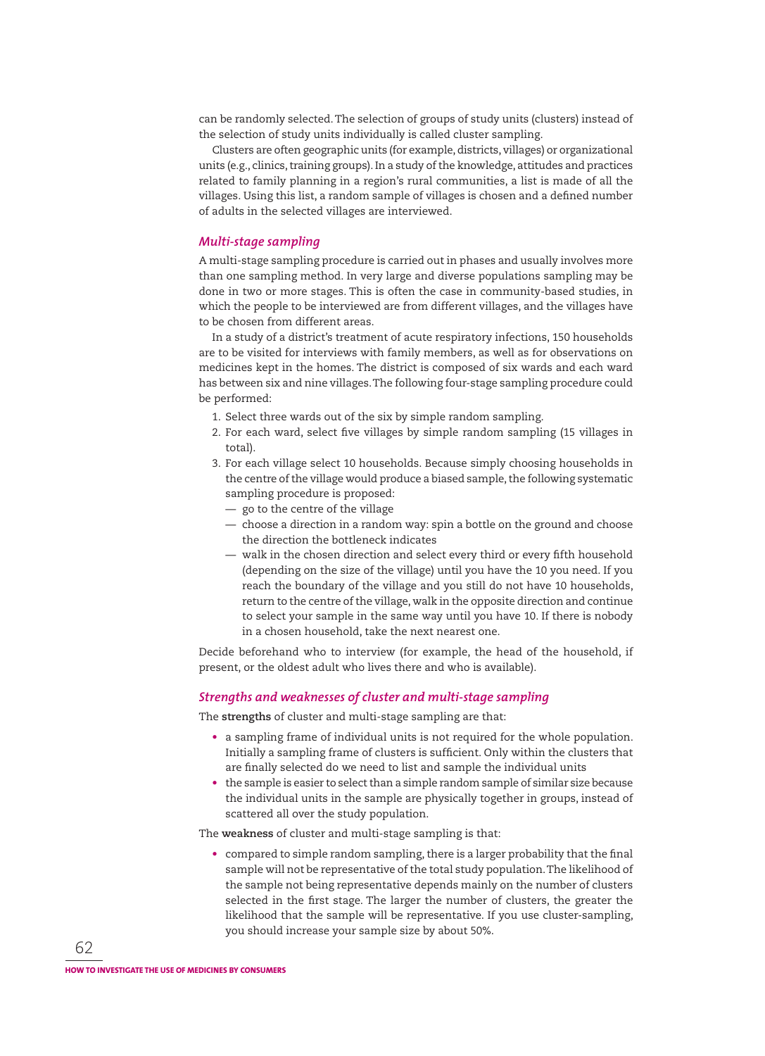can be randomly selected. The selection of groups of study units (clusters) instead of the selection of study units individually is called cluster sampling.

Clusters are often geographic units (for example, districts, villages) or organizational units (e.g., clinics, training groups). In a study of the knowledge, attitudes and practices related to family planning in a region's rural communities, a list is made of all the villages. Using this list, a random sample of villages is chosen and a defined number of adults in the selected villages are interviewed.

## *Multi-stage sampling*

A multi-stage sampling procedure is carried out in phases and usually involves more than one sampling method. In very large and diverse populations sampling may be done in two or more stages. This is often the case in community-based studies, in which the people to be interviewed are from different villages, and the villages have to be chosen from different areas.

In a study of a district's treatment of acute respiratory infections, 150 households are to be visited for interviews with family members, as well as for observations on medicines kept in the homes. The district is composed of six wards and each ward has between six and nine villages. The following four-stage sampling procedure could be performed:

- 1. Select three wards out of the six by simple random sampling.
- 2. For each ward, select five villages by simple random sampling (15 villages in total).
- 3. For each village select 10 households. Because simply choosing households in the centre of the village would produce a biased sample, the following systematic sampling procedure is proposed:
	- go to the centre of the village
	- choose a direction in a random way: spin a bottle on the ground and choose the direction the bottleneck indicates
	- walk in the chosen direction and select every third or every fifth household (depending on the size of the village) until you have the 10 you need. If you reach the boundary of the village and you still do not have 10 households, return to the centre of the village, walk in the opposite direction and continue to select your sample in the same way until you have 10. If there is nobody in a chosen household, take the next nearest one.

Decide beforehand who to interview (for example, the head of the household, if present, or the oldest adult who lives there and who is available).

## *Strengths and weaknesses of cluster and multi-stage sampling*

The **strengths** of cluster and multi-stage sampling are that:

- a sampling frame of individual units is not required for the whole population. Initially a sampling frame of clusters is sufficient. Only within the clusters that are finally selected do we need to list and sample the individual units
- the sample is easier to select than a simple random sample of similar size because the individual units in the sample are physically together in groups, instead of scattered all over the study population.

The **weakness** of cluster and multi-stage sampling is that:

• compared to simple random sampling, there is a larger probability that the final sample will not be representative of the total study population. The likelihood of the sample not being representative depends mainly on the number of clusters selected in the first stage. The larger the number of clusters, the greater the likelihood that the sample will be representative. If you use cluster-sampling, you should increase your sample size by about 50%.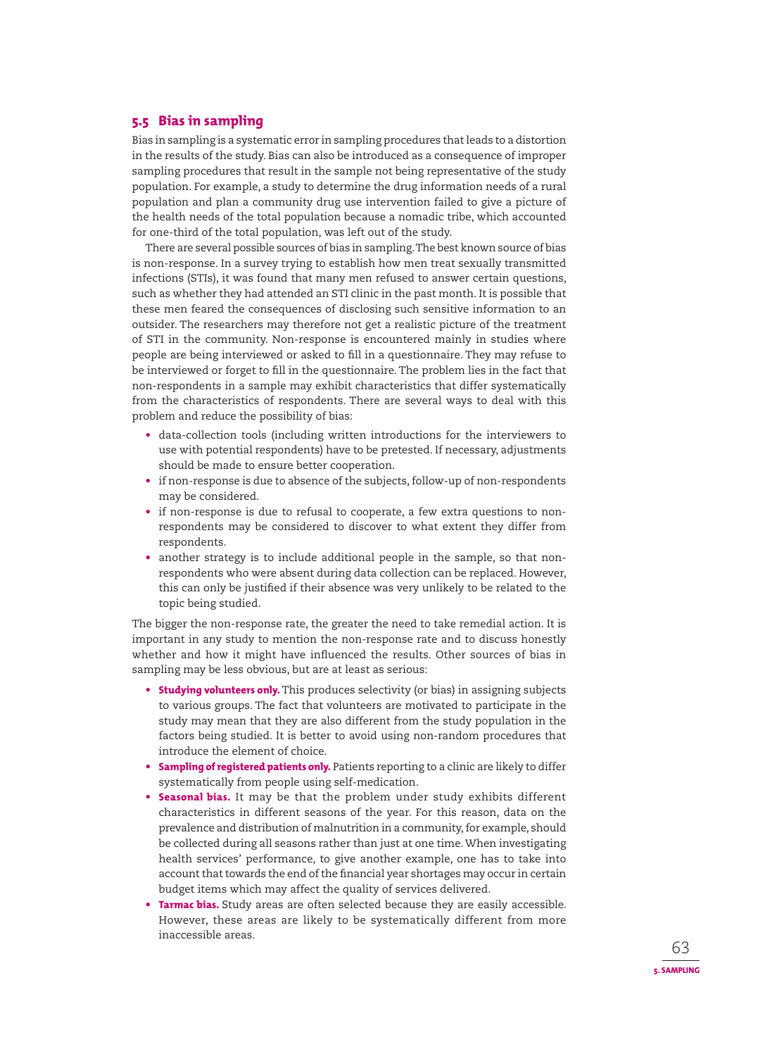# **5.5 Bias in sampling**

Bias in sampling is a systematic error in sampling procedures that leads to a distortion in the results of the study. Bias can also be introduced as a consequence of improper sampling procedures that result in the sample not being representative of the study population. For example, a study to determine the drug information needs of a rural population and plan a community drug use intervention failed to give a picture of the health needs of the total population because a nomadic tribe, which accounted for one-third of the total population, was left out of the study.

There are several possible sources of bias in sampling. The best known source of bias is non-response. In a survey trying to establish how men treat sexually transmitted infections (STIs), it was found that many men refused to answer certain questions, such as whether they had attended an STI clinic in the past month. It is possible that these men feared the consequences of disclosing such sensitive information to an outsider. The researchers may therefore not get a realistic picture of the treatment of STI in the community. Non-response is encountered mainly in studies where people are being interviewed or asked to fill in a questionnaire. They may refuse to be interviewed or forget to fill in the questionnaire. The problem lies in the fact that non-respondents in a sample may exhibit characteristics that differ systematically from the characteristics of respondents. There are several ways to deal with this problem and reduce the possibility of bias:

- data-collection tools (including written introductions for the interviewers to use with potential respondents) have to be pretested. If necessary, adjustments should be made to ensure better cooperation.
- if non-response is due to absence of the subjects, follow-up of non-respondents may be considered.
- if non-response is due to refusal to cooperate, a few extra questions to nonrespondents may be considered to discover to what extent they differ from respondents.
- another strategy is to include additional people in the sample, so that nonrespondents who were absent during data collection can be replaced. However, this can only be justified if their absence was very unlikely to be related to the topic being studied.

The bigger the non-response rate, the greater the need to take remedial action. It is important in any study to mention the non-response rate and to discuss honestly whether and how it might have influenced the results. Other sources of bias in sampling may be less obvious, but are at least as serious:

- **Studying volunteers only.** This produces selectivity (or bias) in assigning subjects to various groups. The fact that volunteers are motivated to participate in the study may mean that they are also different from the study population in the factors being studied. It is better to avoid using non-random procedures that introduce the element of choice.
- **Sampling of registered patients only.** Patients reporting to a clinic are likely to differ systematically from people using self-medication.
- **Seasonal bias.** It may be that the problem under study exhibits different characteristics in different seasons of the year. For this reason, data on the prevalence and distribution of malnutrition in a community, for example, should be collected during all seasons rather than just at one time. When investigating health services' performance, to give another example, one has to take into account that towards the end of the financial year shortages may occur in certain budget items which may affect the quality of services delivered.
- **Tarmac bias.** Study areas are often selected because they are easily accessible. However, these areas are likely to be systematically different from more inaccessible areas.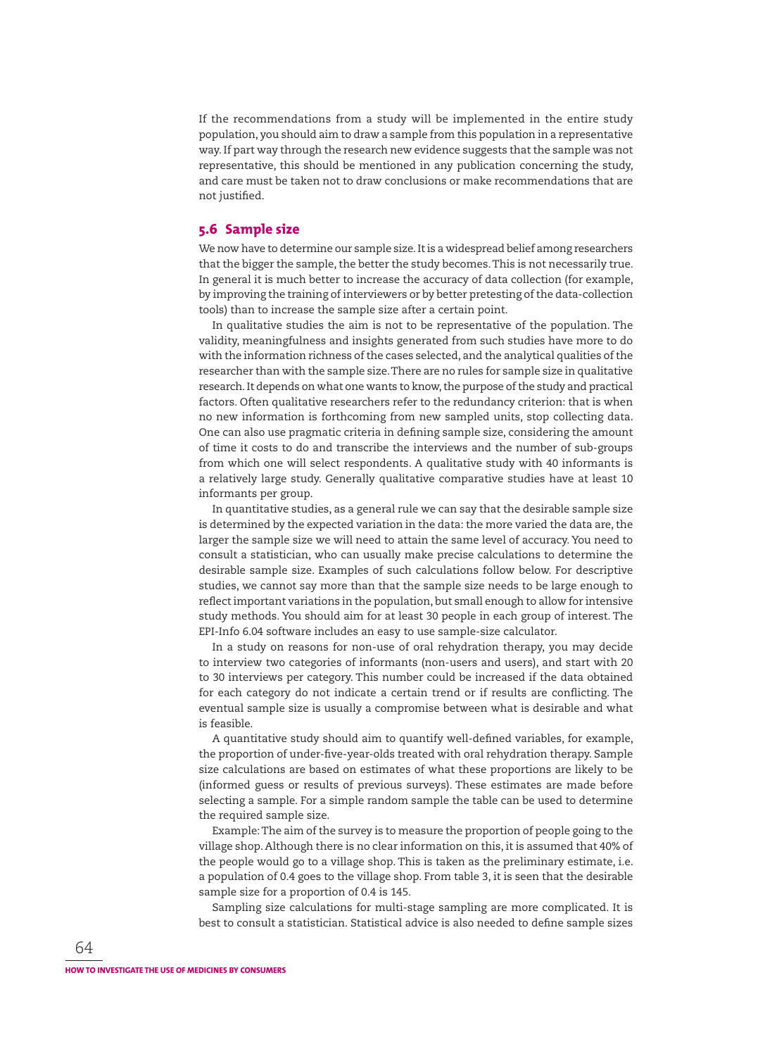If the recommendations from a study will be implemented in the entire study population, you should aim to draw a sample from this population in a representative way. If part way through the research new evidence suggests that the sample was not representative, this should be mentioned in any publication concerning the study, and care must be taken not to draw conclusions or make recommendations that are not justified.

## **5.6 Sample size**

We now have to determine our sample size. It is a widespread belief among researchers that the bigger the sample, the better the study becomes. This is not necessarily true. In general it is much better to increase the accuracy of data collection (for example, by improving the training of interviewers or by better pretesting of the data-collection tools) than to increase the sample size after a certain point.

In qualitative studies the aim is not to be representative of the population. The validity, meaningfulness and insights generated from such studies have more to do with the information richness of the cases selected, and the analytical qualities of the researcher than with the sample size. There are no rules for sample size in qualitative research. It depends on what one wants to know, the purpose of the study and practical factors. Often qualitative researchers refer to the redundancy criterion: that is when no new information is forthcoming from new sampled units, stop collecting data. One can also use pragmatic criteria in defining sample size, considering the amount of time it costs to do and transcribe the interviews and the number of sub-groups from which one will select respondents. A qualitative study with 40 informants is a relatively large study. Generally qualitative comparative studies have at least 10 informants per group.

In quantitative studies, as a general rule we can say that the desirable sample size is determined by the expected variation in the data: the more varied the data are, the larger the sample size we will need to attain the same level of accuracy. You need to consult a statistician, who can usually make precise calculations to determine the desirable sample size. Examples of such calculations follow below. For descriptive studies, we cannot say more than that the sample size needs to be large enough to reflect important variations in the population, but small enough to allow for intensive study methods. You should aim for at least 30 people in each group of interest. The EPI-Info 6.04 software includes an easy to use sample-size calculator.

In a study on reasons for non-use of oral rehydration therapy, you may decide to interview two categories of informants (non-users and users), and start with 20 to 30 interviews per category. This number could be increased if the data obtained for each category do not indicate a certain trend or if results are conflicting. The eventual sample size is usually a compromise between what is desirable and what is feasible.

A quantitative study should aim to quantify well-defined variables, for example, the proportion of under-five-year-olds treated with oral rehydration therapy. Sample size calculations are based on estimates of what these proportions are likely to be (informed guess or results of previous surveys). These estimates are made before selecting a sample. For a simple random sample the table can be used to determine the required sample size.

Example: The aim of the survey is to measure the proportion of people going to the village shop. Although there is no clear information on this, it is assumed that 40% of the people would go to a village shop. This is taken as the preliminary estimate, i.e. a population of 0.4 goes to the village shop. From table 3, it is seen that the desirable sample size for a proportion of 0.4 is 145.

Sampling size calculations for multi-stage sampling are more complicated. It is best to consult a statistician. Statistical advice is also needed to define sample sizes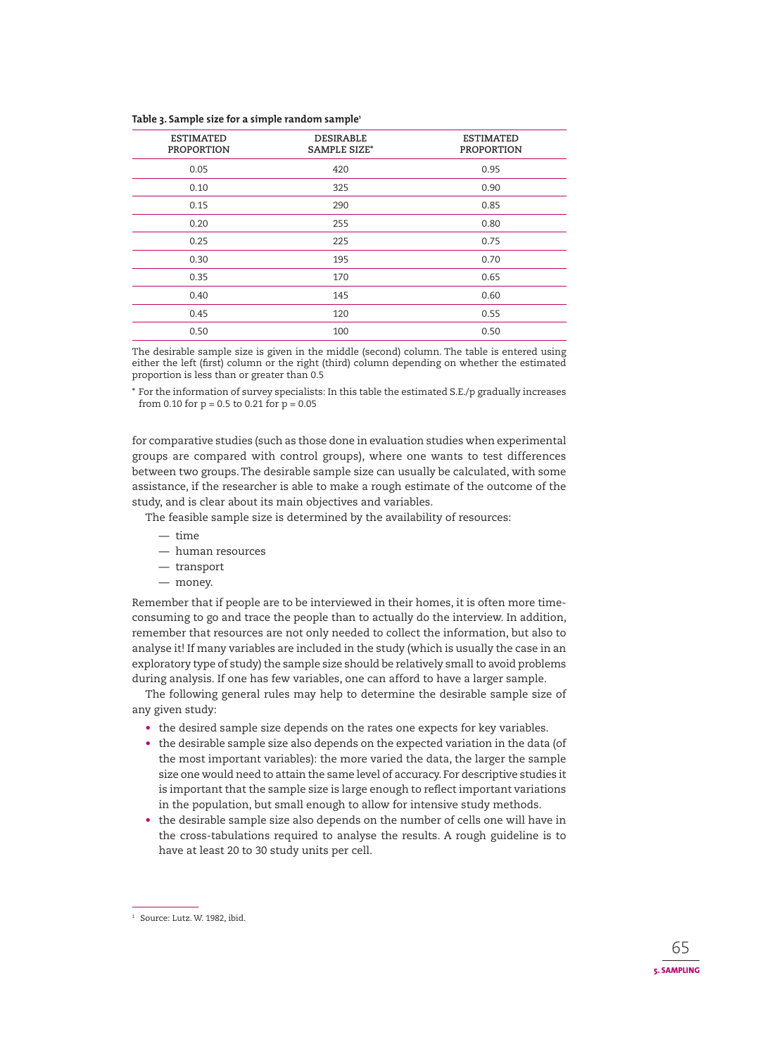#### **Table 3. Sample size for a simple random sample1**

| <b>ESTIMATED</b><br><b>PROPORTION</b> | <b>DESIRABLE</b><br><b>SAMPLE SIZE*</b> | <b>ESTIMATED</b><br><b>PROPORTION</b> |
|---------------------------------------|-----------------------------------------|---------------------------------------|
| 0.05                                  | 420                                     | 0.95                                  |
| 0.10                                  | 325                                     | 0.90                                  |
| 0.15                                  | 290                                     | 0.85                                  |
| 0.20                                  | 255                                     | 0.80                                  |
| 0.25                                  | 225                                     | 0.75                                  |
| 0.30                                  | 195                                     | 0.70                                  |
| 0.35                                  | 170                                     | 0.65                                  |
| 0.40                                  | 145                                     | 0.60                                  |
| 0.45                                  | 120                                     | 0.55                                  |
| 0.50                                  | 100                                     | 0.50                                  |

The desirable sample size is given in the middle (second) column. The table is entered using either the left (first) column or the right (third) column depending on whether the estimated proportion is less than or greater than 0.5

\* For the information of survey specialists: In this table the estimated S.E./p gradually increases from 0.10 for  $p = 0.5$  to 0.21 for  $p = 0.05$ 

for comparative studies (such as those done in evaluation studies when experimental groups are compared with control groups), where one wants to test differences between two groups. The desirable sample size can usually be calculated, with some assistance, if the researcher is able to make a rough estimate of the outcome of the study, and is clear about its main objectives and variables.

The feasible sample size is determined by the availability of resources:

- time
- human resources
- transport
- money.

Remember that if people are to be interviewed in their homes, it is often more timeconsuming to go and trace the people than to actually do the interview. In addition, remember that resources are not only needed to collect the information, but also to analyse it! If many variables are included in the study (which is usually the case in an exploratory type of study) the sample size should be relatively small to avoid problems during analysis. If one has few variables, one can afford to have a larger sample.

The following general rules may help to determine the desirable sample size of any given study:

- the desired sample size depends on the rates one expects for key variables.
- the desirable sample size also depends on the expected variation in the data (of the most important variables): the more varied the data, the larger the sample size one would need to attain the same level of accuracy. For descriptive studies it is important that the sample size is large enough to reflect important variations in the population, but small enough to allow for intensive study methods.
- the desirable sample size also depends on the number of cells one will have in the cross-tabulations required to analyse the results. A rough guideline is to have at least 20 to 30 study units per cell.

<sup>1</sup> Source: Lutz. W. 1982, ibid.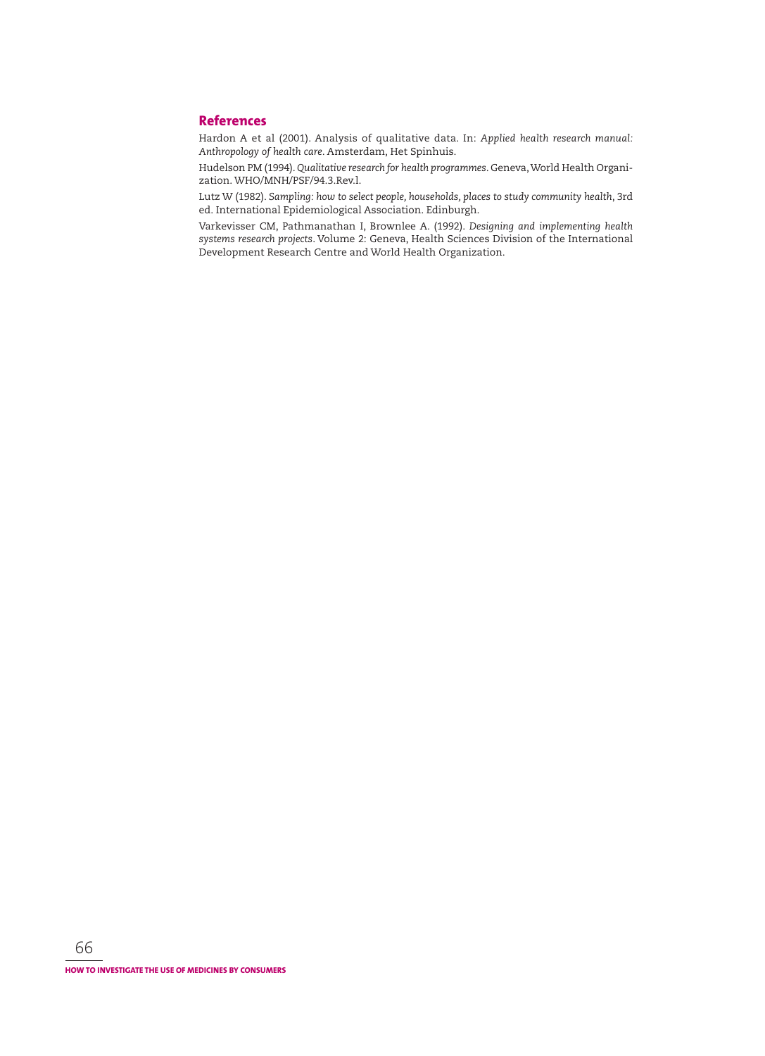## **References**

Hardon A et al (2001). Analysis of qualitative data. In: *Applied health research manual: Anthropology of health care*. Amsterdam, Het Spinhuis.

Hudelson PM (1994). Qualitative research for health programmes. Geneva, World Health Organization. WHO/MNH/PSF/94.3.Rev.l.

Lutz W (1982). *Sampling: how to select people, households, places to study community health*, 3rd ed. International Epidemiological Association. Edinburgh.

Varkevisser CM, Pathmanathan I, Brownlee A. (1992). *Designing and implementing health systems research projects*. Volume 2: Geneva, Health Sciences Division of the In ternational Development Research Centre and World Health Organization.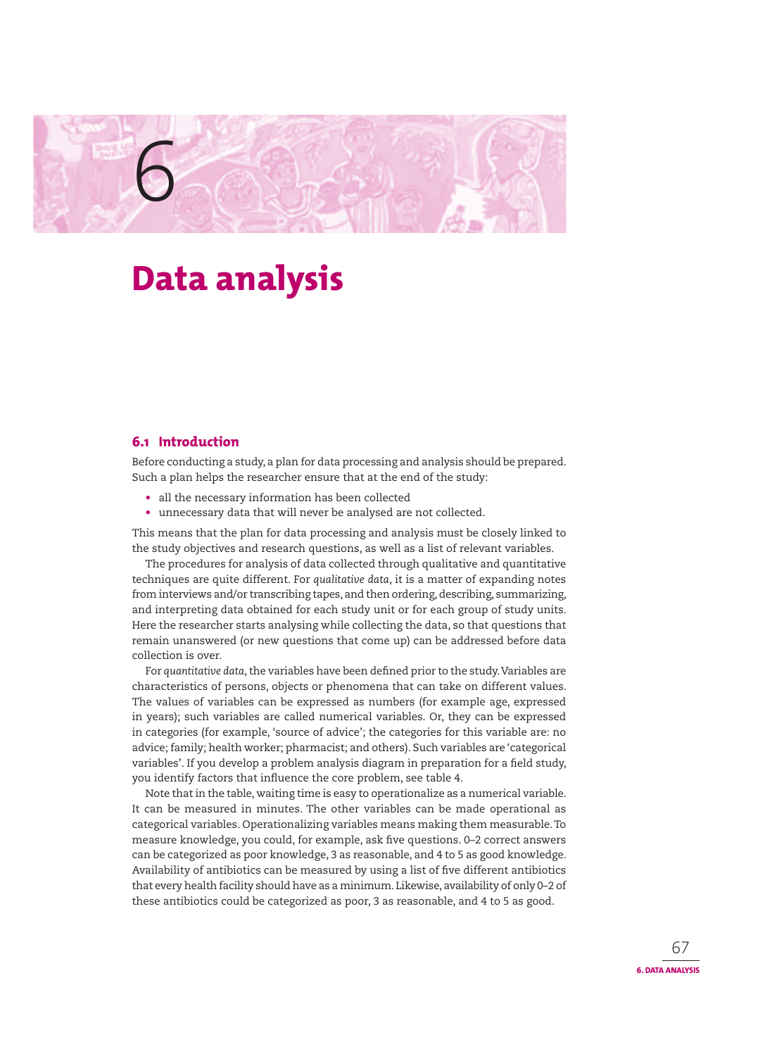# **Data analysis**

# **6.1 Introduction**

6

Before conducting a study, a plan for data processing and analysis should be prepared. Such a plan helps the researcher ensure that at the end of the study:

- all the necessary information has been collected
- unnecessary data that will never be analysed are not collected.

This means that the plan for data processing and analysis must be closely linked to the study objectives and research questions, as well as a list of relevant variables.

The procedures for analysis of data collected through qualitative and quantitative techniques are quite different. For *qualitative data*, it is a matter of expanding notes from interviews and/or transcribing tapes, and then ordering, describing, summarizing, and interpreting data obtained for each study unit or for each group of study units. Here the researcher starts analysing while collecting the data, so that questions that remain unanswered (or new questions that come up) can be addressed before data collection is over.

For *quantitative data*, the variables have been defined prior to the study. Variables are characteristics of persons, objects or phenomena that can take on different values. The values of variables can be expressed as numbers (for example age, expressed in years); such variables are called numerical variables. Or, they can be expressed in categories (for example, 'source of advice'; the categories for this variable are: no advice; family; health worker; pharmacist; and others). Such variables are 'categorical variables'. If you develop a problem analysis diagram in preparation for a field study, you identify factors that influence the core problem, see table 4.

Note that in the table, waiting time is easy to operationalize as a numerical variable. It can be measured in minutes. The other variables can be made operational as categorical variables. Operationalizing variables means making them measurable. To measure knowledge, you could, for example, ask five questions. 0-2 correct answers can be categorized as poor knowledge, 3 as reasonable, and 4 to 5 as good knowledge. Availability of antibiotics can be measured by using a list of five different antibiotics that every health facility should have as a minimum. Likewise, availability of only 0–2 of these antibiotics could be categorized as poor, 3 as reasonable, and 4 to 5 as good.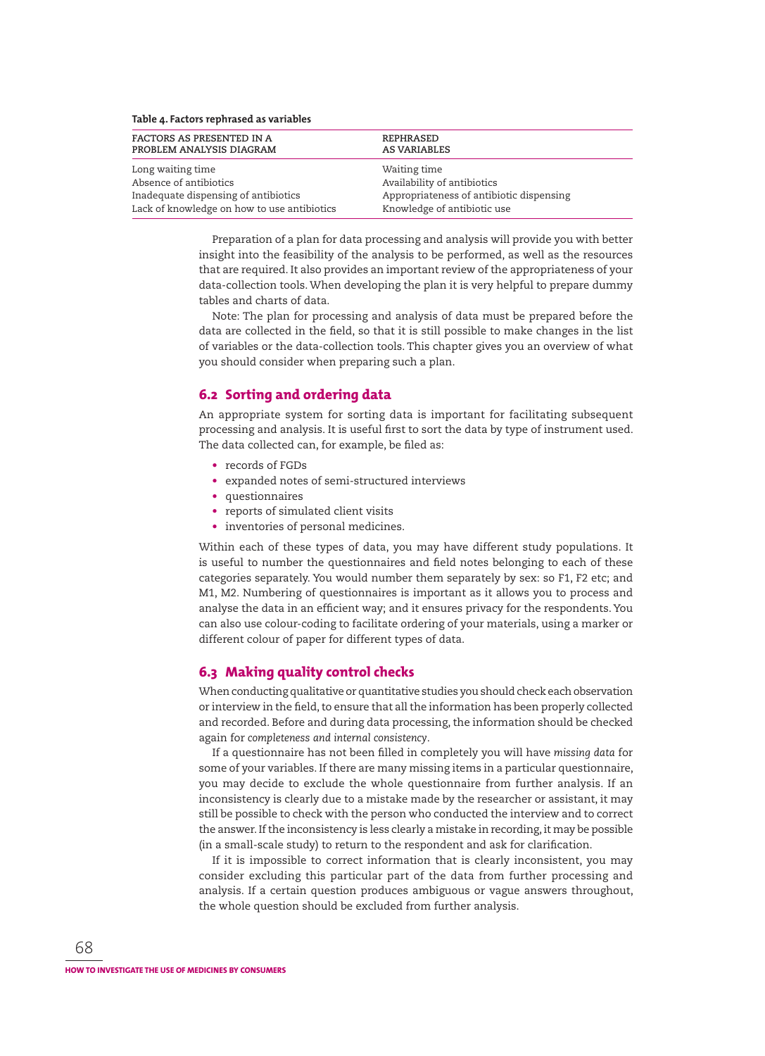| Table 4. Factors rephrased as variables     |                                          |  |  |
|---------------------------------------------|------------------------------------------|--|--|
| FACTORS AS PRESENTED IN A                   | REPHRASED                                |  |  |
| PROBLEM ANALYSIS DIAGRAM                    | <b>AS VARIABLES</b>                      |  |  |
| Long waiting time                           | Waiting time                             |  |  |
| Absence of antibiotics                      | Availability of antibiotics              |  |  |
| Inadequate dispensing of antibiotics        | Appropriateness of antibiotic dispensing |  |  |
| Lack of knowledge on how to use antibiotics | Knowledge of antibiotic use              |  |  |

Preparation of a plan for data processing and analysis will provide you with better insight into the feasibility of the analysis to be performed, as well as the resources that are required. It also provides an important review of the appropriateness of your data-collection tools. When developing the plan it is very helpful to prepare dummy tables and charts of data.

Note: The plan for processing and analysis of data must be prepared before the data are collected in the field, so that it is still possible to make changes in the list of variables or the data-collection tools. This chapter gives you an overview of what you should consider when preparing such a plan.

# **6.2 Sorting and ordering data**

An appropriate system for sorting data is important for facilitating subsequent processing and analysis. It is useful first to sort the data by type of instrument used. The data collected can, for example, be filed as:

- records of FGDs
- expanded notes of semi-structured interviews
- questionnaires
- reports of simulated client visits
- inventories of personal medicines.

Within each of these types of data, you may have different study populations. It is useful to number the questionnaires and field notes belonging to each of these categories separately. You would number them separately by sex: so F1, F2 etc; and M1, M2. Numbering of questionnaires is important as it allows you to process and analyse the data in an efficient way; and it ensures privacy for the respondents. You can also use colour-coding to facilitate ordering of your materials, using a marker or different colour of paper for different types of data.

# **6.3 Making quality control checks**

When conducting qualitative or quantitative studies you should check each observation or interview in the field, to ensure that all the information has been properly collected and recorded. Before and during data processing, the information should be checked again for *completeness and internal consistency*.

If a questionnaire has not been filled in completely you will have missing data for some of your variables. If there are many missing items in a particular questionnaire, you may decide to exclude the whole questionnaire from further analysis. If an inconsistency is clearly due to a mistake made by the researcher or assistant, it may still be possible to check with the person who conducted the interview and to correct the answer. If the inconsistency is less clearly a mistake in recording, it may be possible (in a small-scale study) to return to the respondent and ask for clarification.

If it is impossible to correct information that is clearly inconsistent, you may consider excluding this particular part of the data from further processing and analysis. If a certain question produces ambiguous or vague answers throughout, the whole question should be excluded from further analysis.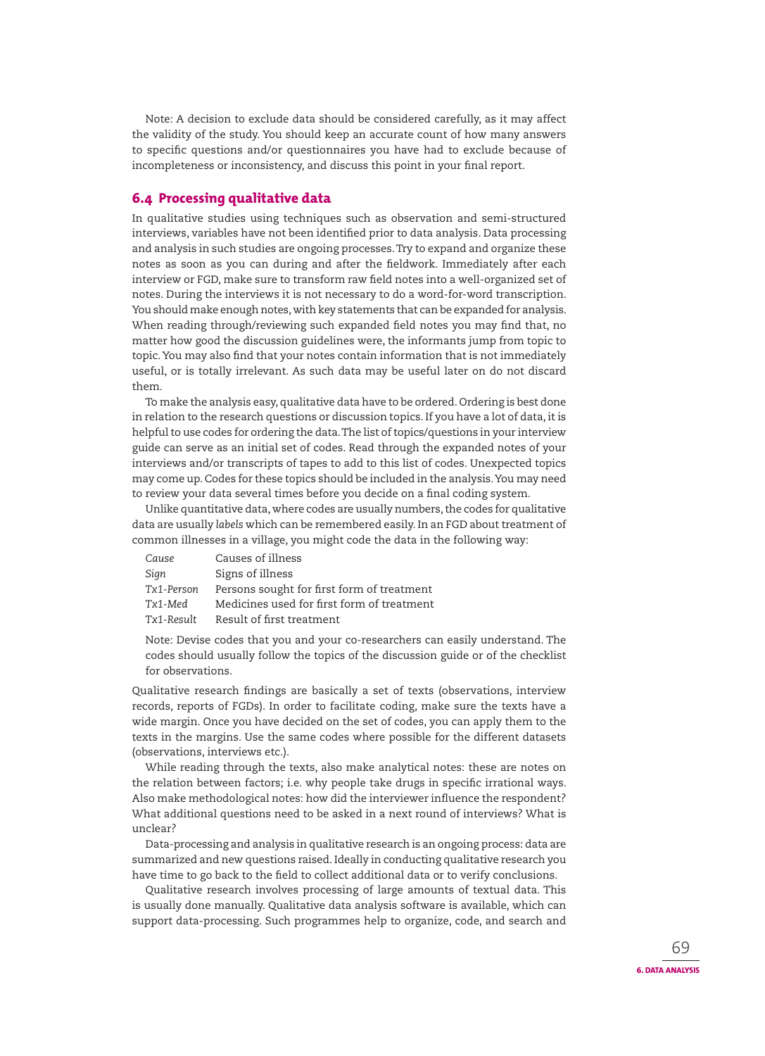Note: A decision to exclude data should be considered carefully, as it may affect the validity of the study. You should keep an accurate count of how many answers to specific questions and/or questionnaires you have had to exclude because of incompleteness or inconsistency, and discuss this point in your final report.

## **6.4 Processing qualitative data**

In qualitative studies using techniques such as observation and semi-structured interviews, variables have not been identified prior to data analysis. Data processing and analysis in such studies are ongoing processes. Try to expand and organize these notes as soon as you can during and after the fieldwork. Immediately after each interview or FGD, make sure to transform raw field notes into a well-organized set of notes. During the interviews it is not necessary to do a word-for-word trans cription. You should make enough notes, with key statements that can be expanded for analysis. When reading through/reviewing such expanded field notes you may find that, no matter how good the discussion guidelines were, the informants jump from topic to topic. You may also find that your notes contain information that is not immediately useful, or is totally irrelevant. As such data may be useful later on do not discard them.

To make the analysis easy, qualitative data have to be ordered. Ordering is best done in relation to the research questions or discussion topics. If you have a lot of data, it is helpful to use codes for ordering the data. The list of topics/questions in your interview guide can serve as an initial set of codes. Read through the expanded notes of your interviews and/or transcripts of tapes to add to this list of codes. Unexpected topics may come up. Codes for these topics should be included in the analysis. You may need to review your data several times before you decide on a final coding system.

Unlike quantitative data, where codes are usually numbers, the codes for qualitative data are usually *labels* which can be remembered easily. In an FGD about treatment of common illnesses in a village, you might code the data in the following way:

| Cause      | Causes of illness                          |
|------------|--------------------------------------------|
| Sign       | Signs of illness                           |
| Tx1-Person | Persons sought for first form of treatment |
| Tx1-Med    | Medicines used for first form of treatment |
| Tx1-Result | Result of first treatment                  |

Note: Devise codes that you and your co-researchers can easily understand. The codes should usually follow the topics of the discussion guide or of the checklist for observations.

Qualitative research findings are basically a set of texts (observations, interview records, reports of FGDs). In order to facilitate coding, make sure the texts have a wide margin. Once you have decided on the set of codes, you can apply them to the texts in the margins. Use the same codes where possible for the different datasets (observations, interviews etc.).

While reading through the texts, also make analytical notes: these are notes on the relation between factors; i.e. why people take drugs in specific irrational ways. Also make methodological notes: how did the interviewer influence the respondent? What additional questions need to be asked in a next round of interviews? What is unclear?

Data-processing and analysis in qualitative research is an ongoing process: data are summarized and new questions raised. Ideally in conducting qualitative research you have time to go back to the field to collect additional data or to verify conclusions.

Qualitative research involves processing of large amounts of textual data. This is usually done manually. Qualitative data analysis software is available, which can support data-processing. Such programmes help to organize, code, and search and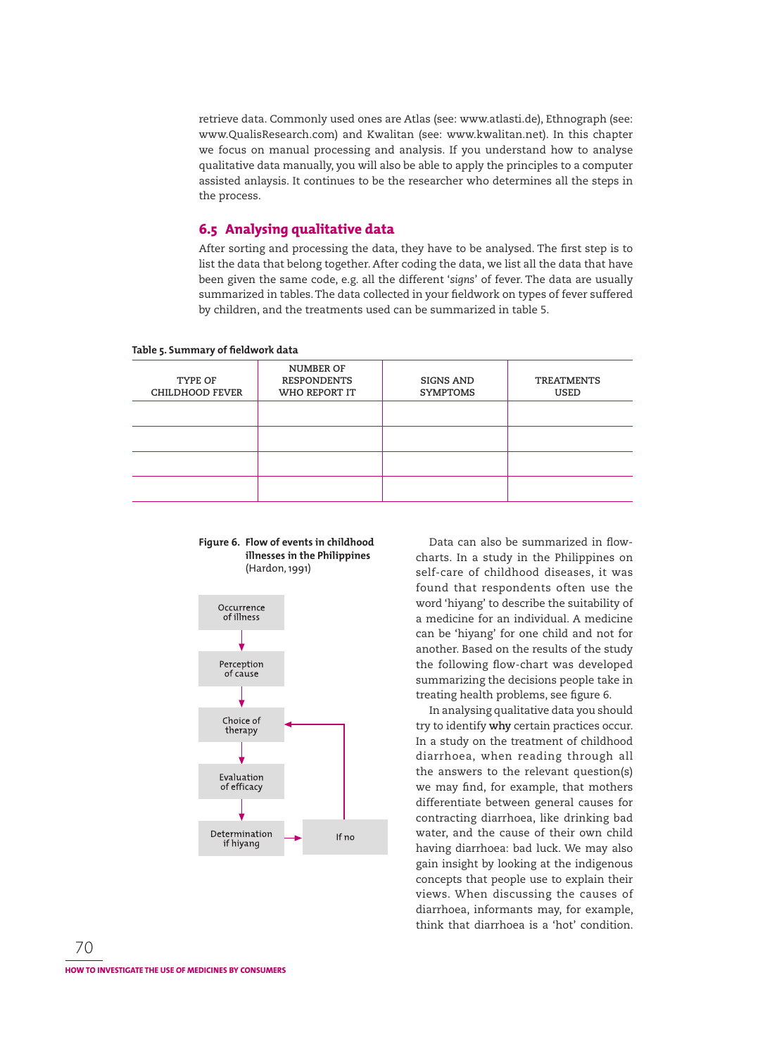retrieve data. Commonly used ones are Atlas (see: www.atlasti.de), Ethnograph (see: www.QualisResearch.com) and Kwalitan (see: www.kwalitan.net). In this chapter we focus on manual processing and analysis. If you understand how to analyse qualitative data manually, you will also be able to apply the principles to a computer assisted anlaysis. It continues to be the researcher who determines all the steps in the process.

# **6.5 Analysing qualitative data**

After sorting and processing the data, they have to be analysed. The first step is to list the data that belong together. After coding the data, we list all the data that have been given the same code, e.g. all the different '*signs*' of fever. The data are usually summarized in tables. The data collected in your fieldwork on types of fever suffered by children, and the treatments used can be summarized in table 5.

| -                                 |                                                  |                              |                                  |
|-----------------------------------|--------------------------------------------------|------------------------------|----------------------------------|
| TYPE OF<br><b>CHILDHOOD FEVER</b> | NUMBER OF<br><b>RESPONDENTS</b><br>WHO REPORT IT | SIGNS AND<br><b>SYMPTOMS</b> | <b>TREATMENTS</b><br><b>USED</b> |
|                                   |                                                  |                              |                                  |
|                                   |                                                  |                              |                                  |
|                                   |                                                  |                              |                                  |
|                                   |                                                  |                              |                                  |
|                                   |                                                  |                              |                                  |
|                                   |                                                  |                              |                                  |

#### Table 5. Summary of fieldwork data

#### **Figure 6. Flow of events in childhood illnesses in the Philippines**  (Hardon, 1991)



Data can also be summarized in flowcharts. In a study in the Philippines on self-care of childhood diseases, it was found that respondents often use the word 'hiyang' to describe the suitability of a medicine for an individual. A medicine can be 'hiyang' for one child and not for another. Based on the results of the study the following flow-chart was developed summarizing the decisions people take in treating health problems, see figure 6.

In analysing qualitative data you should try to identify **why** certain practices occur. In a study on the treatment of childhood diarrhoea, when reading through all the answers to the relevant question(s) we may find, for example, that mothers differentiate between general causes for contracting diarrhoea, like drinking bad water, and the cause of their own child having diarrhoea: bad luck. We may also gain insight by looking at the indigenous concepts that people use to explain their views. When discussing the causes of diarrhoea, informants may, for example, think that diarrhoea is a 'hot' condition.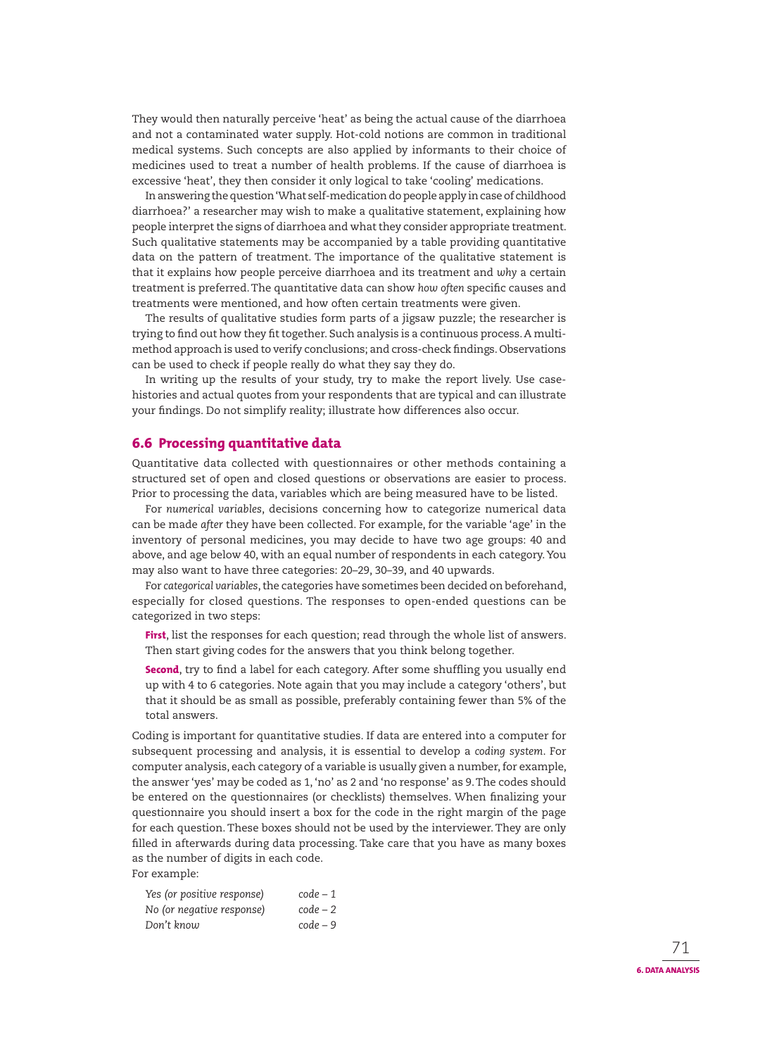They would then naturally perceive 'heat' as being the actual cause of the diarrhoea and not a contaminated water supply. Hot-cold notions are common in traditional medical systems. Such concepts are also applied by informants to their choice of medicines used to treat a number of health problems. If the cause of diarrhoea is excessive 'heat', they then consider it only logical to take 'cooling' medications.

In answering the question 'What self-medication do people apply in case of childhood diarrhoea?' a researcher may wish to make a qualitative statement, explaining how people interpret the signs of diarrhoea and what they consider appropriate treatment. Such qualitative statements may be accompanied by a table providing quantitative data on the pattern of treatment. The importance of the qualitative statement is that it explains how people perceive diarrhoea and its treatment and *why* a certain treatment is preferred. The quantitative data can show *how often* specific causes and treatments were mentioned, and how often certain treatments were given.

The results of qualitative studies form parts of a jigsaw puzzle; the researcher is trying to find out how they fit together. Such analysis is a continuous process. A multimethod approach is used to verify conclusions; and cross-check findings. Observations can be used to check if people really do what they say they do.

In writing up the results of your study, try to make the report lively. Use casehistories and actual quotes from your respondents that are typical and can illustrate your findings. Do not simplify reality; illustrate how differences also occur.

# **6.6 Processing quantitative data**

Quantitative data collected with questionnaires or other methods containing a structured set of open and closed questions or observations are easier to process. Prior to processing the data, variables which are being measured have to be listed.

For *numerical variables*, decisions concerning how to categorize numerical data can be made *after* they have been collected. For example, for the variable 'age' in the inventory of personal medicines, you may decide to have two age groups: 40 and above, and age below 40, with an equal number of respondents in each category. You may also want to have three categories: 20–29, 30–39, and 40 upwards.

For *categorical variables*, the categories have sometimes been decided on beforehand, especially for closed questions. The responses to open-ended questions can be categorized in two steps:

**First**, list the responses for each question; read through the whole list of answers. Then start giving codes for the answers that you think belong together.

**Second**, try to find a label for each category. After some shuffling you usually end up with 4 to 6 categories. Note again that you may include a category 'others', but that it should be as small as possible, preferably containing fewer than 5% of the total answers.

Coding is important for quantitative studies. If data are entered into a computer for subsequent processing and analysis, it is essential to develop a *coding system*. For computer analysis, each category of a variable is usually given a number, for example, the answer 'yes' may be coded as 1, 'no' as 2 and 'no response' as 9. The codes should be entered on the questionnaires (or checklists) themselves. When finalizing your questionnaire you should insert a box for the code in the right margin of the page for each question. These boxes should not be used by the interviewer. They are only filled in afterwards during data processing. Take care that you have as many boxes as the number of digits in each code. For example:

*Yes (or positive response) code – 1 No (or negative response) code – 2 Don't know code – 9*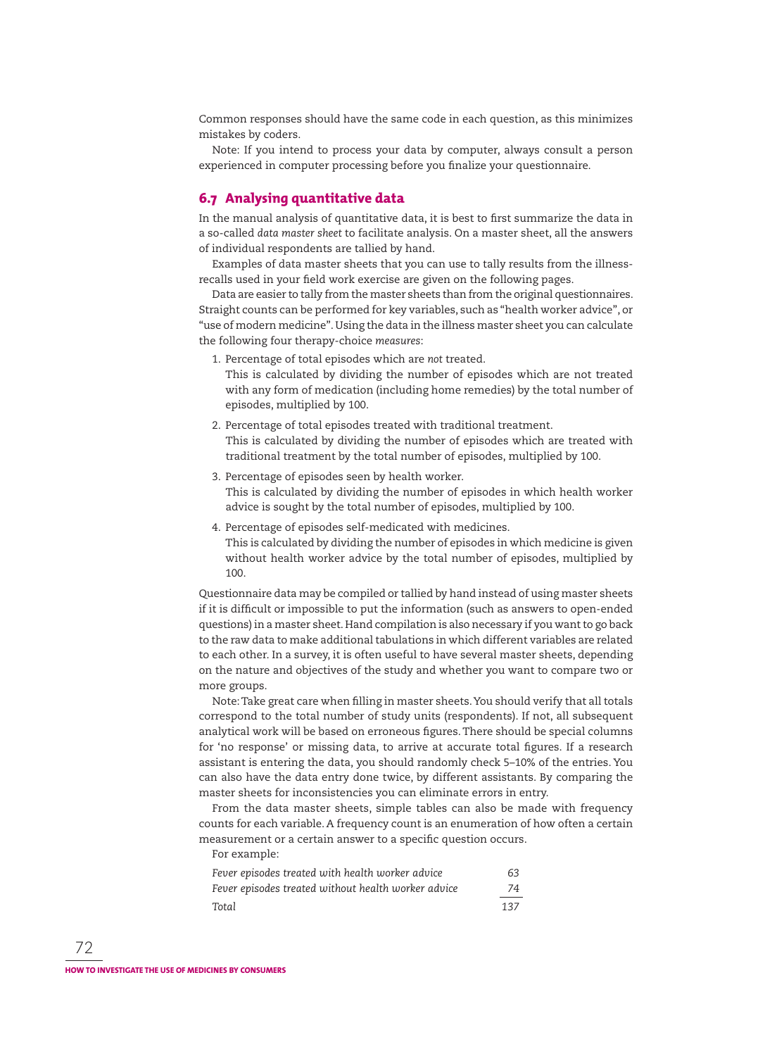Common responses should have the same code in each question, as this minimizes mistakes by coders.

Note: If you intend to process your data by computer, always consult a person experienced in computer processing before you finalize your questionnaire.

## **6.7 Analysing quantitative data**

In the manual analysis of quantitative data, it is best to first summarize the data in a so-called *data master sheet* to facilitate analysis. On a master sheet, all the answers of individual respondents are tallied by hand.

Examples of data master sheets that you can use to tally results from the illnessrecalls used in your field work exercise are given on the following pages.

Data are easier to tally from the master sheets than from the original questionnaires. Straight counts can be performed for key variables, such as "health worker advice", or "use of modern medicine". Using the data in the illness master sheet you can calculate the following four therapy-choice *measures*:

1. Percentage of total episodes which are *not* treated.

 This is calculated by dividing the number of episodes which are not treated with any form of medication (including home remedies) by the total number of episodes, multiplied by 100.

- 2. Percentage of total episodes treated with traditional treatment. This is calculated by dividing the number of episodes which are treated with traditional treatment by the total number of episodes, multiplied by 100.
- 3. Percentage of episodes seen by health worker. This is calculated by dividing the number of episodes in which health worker advice is sought by the total number of episodes, multiplied by 100.
- 4. Percentage of episodes self-medicated with medicines.

 This is calculated by dividing the number of episodes in which medicine is given without health worker advice by the total number of episodes, multiplied by 100.

Questionnaire data may be compiled or tallied by hand instead of using master sheets if it is difficult or impossible to put the information (such as answers to open-ended questions) in a master sheet. Hand compilation is also necessary if you want to go back to the raw data to make additional tabulations in which different variables are related to each other. In a survey, it is often useful to have several master sheets, depending on the nature and objectives of the study and whether you want to compare two or more groups.

Note: Take great care when filling in master sheets. You should verify that all totals correspond to the total number of study units (respondents). If not, all subsequent analytical work will be based on erroneous figures. There should be special columns for 'no response' or missing data, to arrive at accurate total figures. If a research assistant is entering the data, you should randomly check 5–10% of the entries. You can also have the data entry done twice, by different assistants. By comparing the master sheets for inconsistencies you can eliminate errors in entry.

From the data master sheets, simple tables can also be made with frequency counts for each variable. A frequency count is an enumeration of how often a certain measurement or a certain answer to a specific question occurs.

For example:

| Fever episodes treated with health worker advice    | 63. |
|-----------------------------------------------------|-----|
| Fever episodes treated without health worker advice | -74 |
| Total                                               | 137 |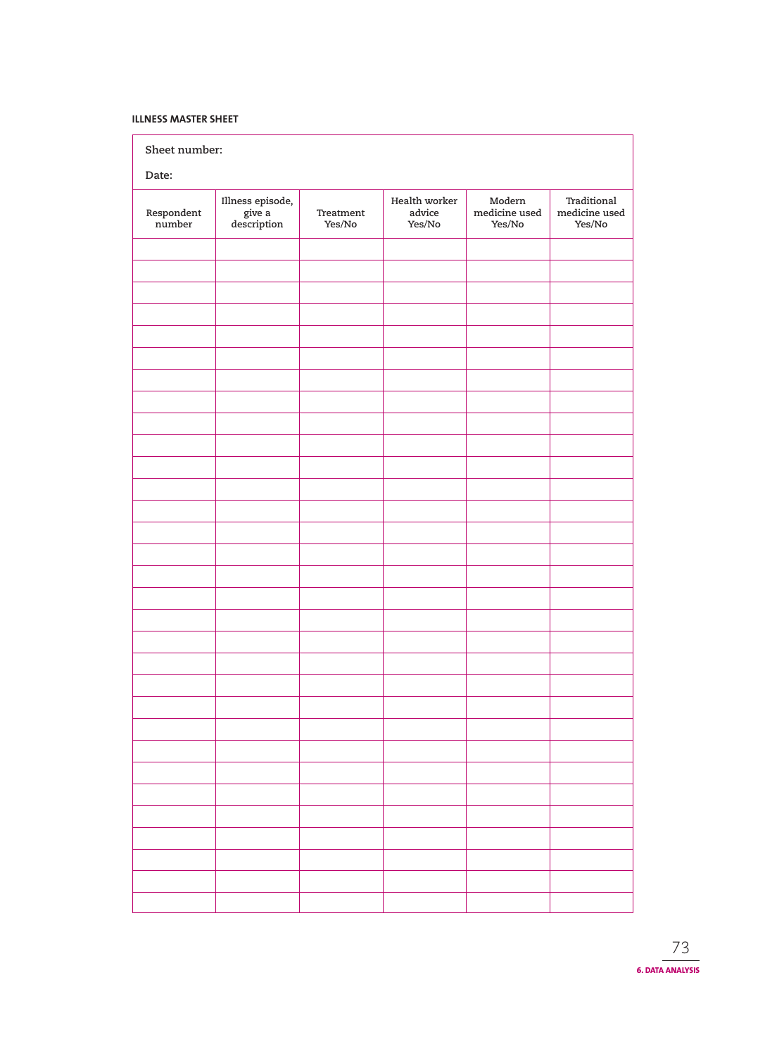## **ILLNESS MASTER SHEET**

| Sheet number:        |                                           |                     |                                   |                                   |                                                                                                  |
|----------------------|-------------------------------------------|---------------------|-----------------------------------|-----------------------------------|--------------------------------------------------------------------------------------------------|
| Date:                |                                           |                     |                                   |                                   |                                                                                                  |
| Respondent<br>number | Illness episode,<br>give a<br>description | Treatment<br>Yes/No | Health worker<br>advice<br>Yes/No | Modern<br>medicine used<br>Yes/No | Traditional<br>$% \left\vert \left( \mathbf{r}_{i}\right) \right\rangle$ medicine used<br>Yes/No |
|                      |                                           |                     |                                   |                                   |                                                                                                  |
|                      |                                           |                     |                                   |                                   |                                                                                                  |
|                      |                                           |                     |                                   |                                   |                                                                                                  |
|                      |                                           |                     |                                   |                                   |                                                                                                  |
|                      |                                           |                     |                                   |                                   |                                                                                                  |
|                      |                                           |                     |                                   |                                   |                                                                                                  |
|                      |                                           |                     |                                   |                                   |                                                                                                  |
|                      |                                           |                     |                                   |                                   |                                                                                                  |
|                      |                                           |                     |                                   |                                   |                                                                                                  |
|                      |                                           |                     |                                   |                                   |                                                                                                  |
|                      |                                           |                     |                                   |                                   |                                                                                                  |
|                      |                                           |                     |                                   |                                   |                                                                                                  |
|                      |                                           |                     |                                   |                                   |                                                                                                  |
|                      |                                           |                     |                                   |                                   |                                                                                                  |
|                      |                                           |                     |                                   |                                   |                                                                                                  |
|                      |                                           |                     |                                   |                                   |                                                                                                  |
|                      |                                           |                     |                                   |                                   |                                                                                                  |
|                      |                                           |                     |                                   |                                   |                                                                                                  |
|                      |                                           |                     |                                   |                                   |                                                                                                  |
|                      |                                           |                     |                                   |                                   |                                                                                                  |
|                      |                                           |                     |                                   |                                   |                                                                                                  |
|                      |                                           |                     |                                   |                                   |                                                                                                  |
|                      |                                           |                     |                                   |                                   |                                                                                                  |
|                      |                                           |                     |                                   |                                   |                                                                                                  |
|                      |                                           |                     |                                   |                                   |                                                                                                  |
|                      |                                           |                     |                                   |                                   |                                                                                                  |
|                      |                                           |                     |                                   |                                   |                                                                                                  |
|                      |                                           |                     |                                   |                                   |                                                                                                  |
|                      |                                           |                     |                                   |                                   |                                                                                                  |
|                      |                                           |                     |                                   |                                   |                                                                                                  |
|                      |                                           |                     |                                   |                                   |                                                                                                  |
|                      |                                           |                     |                                   |                                   |                                                                                                  |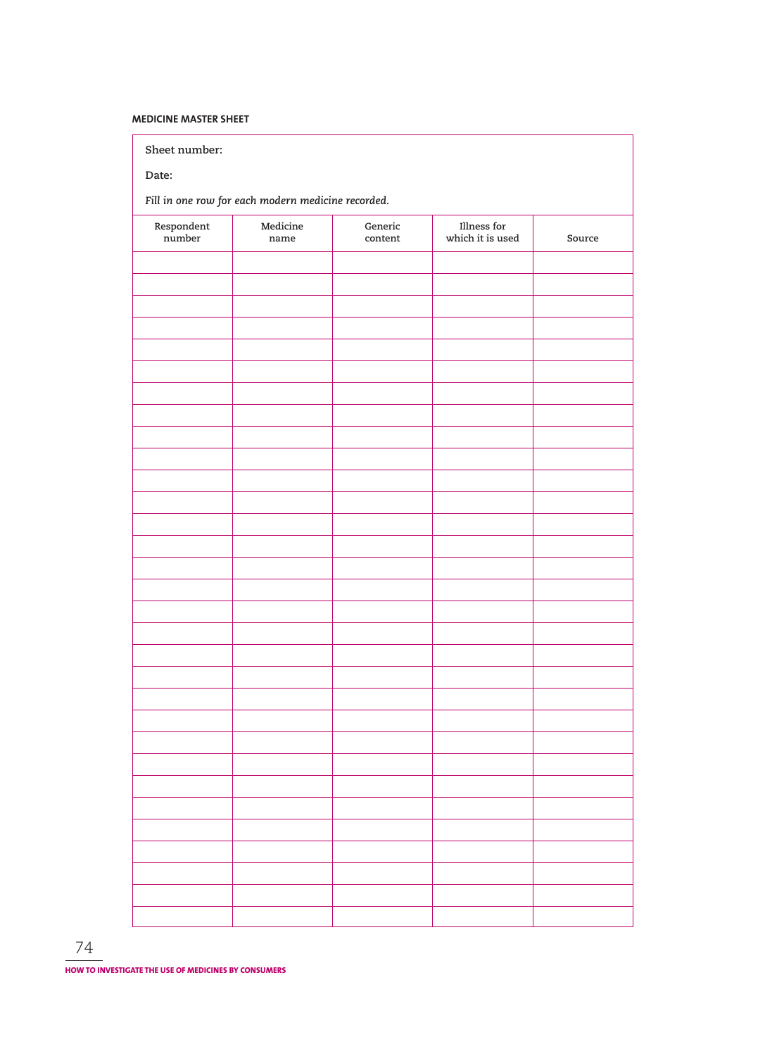## **MEDICINE MASTER SHEET**

**Sheet number:**

**Date:**

*Fill in one row for each modern medicine recorded.*

| Respondent<br>number | ${\bf Medicine}$<br>$\,$ name $\,$ | ${\tt Generic}$<br>$\qquad$ content | Illness for<br>which it is used | Source |
|----------------------|------------------------------------|-------------------------------------|---------------------------------|--------|
|                      |                                    |                                     |                                 |        |
|                      |                                    |                                     |                                 |        |
|                      |                                    |                                     |                                 |        |
|                      |                                    |                                     |                                 |        |
|                      |                                    |                                     |                                 |        |
|                      |                                    |                                     |                                 |        |
|                      |                                    |                                     |                                 |        |
|                      |                                    |                                     |                                 |        |
|                      |                                    |                                     |                                 |        |
|                      |                                    |                                     |                                 |        |
|                      |                                    |                                     |                                 |        |
|                      |                                    |                                     |                                 |        |
|                      |                                    |                                     |                                 |        |
|                      |                                    |                                     |                                 |        |
|                      |                                    |                                     |                                 |        |
|                      |                                    |                                     |                                 |        |
|                      |                                    |                                     |                                 |        |
|                      |                                    |                                     |                                 |        |
|                      |                                    |                                     |                                 |        |
|                      |                                    |                                     |                                 |        |
|                      |                                    |                                     |                                 |        |
|                      |                                    |                                     |                                 |        |
|                      |                                    |                                     |                                 |        |
|                      |                                    |                                     |                                 |        |
|                      |                                    |                                     |                                 |        |
|                      |                                    |                                     |                                 |        |
|                      |                                    |                                     |                                 |        |
|                      |                                    |                                     |                                 |        |
|                      |                                    |                                     |                                 |        |
|                      |                                    |                                     |                                 |        |
|                      |                                    |                                     |                                 |        |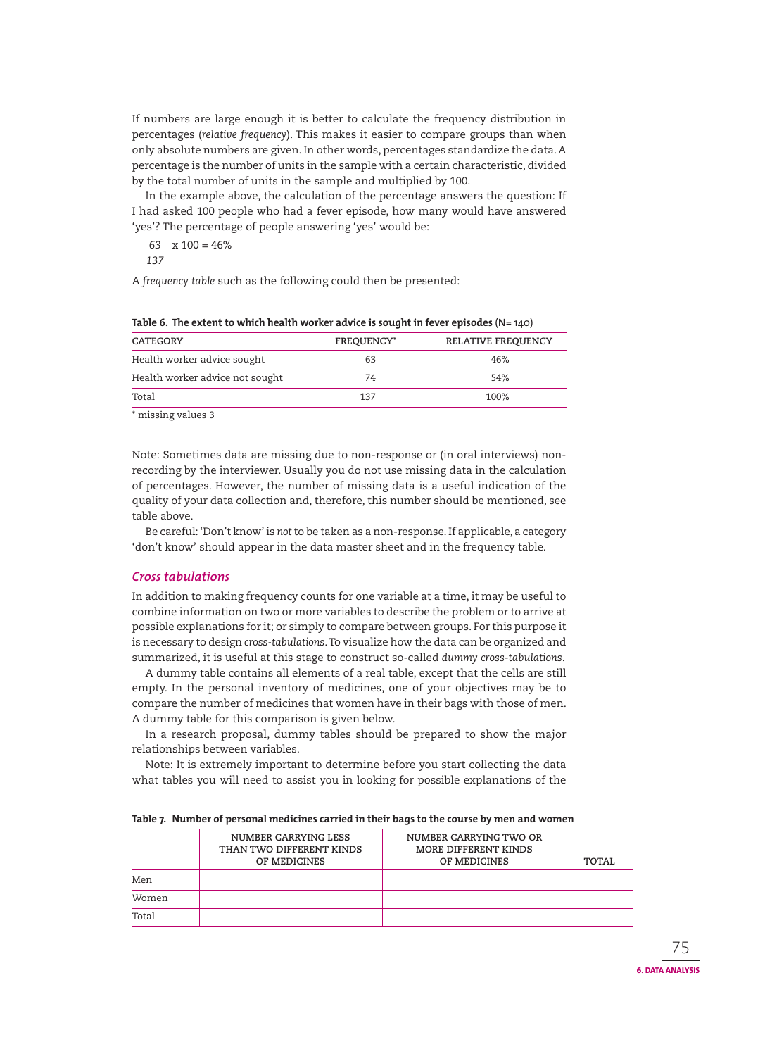If numbers are large enough it is better to calculate the frequency distribution in percentages (*relative frequency*). This makes it easier to compare groups than when only absolute numbers are given. In other words, percentages standardize the data. A percentage is the number of units in the sample with a certain characteristic, divided by the total number of units in the sample and multiplied by 100.

In the example above, the calculation of the percentage answers the question: If I had asked 100 people who had a fever episode, how many would have answered 'yes'? The percentage of people answering 'yes' would be:

$$
\frac{63}{137} \times 100 = 46\%
$$

A *frequency table* such as the following could then be presented:

| CATEGORY                        | <b>FREQUENCY*</b> | RELATIVE FREQUENCY |
|---------------------------------|-------------------|--------------------|
| Health worker advice sought     | 63                | 46%                |
| Health worker advice not sought | 74                | 54%                |
| Total                           | 137               | 100%               |

**Table 6. The extent to which health worker advice is sought in fever episodes** (N= 140)

\* missing values 3

Note: Sometimes data are missing due to non-response or (in oral interviews) nonrecording by the interviewer. Usually you do not use missing data in the calculation of percentages. However, the number of missing data is a useful indication of the quality of your data collection and, therefore, this number should be mentioned, see table above.

Be careful: 'Don't know' is *not* to be taken as a non-response. If applicable, a category 'don't know' should appear in the data master sheet and in the frequency table.

## *Cross tabulations*

In addition to making frequency counts for one variable at a time, it may be useful to combine information on two or more variables to describe the problem or to arrive at possible explanations for it; or simply to compare between groups. For this purpose it is necessary to design *cross-tabulations*. To visualize how the data can be organized and summarized, it is useful at this stage to construct so-called *dummy cross-tabulations*.

A dummy table contains all elements of a real table, except that the cells are still empty. In the personal inventory of medicines, one of your objectives may be to compare the number of medicines that women have in their bags with those of men. A dummy table for this comparison is given below.

In a research proposal, dummy tables should be prepared to show the major relationships between variables.

Note: It is extremely important to determine before you start collecting the data what tables you will need to assist you in looking for possible explanations of the

|       | NUMBER CARRYING LESS<br>THAN TWO DIFFERENT KINDS<br>OF MEDICINES | NUMBER CARRYING TWO OR<br>MORE DIFFERENT KINDS<br>OF MEDICINES | TOTAL |  |  |
|-------|------------------------------------------------------------------|----------------------------------------------------------------|-------|--|--|
| Men   |                                                                  |                                                                |       |  |  |
| Women |                                                                  |                                                                |       |  |  |
| Total |                                                                  |                                                                |       |  |  |

#### **Table 7. Number of personal medicines carried in their bags to the course by men and women**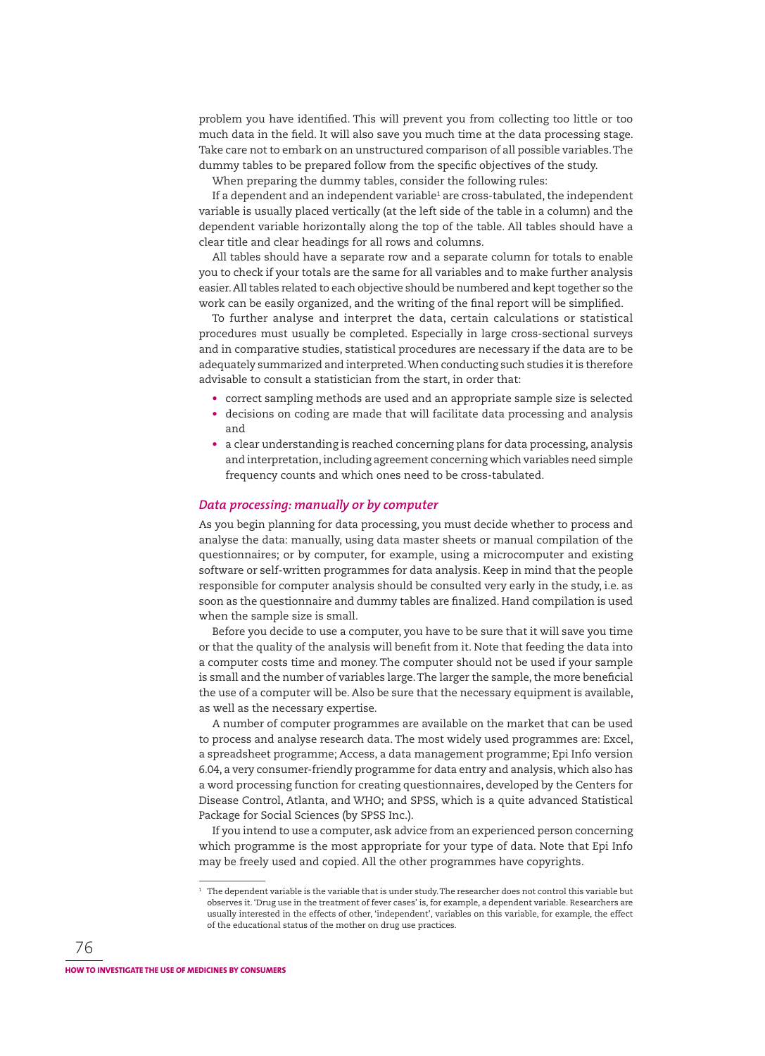problem you have identified. This will prevent you from collecting too little or too much data in the field. It will also save you much time at the data processing stage. Take care not to embark on an unstructured comparison of all possible variables. The dummy tables to be prepared follow from the specific objectives of the study.

When preparing the dummy tables, consider the following rules:

If a dependent and an independent variable<sup>1</sup> are cross-tabulated, the independent variable is usually placed vertically (at the left side of the table in a column) and the dependent variable horizontally along the top of the table. All tables should have a clear title and clear headings for all rows and columns.

All tables should have a separate row and a separate column for totals to enable you to check if your totals are the same for all variables and to make further analysis easier. All tables related to each objective should be numbered and kept together so the work can be easily organized, and the writing of the final report will be simplified.

To further analyse and interpret the data, certain calculations or statistical procedures must usually be completed. Especially in large cross-sectional surveys and in comparative studies, statistical procedures are necessary if the data are to be adequately summarized and interpreted. When conducting such studies it is therefore advisable to consult a statistician from the start, in order that:

- correct sampling methods are used and an appropriate sample size is selected
- decisions on coding are made that will facilitate data processing and analysis and
- a clear understanding is reached concerning plans for data processing, analysis and interpretation, including agreement concerning which variables need simple frequency counts and which ones need to be cross-tabulated.

#### *Data processing: manually or by computer*

As you begin planning for data processing, you must decide whether to process and analyse the data: manually, using data master sheets or manual compilation of the questionnaires; or by computer, for example, using a microcomputer and existing software or self-written programmes for data analysis. Keep in mind that the people responsible for computer analysis should be consulted very early in the study, i.e. as soon as the questionnaire and dummy tables are finalized. Hand compilation is used when the sample size is small.

Before you decide to use a computer, you have to be sure that it will save you time or that the quality of the analysis will benefit from it. Note that feeding the data into a computer costs time and money. The computer should not be used if your sample is small and the number of variables large. The larger the sample, the more beneficial the use of a computer will be. Also be sure that the necessary equipment is available, as well as the necessary expertise.

A number of computer programmes are available on the market that can be used to process and analyse research data. The most widely used programmes are: Excel, a spreadsheet programme; Access, a data management programme; Epi Info version 6.04, a very consumer-friendly programme for data entry and analysis, which also has a word processing function for creating questionnaires, developed by the Centers for Disease Control, Atlanta, and WHO; and SPSS, which is a quite advanced Statistical Package for Social Sciences (by SPSS Inc.).

If you intend to use a computer, ask advice from an experienced person concerning which programme is the most appropriate for your type of data. Note that Epi Info may be freely used and copied. All the other programmes have copyrights.

The dependent variable is the variable that is under study. The researcher does not control this variable but observes it. 'Drug use in the treatment of fever cases' is, for example, a dependent variable. Researchers are usually interested in the effects of other, 'independent', variables on this variable, for example, the effect of the educational status of the mother on drug use practices.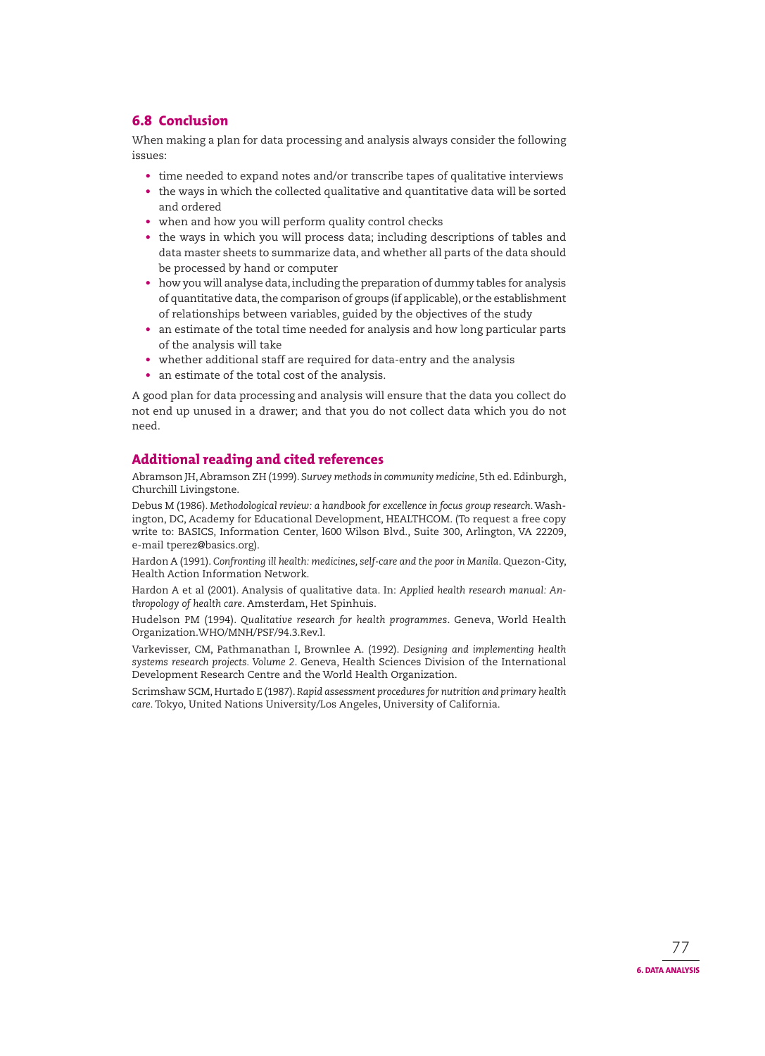# **6.8 Conclusion**

When making a plan for data processing and analysis always consider the following issues:

- time needed to expand notes and/or transcribe tapes of qualitative interviews
- the ways in which the collected qualitative and quantitative data will be sorted and ordered
- when and how you will perform quality control checks
- the ways in which you will process data; including descriptions of tables and data master sheets to summarize data, and whether all parts of the data should be processed by hand or computer
- how you will analyse data, including the preparation of dummy tables for analysis of quantitative data, the comparison of groups (if applicable), or the establishment of relationships between variables, guided by the objectives of the study
- an estimate of the total time needed for analysis and how long particular parts of the analysis will take
- whether additional staff are required for data-entry and the analysis
- an estimate of the total cost of the analysis.

A good plan for data processing and analysis will ensure that the data you collect do not end up unused in a drawer; and that you do not collect data which you do not need.

# **Additional reading and cited references**

Abramson JH, Abramson ZH (1999). *Survey methods in community medicine*, 5th ed. Edinburgh, Churchill Livingstone.

Debus M (1986). Methodological review: a handbook for excellence in focus group research. Washington, DC, Academy for Educational Development, HEALTHCOM. (To request a free copy write to: BASICS, Information Center, l600 Wilson Blvd., Suite 300, Arlington, VA 22209, e-mail tperez@basics.org).

Hardon A (1991). *Confronting ill health: medicines, self-care and the poor in Manila*. Quezon-City, Health Action Information Network.

Hardon A et al (2001). Analysis of qualitative data. In: *Applied health research manual: Anthro pology of health care*. Amsterdam, Het Spinhuis.

Hudelson PM (1994). *Qualitative research for health programmes*. Geneva, World Health Organization.WHO/MNH/PSF/94.3.Rev.l.

Varkevisser, CM, Pathmanathan I, Brownlee A. (1992). *Designing and implementing health*  systems research projects. Volume 2. Geneva, Health Sciences Division of the International Development Research Centre and the World Health Organization.

Scrimshaw SCM, Hurtado E (1987). *Rapid assessment procedures for nutrition and primary health* care. Tokyo, United Nations University/Los Angeles, University of California.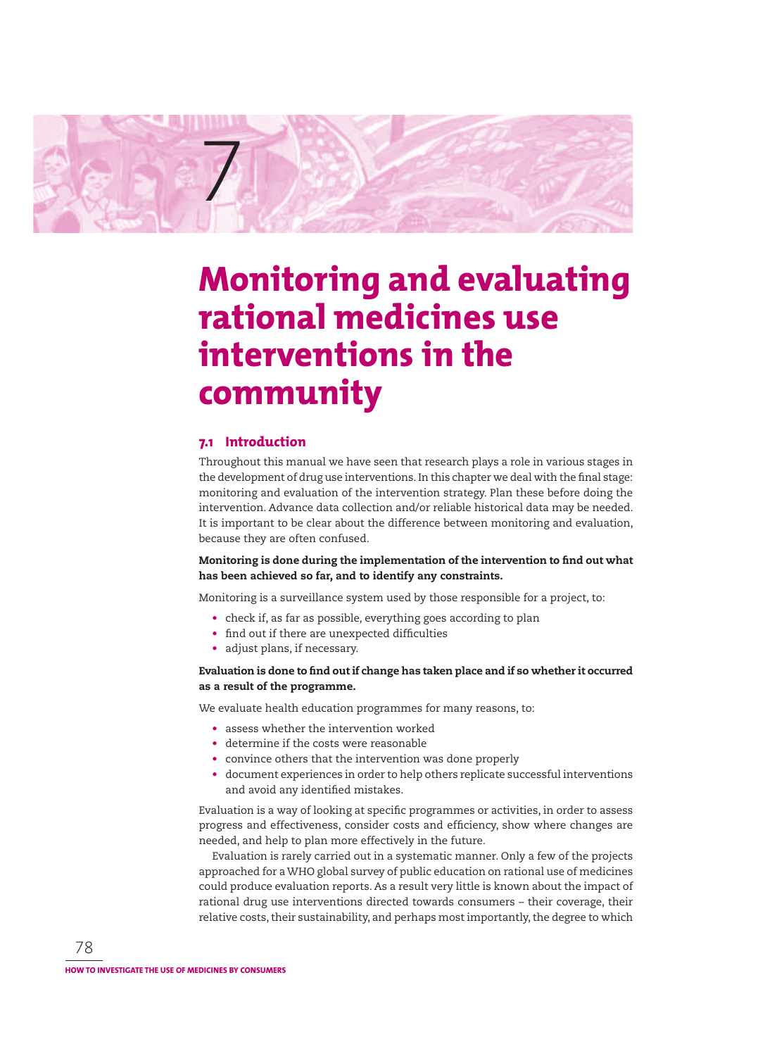

# **Monitoring and evaluating rational medicines use interventions in the community**

# **7.1 Introduction**

Throughout this manual we have seen that research plays a role in various stages in the development of drug use interventions. In this chapter we deal with the final stage: monitoring and evaluation of the intervention strategy. Plan these before doing the intervention. Advance data collection and/or reliable historical data may be needed. It is important to be clear about the difference between monitoring and evaluation, because they are often confused.

## Monitoring is done during the implementation of the intervention to find out what **has been achieved so far, and to identify any constraints.**

Monitoring is a surveillance system used by those responsible for a project, to:

- check if, as far as possible, everything goes according to plan
- find out if there are unexpected difficulties
- adjust plans, if necessary.

## Evaluation is done to find out if change has taken place and if so whether it occurred **as a result of the programme.**

We evaluate health education programmes for many reasons, to:

- assess whether the intervention worked
- determine if the costs were reasonable
- convince others that the intervention was done properly
- document experiences in order to help others replicate successful interventions and avoid any identified mistakes.

Evaluation is a way of looking at specific programmes or activities, in order to assess progress and effectiveness, consider costs and efficiency, show where changes are needed, and help to plan more effectively in the future.

Evaluation is rarely carried out in a systematic manner. Only a few of the projects approached for a WHO global survey of public education on rational use of medicines could produce evaluation reports. As a result very little is known about the impact of rational drug use interventions directed towards consumers – their coverage, their relative costs, their sustainability, and perhaps most importantly, the degree to which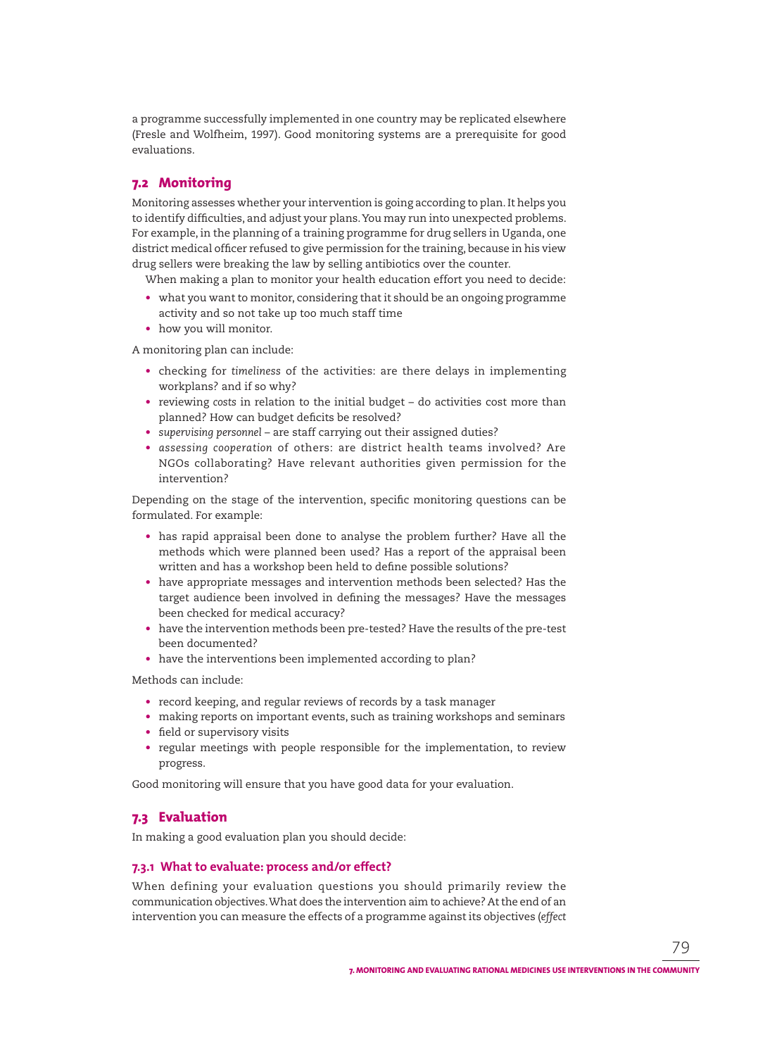a programme successfully implemented in one country may be replicated elsewhere (Fresle and Wolfheim, 1997). Good monitoring systems are a prerequisite for good evaluations.

# **7.2 Monitoring**

Monitoring assesses whether your intervention is going according to plan. It helps you to identify difficulties, and adjust your plans. You may run into unexpected problems. For example, in the planning of a training programme for drug sellers in Uganda, one district medical officer refused to give permission for the training, because in his view drug sellers were breaking the law by selling antibiotics over the counter.

When making a plan to monitor your health education effort you need to decide:

- what you want to monitor, considering that it should be an ongoing programme activity and so not take up too much staff time
- how you will monitor.

A monitoring plan can include:

- checking for *timeliness* of the activities: are there delays in implementing workplans? and if so why?
- reviewing *costs* in relation to the initial budget do activities cost more than planned? How can budget deficits be resolved?
- *supervising personnel* are staff carrying out their assigned duties?
- *assessing cooperation* of others: are district health teams involved? Are NGOs collaborating? Have relevant authorities given permission for the intervention?

Depending on the stage of the intervention, specific monitoring questions can be formulated. For example:

- has rapid appraisal been done to analyse the problem further? Have all the methods which were planned been used? Has a report of the appraisal been written and has a workshop been held to define possible solutions?
- have appropriate messages and intervention methods been selected? Has the target audience been involved in defining the messages? Have the messages been checked for medical accuracy?
- have the intervention methods been pre-tested? Have the results of the pre-test been documented?
- have the interventions been implemented according to plan?

Methods can include:

- record keeping, and regular reviews of records by a task manager
- making reports on important events, such as training workshops and seminars
- field or supervisory visits
- regular meetings with people responsible for the implementation, to review progress.

Good monitoring will ensure that you have good data for your evaluation.

## **7.3 Evaluation**

In making a good evaluation plan you should decide:

## **7.3.1 What to evaluate: process and/or effect?**

When defining your evaluation questions you should primarily review the commu nication objectives. What does the intervention aim to achieve? At the end of an intervention you can measure the effects of a programme against its objectives (*effect*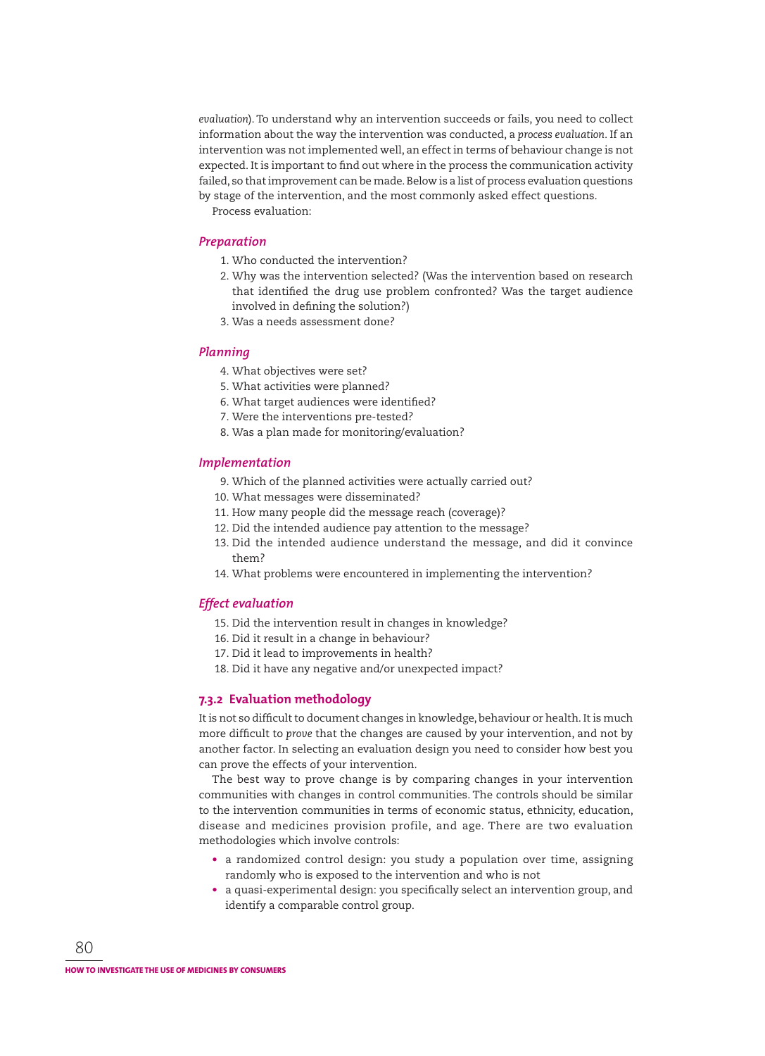*evaluation*). To understand why an intervention succeeds or fails, you need to collect information about the way the intervention was conducted, a *process evaluation*. If an intervention was not implemented well, an effect in terms of behaviour change is not expected. It is important to find out where in the process the communication activity failed, so that improvement can be made. Below is a list of process evaluation questions by stage of the intervention, and the most commonly asked effect questions.

Process evaluation:

## *Preparation*

- 1. Who conducted the intervention?
- 2. Why was the intervention selected? (Was the intervention based on research that identified the drug use problem confronted? Was the target audience involved in defining the solution?)
- 3. Was a needs assessment done?

#### *Planning*

- 4. What objectives were set?
- 5. What activities were planned?
- 6. What target audiences were identified?
- 7. Were the interventions pre-tested?
- 8. Was a plan made for monitoring/evaluation?

### *Implementation*

- 9. Which of the planned activities were actually carried out?
- 10. What messages were disseminated?
- 11. How many people did the message reach (coverage)?
- 12. Did the intended audience pay attention to the message?
- 13. Did the intended audience understand the message, and did it convince them?
- 14. What problems were encountered in implementing the intervention?

#### *Effect evaluation*

- 15. Did the intervention result in changes in knowledge?
- 16. Did it result in a change in behaviour?
- 17. Did it lead to improvements in health?
- 18. Did it have any negative and/or unexpected impact?

## **7.3.2 Evaluation methodology**

It is not so difficult to document changes in knowledge, behaviour or health. It is much more difficult to *prove* that the changes are caused by your intervention, and not by another factor. In selecting an evaluation design you need to consider how best you can prove the effects of your intervention.

The best way to prove change is by comparing changes in your intervention communities with changes in control communities. The controls should be similar to the intervention communities in terms of economic status, ethnicity, education, disease and medicines provision profile, and age. There are two evaluation methodologies which involve controls:

- a randomized control design: you study a population over time, assigning randomly who is exposed to the intervention and who is not
- a quasi-experimental design: you specifically select an intervention group, and identify a comparable control group.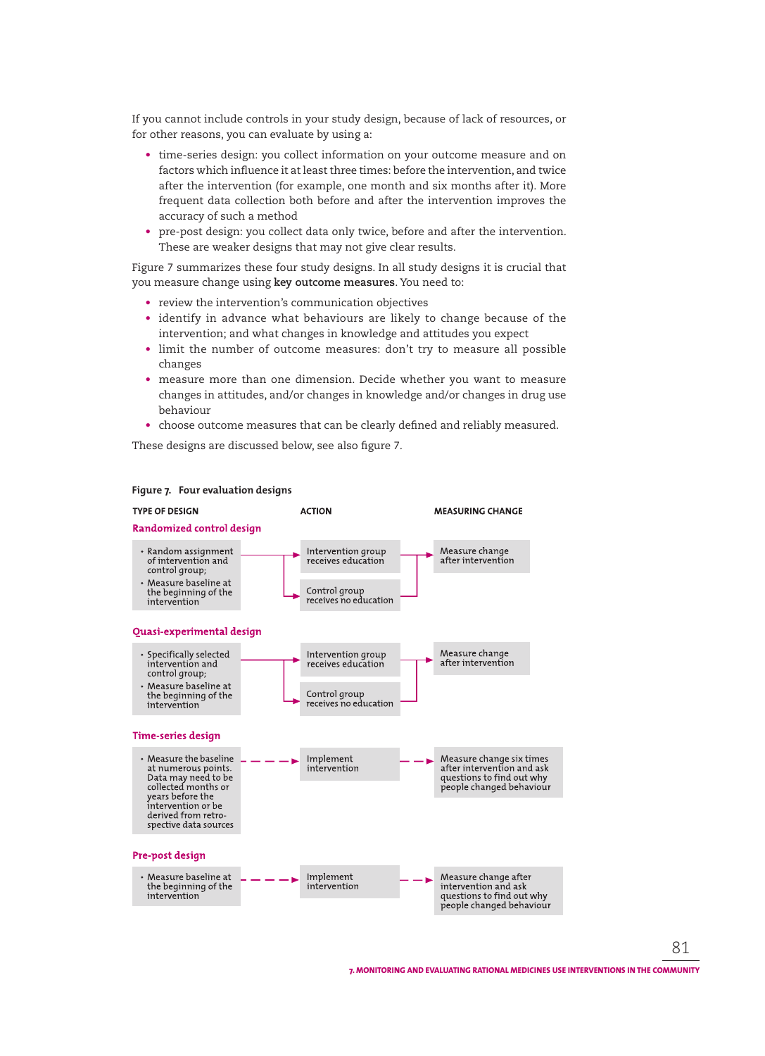If you cannot include controls in your study design, because of lack of resources, or for other reasons, you can evaluate by using a:

- time-series design: you collect information on your outcome measure and on factors which influence it at least three times: before the intervention, and twice after the intervention (for example, one month and six months after it). More frequent data collection both before and after the intervention improves the accuracy of such a method
- pre-post design: you collect data only twice, before and after the intervention. These are weaker designs that may not give clear results.

Figure 7 summarizes these four study designs. In all study designs it is crucial that you measure change using **key outcome measures**. You need to:

- review the intervention's communication objectives
- identify in advance what behaviours are likely to change because of the intervention; and what changes in knowledge and attitudes you expect
- limit the number of outcome measures: don't try to measure all possible changes
- measure more than one dimension. Decide whether you want to measure changes in attitudes, and/or changes in knowledge and/or changes in drug use behaviour
- choose outcome measures that can be clearly defined and reliably measured.

These designs are discussed below, see also figure 7.



#### **Figure 7. Four evaluation designs**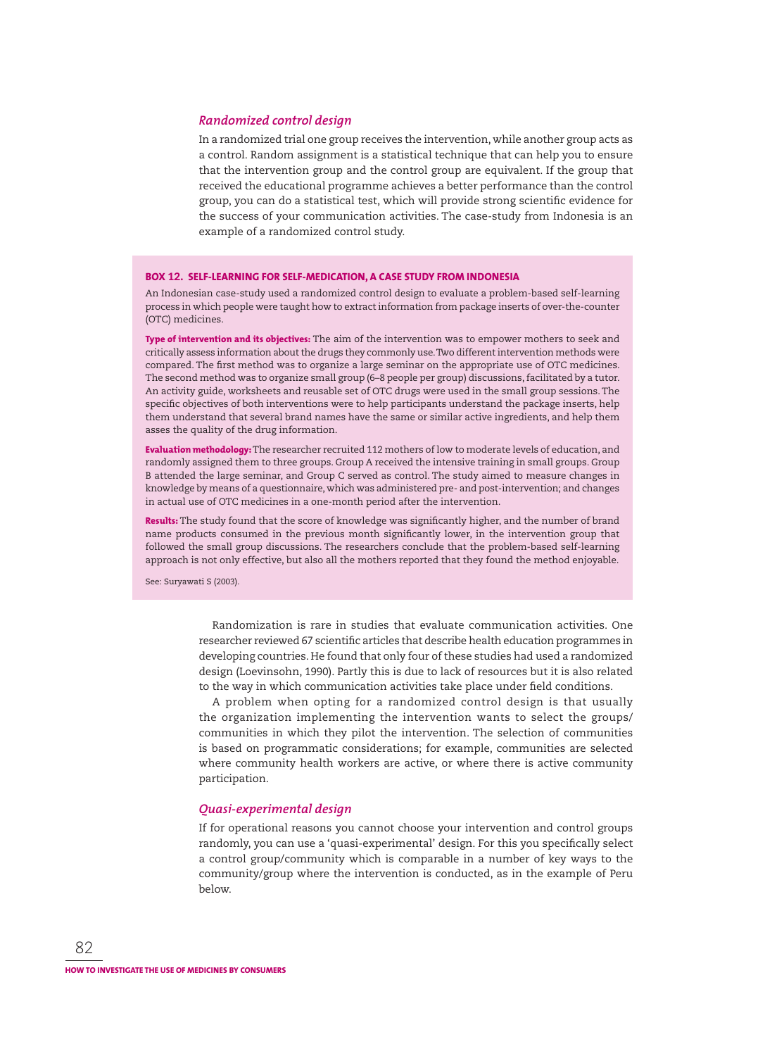#### *Randomized control design*

In a randomized trial one group receives the intervention, while another group acts as a control. Random assignment is a statistical technique that can help you to ensure that the intervention group and the control group are equivalent. If the group that received the educational programme achieves a better performance than the control group, you can do a statistical test, which will provide strong scientific evidence for the success of your communication activities. The case-study from Indonesia is an example of a randomized control study.

#### **BOX 12. SELF-LEARNING FOR SELF-MEDICATION, A CASE STUDY FROM INDONESIA**

An Indonesian case-study used a randomized control design to evaluate a problem-based self-learning process in which people were taught how to extract information from package inserts of over-the-counter (OTC) medicines.

**Type of intervention and its objectives:** The aim of the intervention was to empower mothers to seek and critically assess information about the drugs they commonly use. Two different intervention methods were compared. The first method was to organize a large seminar on the appropriate use of OTC medicines. The second method was to organize small group (6–8 people per group) discussions, facilitated by a tutor. An activity guide, worksheets and reusable set of OTC drugs were used in the small group sessions. The specific objectives of both interventions were to help participants understand the package inserts, help them understand that several brand names have the same or similar active ingredients, and help them asses the quality of the drug information.

**Evaluation methodology:** The researcher recruited 112 mothers of low to moderate levels of education, and randomly assigned them to three groups. Group A received the intensive training in small groups. Group B attended the large seminar, and Group C served as control. The study aimed to measure changes in knowledge by means of a questionnaire, which was administered pre- and post-intervention; and changes in actual use of OTC medicines in a one-month period after the intervention.

**Results:** The study found that the score of knowledge was significantly higher, and the number of brand name products consumed in the previous month significantly lower, in the intervention group that followed the small group discussions. The researchers conclude that the problem-based self-learning approach is not only effective, but also all the mothers reported that they found the method enjoyable.

See: Suryawati S (2003).

Randomization is rare in studies that evaluate communication activities. One researcher reviewed 67 scientific articles that describe health education programmes in developing countries. He found that only four of these studies had used a randomized design (Loevinsohn, 1990). Partly this is due to lack of resources but it is also related to the way in which communication activities take place under field conditions.

A problem when opting for a randomized control design is that usually the organization implementing the intervention wants to select the groups/ communities in which they pilot the intervention. The selection of communities is based on programmatic considerations; for example, communities are selected where community health workers are active, or where there is active community participation.

## *Quasi-experimental design*

If for operational reasons you cannot choose your intervention and control groups randomly, you can use a 'quasi-experimental' design. For this you specifically select a control group/community which is comparable in a number of key ways to the community/group where the intervention is conducted, as in the example of Peru below.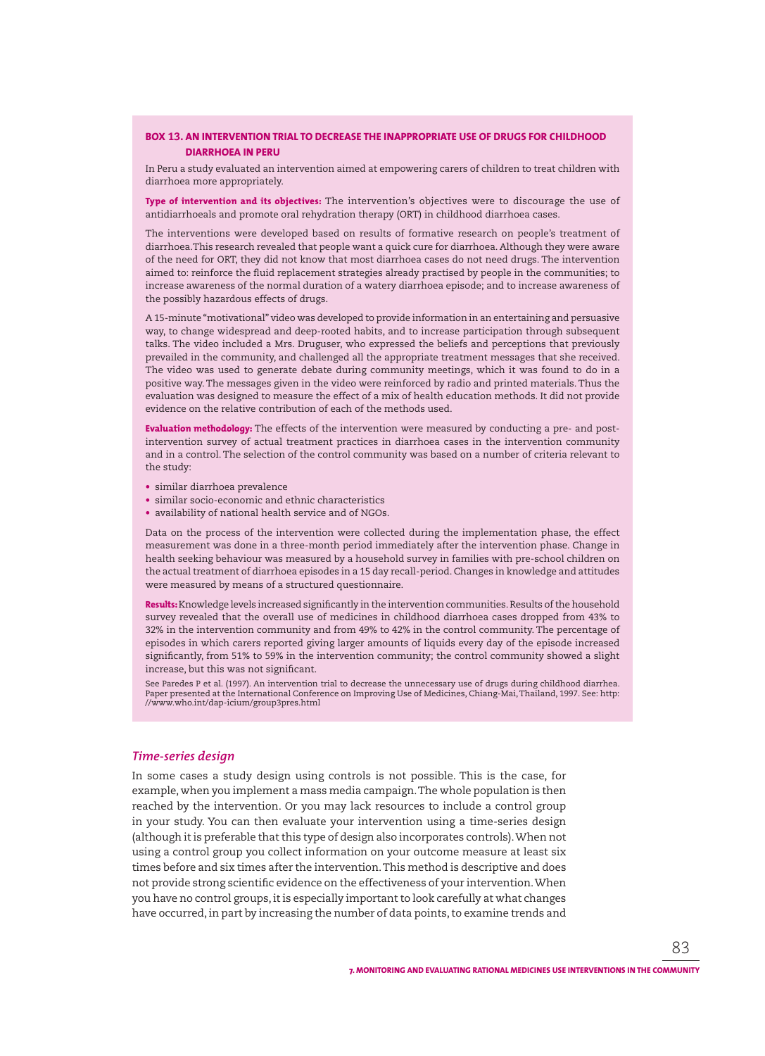### **BOX 13. AN INTERVENTION TRIAL TO DECREASE THE INAPPROPRIATE USE OF DRUGS FOR CHILDHOOD DIARRHOEA IN PERU**

In Peru a study evaluated an intervention aimed at empowering carers of children to treat children with diarrhoea more appropriately.

**Type of intervention and its objectives:** The intervention's objectives were to discourage the use of antidiarrhoeals and promote oral rehydration therapy (ORT) in childhood diarrhoea cases.

The interventions were developed based on results of formative research on people's treatment of diarrhoea.This research revealed that people want a quick cure for diarrhoea. Although they were aware of the need for ORT, they did not know that most diarrhoea cases do not need drugs. The intervention aimed to: reinforce the fluid replacement strategies already practised by people in the communities; to increase awareness of the normal duration of a watery diarrhoea episode; and to increase awareness of the possibly hazardous effects of drugs.

A 15-minute "motivational" video was developed to provide information in an entertaining and persuasive way, to change widespread and deep-rooted habits, and to increase participation through subsequent talks. The video included a Mrs. Druguser, who expressed the beliefs and perceptions that previously prevailed in the community, and challenged all the appropriate treatment messages that she received. The video was used to generate debate during community meetings, which it was found to do in a positive way. The messages given in the video were reinforced by radio and printed materials. Thus the evaluation was designed to measure the effect of a mix of health education methods. It did not provide evidence on the relative contribution of each of the methods used.

**Evaluation methodology:** The effects of the intervention were measured by conducting a pre- and postintervention survey of actual treatment practices in diarrhoea cases in the intervention community and in a control. The selection of the control community was based on a number of criteria relevant to the study:

- similar diarrhoea prevalence
- similar socio-economic and ethnic characteristics
- availability of national health service and of NGOs.

Data on the process of the intervention were collected during the implementation phase, the effect measurement was done in a three-month period immediately after the intervention phase. Change in health seeking behaviour was measured by a household survey in families with pre-school children on the actual treatment of diarrhoea episodes in a 15 day recall-period. Changes in knowledge and attitudes were measured by means of a structured questionnaire.

**Results:** Knowledge levels increased significantly in the intervention communities. Results of the household survey revealed that the overall use of medicines in childhood diarrhoea cases dropped from 43% to 32% in the intervention community and from 49% to 42% in the control community. The percentage of episodes in which carers reported giving larger amounts of liquids every day of the episode increased significantly, from 51% to 59% in the intervention community; the control community showed a slight increase, but this was not significant.

See Paredes P et al. (1997). An intervention trial to decrease the unnecessary use of drugs during childhood diarrhea. Paper presented at the International Conference on Improving Use of Medicines, Chiang-Mai, Thailand, 1997. See: http: //www.who.int/dap-icium/group3pres.html

#### *Time-series design*

In some cases a study design using controls is not possible. This is the case, for example, when you implement a mass media campaign. The whole population is then reached by the intervention. Or you may lack resources to include a control group in your study. You can then evaluate your intervention using a time-series design (although it is preferable that this type of design also incorporates controls). When not using a control group you collect information on your outcome measure at least six times before and six times after the intervention. This method is descriptive and does not provide strong scientific evidence on the effectiveness of your intervention. When you have no control groups, it is especially important to look carefully at what changes have occurred, in part by increasing the number of data points, to examine trends and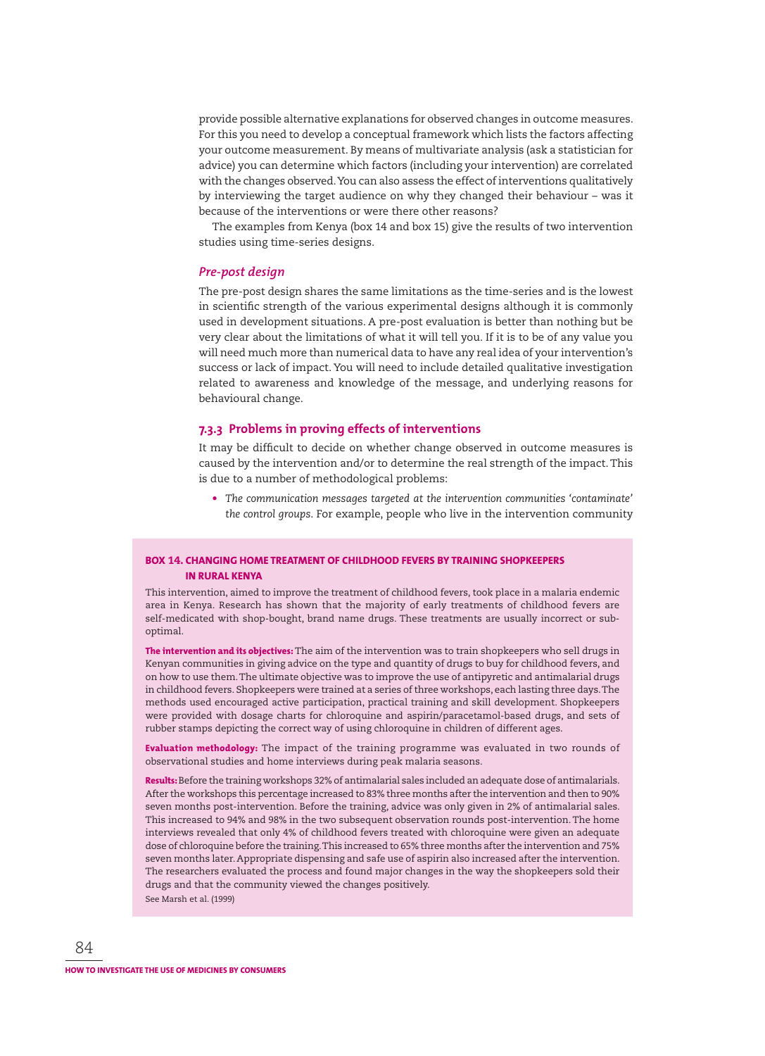provide possible alternative explanations for observed changes in outcome measures. For this you need to develop a conceptual framework which lists the factors affecting your outcome measurement. By means of multivariate analysis (ask a statistician for advice) you can determine which factors (including your intervention) are correlated with the changes observed. You can also assess the effect of interventions qualitatively by interviewing the target audience on why they changed their behaviour – was it because of the interventions or were there other reasons?

The examples from Kenya (box 14 and box 15) give the results of two intervention studies using time-series designs.

#### *Pre-post design*

The pre-post design shares the same limitations as the time-series and is the lowest in scientific strength of the various experimental designs although it is commonly used in development situations. A pre-post evaluation is better than nothing but be very clear about the limitations of what it will tell you. If it is to be of any value you will need much more than numerical data to have any real idea of your intervention's success or lack of impact. You will need to include detailed qualitative investigation related to awareness and knowledge of the message, and underlying reasons for behavioural change.

#### **7.3.3 Problems in proving effects of interventions**

It may be difficult to decide on whether change observed in outcome measures is caused by the intervention and/or to determine the real strength of the impact. This is due to a number of methodological problems:

• *The communication messages targeted at the intervention communities 'contaminate' the control groups*. For example, people who live in the intervention community

## **BOX 14. CHANGING HOME TREATMENT OF CHILDHOOD FEVERS BY TRAINING SHOPKEEPERS IN RURAL KENYA**

This intervention, aimed to improve the treatment of childhood fevers, took place in a malaria endemic area in Kenya. Research has shown that the majority of early treatments of childhood fevers are self-medicated with shop-bought, brand name drugs. These treatments are usually incorrect or suboptimal.

**The intervention and its objectives:** The aim of the intervention was to train shopkeepers who sell drugs in Kenyan communities in giving advice on the type and quantity of drugs to buy for childhood fevers, and on how to use them. The ultimate objective was to improve the use of antipyretic and antimalarial drugs in childhood fevers. Shopkeepers were trained at a series of three workshops, each lasting three days. The methods used encouraged active participation, practical training and skill development. Shopkeepers were provided with dosage charts for chloroquine and aspirin/paracetamol-based drugs, and sets of rubber stamps depicting the correct way of using chloroquine in children of different ages.

**Evaluation methodology:** The impact of the training programme was evaluated in two rounds of observational studies and home interviews during peak malaria seasons.

**Results:** Before the training workshops 32% of antimalarial sales included an adequate dose of antimalarials. After the workshops this percentage increased to 83% three months after the intervention and then to 90% seven months post-intervention. Before the training, advice was only given in 2% of antimalarial sales. This increased to 94% and 98% in the two subsequent observation rounds post-intervention. The home interviews revealed that only 4% of childhood fevers treated with chloroquine were given an adequate dose of chloroquine before the training. This increased to 65% three months after the intervention and 75% seven months later. Appropriate dispensing and safe use of aspirin also increased after the intervention. The researchers evaluated the process and found major changes in the way the shopkeepers sold their drugs and that the community viewed the changes positively. See Marsh et al. (1999)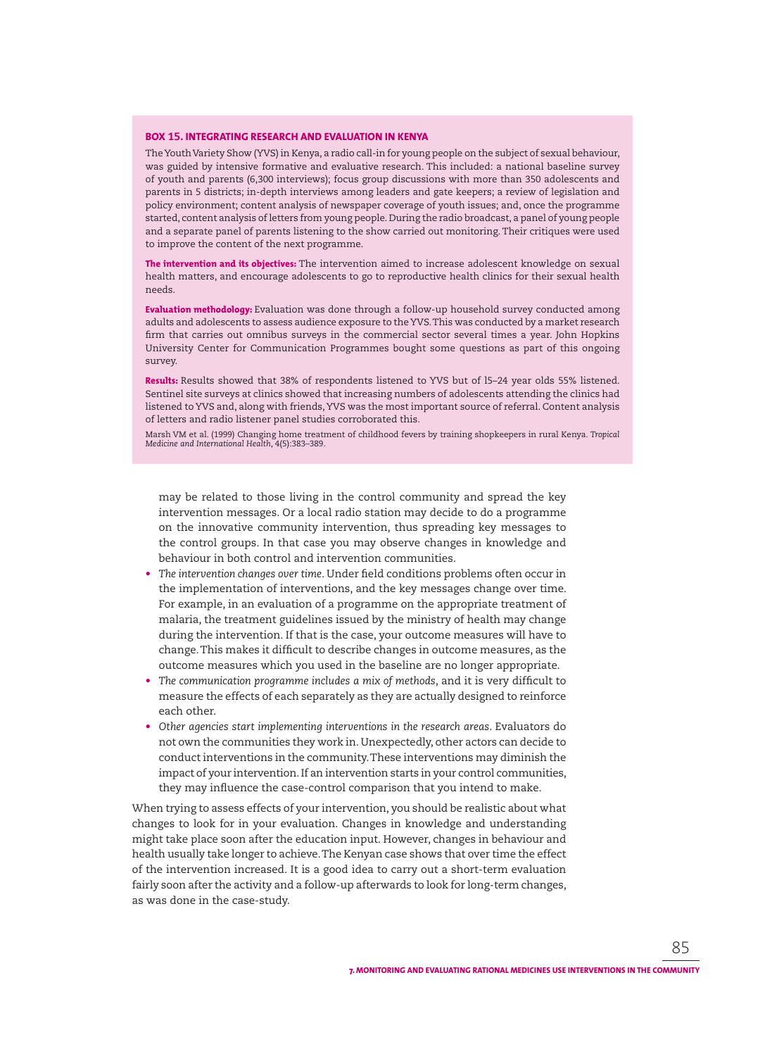#### **BOX 15. INTEGRATING RESEARCH AND EVALUATION IN KENYA**

The Youth Variety Show (YVS) in Kenya, a radio call-in for young people on the subject of sexual behaviour, was guided by intensive formative and evaluative research. This included: a national baseline survey of youth and parents (6,300 interviews); focus group discussions with more than 350 adolescents and parents in 5 districts; in-depth interviews among leaders and gate keepers; a review of legislation and policy environment; content analysis of newspaper coverage of youth issues; and, once the programme started, content analysis of letters from young people. During the radio broadcast, a panel of young people and a separate panel of parents listening to the show carried out monitoring. Their critiques were used to improve the content of the next programme.

**The intervention and its objectives:** The intervention aimed to increase adolescent knowledge on sexual health matters, and encourage adolescents to go to reproductive health clinics for their sexual health needs.

**Evaluation methodology:** Evaluation was done through a follow-up household survey conducted among adults and adolescents to assess audience exposure to the YVS. This was conducted by a market research firm that carries out omnibus surveys in the commercial sector several times a year. John Hopkins University Center for Communication Programmes bought some questions as part of this ongoing survey.

**Results:** Results showed that 38% of respondents listened to YVS but of l5–24 year olds 55% listened. Sentinel site surveys at clinics showed that increasing numbers of adolescents attending the clinics had listened to YVS and, along with friends, YVS was the most important source of referral. Content analysis of letters and radio listener panel studies corroborated this.

Marsh VM et al. (1999) Changing home treatment of childhood fevers by training shopkeepers in rural Kenya. *Tropical Medicine and International Health*, 4(5):383–389.

may be related to those living in the control community and spread the key intervention messages. Or a local radio station may decide to do a programme on the innovative community intervention, thus spreading key messages to the control groups. In that case you may observe changes in knowledge and behaviour in both control and intervention communities.

- The intervention changes over time. Under field conditions problems often occur in the implementation of interventions, and the key messages change over time. For example, in an evaluation of a programme on the appropriate treatment of malaria, the treatment guidelines issued by the ministry of health may change during the intervention. If that is the case, your outcome measures will have to change. This makes it difficult to describe changes in outcome measures, as the outcome measures which you used in the baseline are no longer appropriate.
- The communication programme includes a mix of methods, and it is very difficult to measure the effects of each separately as they are actually designed to reinforce each other.
- *Other agencies start implementing interventions in the research areas*. Evaluators do not own the communities they work in. Unexpectedly, other actors can decide to conduct interventions in the community. These interventions may diminish the impact of your intervention. If an intervention starts in your control communities, they may influence the case-control comparison that you intend to make.

When trying to assess effects of your intervention, you should be realistic about what changes to look for in your evaluation. Changes in knowledge and understanding might take place soon after the education input. However, changes in behaviour and health usually take longer to achieve. The Kenyan case shows that over time the effect of the intervention increased. It is a good idea to carry out a short-term evaluation fairly soon after the activity and a follow-up afterwards to look for long-term changes, as was done in the case-study.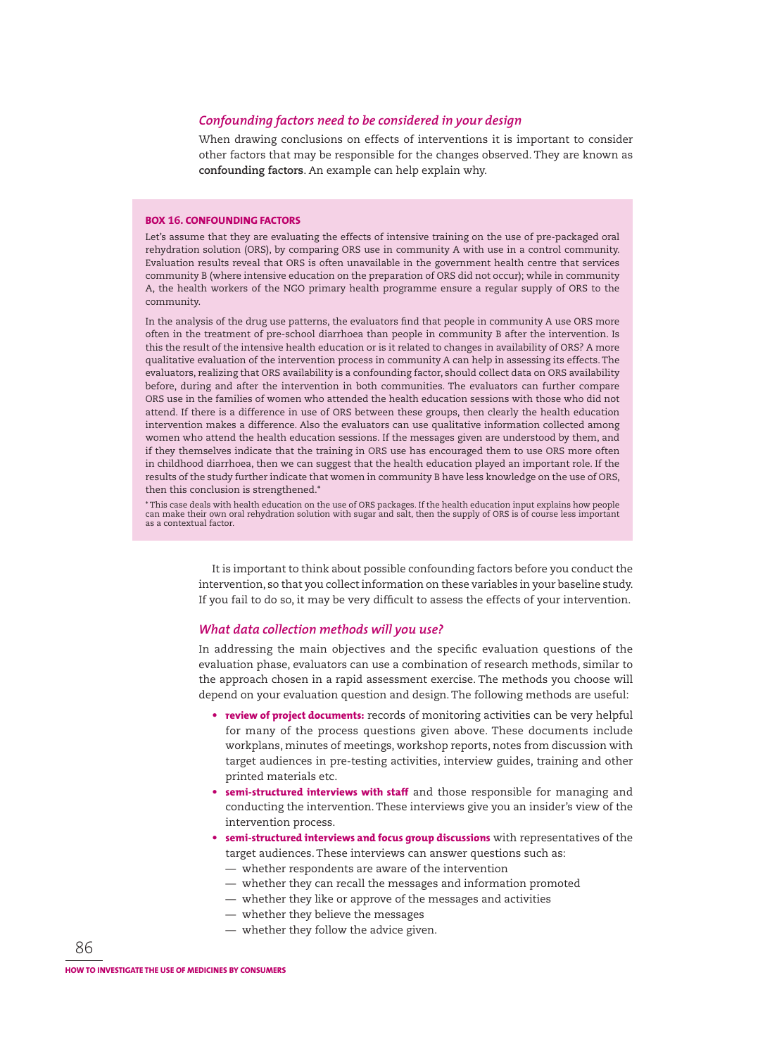#### *Confounding factors need to be considered in your design*

When drawing conclusions on effects of interventions it is important to consider other factors that may be responsible for the changes observed. They are known as **confounding factors**. An example can help explain why.

#### **BOX 16. CONFOUNDING FACTORS**

Let's assume that they are evaluating the effects of intensive training on the use of pre-packaged oral rehydration solution (ORS), by comparing ORS use in community A with use in a control community. Evaluation results reveal that ORS is often unavailable in the government health centre that services community B (where intensive education on the preparation of ORS did not occur); while in community A, the health workers of the NGO primary health programme ensure a regular supply of ORS to the community.

In the analysis of the drug use patterns, the evaluators find that people in community A use ORS more often in the treatment of pre-school diarrhoea than people in community B after the intervention. Is this the result of the intensive health education or is it related to changes in availability of ORS? A more qualitative evaluation of the intervention process in community A can help in assessing its effects. The evaluators, realizing that ORS availability is a confounding factor, should collect data on ORS availability before, during and after the intervention in both communities. The evaluators can further compare ORS use in the families of women who attended the health education sessions with those who did not attend. If there is a difference in use of ORS between these groups, then clearly the health education intervention makes a difference. Also the evaluators can use qualitative information collected among women who attend the health education sessions. If the messages given are understood by them, and if they themselves indicate that the training in ORS use has encouraged them to use ORS more often in childhood diarrhoea, then we can suggest that the health education played an important role. If the results of the study further indicate that women in community B have less knowledge on the use of ORS, then this conclusion is strengthened.\*

\* This case deals with health education on the use of ORS packages. If the health education input explains how people can make their own oral rehydration solution with sugar and salt, then the supply of ORS is of course less important as a contextual factor.

> It is important to think about possible confounding factors before you conduct the intervention, so that you collect information on these variables in your baseline study. If you fail to do so, it may be very difficult to assess the effects of your intervention.

#### *What data collection methods will you use?*

In addressing the main objectives and the specific evaluation questions of the evaluation phase, evaluators can use a combination of research methods, similar to the approach chosen in a rapid assessment exercise. The methods you choose will depend on your evaluation question and design. The following methods are useful:

- **review of project documents:** records of monitoring activities can be very helpful for many of the process questions given above. These documents include workplans, minutes of meetings, workshop reports, notes from discussion with target audiences in pre-testing activities, interview guides, training and other printed materials etc.
- **semi-structured interviews with staff** and those responsible for managing and conducting the intervention. These interviews give you an insider's view of the intervention process.
- **semi-structured interviews and focus group discussions** with representatives of the target audiences. These interviews can answer questions such as:
	- whether respondents are aware of the intervention
	- whether they can recall the messages and information promoted
	- whether they like or approve of the messages and activities
	- whether they believe the messages
	- whether they follow the advice given.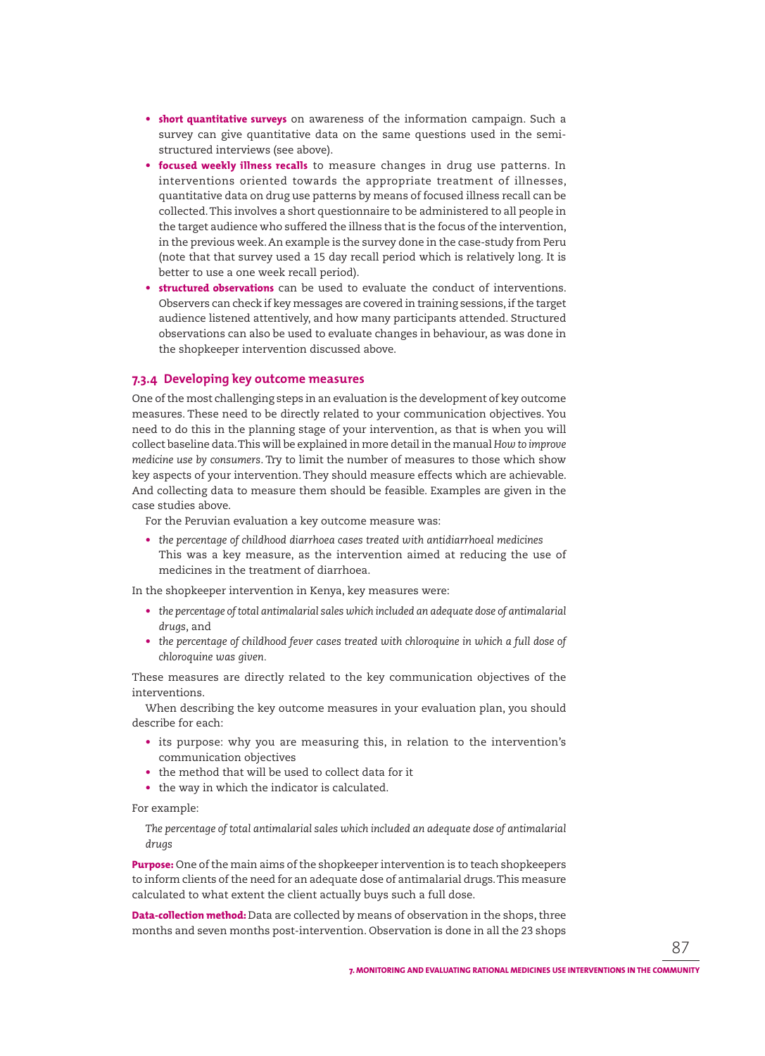- **short quantitative surveys** on awareness of the information campaign. Such a survey can give quantitative data on the same questions used in the semistructured interviews (see above).
- **focused weekly illness recalls** to measure changes in drug use patterns. In interventions oriented towards the appropriate treatment of illnesses, quantitative data on drug use patterns by means of focused illness recall can be collected. This involves a short questionnaire to be administered to all people in the target audience who suffered the illness that is the focus of the intervention, in the previous week. An example is the survey done in the case-study from Peru (note that that survey used a 15 day recall period which is relatively long. It is better to use a one week recall period).
- **structured observations** can be used to evaluate the conduct of interventions. Observers can check if key messages are covered in training sessions, if the target audience listened attentively, and how many participants attended. Structured observations can also be used to evaluate changes in behaviour, as was done in the shopkeeper intervention discussed above.

## **7.3.4 Developing key outcome measures**

One of the most challenging steps in an evaluation is the development of key outcome measures. These need to be directly related to your communication objectives. You need to do this in the planning stage of your intervention, as that is when you will collect baseline data. This will be explained in more detail in the manual *How to improve medicine use by consumers*. Try to limit the number of measures to those which show key aspects of your intervention. They should measure effects which are achievable. And collecting data to measure them should be feasible. Examples are given in the case studies above.

For the Peruvian evaluation a key outcome measure was:

• *the percentage of childhood diarrhoea cases treated with antidiarrhoeal medicines* This was a key measure, as the intervention aimed at reducing the use of medicines in the treatment of diarrhoea.

In the shopkeeper intervention in Kenya, key measures were:

- *the percentage of total antimalarial sales which included an adequate dose of antimalarial drugs*, and
- *the percentage of childhood fever cases treated with chloroquine in which a full dose of chloroquine was given.*

These measures are directly related to the key communication objectives of the interventions.

When describing the key outcome measures in your evaluation plan, you should describe for each:

- its purpose: why you are measuring this, in relation to the intervention's communication objectives
- the method that will be used to collect data for it
- the way in which the indicator is calculated.

For example:

*The percentage of total antimalarial sales which included an adequate dose of antimalarial drugs*

**Purpose:** One of the main aims of the shopkeeper intervention is to teach shopkeepers to inform clients of the need for an adequate dose of antimalarial drugs. This measure calculated to what extent the client actually buys such a full dose.

**Data-collection method:** Data are collected by means of observation in the shops, three months and seven months post-intervention. Observation is done in all the 23 shops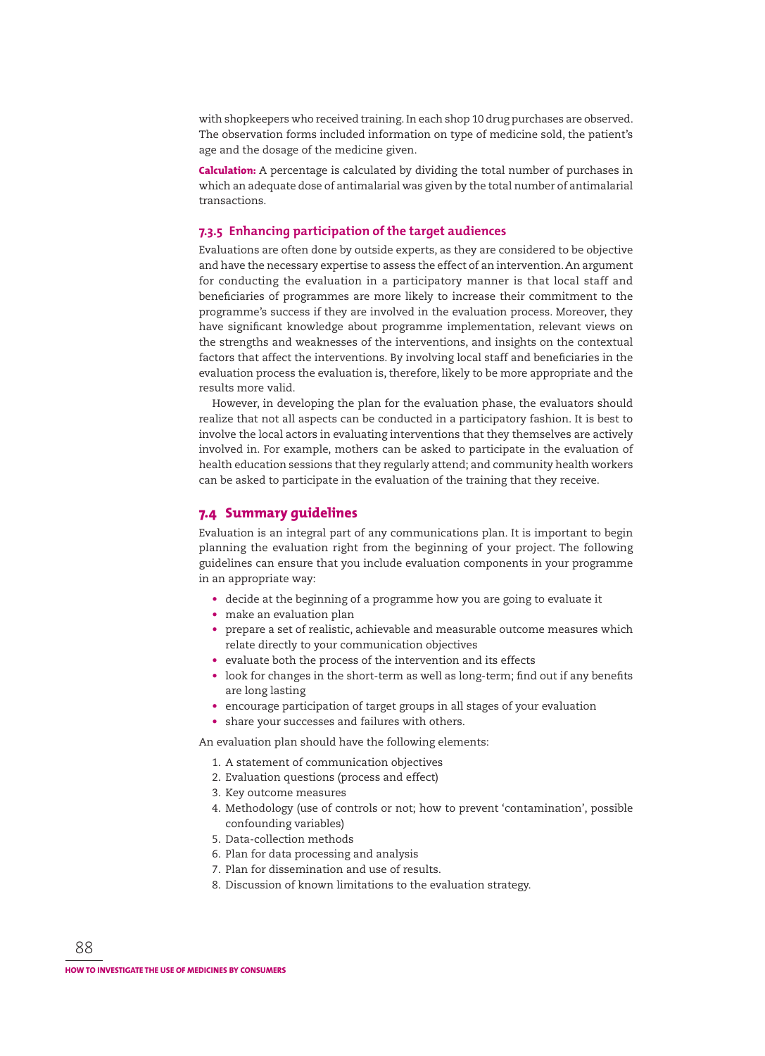with shopkeepers who received training. In each shop 10 drug purchases are observed. The observation forms included information on type of medicine sold, the patient's age and the dosage of the medicine given.

**Calculation:** A percentage is calculated by dividing the total number of purchases in which an adequate dose of antimalarial was given by the total number of antimalarial transactions.

## **7.3.5 Enhancing participation of the target audiences**

Evaluations are often done by outside experts, as they are considered to be objective and have the necessary expertise to assess the effect of an intervention. An argument for conducting the evaluation in a participatory manner is that local staff and beneficiaries of programmes are more likely to increase their commitment to the programme's success if they are involved in the evaluation process. Moreover, they have significant knowledge about programme implementation, relevant views on the strengths and weaknesses of the interventions, and insights on the contextual factors that affect the interventions. By involving local staff and beneficiaries in the evaluation process the evaluation is, therefore, likely to be more appropriate and the results more valid.

However, in developing the plan for the evaluation phase, the evaluators should realize that not all aspects can be conducted in a participatory fashion. It is best to involve the local actors in evaluating interventions that they themselves are actively involved in. For example, mothers can be asked to participate in the evaluation of health education sessions that they regularly attend; and community health workers can be asked to participate in the evaluation of the training that they receive.

## **7.4 Summary guidelines**

Evaluation is an integral part of any communications plan. It is important to begin planning the evaluation right from the beginning of your project. The following guidelines can ensure that you include evaluation components in your programme in an appropriate way:

- decide at the beginning of a programme how you are going to evaluate it
- make an evaluation plan
- prepare a set of realistic, achievable and measurable outcome measures which relate directly to your communication objectives
- evaluate both the process of the intervention and its effects
- look for changes in the short-term as well as long-term; find out if any benefits are long lasting
- encourage participation of target groups in all stages of your evaluation
- share your successes and failures with others.

An evaluation plan should have the following elements:

- 1. A statement of communication objectives
- 2. Evaluation questions (process and effect)
- 3. Key outcome measures
- 4. Methodology (use of controls or not; how to prevent 'contamination', possible confounding variables)
- 5. Data-collection methods
- 6. Plan for data processing and analysis
- 7. Plan for dissemination and use of results.
- 8. Discussion of known limitations to the evaluation strategy.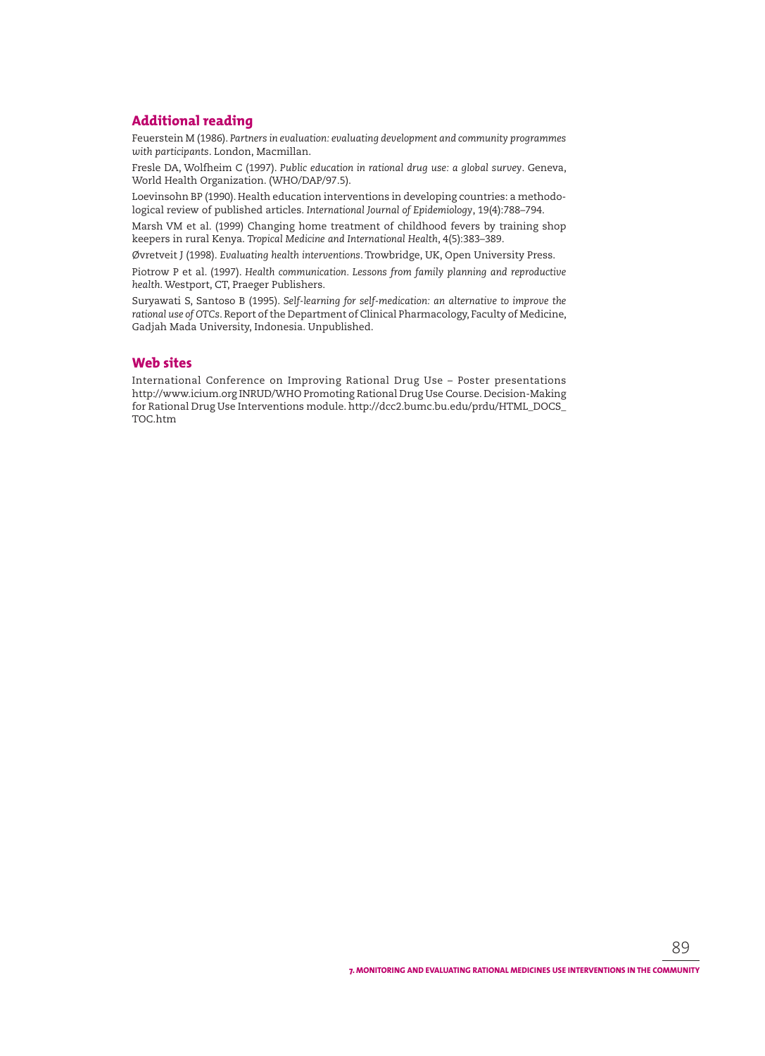## **Additional reading**

Feuerstein M (1986). *Partners in evaluation: evaluating development and community programmes with participants*. London, Macmillan.

Fresle DA, Wolfheim C (1997). Public education in rational drug use: a global survey. Geneva, World Health Organization. (WHO/DAP/97.5).

Loevinsohn BP (1990). Health education interventions in developing countries: a methodolog ical review of published articles. *International Journal of Epidemiology*, 19(4):788–794.

Marsh VM et al. (1999) Changing home treatment of childhood fevers by training shop keepers in rural Kenya. *Tropical Medicine and International Health*, 4(5):383–389.

Øvretveit J (1998). *Evaluating health interventions*. Trowbridge, UK, Open University Press.

Piotrow P et al. (1997). *Health communication*. Lessons from family planning and reproductive *health*. Westport, CT, Praeger Publishers.

Suryawati S, Santoso B (1995). Self-learning for self-medication: an alternative to improve the *rational use of OTCs*. Report of the Department of Clinical Pharmacology, Faculty of Medicine, Gadjah Mada University, Indonesia. Unpublished.

# **Web sites**

International Conference on Improving Rational Drug Use – Poster presentations http://www.icium.org INRUD/WHO Promoting Rational Drug Use Course. Decision-Making for Rational Drug Use Interventions module. http://dcc2.bumc.bu.edu/prdu/HTML\_DOCS\_ TOC.htm